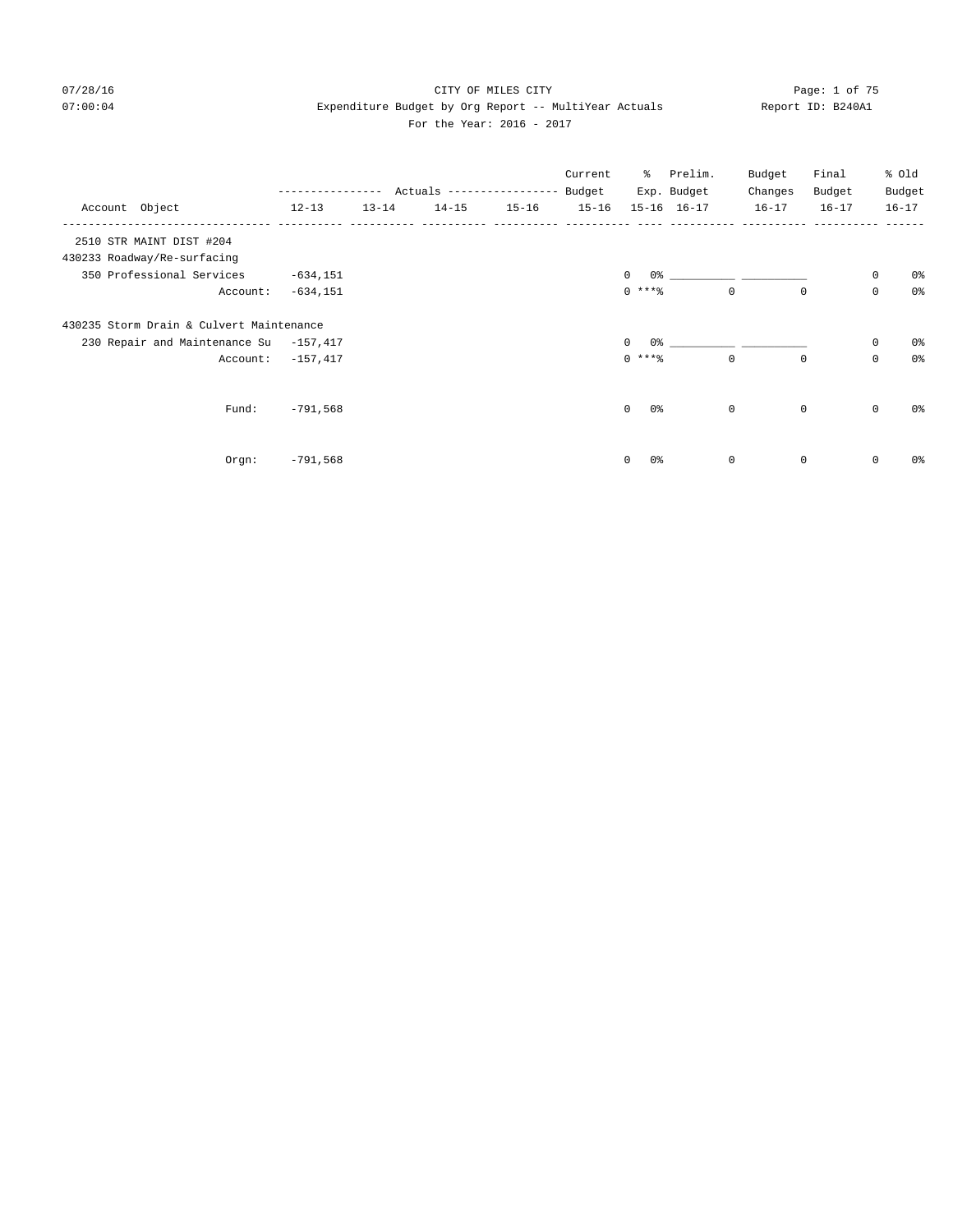## 07/28/16 CITY OF MILES CITY Page: 1 of 75 07:00:04 Expenditure Budget by Org Report -- MultiYear Actuals Report ID: B240A1 For the Year: 2016 - 2017

|                                          |              |           |                            |           | Current   | ိ                          | Prelim.     | Budget       | Final       |             | % Old          |
|------------------------------------------|--------------|-----------|----------------------------|-----------|-----------|----------------------------|-------------|--------------|-------------|-------------|----------------|
|                                          | ------------ |           | Actuals ------------------ |           | Budget    |                            | Exp. Budget | Changes      | Budget      |             | Budget         |
| Account Object                           | $12 - 13$    | $13 - 14$ | $14 - 15$                  | $15 - 16$ | $15 - 16$ |                            | 15-16 16-17 | $16 - 17$    | $16 - 17$   |             | $16 - 17$      |
| 2510 STR MAINT DIST #204                 |              |           |                            |           |           |                            |             |              |             |             |                |
| 430233 Roadway/Re-surfacing              |              |           |                            |           |           |                            |             |              |             |             |                |
| 350 Professional Services                | $-634, 151$  |           |                            |           |           | $\Omega$<br>0 <sup>°</sup> |             |              |             | $\mathbf 0$ | 0 <sup>8</sup> |
| Account:                                 | $-634, 151$  |           |                            |           |           | $0***$ $%$                 |             | $\mathbf 0$  | $\mathbf 0$ | $\mathbf 0$ | 0 <sup>8</sup> |
| 430235 Storm Drain & Culvert Maintenance |              |           |                            |           |           |                            |             |              |             |             |                |
| 230 Repair and Maintenance Su -157,417   |              |           |                            |           |           | $\Omega$<br>0 %            |             |              |             | 0           | 0%             |
| Account:                                 | $-157,417$   |           |                            |           |           | $0***$                     |             | $\mathbf 0$  | $\mathbf 0$ | $\mathbf 0$ | $0\,$          |
|                                          |              |           |                            |           |           |                            |             |              |             |             |                |
| Fund:                                    | $-791,568$   |           |                            |           |           | $\mathbf 0$<br>0 %         |             | $\mathbf{0}$ | $\circ$     | $\circ$     | 0%             |
|                                          |              |           |                            |           |           |                            |             |              |             |             |                |
| $Orgn$ :                                 | $-791,568$   |           |                            |           |           | 0 <sup>°</sup><br>0        |             | $\mathbf 0$  | $\mathbf 0$ | $\circ$     | 0%             |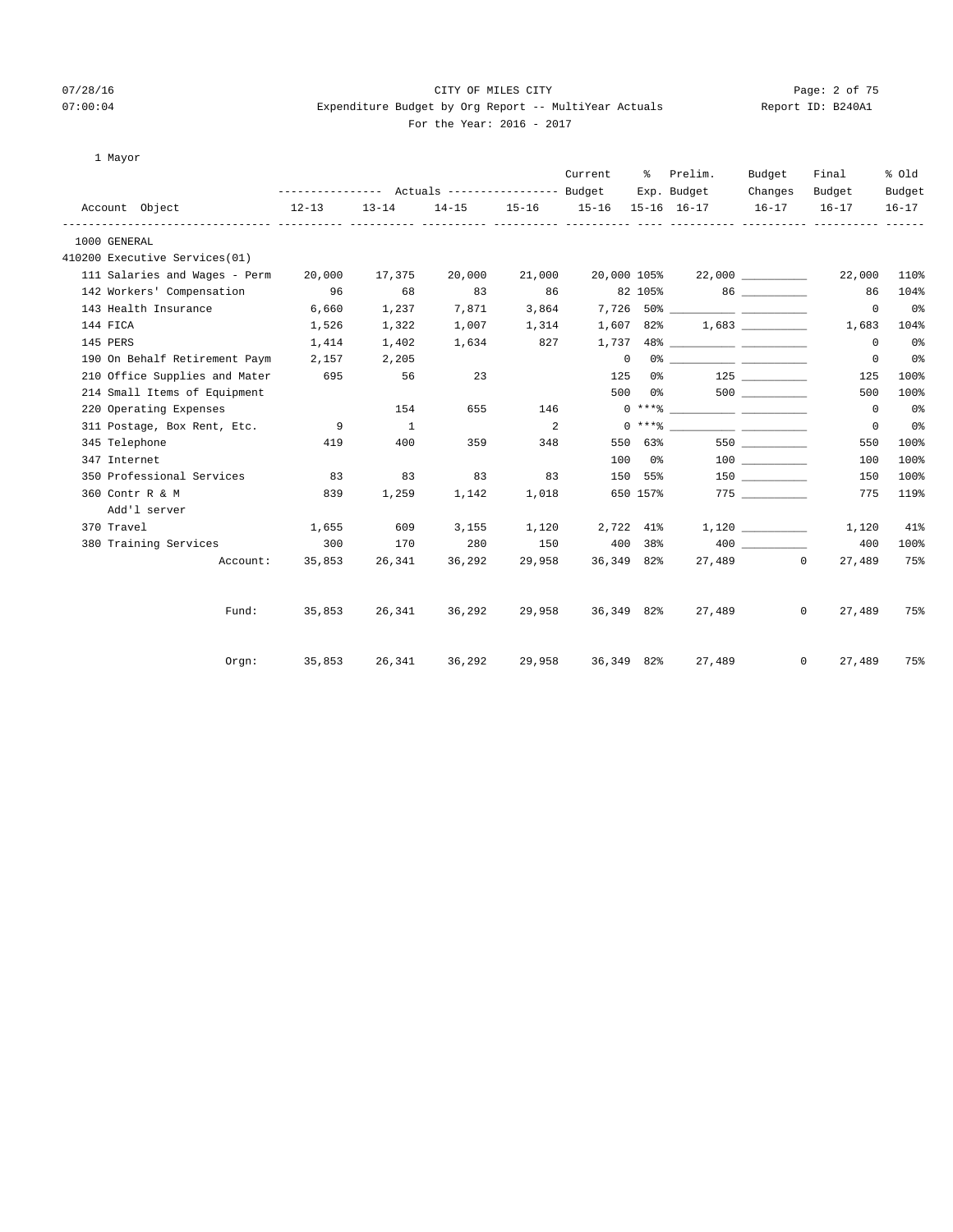1 Mayor

Add'l server

## 07/28/16 CITY OF MILES CITY Page: 2 of 75 07:00:04 Expenditure Budget by Org Report -- MultiYear Actuals Report ID: B240A1 For the Year: 2016 - 2017

|  | For the Year: 2016 - 2017 |  |  |
|--|---------------------------|--|--|
|  |                           |  |  |

| 1 Mayor                       |                                                       |                |        |        |              |          |                                           |                     |             |           |
|-------------------------------|-------------------------------------------------------|----------------|--------|--------|--------------|----------|-------------------------------------------|---------------------|-------------|-----------|
|                               |                                                       |                |        |        | Current      |          | % Prelim.                                 | Budget              | Final       | % old     |
|                               | ---------------    Actuals ----------------    Budget |                |        |        |              |          | Exp. Budget                               | Changes             | Budget      | Budget    |
| Account Object<br>$12 - 13$   |                                                       | $13 - 14$      |        |        |              |          | 14-15 15-16 15-16 15-16 16-17 16-17 16-17 |                     |             | $16 - 17$ |
| 1000 GENERAL                  |                                                       |                |        |        |              |          |                                           |                     |             |           |
| 410200 Executive Services(01) |                                                       |                |        |        |              |          |                                           |                     |             |           |
| 111 Salaries and Wages - Perm | 20,000                                                | 17,375         | 20,000 | 21,000 |              |          | $20,000$ $105\%$ $22,000$ $\_\_$          |                     | 22,000      | 110%      |
| 142 Workers' Compensation 96  |                                                       | 68             | 83     | 86     |              |          | 82 105% 86                                |                     | 86          | 104%      |
| 143 Health Insurance          | 6,660                                                 | 1,237          | 7,871  | 3,864  |              |          |                                           |                     | $\mathbf 0$ | 0%        |
| 144 FICA                      | 1,526                                                 | 1,322          | 1,007  | 1,314  | 1,607        | 82%      |                                           | $1,683$ ___________ | 1,683       | 104%      |
| 145 PERS                      | 1,414                                                 | 1,402          | 1,634  | 827    | 1,737        |          |                                           |                     | 0           | 0%        |
| 190 On Behalf Retirement Paym | 2,157                                                 | 2,205          |        |        | $\mathbf{0}$ | 0%       |                                           |                     | $\mathbf 0$ | 0%        |
| 210 Office Supplies and Mater | 695                                                   | 56             | 23     |        | 125          | 0 %      |                                           | 125                 | 125         | 100%      |
| 214 Small Items of Equipment  |                                                       |                |        |        |              | 500 0%   |                                           |                     | 500         | 100%      |
| 220 Operating Expenses        |                                                       | 154            | 655    | 146    |              |          | $0$ *** $\frac{1}{6}$                     |                     | $\circ$     | 0%        |
| 311 Postage, Box Rent, Etc.   | 9                                                     | $\overline{1}$ |        | 2      |              |          | $0 \times + *$ 8                          |                     | 0           | 0%        |
| 345 Telephone                 | 419                                                   | 400            | 359    | 348    | 550          | 63%      |                                           | 550 350             | 550         | 100%      |
| 347 Internet                  |                                                       |                |        |        | 100          | 0%       |                                           | 100 000             | 100         | 100%      |
| 350 Professional Services     | 83                                                    | 83             | 83     | 83     | 150          | 55%      |                                           | 150 30              | 150         | 100%      |
| 360 Contr R & M               | 839                                                   | 1,259          | 1,142  | 1,018  |              | 650 157% |                                           |                     | 775         | 119%      |

 370 Travel 1,655 609 3,155 1,120 2,722 41% 1,120 \_\_\_\_\_\_\_\_\_\_ 1,120 41% 380 Training Services 300 170 280 150 400 38% 400 \_\_\_\_\_\_\_\_\_\_ 400 100%

Account: 35,853 26,341 36,292 29,958 36,349 82% 27,489 0 27,489 75%

Fund: 35,853 26,341 36,292 29,958 36,349 82% 27,489 0 27,489 75%

Orgn: 35,853 26,341 36,292 29,958 36,349 82% 27,489 0 27,489 75%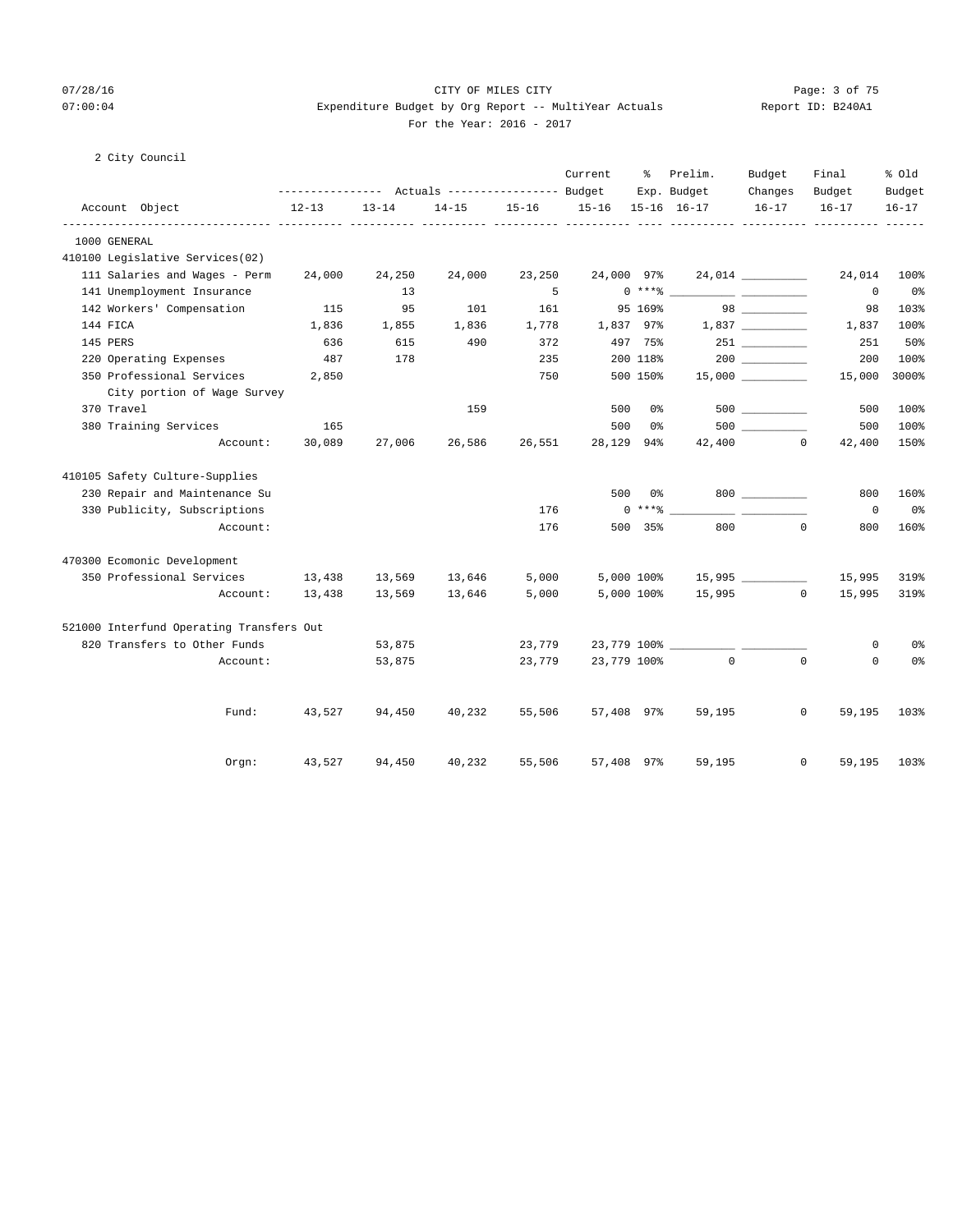## 07/28/16 CITY OF MILES CITY Page: 3 of 75 07:00:04 Expenditure Budget by Org Report -- MultiYear Actuals Report ID: B240A1 For the Year: 2016 - 2017

### 2 City Council

|                                          |           |           |           |           | Current     | ႜ              | Prelim.     | Budget                                    | Final                 | % old          |
|------------------------------------------|-----------|-----------|-----------|-----------|-------------|----------------|-------------|-------------------------------------------|-----------------------|----------------|
|                                          |           |           |           |           |             |                | Exp. Budget | Changes                                   | Budget                | Budget         |
| Account Object                           | $12 - 13$ | $13 - 14$ | $14 - 15$ | $15 - 16$ | $15 - 16$   |                | 15-16 16-17 | $16 - 17$                                 | $16 - 17$             | $16 - 17$      |
| 1000 GENERAL                             |           |           |           |           |             |                |             |                                           |                       |                |
| 410100 Legislative Services(02)          |           |           |           |           |             |                |             |                                           |                       |                |
| 111 Salaries and Wages - Perm            | 24,000    | 24,250    | 24,000    | 23,250    | 24,000 97%  |                |             |                                           | 24,014                | 100%           |
| 141 Unemployment Insurance               |           | 13        |           | 5         |             | $0***$ $*$     |             | <u> 1989 - John Harrison, mars et al.</u> | $\mathbf{0}$          | 0%             |
| 142 Workers' Compensation                | 115       | 95        | 101       | 161       |             | 95 169%        |             |                                           | 98                    | 103%           |
| 144 FICA                                 | 1,836     | 1,855     | 1,836     | 1,778     | 1,837 97%   |                |             |                                           | 1,837                 | 100%           |
| 145 PERS                                 | 636       | 615       | 490       | 372       |             | 497 75%        |             |                                           | 251                   | 50%            |
| 220 Operating Expenses                   | 487       | 178       |           | 235       |             | 200 118%       |             |                                           | 200                   | 100%           |
| 350 Professional Services                | 2,850     |           |           | 750       |             | 500 150%       |             | $15,000$ __________                       | 15,000                | 3000%          |
| City portion of Wage Survey              |           |           |           |           |             |                |             |                                           |                       |                |
| 370 Travel                               |           |           | 159       |           | 500         | 0%             |             | 500 000                                   | 500                   | 100%           |
| 380 Training Services                    | 165       |           |           |           | 500         | 0 <sup>°</sup> |             | 500 000                                   | 500                   | 100%           |
| Account:                                 | 30,089    | 27,006    | 26,586    | 26,551    | 28,129      | 94%            |             | 42,400 0                                  | 42,400                | 150%           |
| 410105 Safety Culture-Supplies           |           |           |           |           |             |                |             |                                           |                       |                |
| 230 Repair and Maintenance Su            |           |           |           |           | 500         | 0%             |             |                                           | 800                   | 160%           |
| 330 Publicity, Subscriptions             |           |           |           | 176       |             | $0***$ $*$     |             |                                           | $\mathbf 0$           | 0%             |
| Account:                                 |           |           |           | 176       |             | 500 35%        | 800         |                                           | $\Omega$<br>800       | 160%           |
| 470300 Ecomonic Development              |           |           |           |           |             |                |             |                                           |                       |                |
| 350 Professional Services                | 13,438    | 13,569    | 13,646    | 5,000     |             | 5,000 100%     |             | 15,995                                    | 15,995                | 319%           |
| Account:                                 | 13,438    | 13,569    | 13,646    | 5,000     |             | 5,000 100%     |             | 15,995                                    | $\circ$<br>15,995     | 319%           |
| 521000 Interfund Operating Transfers Out |           |           |           |           |             |                |             |                                           |                       |                |
| 820 Transfers to Other Funds             |           | 53,875    |           | 23,779    |             |                |             |                                           | 0                     | 0 <sup>°</sup> |
| Account:                                 |           | 53,875    |           | 23,779    | 23,779 100% |                | $\sim$ 0    | $\Omega$                                  | 0                     | 0%             |
|                                          |           |           |           |           |             |                |             |                                           |                       |                |
| Fund:                                    | 43,527    | 94,450    | 40,232    | 55,506    | 57,408 97%  |                | 59,195      |                                           | $\mathbf 0$<br>59,195 | 103%           |
| Orgn:                                    | 43,527    | 94,450    | 40,232    | 55,506    | 57,408 97%  |                | 59,195      |                                           | $\mathbf 0$<br>59,195 | 103%           |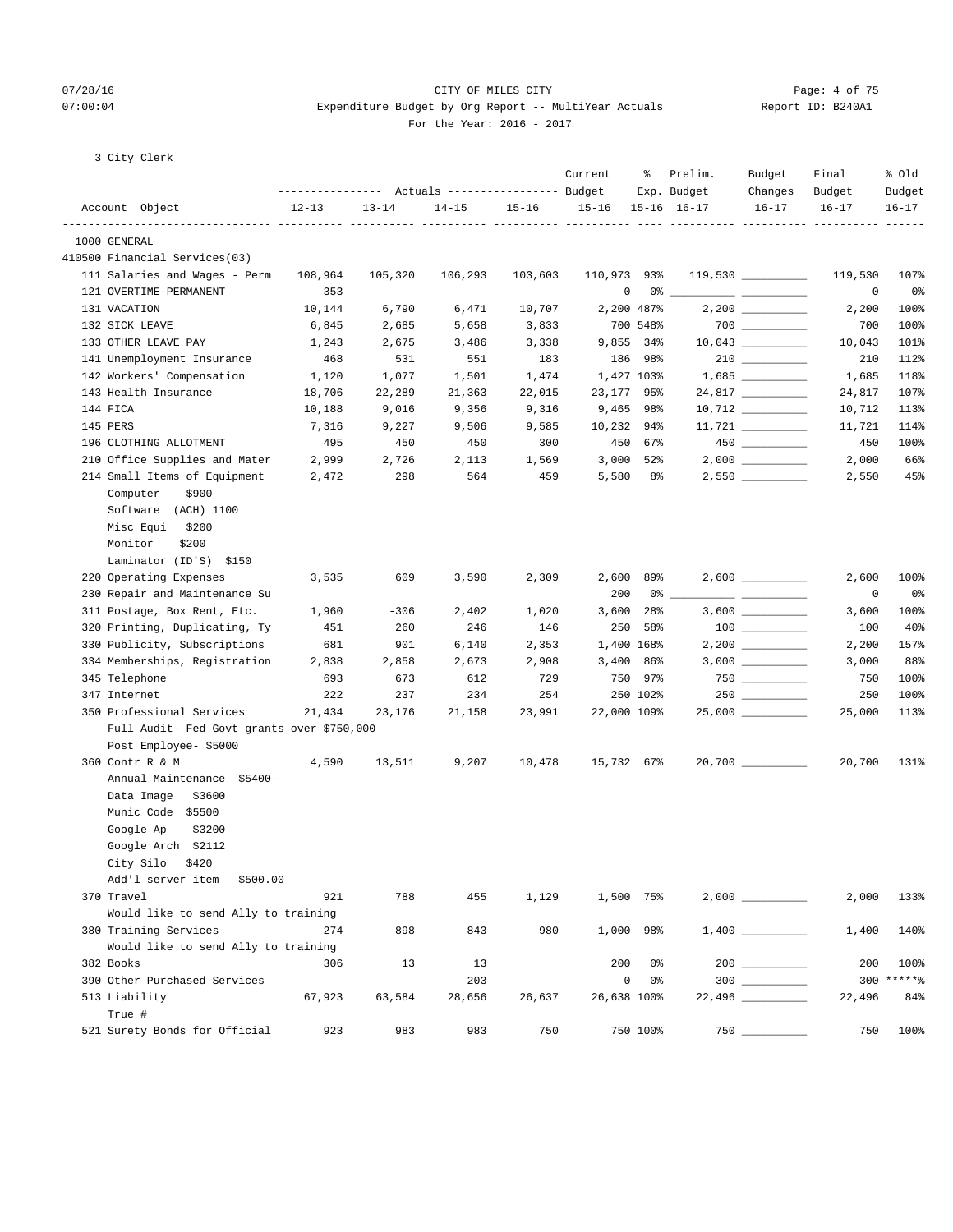### 07/28/16 CITY OF MILES CITY Page: 4 of 75 07:00:04 Expenditure Budget by Org Report -- MultiYear Actuals Report ID: B240A1 For the Year: 2016 - 2017

|  |  | 3 City Clerk |  |
|--|--|--------------|--|
|--|--|--------------|--|

|                                            |           |           |           |           | Current     | ፟፟፟         | Prelim.<br>Exp. Budget | Budget<br>Changes                                                                                                                                                                                                                                                                                                                                                                                                                                                          | Final<br>Budget | % Old<br>Budget |
|--------------------------------------------|-----------|-----------|-----------|-----------|-------------|-------------|------------------------|----------------------------------------------------------------------------------------------------------------------------------------------------------------------------------------------------------------------------------------------------------------------------------------------------------------------------------------------------------------------------------------------------------------------------------------------------------------------------|-----------------|-----------------|
| Account Object                             | $12 - 13$ | $13 - 14$ | $14 - 15$ | $15 - 16$ | $15 - 16$   |             | $15 - 16$ $16 - 17$    | $16 - 17$                                                                                                                                                                                                                                                                                                                                                                                                                                                                  | $16 - 17$       | $16 - 17$       |
| 1000 GENERAL                               |           |           |           |           |             |             |                        |                                                                                                                                                                                                                                                                                                                                                                                                                                                                            |                 |                 |
| 410500 Financial Services(03)              |           |           |           |           |             |             |                        |                                                                                                                                                                                                                                                                                                                                                                                                                                                                            |                 |                 |
| 111 Salaries and Wages - Perm              | 108,964   | 105,320   | 106,293   | 103,603   | 110,973 93% |             |                        | $119,530$ ________                                                                                                                                                                                                                                                                                                                                                                                                                                                         | 119,530         | 107%            |
| 121 OVERTIME-PERMANENT                     | 353       |           |           |           | 0           |             | 0 %                    |                                                                                                                                                                                                                                                                                                                                                                                                                                                                            | 0               | 0%              |
| 131 VACATION                               | 10,144    | 6,790     | 6,471     | 10,707    |             | 2,200 487%  |                        |                                                                                                                                                                                                                                                                                                                                                                                                                                                                            | 2,200           | 100%            |
| 132 SICK LEAVE                             | 6,845     | 2,685     | 5,658     | 3,833     |             | 700 548%    |                        | $700$ ________                                                                                                                                                                                                                                                                                                                                                                                                                                                             | 700             | 100%            |
| 133 OTHER LEAVE PAY                        | 1,243     | 2,675     | 3,486     | 3,338     |             | 9,855 34%   |                        |                                                                                                                                                                                                                                                                                                                                                                                                                                                                            | 10,043          | 101%            |
| 141 Unemployment Insurance                 | 468       | 531       | 551       | 183       |             | 186 98%     |                        |                                                                                                                                                                                                                                                                                                                                                                                                                                                                            | 210             | 112%            |
| 142 Workers' Compensation                  | 1,120     | 1,077     | 1,501     | 1,474     |             | 1,427 103%  |                        |                                                                                                                                                                                                                                                                                                                                                                                                                                                                            | 1,685           | 118%            |
| 143 Health Insurance                       | 18,706    | 22,289    | 21,363    | 22,015    | 23,177 95%  |             |                        | 24,817 _________                                                                                                                                                                                                                                                                                                                                                                                                                                                           | 24,817          | 107%            |
| 144 FICA                                   | 10,188    | 9,016     | 9,356     | 9,316     |             | $9,465$ 98% |                        | $10,712$ _________                                                                                                                                                                                                                                                                                                                                                                                                                                                         | 10,712          | 113%            |
| 145 PERS                                   | 7,316     | 9,227     | 9,506     | 9,585     | 10,232 94%  |             |                        | $11,721$ ________                                                                                                                                                                                                                                                                                                                                                                                                                                                          | 11,721          | 114%            |
| 196 CLOTHING ALLOTMENT                     | 495       | 450       | 450       | 300       |             | 450 67%     |                        | $450$ ________                                                                                                                                                                                                                                                                                                                                                                                                                                                             | 450             | 100%            |
| 210 Office Supplies and Mater              | 2,999     | 2,726     | 2,113     | 1,569     |             | $3,000$ 52% |                        |                                                                                                                                                                                                                                                                                                                                                                                                                                                                            | 2,000           | 66%             |
| 214 Small Items of Equipment               | 2,472     | 298       | 564       | 459       | 5,580       | 8 දි        |                        | $2,550$ __________                                                                                                                                                                                                                                                                                                                                                                                                                                                         | 2,550           | 45%             |
| Computer<br>\$900                          |           |           |           |           |             |             |                        |                                                                                                                                                                                                                                                                                                                                                                                                                                                                            |                 |                 |
| Software (ACH) 1100                        |           |           |           |           |             |             |                        |                                                                                                                                                                                                                                                                                                                                                                                                                                                                            |                 |                 |
| Misc Equi<br>\$200                         |           |           |           |           |             |             |                        |                                                                                                                                                                                                                                                                                                                                                                                                                                                                            |                 |                 |
| Monitor<br>\$200                           |           |           |           |           |             |             |                        |                                                                                                                                                                                                                                                                                                                                                                                                                                                                            |                 |                 |
| Laminator (ID'S) \$150                     |           |           |           |           |             |             |                        |                                                                                                                                                                                                                                                                                                                                                                                                                                                                            |                 |                 |
| 220 Operating Expenses                     | 3,535     | 609       | 3,590     | 2,309     |             | 2,600 89%   |                        | $2,600$ _________                                                                                                                                                                                                                                                                                                                                                                                                                                                          | 2,600           | 100%            |
| 230 Repair and Maintenance Su              |           |           |           |           | 200         |             | 0 %                    | $\frac{1}{2} \left( \frac{1}{2} \right) \left( \frac{1}{2} \right) \left( \frac{1}{2} \right) \left( \frac{1}{2} \right) \left( \frac{1}{2} \right) \left( \frac{1}{2} \right) \left( \frac{1}{2} \right) \left( \frac{1}{2} \right) \left( \frac{1}{2} \right) \left( \frac{1}{2} \right) \left( \frac{1}{2} \right) \left( \frac{1}{2} \right) \left( \frac{1}{2} \right) \left( \frac{1}{2} \right) \left( \frac{1}{2} \right) \left( \frac{1}{2} \right) \left( \frac$ | 0               | 0%              |
| 311 Postage, Box Rent, Etc.                | 1,960     | $-306$    | 2,402     | 1,020     |             | $3,600$ 28% |                        |                                                                                                                                                                                                                                                                                                                                                                                                                                                                            | 3,600           | 100%            |
| 320 Printing, Duplicating, Ty              | 451       | 260       | 246       | 146       |             | 250 58%     |                        |                                                                                                                                                                                                                                                                                                                                                                                                                                                                            | 100             | 40%             |
| 330 Publicity, Subscriptions               | 681       | 901       | 6,140     | 2,353     |             | 1,400 168%  |                        | $2,200$ __________                                                                                                                                                                                                                                                                                                                                                                                                                                                         | 2,200           | 157%            |
| 334 Memberships, Registration              | 2,838     | 2,858     | 2,673     | 2,908     |             | $3,400$ 86% |                        | $3,000$ __________                                                                                                                                                                                                                                                                                                                                                                                                                                                         | 3,000           | 88%             |
| 345 Telephone                              | 693       | 673       | 612       | 729       |             | 750 97%     |                        |                                                                                                                                                                                                                                                                                                                                                                                                                                                                            | 750             | 100%            |
| 347 Internet                               | 222       | 237       | 234       | 254       |             | 250 102%    |                        |                                                                                                                                                                                                                                                                                                                                                                                                                                                                            | 250             | 100%            |
| 350 Professional Services                  | 21,434    | 23,176    | 21,158    | 23,991    | 22,000 109% |             |                        | $25,000$ __________                                                                                                                                                                                                                                                                                                                                                                                                                                                        | 25,000          | 113%            |
| Full Audit- Fed Govt grants over \$750,000 |           |           |           |           |             |             |                        |                                                                                                                                                                                                                                                                                                                                                                                                                                                                            |                 |                 |
| Post Employee- \$5000                      |           |           |           |           |             |             |                        |                                                                                                                                                                                                                                                                                                                                                                                                                                                                            |                 |                 |
| 360 Contr R & M                            | 4,590     | 13,511    | 9,207     | 10,478    | 15,732 67%  |             |                        | $20,700$ ___________                                                                                                                                                                                                                                                                                                                                                                                                                                                       | 20,700          | 131%            |
| Annual Maintenance \$5400-                 |           |           |           |           |             |             |                        |                                                                                                                                                                                                                                                                                                                                                                                                                                                                            |                 |                 |
| Data Image<br>\$3600                       |           |           |           |           |             |             |                        |                                                                                                                                                                                                                                                                                                                                                                                                                                                                            |                 |                 |
| Munic Code \$5500                          |           |           |           |           |             |             |                        |                                                                                                                                                                                                                                                                                                                                                                                                                                                                            |                 |                 |
| Google Ap<br>\$3200                        |           |           |           |           |             |             |                        |                                                                                                                                                                                                                                                                                                                                                                                                                                                                            |                 |                 |
| Google Arch \$2112                         |           |           |           |           |             |             |                        |                                                                                                                                                                                                                                                                                                                                                                                                                                                                            |                 |                 |
| City Silo \$420                            |           |           |           |           |             |             |                        |                                                                                                                                                                                                                                                                                                                                                                                                                                                                            |                 |                 |
| Add'l server item<br>\$500.00              |           |           |           |           |             |             |                        |                                                                                                                                                                                                                                                                                                                                                                                                                                                                            |                 |                 |
| 370 Travel                                 | 921       | 788       | 455       | 1,129     |             | 1,500 75%   |                        |                                                                                                                                                                                                                                                                                                                                                                                                                                                                            | 2,000           | 133%            |
| Would like to send Ally to training        |           |           |           |           |             |             |                        |                                                                                                                                                                                                                                                                                                                                                                                                                                                                            |                 |                 |
| 380 Training Services                      | 274       | 898       | 843       | 980       |             | 1,000 98%   |                        |                                                                                                                                                                                                                                                                                                                                                                                                                                                                            | 1,400           | 140%            |
| Would like to send Ally to training        |           |           |           |           |             |             |                        |                                                                                                                                                                                                                                                                                                                                                                                                                                                                            |                 |                 |
| 382 Books                                  | 306       | 13        | 13        |           | 200         | 0%          |                        |                                                                                                                                                                                                                                                                                                                                                                                                                                                                            | 200             | 100%            |
| 390 Other Purchased Services               |           |           | 203       |           | 0           | 0%          |                        |                                                                                                                                                                                                                                                                                                                                                                                                                                                                            |                 | 300 ******      |
| 513 Liability                              | 67,923    | 63,584    | 28,656    | 26,637    | 26,638 100% |             |                        |                                                                                                                                                                                                                                                                                                                                                                                                                                                                            | 22,496          | 84%             |
| True #                                     |           |           |           |           |             |             |                        |                                                                                                                                                                                                                                                                                                                                                                                                                                                                            |                 |                 |
| 521 Surety Bonds for Official              | 923       | 983       | 983       | 750       |             | 750 100%    |                        |                                                                                                                                                                                                                                                                                                                                                                                                                                                                            | 750             | 100%            |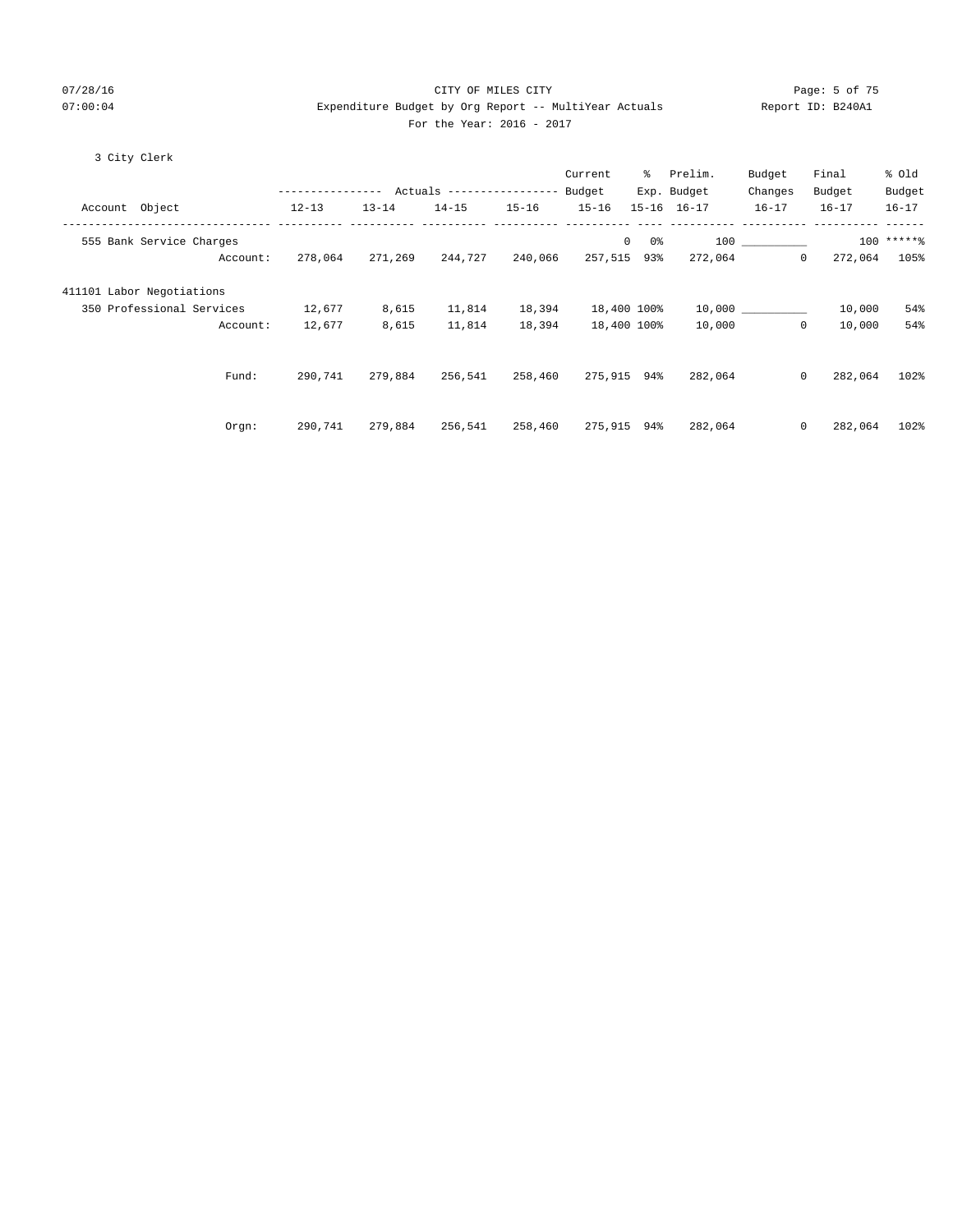## 07/28/16 Page: 5 of 75 07:00:04 Expenditure Budget by Org Report -- MultiYear Actuals Report ID: B240A1 For the Year: 2016 - 2017

## 3 City Clerk

|                           |                  |           |                           |           | Current   | ႜၟ          | Prelim.     | Budget       | Final     | % Old        |
|---------------------------|------------------|-----------|---------------------------|-----------|-----------|-------------|-------------|--------------|-----------|--------------|
|                           | ---------------- |           | Actuals ----------------- |           | Budget    |             | Exp. Budget | Changes      | Budget    | Budget       |
| Account Object            | $12 - 13$        | $13 - 14$ | $14 - 15$                 | $15 - 16$ | $15 - 16$ | $15 - 16$   | $16 - 17$   | $16 - 17$    | $16 - 17$ | $16 - 17$    |
| 555 Bank Service Charges  |                  |           |                           |           |           | 0<br>0%     | 100         |              |           | $100$ *****% |
| Account:                  | 278,064          | 271,269   | 244,727                   | 240,066   | 257,515   | 93%         | 272,064     | $\mathbf{0}$ | 272,064   | 105%         |
| 411101 Labor Negotiations |                  |           |                           |           |           |             |             |              |           |              |
| 350 Professional Services | 12,677           | 8,615     | 11,814                    | 18,394    |           | 18,400 100% |             | 10,000       | 10,000    | 54%          |
| Account:                  | 12,677           | 8,615     | 11,814                    | 18,394    |           | 18,400 100% | 10,000      | $\mathbf 0$  | 10,000    | 54%          |
|                           |                  |           |                           |           |           |             |             |              |           |              |
| Fund:                     | 290,741          | 279,884   | 256,541                   | 258,460   | 275,915   | 94%         | 282,064     | $\mathbf 0$  | 282,064   | 102%         |
|                           |                  |           |                           |           |           |             |             |              |           |              |
| Orgn:                     | 290,741          | 279,884   | 256,541                   | 258,460   | 275,915   | 94%         | 282,064     | $\mathbf{0}$ | 282,064   | 102%         |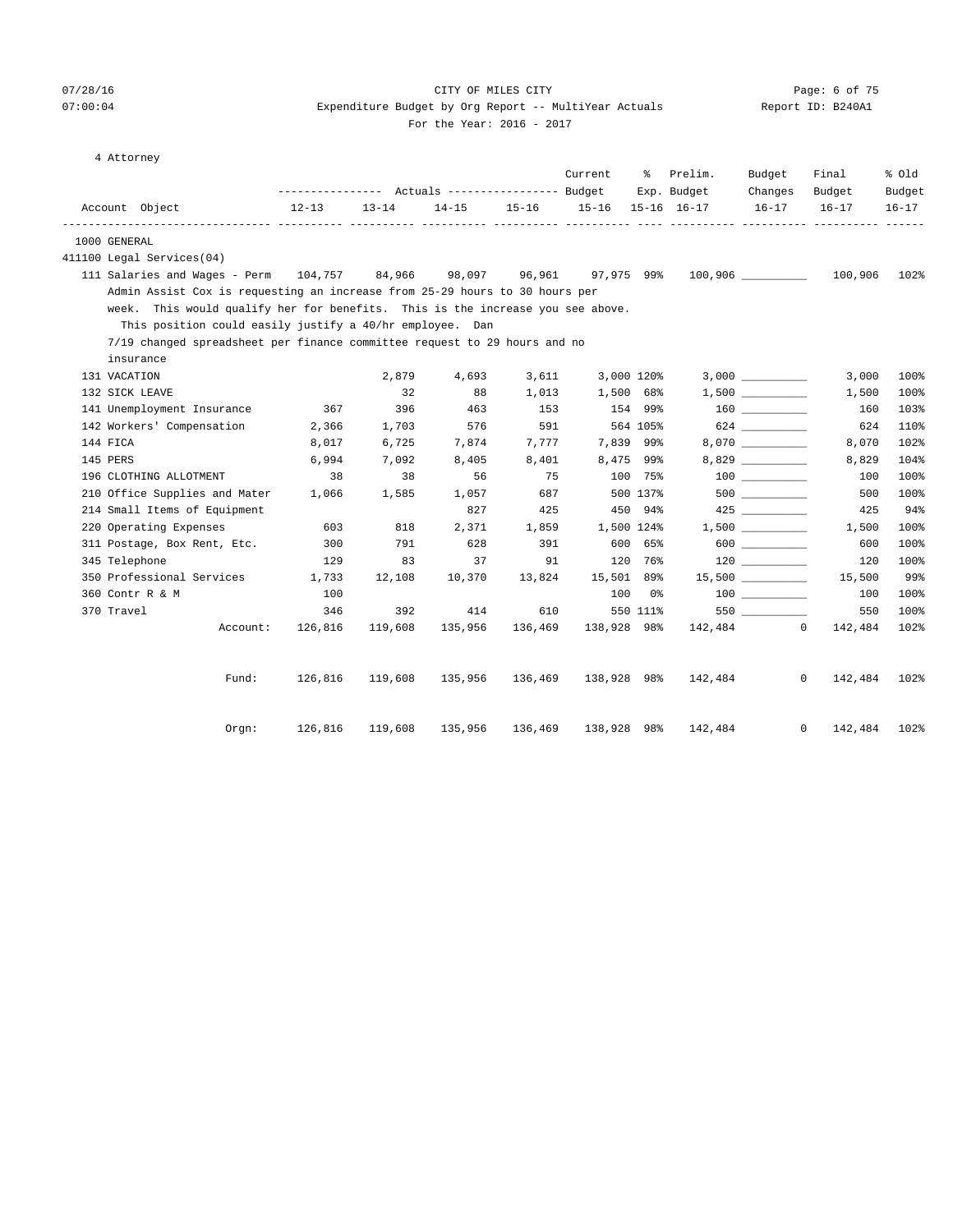## 07/28/16 CITY OF MILES CITY Page: 6 of 75 07:00:04 Expenditure Budget by Org Report -- MultiYear Actuals Report ID: B240A1

For the Year: 2016 - 2017

4 Attorney

|                                                                                |           |         |                                                              |             |                | Current                 | ႜၟ       | Prelim.                            | Budget                                 | Final                   | % Old               |
|--------------------------------------------------------------------------------|-----------|---------|--------------------------------------------------------------|-------------|----------------|-------------------------|----------|------------------------------------|----------------------------------------|-------------------------|---------------------|
| Account Object                                                                 | $12 - 13$ |         | --------------- Actuals ---------------- Budget<br>$13 - 14$ |             |                | 14-15 15-16 15-16       |          | Exp. Budget<br>$15 - 16$ $16 - 17$ | Changes<br>$16 - 17$                   | Budget<br>$16 - 17$     | Budget<br>$16 - 17$ |
|                                                                                |           |         |                                                              |             |                |                         |          |                                    |                                        |                         |                     |
| 1000 GENERAL                                                                   |           |         |                                                              |             |                |                         |          |                                    |                                        |                         |                     |
| 411100 Legal Services(04)                                                      |           |         |                                                              |             |                |                         |          |                                    |                                        |                         |                     |
| 111 Salaries and Wages - Perm $104,757$ 84,966                                 |           |         |                                                              | 98,097      | 96,961         | 97,975 99%              |          |                                    |                                        | 100,906                 | 102%                |
| Admin Assist Cox is requesting an increase from 25-29 hours to 30 hours per    |           |         |                                                              |             |                |                         |          |                                    |                                        |                         |                     |
| week. This would qualify her for benefits. This is the increase you see above. |           |         |                                                              |             |                |                         |          |                                    |                                        |                         |                     |
| This position could easily justify a 40/hr employee. Dan                       |           |         |                                                              |             |                |                         |          |                                    |                                        |                         |                     |
| 7/19 changed spreadsheet per finance committee request to 29 hours and no      |           |         |                                                              |             |                |                         |          |                                    |                                        |                         |                     |
| insurance                                                                      |           |         |                                                              |             |                |                         |          |                                    |                                        |                         |                     |
| 131 VACATION<br>132 SICK LEAVE                                                 |           |         | 2,879<br>32                                                  | 4,693<br>88 | 3,611<br>1,013 | 3,000 120%<br>1,500 68% |          |                                    | 1,500                                  | 3,000<br>1,500          | 100%<br>100%        |
| 141 Unemployment Insurance                                                     |           | 367     | 396                                                          | 463         | 153            | 154 99%                 |          |                                    | $160$ ________                         | 160                     | 103%                |
| 142 Workers' Compensation                                                      |           | 2,366   | 1,703                                                        | 576         | 591            |                         | 564 105% |                                    | 624                                    | 624                     | 110%                |
| 144 FICA                                                                       |           | 8,017   | 6,725                                                        | 7,874       | 7,777          | 7,839 99%               |          |                                    | 8,070 __________                       | 8,070                   | 102%                |
| 145 PERS                                                                       |           | 6,994   | 7,092                                                        | 8,405       | 8,401          | 8,475 99%               |          |                                    |                                        | 8,829                   | 104%                |
| 196 CLOTHING ALLOTMENT                                                         |           | 38      | 38                                                           | 56          | 75             |                         | 100 75%  |                                    |                                        | 100                     | 100%                |
| 210 Office Supplies and Mater                                                  |           | 1,066   | 1,585                                                        | 1,057       | 687            |                         | 500 137% |                                    |                                        | 500                     | 100%                |
| 214 Small Items of Equipment                                                   |           |         |                                                              | 827         | 425            |                         | 450 94%  |                                    |                                        | 425                     | 94%                 |
| 220 Operating Expenses                                                         |           | 603     | 818                                                          | 2,371       | 1,859          | 1,500 124%              |          |                                    | 1,500                                  | 1,500                   | 100%                |
| 311 Postage, Box Rent, Etc.                                                    |           | 300     | 791                                                          | 628         | 391            |                         | 600 65%  |                                    | 600                                    | 600                     | 100%                |
| 345 Telephone                                                                  |           | 129     | 83                                                           | 37          | 91             |                         | 120 76%  |                                    |                                        | 120                     | 100%                |
| 350 Professional Services                                                      |           | 1,733   | 12,108                                                       | 10,370      | 13,824         | 15,501 89%              |          |                                    | $15,500$ ___________                   | 15,500                  | 99%                 |
| 360 Contr R & M                                                                |           | 100     |                                                              |             |                |                         | 100 0%   |                                    | $\begin{tabular}{c} 100 \end{tabular}$ | 100                     | 100%                |
| 370 Travel                                                                     |           | 346     | 392                                                          | 414         | 610            |                         | 550 111% |                                    | 550                                    | 550                     | 100%                |
|                                                                                | Account:  | 126,816 | 119,608                                                      | 135,956     | 136,469        | 138,928 98%             |          |                                    | 142,484 0                              | 142,484                 | 102%                |
|                                                                                | Fund:     | 126,816 | 119,608                                                      | 135,956     | 136,469        | 138,928 98%             |          | 142,484                            |                                        | $\mathbf{0}$<br>142,484 | 102%                |
|                                                                                |           |         |                                                              |             |                |                         |          |                                    |                                        |                         |                     |
|                                                                                | Orem:     | 126,816 | 119,608                                                      | 135,956     | 136,469        | 138,928 98%             |          | 142,484                            |                                        | $\mathbf{0}$<br>142,484 | 102%                |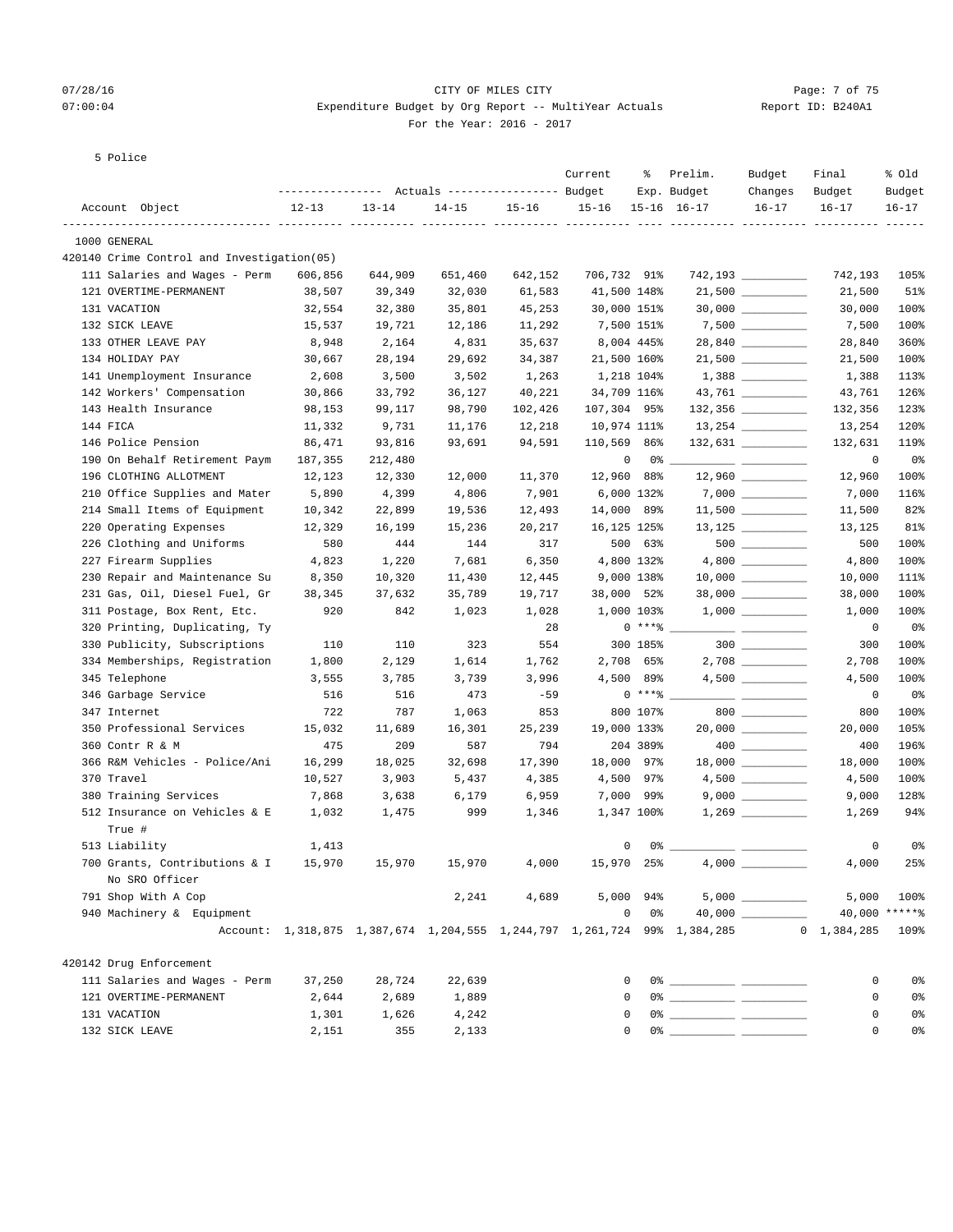## 07/28/16 CITY OF MILES CITY Page: 7 of 75 07:00:04 Expenditure Budget by Org Report -- MultiYear Actuals Report ID: B240A1 For the Year: 2016 - 2017

5 Police

| Actuals ----------------- Budget<br>----------------<br>Exp. Budget<br>Budget<br>Budget<br>Account Object<br>$12 - 13$<br>$13 - 14$<br>$14 - 15$<br>$15 - 16$<br>$15 - 16$<br>$15 - 16$ $16 - 17$<br>$16 - 17$<br>$16 - 17$<br>$16 - 17$<br>1000 GENERAL<br>420140 Crime Control and Investigation(05)<br>111 Salaries and Wages - Perm<br>706,732 91%<br>606,856<br>644,909<br>651,460<br>642,152<br>742,193<br>121 OVERTIME-PERMANENT<br>$21,500$ __________<br>38,507<br>39,349<br>32,030<br>61,583<br>41,500 148%<br>21,500<br>131 VACATION<br>32,554<br>32,380<br>35,801<br>45,253<br>30,000 151%<br>30,000<br>7,500 _________<br>132 SICK LEAVE<br>15,537<br>19,721<br>11,292<br>7,500 151%<br>7,500<br>12,186<br>28,840<br>8,004 445%<br>360%<br>133 OTHER LEAVE PAY<br>8,948<br>2,164<br>4,831<br>35,637<br>28,840<br>$21,500$ __________<br>134 HOLIDAY PAY<br>21,500 160%<br>100%<br>30,667<br>28,194<br>29,692<br>34,387<br>21,500<br>141 Unemployment Insurance<br>1,218 104%<br>113%<br>2,608<br>3,500<br>3,502<br>1,263<br>1,388<br>34,709 116%<br>142 Workers' Compensation<br>30,866<br>33,792<br>36,127<br>40,221<br>43,761<br>126%<br>123%<br>143 Health Insurance<br>98,153<br>99,117<br>98,790<br>102,426<br>107,304 95%<br>132,356<br>120%<br>144 FICA<br>11,332<br>9,731<br>11,176<br>12,218<br>10,974 111%<br>13,254<br>$132,631$ _________<br>119%<br>146 Police Pension<br>86,471<br>93,816<br>93,691<br>94,591<br>110,569 86%<br>132,631<br>190 On Behalf Retirement Paym<br>187,355<br>212,480<br>0<br>0 %<br>0<br>$\frac{1}{1-\frac{1}{1-\frac{1}{1-\frac{1}{1-\frac{1}{1-\frac{1}{1-\frac{1}{1-\frac{1}{1-\frac{1}{1-\frac{1}{1-\frac{1}{1-\frac{1}{1-\frac{1}{1-\frac{1}{1-\frac{1}{1-\frac{1}{1-\frac{1}{1-\frac{1}{1-\frac{1}{1-\frac{1}{1-\frac{1}{1-\frac{1}{1-\frac{1}{1-\frac{1}{1-\frac{1}{1-\frac{1}{1-\frac{1}{1-\frac{1}{1-\frac{1}{1-\frac{1}{1-\frac{1}{1-\frac{1}{1-\frac{1}{1-\frac{1}{1-\frac{1}{1-\frac{1}{1-\frac{1$<br>196 CLOTHING ALLOTMENT<br>12,123<br>12,330<br>12,000<br>11,370<br>12,960 88%<br>12,960<br>7,000 _________<br>210 Office Supplies and Mater<br>6,000 132%<br>5,890<br>4,399<br>4,806<br>7,901<br>7,000<br>$11,500$ _________<br>214 Small Items of Equipment<br>14,000 89%<br>10,342<br>22,899<br>19,536<br>12,493<br>11,500<br>$13,125$ _________<br>220 Operating Expenses<br>16,125 125%<br>81%<br>12,329<br>16,199<br>15,236<br>20,217<br>13,125<br>$500$ _________<br>226 Clothing and Uniforms<br>500 63%<br>100%<br>580<br>444<br>144<br>317<br>500<br>4,800 132%<br>100%<br>227 Firearm Supplies<br>4,823<br>1,220<br>7,681<br>6,350<br>4,800<br>9,000 138%<br>111%<br>230 Repair and Maintenance Su<br>8,350<br>10,320<br>11,430<br>12,445<br>10,000<br>$38,000$ __________<br>231 Gas, Oil, Diesel Fuel, Gr<br>100%<br>38,345<br>37,632<br>35,789<br>19,717<br>38,000 52%<br>38,000<br>311 Postage, Box Rent, Etc.<br>1,000 103%<br>100%<br>920<br>842<br>1,023<br>1,028<br>1,000<br>320 Printing, Duplicating, Ty<br>$0***8$<br>28<br>0<br>0%<br>$\overline{\phantom{a}}$ . The contract of $\overline{\phantom{a}}$<br>330 Publicity, Subscriptions<br>300 185%<br>$300$<br>110<br>110<br>323<br>554<br>300<br>100%<br>2,708 65%<br>100%<br>334 Memberships, Registration<br>1,800<br>2,129<br>1,614<br>1,762<br>2,708<br>345 Telephone<br>4,500 89%<br>100%<br>3,555<br>3,785<br>3,739<br>3,996<br>4,500<br>$0***8$<br>346 Garbage Service<br>473<br>$-59$<br>0%<br>516<br>516<br>0<br><u> The Communication of the Communication of the Communication of the Communication of the Communication of the Communication of the Communication of the Communication of the Communication of the Communication of the Commun</u><br>800 107%<br>800<br>100%<br>347 Internet<br>722<br>787<br>1,063<br>853<br>800<br>$20,000$ __________<br>105%<br>350 Professional Services<br>15,032<br>11,689<br>16,301<br>25,239<br>19,000 133%<br>20,000<br>204 389%<br>196%<br>360 Contr R & M<br>475<br>209<br>587<br>794<br>400<br>366 R&M Vehicles - Police/Ani<br>18,000 97%<br>100%<br>16,299<br>18,025<br>32,698<br>17,390<br>18,000<br>370 Travel<br>4,500 97%<br>100%<br>10,527<br>3,903<br>5,437<br>4,385<br>4,500<br>380 Training Services<br>7,000 99%<br>128%<br>7,868<br>3,638<br>6,179<br>6,959<br>9,000<br>94%<br>512 Insurance on Vehicles & E<br>1,475<br>999<br>1,346<br>1,347 100%<br>1,269<br>1,032<br>True #<br>513 Liability<br>0<br>0%<br>1,413<br>0<br>0%<br>25%<br>700 Grants, Contributions & I 15,970<br>4,000<br>15,970 25%<br>$4,000$ $\_$<br>4,000<br>15,970<br>15,970<br>No SRO Officer<br>$5,000$ 94% $5,000$ $\frac{1}{200}$<br>791 Shop With A Cop<br>4,689<br>2,241<br>5,000<br>40,000 ******<br>940 Machinery & Equipment<br>$0\qquad 0$ $\approx$<br>Account: 1,318,875 1,387,674 1,204,555 1,244,797 1,261,724 99% 1,384,285<br>$0 \quad 1,384,285$<br>420142 Drug Enforcement<br>111 Salaries and Wages - Perm<br>37,250<br>28,724<br>22,639<br>$\mathbf{0}$<br>0<br>2,689<br>121 OVERTIME-PERMANENT<br>2,644<br>1,889<br>$\mathbf{0}$<br>0<br>131 VACATION<br>1,301<br>1,626<br>4,242<br>0<br>0<br>$0$ $\frac{1}{2}$ $\frac{1}{2}$ $\frac{1}{2}$ $\frac{1}{2}$ $\frac{1}{2}$ $\frac{1}{2}$ $\frac{1}{2}$ $\frac{1}{2}$ $\frac{1}{2}$ $\frac{1}{2}$ $\frac{1}{2}$ $\frac{1}{2}$ $\frac{1}{2}$ $\frac{1}{2}$ $\frac{1}{2}$ $\frac{1}{2}$ $\frac{1}{2}$ $\frac{1}{2}$ $\frac{1}{2}$ $\frac{1}{2}$ $\frac{1}{2}$ $\frac{1}{2$<br>132 SICK LEAVE<br>355<br>2,133<br>0<br>2,151<br>$\mathbf{0}$ |  |  | Current | ႜ | Prelim. | Budget  | Final | % old |
|-------------------------------------------------------------------------------------------------------------------------------------------------------------------------------------------------------------------------------------------------------------------------------------------------------------------------------------------------------------------------------------------------------------------------------------------------------------------------------------------------------------------------------------------------------------------------------------------------------------------------------------------------------------------------------------------------------------------------------------------------------------------------------------------------------------------------------------------------------------------------------------------------------------------------------------------------------------------------------------------------------------------------------------------------------------------------------------------------------------------------------------------------------------------------------------------------------------------------------------------------------------------------------------------------------------------------------------------------------------------------------------------------------------------------------------------------------------------------------------------------------------------------------------------------------------------------------------------------------------------------------------------------------------------------------------------------------------------------------------------------------------------------------------------------------------------------------------------------------------------------------------------------------------------------------------------------------------------------------------------------------------------------------------------------------------------------------------------------------------------------------------------------------------------------------------------------------------------------------------------------------------------------------------------------------------------------------------------------------------------------------------------------------------------------------------------------------------------------------------------------------------------------------------------------------------------------------------------------------------------------------------------------------------------------------------------------------------------------------------------------------------------------------------------------------------------------------------------------------------------------------------------------------------------------------------------------------------------------------------------------------------------------------------------------------------------------------------------------------------------------------------------------------------------------------------------------------------------------------------------------------------------------------------------------------------------------------------------------------------------------------------------------------------------------------------------------------------------------------------------------------------------------------------------------------------------------------------------------------------------------------------------------------------------------------------------------------------------------------------------------------------------------------------------------------------------------------------------------------------------------------------------------------------------------------------------------------------------------------------------------------------------------------------------------------------------------------------------------------------------------------------------------------------------------------------------------------------------------------------------------------------------------------------------------------------------------------------------------------------------------------------------------------------------------------------------------------------------------------------------------------------------------------------------------------------------------------------------------------------------------------------------------------------------------------------------------------------------------------------------------------------------------------------------------------------------------------------------------------------------------------------------------------------------------------------------------------------------------------------------------------------------------------------------------------------------------------------------------------------------------------------------------------------------------------------------------------------------------------------------------------------------------------------------------------------------------------------------------------------------------------------------------------------------------------------------------------------------------------------------------------|--|--|---------|---|---------|---------|-------|-------|
|                                                                                                                                                                                                                                                                                                                                                                                                                                                                                                                                                                                                                                                                                                                                                                                                                                                                                                                                                                                                                                                                                                                                                                                                                                                                                                                                                                                                                                                                                                                                                                                                                                                                                                                                                                                                                                                                                                                                                                                                                                                                                                                                                                                                                                                                                                                                                                                                                                                                                                                                                                                                                                                                                                                                                                                                                                                                                                                                                                                                                                                                                                                                                                                                                                                                                                                                                                                                                                                                                                                                                                                                                                                                                                                                                                                                                                                                                                                                                                                                                                                                                                                                                                                                                                                                                                                                                                                                                                                                                                                                                                                                                                                                                                                                                                                                                                                                                                                                                                                                                                                                                                                                                                                                                                                                                                                                                                                                                                                                                                       |  |  |         |   |         | Changes |       |       |
|                                                                                                                                                                                                                                                                                                                                                                                                                                                                                                                                                                                                                                                                                                                                                                                                                                                                                                                                                                                                                                                                                                                                                                                                                                                                                                                                                                                                                                                                                                                                                                                                                                                                                                                                                                                                                                                                                                                                                                                                                                                                                                                                                                                                                                                                                                                                                                                                                                                                                                                                                                                                                                                                                                                                                                                                                                                                                                                                                                                                                                                                                                                                                                                                                                                                                                                                                                                                                                                                                                                                                                                                                                                                                                                                                                                                                                                                                                                                                                                                                                                                                                                                                                                                                                                                                                                                                                                                                                                                                                                                                                                                                                                                                                                                                                                                                                                                                                                                                                                                                                                                                                                                                                                                                                                                                                                                                                                                                                                                                                       |  |  |         |   |         |         |       |       |
|                                                                                                                                                                                                                                                                                                                                                                                                                                                                                                                                                                                                                                                                                                                                                                                                                                                                                                                                                                                                                                                                                                                                                                                                                                                                                                                                                                                                                                                                                                                                                                                                                                                                                                                                                                                                                                                                                                                                                                                                                                                                                                                                                                                                                                                                                                                                                                                                                                                                                                                                                                                                                                                                                                                                                                                                                                                                                                                                                                                                                                                                                                                                                                                                                                                                                                                                                                                                                                                                                                                                                                                                                                                                                                                                                                                                                                                                                                                                                                                                                                                                                                                                                                                                                                                                                                                                                                                                                                                                                                                                                                                                                                                                                                                                                                                                                                                                                                                                                                                                                                                                                                                                                                                                                                                                                                                                                                                                                                                                                                       |  |  |         |   |         |         |       |       |
|                                                                                                                                                                                                                                                                                                                                                                                                                                                                                                                                                                                                                                                                                                                                                                                                                                                                                                                                                                                                                                                                                                                                                                                                                                                                                                                                                                                                                                                                                                                                                                                                                                                                                                                                                                                                                                                                                                                                                                                                                                                                                                                                                                                                                                                                                                                                                                                                                                                                                                                                                                                                                                                                                                                                                                                                                                                                                                                                                                                                                                                                                                                                                                                                                                                                                                                                                                                                                                                                                                                                                                                                                                                                                                                                                                                                                                                                                                                                                                                                                                                                                                                                                                                                                                                                                                                                                                                                                                                                                                                                                                                                                                                                                                                                                                                                                                                                                                                                                                                                                                                                                                                                                                                                                                                                                                                                                                                                                                                                                                       |  |  |         |   |         |         |       |       |
|                                                                                                                                                                                                                                                                                                                                                                                                                                                                                                                                                                                                                                                                                                                                                                                                                                                                                                                                                                                                                                                                                                                                                                                                                                                                                                                                                                                                                                                                                                                                                                                                                                                                                                                                                                                                                                                                                                                                                                                                                                                                                                                                                                                                                                                                                                                                                                                                                                                                                                                                                                                                                                                                                                                                                                                                                                                                                                                                                                                                                                                                                                                                                                                                                                                                                                                                                                                                                                                                                                                                                                                                                                                                                                                                                                                                                                                                                                                                                                                                                                                                                                                                                                                                                                                                                                                                                                                                                                                                                                                                                                                                                                                                                                                                                                                                                                                                                                                                                                                                                                                                                                                                                                                                                                                                                                                                                                                                                                                                                                       |  |  |         |   |         |         |       | 105%  |
|                                                                                                                                                                                                                                                                                                                                                                                                                                                                                                                                                                                                                                                                                                                                                                                                                                                                                                                                                                                                                                                                                                                                                                                                                                                                                                                                                                                                                                                                                                                                                                                                                                                                                                                                                                                                                                                                                                                                                                                                                                                                                                                                                                                                                                                                                                                                                                                                                                                                                                                                                                                                                                                                                                                                                                                                                                                                                                                                                                                                                                                                                                                                                                                                                                                                                                                                                                                                                                                                                                                                                                                                                                                                                                                                                                                                                                                                                                                                                                                                                                                                                                                                                                                                                                                                                                                                                                                                                                                                                                                                                                                                                                                                                                                                                                                                                                                                                                                                                                                                                                                                                                                                                                                                                                                                                                                                                                                                                                                                                                       |  |  |         |   |         |         |       | 51%   |
|                                                                                                                                                                                                                                                                                                                                                                                                                                                                                                                                                                                                                                                                                                                                                                                                                                                                                                                                                                                                                                                                                                                                                                                                                                                                                                                                                                                                                                                                                                                                                                                                                                                                                                                                                                                                                                                                                                                                                                                                                                                                                                                                                                                                                                                                                                                                                                                                                                                                                                                                                                                                                                                                                                                                                                                                                                                                                                                                                                                                                                                                                                                                                                                                                                                                                                                                                                                                                                                                                                                                                                                                                                                                                                                                                                                                                                                                                                                                                                                                                                                                                                                                                                                                                                                                                                                                                                                                                                                                                                                                                                                                                                                                                                                                                                                                                                                                                                                                                                                                                                                                                                                                                                                                                                                                                                                                                                                                                                                                                                       |  |  |         |   |         |         |       | 100%  |
|                                                                                                                                                                                                                                                                                                                                                                                                                                                                                                                                                                                                                                                                                                                                                                                                                                                                                                                                                                                                                                                                                                                                                                                                                                                                                                                                                                                                                                                                                                                                                                                                                                                                                                                                                                                                                                                                                                                                                                                                                                                                                                                                                                                                                                                                                                                                                                                                                                                                                                                                                                                                                                                                                                                                                                                                                                                                                                                                                                                                                                                                                                                                                                                                                                                                                                                                                                                                                                                                                                                                                                                                                                                                                                                                                                                                                                                                                                                                                                                                                                                                                                                                                                                                                                                                                                                                                                                                                                                                                                                                                                                                                                                                                                                                                                                                                                                                                                                                                                                                                                                                                                                                                                                                                                                                                                                                                                                                                                                                                                       |  |  |         |   |         |         |       | 100%  |
|                                                                                                                                                                                                                                                                                                                                                                                                                                                                                                                                                                                                                                                                                                                                                                                                                                                                                                                                                                                                                                                                                                                                                                                                                                                                                                                                                                                                                                                                                                                                                                                                                                                                                                                                                                                                                                                                                                                                                                                                                                                                                                                                                                                                                                                                                                                                                                                                                                                                                                                                                                                                                                                                                                                                                                                                                                                                                                                                                                                                                                                                                                                                                                                                                                                                                                                                                                                                                                                                                                                                                                                                                                                                                                                                                                                                                                                                                                                                                                                                                                                                                                                                                                                                                                                                                                                                                                                                                                                                                                                                                                                                                                                                                                                                                                                                                                                                                                                                                                                                                                                                                                                                                                                                                                                                                                                                                                                                                                                                                                       |  |  |         |   |         |         |       |       |
|                                                                                                                                                                                                                                                                                                                                                                                                                                                                                                                                                                                                                                                                                                                                                                                                                                                                                                                                                                                                                                                                                                                                                                                                                                                                                                                                                                                                                                                                                                                                                                                                                                                                                                                                                                                                                                                                                                                                                                                                                                                                                                                                                                                                                                                                                                                                                                                                                                                                                                                                                                                                                                                                                                                                                                                                                                                                                                                                                                                                                                                                                                                                                                                                                                                                                                                                                                                                                                                                                                                                                                                                                                                                                                                                                                                                                                                                                                                                                                                                                                                                                                                                                                                                                                                                                                                                                                                                                                                                                                                                                                                                                                                                                                                                                                                                                                                                                                                                                                                                                                                                                                                                                                                                                                                                                                                                                                                                                                                                                                       |  |  |         |   |         |         |       |       |
|                                                                                                                                                                                                                                                                                                                                                                                                                                                                                                                                                                                                                                                                                                                                                                                                                                                                                                                                                                                                                                                                                                                                                                                                                                                                                                                                                                                                                                                                                                                                                                                                                                                                                                                                                                                                                                                                                                                                                                                                                                                                                                                                                                                                                                                                                                                                                                                                                                                                                                                                                                                                                                                                                                                                                                                                                                                                                                                                                                                                                                                                                                                                                                                                                                                                                                                                                                                                                                                                                                                                                                                                                                                                                                                                                                                                                                                                                                                                                                                                                                                                                                                                                                                                                                                                                                                                                                                                                                                                                                                                                                                                                                                                                                                                                                                                                                                                                                                                                                                                                                                                                                                                                                                                                                                                                                                                                                                                                                                                                                       |  |  |         |   |         |         |       |       |
|                                                                                                                                                                                                                                                                                                                                                                                                                                                                                                                                                                                                                                                                                                                                                                                                                                                                                                                                                                                                                                                                                                                                                                                                                                                                                                                                                                                                                                                                                                                                                                                                                                                                                                                                                                                                                                                                                                                                                                                                                                                                                                                                                                                                                                                                                                                                                                                                                                                                                                                                                                                                                                                                                                                                                                                                                                                                                                                                                                                                                                                                                                                                                                                                                                                                                                                                                                                                                                                                                                                                                                                                                                                                                                                                                                                                                                                                                                                                                                                                                                                                                                                                                                                                                                                                                                                                                                                                                                                                                                                                                                                                                                                                                                                                                                                                                                                                                                                                                                                                                                                                                                                                                                                                                                                                                                                                                                                                                                                                                                       |  |  |         |   |         |         |       |       |
|                                                                                                                                                                                                                                                                                                                                                                                                                                                                                                                                                                                                                                                                                                                                                                                                                                                                                                                                                                                                                                                                                                                                                                                                                                                                                                                                                                                                                                                                                                                                                                                                                                                                                                                                                                                                                                                                                                                                                                                                                                                                                                                                                                                                                                                                                                                                                                                                                                                                                                                                                                                                                                                                                                                                                                                                                                                                                                                                                                                                                                                                                                                                                                                                                                                                                                                                                                                                                                                                                                                                                                                                                                                                                                                                                                                                                                                                                                                                                                                                                                                                                                                                                                                                                                                                                                                                                                                                                                                                                                                                                                                                                                                                                                                                                                                                                                                                                                                                                                                                                                                                                                                                                                                                                                                                                                                                                                                                                                                                                                       |  |  |         |   |         |         |       |       |
|                                                                                                                                                                                                                                                                                                                                                                                                                                                                                                                                                                                                                                                                                                                                                                                                                                                                                                                                                                                                                                                                                                                                                                                                                                                                                                                                                                                                                                                                                                                                                                                                                                                                                                                                                                                                                                                                                                                                                                                                                                                                                                                                                                                                                                                                                                                                                                                                                                                                                                                                                                                                                                                                                                                                                                                                                                                                                                                                                                                                                                                                                                                                                                                                                                                                                                                                                                                                                                                                                                                                                                                                                                                                                                                                                                                                                                                                                                                                                                                                                                                                                                                                                                                                                                                                                                                                                                                                                                                                                                                                                                                                                                                                                                                                                                                                                                                                                                                                                                                                                                                                                                                                                                                                                                                                                                                                                                                                                                                                                                       |  |  |         |   |         |         |       |       |
|                                                                                                                                                                                                                                                                                                                                                                                                                                                                                                                                                                                                                                                                                                                                                                                                                                                                                                                                                                                                                                                                                                                                                                                                                                                                                                                                                                                                                                                                                                                                                                                                                                                                                                                                                                                                                                                                                                                                                                                                                                                                                                                                                                                                                                                                                                                                                                                                                                                                                                                                                                                                                                                                                                                                                                                                                                                                                                                                                                                                                                                                                                                                                                                                                                                                                                                                                                                                                                                                                                                                                                                                                                                                                                                                                                                                                                                                                                                                                                                                                                                                                                                                                                                                                                                                                                                                                                                                                                                                                                                                                                                                                                                                                                                                                                                                                                                                                                                                                                                                                                                                                                                                                                                                                                                                                                                                                                                                                                                                                                       |  |  |         |   |         |         |       |       |
|                                                                                                                                                                                                                                                                                                                                                                                                                                                                                                                                                                                                                                                                                                                                                                                                                                                                                                                                                                                                                                                                                                                                                                                                                                                                                                                                                                                                                                                                                                                                                                                                                                                                                                                                                                                                                                                                                                                                                                                                                                                                                                                                                                                                                                                                                                                                                                                                                                                                                                                                                                                                                                                                                                                                                                                                                                                                                                                                                                                                                                                                                                                                                                                                                                                                                                                                                                                                                                                                                                                                                                                                                                                                                                                                                                                                                                                                                                                                                                                                                                                                                                                                                                                                                                                                                                                                                                                                                                                                                                                                                                                                                                                                                                                                                                                                                                                                                                                                                                                                                                                                                                                                                                                                                                                                                                                                                                                                                                                                                                       |  |  |         |   |         |         |       | 0%    |
|                                                                                                                                                                                                                                                                                                                                                                                                                                                                                                                                                                                                                                                                                                                                                                                                                                                                                                                                                                                                                                                                                                                                                                                                                                                                                                                                                                                                                                                                                                                                                                                                                                                                                                                                                                                                                                                                                                                                                                                                                                                                                                                                                                                                                                                                                                                                                                                                                                                                                                                                                                                                                                                                                                                                                                                                                                                                                                                                                                                                                                                                                                                                                                                                                                                                                                                                                                                                                                                                                                                                                                                                                                                                                                                                                                                                                                                                                                                                                                                                                                                                                                                                                                                                                                                                                                                                                                                                                                                                                                                                                                                                                                                                                                                                                                                                                                                                                                                                                                                                                                                                                                                                                                                                                                                                                                                                                                                                                                                                                                       |  |  |         |   |         |         |       | 100%  |
|                                                                                                                                                                                                                                                                                                                                                                                                                                                                                                                                                                                                                                                                                                                                                                                                                                                                                                                                                                                                                                                                                                                                                                                                                                                                                                                                                                                                                                                                                                                                                                                                                                                                                                                                                                                                                                                                                                                                                                                                                                                                                                                                                                                                                                                                                                                                                                                                                                                                                                                                                                                                                                                                                                                                                                                                                                                                                                                                                                                                                                                                                                                                                                                                                                                                                                                                                                                                                                                                                                                                                                                                                                                                                                                                                                                                                                                                                                                                                                                                                                                                                                                                                                                                                                                                                                                                                                                                                                                                                                                                                                                                                                                                                                                                                                                                                                                                                                                                                                                                                                                                                                                                                                                                                                                                                                                                                                                                                                                                                                       |  |  |         |   |         |         |       | 116%  |
|                                                                                                                                                                                                                                                                                                                                                                                                                                                                                                                                                                                                                                                                                                                                                                                                                                                                                                                                                                                                                                                                                                                                                                                                                                                                                                                                                                                                                                                                                                                                                                                                                                                                                                                                                                                                                                                                                                                                                                                                                                                                                                                                                                                                                                                                                                                                                                                                                                                                                                                                                                                                                                                                                                                                                                                                                                                                                                                                                                                                                                                                                                                                                                                                                                                                                                                                                                                                                                                                                                                                                                                                                                                                                                                                                                                                                                                                                                                                                                                                                                                                                                                                                                                                                                                                                                                                                                                                                                                                                                                                                                                                                                                                                                                                                                                                                                                                                                                                                                                                                                                                                                                                                                                                                                                                                                                                                                                                                                                                                                       |  |  |         |   |         |         |       | 82%   |
|                                                                                                                                                                                                                                                                                                                                                                                                                                                                                                                                                                                                                                                                                                                                                                                                                                                                                                                                                                                                                                                                                                                                                                                                                                                                                                                                                                                                                                                                                                                                                                                                                                                                                                                                                                                                                                                                                                                                                                                                                                                                                                                                                                                                                                                                                                                                                                                                                                                                                                                                                                                                                                                                                                                                                                                                                                                                                                                                                                                                                                                                                                                                                                                                                                                                                                                                                                                                                                                                                                                                                                                                                                                                                                                                                                                                                                                                                                                                                                                                                                                                                                                                                                                                                                                                                                                                                                                                                                                                                                                                                                                                                                                                                                                                                                                                                                                                                                                                                                                                                                                                                                                                                                                                                                                                                                                                                                                                                                                                                                       |  |  |         |   |         |         |       |       |
|                                                                                                                                                                                                                                                                                                                                                                                                                                                                                                                                                                                                                                                                                                                                                                                                                                                                                                                                                                                                                                                                                                                                                                                                                                                                                                                                                                                                                                                                                                                                                                                                                                                                                                                                                                                                                                                                                                                                                                                                                                                                                                                                                                                                                                                                                                                                                                                                                                                                                                                                                                                                                                                                                                                                                                                                                                                                                                                                                                                                                                                                                                                                                                                                                                                                                                                                                                                                                                                                                                                                                                                                                                                                                                                                                                                                                                                                                                                                                                                                                                                                                                                                                                                                                                                                                                                                                                                                                                                                                                                                                                                                                                                                                                                                                                                                                                                                                                                                                                                                                                                                                                                                                                                                                                                                                                                                                                                                                                                                                                       |  |  |         |   |         |         |       |       |
|                                                                                                                                                                                                                                                                                                                                                                                                                                                                                                                                                                                                                                                                                                                                                                                                                                                                                                                                                                                                                                                                                                                                                                                                                                                                                                                                                                                                                                                                                                                                                                                                                                                                                                                                                                                                                                                                                                                                                                                                                                                                                                                                                                                                                                                                                                                                                                                                                                                                                                                                                                                                                                                                                                                                                                                                                                                                                                                                                                                                                                                                                                                                                                                                                                                                                                                                                                                                                                                                                                                                                                                                                                                                                                                                                                                                                                                                                                                                                                                                                                                                                                                                                                                                                                                                                                                                                                                                                                                                                                                                                                                                                                                                                                                                                                                                                                                                                                                                                                                                                                                                                                                                                                                                                                                                                                                                                                                                                                                                                                       |  |  |         |   |         |         |       |       |
|                                                                                                                                                                                                                                                                                                                                                                                                                                                                                                                                                                                                                                                                                                                                                                                                                                                                                                                                                                                                                                                                                                                                                                                                                                                                                                                                                                                                                                                                                                                                                                                                                                                                                                                                                                                                                                                                                                                                                                                                                                                                                                                                                                                                                                                                                                                                                                                                                                                                                                                                                                                                                                                                                                                                                                                                                                                                                                                                                                                                                                                                                                                                                                                                                                                                                                                                                                                                                                                                                                                                                                                                                                                                                                                                                                                                                                                                                                                                                                                                                                                                                                                                                                                                                                                                                                                                                                                                                                                                                                                                                                                                                                                                                                                                                                                                                                                                                                                                                                                                                                                                                                                                                                                                                                                                                                                                                                                                                                                                                                       |  |  |         |   |         |         |       |       |
|                                                                                                                                                                                                                                                                                                                                                                                                                                                                                                                                                                                                                                                                                                                                                                                                                                                                                                                                                                                                                                                                                                                                                                                                                                                                                                                                                                                                                                                                                                                                                                                                                                                                                                                                                                                                                                                                                                                                                                                                                                                                                                                                                                                                                                                                                                                                                                                                                                                                                                                                                                                                                                                                                                                                                                                                                                                                                                                                                                                                                                                                                                                                                                                                                                                                                                                                                                                                                                                                                                                                                                                                                                                                                                                                                                                                                                                                                                                                                                                                                                                                                                                                                                                                                                                                                                                                                                                                                                                                                                                                                                                                                                                                                                                                                                                                                                                                                                                                                                                                                                                                                                                                                                                                                                                                                                                                                                                                                                                                                                       |  |  |         |   |         |         |       |       |
|                                                                                                                                                                                                                                                                                                                                                                                                                                                                                                                                                                                                                                                                                                                                                                                                                                                                                                                                                                                                                                                                                                                                                                                                                                                                                                                                                                                                                                                                                                                                                                                                                                                                                                                                                                                                                                                                                                                                                                                                                                                                                                                                                                                                                                                                                                                                                                                                                                                                                                                                                                                                                                                                                                                                                                                                                                                                                                                                                                                                                                                                                                                                                                                                                                                                                                                                                                                                                                                                                                                                                                                                                                                                                                                                                                                                                                                                                                                                                                                                                                                                                                                                                                                                                                                                                                                                                                                                                                                                                                                                                                                                                                                                                                                                                                                                                                                                                                                                                                                                                                                                                                                                                                                                                                                                                                                                                                                                                                                                                                       |  |  |         |   |         |         |       |       |
|                                                                                                                                                                                                                                                                                                                                                                                                                                                                                                                                                                                                                                                                                                                                                                                                                                                                                                                                                                                                                                                                                                                                                                                                                                                                                                                                                                                                                                                                                                                                                                                                                                                                                                                                                                                                                                                                                                                                                                                                                                                                                                                                                                                                                                                                                                                                                                                                                                                                                                                                                                                                                                                                                                                                                                                                                                                                                                                                                                                                                                                                                                                                                                                                                                                                                                                                                                                                                                                                                                                                                                                                                                                                                                                                                                                                                                                                                                                                                                                                                                                                                                                                                                                                                                                                                                                                                                                                                                                                                                                                                                                                                                                                                                                                                                                                                                                                                                                                                                                                                                                                                                                                                                                                                                                                                                                                                                                                                                                                                                       |  |  |         |   |         |         |       |       |
|                                                                                                                                                                                                                                                                                                                                                                                                                                                                                                                                                                                                                                                                                                                                                                                                                                                                                                                                                                                                                                                                                                                                                                                                                                                                                                                                                                                                                                                                                                                                                                                                                                                                                                                                                                                                                                                                                                                                                                                                                                                                                                                                                                                                                                                                                                                                                                                                                                                                                                                                                                                                                                                                                                                                                                                                                                                                                                                                                                                                                                                                                                                                                                                                                                                                                                                                                                                                                                                                                                                                                                                                                                                                                                                                                                                                                                                                                                                                                                                                                                                                                                                                                                                                                                                                                                                                                                                                                                                                                                                                                                                                                                                                                                                                                                                                                                                                                                                                                                                                                                                                                                                                                                                                                                                                                                                                                                                                                                                                                                       |  |  |         |   |         |         |       |       |
|                                                                                                                                                                                                                                                                                                                                                                                                                                                                                                                                                                                                                                                                                                                                                                                                                                                                                                                                                                                                                                                                                                                                                                                                                                                                                                                                                                                                                                                                                                                                                                                                                                                                                                                                                                                                                                                                                                                                                                                                                                                                                                                                                                                                                                                                                                                                                                                                                                                                                                                                                                                                                                                                                                                                                                                                                                                                                                                                                                                                                                                                                                                                                                                                                                                                                                                                                                                                                                                                                                                                                                                                                                                                                                                                                                                                                                                                                                                                                                                                                                                                                                                                                                                                                                                                                                                                                                                                                                                                                                                                                                                                                                                                                                                                                                                                                                                                                                                                                                                                                                                                                                                                                                                                                                                                                                                                                                                                                                                                                                       |  |  |         |   |         |         |       |       |
|                                                                                                                                                                                                                                                                                                                                                                                                                                                                                                                                                                                                                                                                                                                                                                                                                                                                                                                                                                                                                                                                                                                                                                                                                                                                                                                                                                                                                                                                                                                                                                                                                                                                                                                                                                                                                                                                                                                                                                                                                                                                                                                                                                                                                                                                                                                                                                                                                                                                                                                                                                                                                                                                                                                                                                                                                                                                                                                                                                                                                                                                                                                                                                                                                                                                                                                                                                                                                                                                                                                                                                                                                                                                                                                                                                                                                                                                                                                                                                                                                                                                                                                                                                                                                                                                                                                                                                                                                                                                                                                                                                                                                                                                                                                                                                                                                                                                                                                                                                                                                                                                                                                                                                                                                                                                                                                                                                                                                                                                                                       |  |  |         |   |         |         |       |       |
|                                                                                                                                                                                                                                                                                                                                                                                                                                                                                                                                                                                                                                                                                                                                                                                                                                                                                                                                                                                                                                                                                                                                                                                                                                                                                                                                                                                                                                                                                                                                                                                                                                                                                                                                                                                                                                                                                                                                                                                                                                                                                                                                                                                                                                                                                                                                                                                                                                                                                                                                                                                                                                                                                                                                                                                                                                                                                                                                                                                                                                                                                                                                                                                                                                                                                                                                                                                                                                                                                                                                                                                                                                                                                                                                                                                                                                                                                                                                                                                                                                                                                                                                                                                                                                                                                                                                                                                                                                                                                                                                                                                                                                                                                                                                                                                                                                                                                                                                                                                                                                                                                                                                                                                                                                                                                                                                                                                                                                                                                                       |  |  |         |   |         |         |       |       |
|                                                                                                                                                                                                                                                                                                                                                                                                                                                                                                                                                                                                                                                                                                                                                                                                                                                                                                                                                                                                                                                                                                                                                                                                                                                                                                                                                                                                                                                                                                                                                                                                                                                                                                                                                                                                                                                                                                                                                                                                                                                                                                                                                                                                                                                                                                                                                                                                                                                                                                                                                                                                                                                                                                                                                                                                                                                                                                                                                                                                                                                                                                                                                                                                                                                                                                                                                                                                                                                                                                                                                                                                                                                                                                                                                                                                                                                                                                                                                                                                                                                                                                                                                                                                                                                                                                                                                                                                                                                                                                                                                                                                                                                                                                                                                                                                                                                                                                                                                                                                                                                                                                                                                                                                                                                                                                                                                                                                                                                                                                       |  |  |         |   |         |         |       |       |
|                                                                                                                                                                                                                                                                                                                                                                                                                                                                                                                                                                                                                                                                                                                                                                                                                                                                                                                                                                                                                                                                                                                                                                                                                                                                                                                                                                                                                                                                                                                                                                                                                                                                                                                                                                                                                                                                                                                                                                                                                                                                                                                                                                                                                                                                                                                                                                                                                                                                                                                                                                                                                                                                                                                                                                                                                                                                                                                                                                                                                                                                                                                                                                                                                                                                                                                                                                                                                                                                                                                                                                                                                                                                                                                                                                                                                                                                                                                                                                                                                                                                                                                                                                                                                                                                                                                                                                                                                                                                                                                                                                                                                                                                                                                                                                                                                                                                                                                                                                                                                                                                                                                                                                                                                                                                                                                                                                                                                                                                                                       |  |  |         |   |         |         |       |       |
|                                                                                                                                                                                                                                                                                                                                                                                                                                                                                                                                                                                                                                                                                                                                                                                                                                                                                                                                                                                                                                                                                                                                                                                                                                                                                                                                                                                                                                                                                                                                                                                                                                                                                                                                                                                                                                                                                                                                                                                                                                                                                                                                                                                                                                                                                                                                                                                                                                                                                                                                                                                                                                                                                                                                                                                                                                                                                                                                                                                                                                                                                                                                                                                                                                                                                                                                                                                                                                                                                                                                                                                                                                                                                                                                                                                                                                                                                                                                                                                                                                                                                                                                                                                                                                                                                                                                                                                                                                                                                                                                                                                                                                                                                                                                                                                                                                                                                                                                                                                                                                                                                                                                                                                                                                                                                                                                                                                                                                                                                                       |  |  |         |   |         |         |       |       |
|                                                                                                                                                                                                                                                                                                                                                                                                                                                                                                                                                                                                                                                                                                                                                                                                                                                                                                                                                                                                                                                                                                                                                                                                                                                                                                                                                                                                                                                                                                                                                                                                                                                                                                                                                                                                                                                                                                                                                                                                                                                                                                                                                                                                                                                                                                                                                                                                                                                                                                                                                                                                                                                                                                                                                                                                                                                                                                                                                                                                                                                                                                                                                                                                                                                                                                                                                                                                                                                                                                                                                                                                                                                                                                                                                                                                                                                                                                                                                                                                                                                                                                                                                                                                                                                                                                                                                                                                                                                                                                                                                                                                                                                                                                                                                                                                                                                                                                                                                                                                                                                                                                                                                                                                                                                                                                                                                                                                                                                                                                       |  |  |         |   |         |         |       |       |
|                                                                                                                                                                                                                                                                                                                                                                                                                                                                                                                                                                                                                                                                                                                                                                                                                                                                                                                                                                                                                                                                                                                                                                                                                                                                                                                                                                                                                                                                                                                                                                                                                                                                                                                                                                                                                                                                                                                                                                                                                                                                                                                                                                                                                                                                                                                                                                                                                                                                                                                                                                                                                                                                                                                                                                                                                                                                                                                                                                                                                                                                                                                                                                                                                                                                                                                                                                                                                                                                                                                                                                                                                                                                                                                                                                                                                                                                                                                                                                                                                                                                                                                                                                                                                                                                                                                                                                                                                                                                                                                                                                                                                                                                                                                                                                                                                                                                                                                                                                                                                                                                                                                                                                                                                                                                                                                                                                                                                                                                                                       |  |  |         |   |         |         |       |       |
|                                                                                                                                                                                                                                                                                                                                                                                                                                                                                                                                                                                                                                                                                                                                                                                                                                                                                                                                                                                                                                                                                                                                                                                                                                                                                                                                                                                                                                                                                                                                                                                                                                                                                                                                                                                                                                                                                                                                                                                                                                                                                                                                                                                                                                                                                                                                                                                                                                                                                                                                                                                                                                                                                                                                                                                                                                                                                                                                                                                                                                                                                                                                                                                                                                                                                                                                                                                                                                                                                                                                                                                                                                                                                                                                                                                                                                                                                                                                                                                                                                                                                                                                                                                                                                                                                                                                                                                                                                                                                                                                                                                                                                                                                                                                                                                                                                                                                                                                                                                                                                                                                                                                                                                                                                                                                                                                                                                                                                                                                                       |  |  |         |   |         |         |       |       |
|                                                                                                                                                                                                                                                                                                                                                                                                                                                                                                                                                                                                                                                                                                                                                                                                                                                                                                                                                                                                                                                                                                                                                                                                                                                                                                                                                                                                                                                                                                                                                                                                                                                                                                                                                                                                                                                                                                                                                                                                                                                                                                                                                                                                                                                                                                                                                                                                                                                                                                                                                                                                                                                                                                                                                                                                                                                                                                                                                                                                                                                                                                                                                                                                                                                                                                                                                                                                                                                                                                                                                                                                                                                                                                                                                                                                                                                                                                                                                                                                                                                                                                                                                                                                                                                                                                                                                                                                                                                                                                                                                                                                                                                                                                                                                                                                                                                                                                                                                                                                                                                                                                                                                                                                                                                                                                                                                                                                                                                                                                       |  |  |         |   |         |         |       |       |
|                                                                                                                                                                                                                                                                                                                                                                                                                                                                                                                                                                                                                                                                                                                                                                                                                                                                                                                                                                                                                                                                                                                                                                                                                                                                                                                                                                                                                                                                                                                                                                                                                                                                                                                                                                                                                                                                                                                                                                                                                                                                                                                                                                                                                                                                                                                                                                                                                                                                                                                                                                                                                                                                                                                                                                                                                                                                                                                                                                                                                                                                                                                                                                                                                                                                                                                                                                                                                                                                                                                                                                                                                                                                                                                                                                                                                                                                                                                                                                                                                                                                                                                                                                                                                                                                                                                                                                                                                                                                                                                                                                                                                                                                                                                                                                                                                                                                                                                                                                                                                                                                                                                                                                                                                                                                                                                                                                                                                                                                                                       |  |  |         |   |         |         |       |       |
|                                                                                                                                                                                                                                                                                                                                                                                                                                                                                                                                                                                                                                                                                                                                                                                                                                                                                                                                                                                                                                                                                                                                                                                                                                                                                                                                                                                                                                                                                                                                                                                                                                                                                                                                                                                                                                                                                                                                                                                                                                                                                                                                                                                                                                                                                                                                                                                                                                                                                                                                                                                                                                                                                                                                                                                                                                                                                                                                                                                                                                                                                                                                                                                                                                                                                                                                                                                                                                                                                                                                                                                                                                                                                                                                                                                                                                                                                                                                                                                                                                                                                                                                                                                                                                                                                                                                                                                                                                                                                                                                                                                                                                                                                                                                                                                                                                                                                                                                                                                                                                                                                                                                                                                                                                                                                                                                                                                                                                                                                                       |  |  |         |   |         |         |       |       |
|                                                                                                                                                                                                                                                                                                                                                                                                                                                                                                                                                                                                                                                                                                                                                                                                                                                                                                                                                                                                                                                                                                                                                                                                                                                                                                                                                                                                                                                                                                                                                                                                                                                                                                                                                                                                                                                                                                                                                                                                                                                                                                                                                                                                                                                                                                                                                                                                                                                                                                                                                                                                                                                                                                                                                                                                                                                                                                                                                                                                                                                                                                                                                                                                                                                                                                                                                                                                                                                                                                                                                                                                                                                                                                                                                                                                                                                                                                                                                                                                                                                                                                                                                                                                                                                                                                                                                                                                                                                                                                                                                                                                                                                                                                                                                                                                                                                                                                                                                                                                                                                                                                                                                                                                                                                                                                                                                                                                                                                                                                       |  |  |         |   |         |         |       |       |
|                                                                                                                                                                                                                                                                                                                                                                                                                                                                                                                                                                                                                                                                                                                                                                                                                                                                                                                                                                                                                                                                                                                                                                                                                                                                                                                                                                                                                                                                                                                                                                                                                                                                                                                                                                                                                                                                                                                                                                                                                                                                                                                                                                                                                                                                                                                                                                                                                                                                                                                                                                                                                                                                                                                                                                                                                                                                                                                                                                                                                                                                                                                                                                                                                                                                                                                                                                                                                                                                                                                                                                                                                                                                                                                                                                                                                                                                                                                                                                                                                                                                                                                                                                                                                                                                                                                                                                                                                                                                                                                                                                                                                                                                                                                                                                                                                                                                                                                                                                                                                                                                                                                                                                                                                                                                                                                                                                                                                                                                                                       |  |  |         |   |         |         |       |       |
|                                                                                                                                                                                                                                                                                                                                                                                                                                                                                                                                                                                                                                                                                                                                                                                                                                                                                                                                                                                                                                                                                                                                                                                                                                                                                                                                                                                                                                                                                                                                                                                                                                                                                                                                                                                                                                                                                                                                                                                                                                                                                                                                                                                                                                                                                                                                                                                                                                                                                                                                                                                                                                                                                                                                                                                                                                                                                                                                                                                                                                                                                                                                                                                                                                                                                                                                                                                                                                                                                                                                                                                                                                                                                                                                                                                                                                                                                                                                                                                                                                                                                                                                                                                                                                                                                                                                                                                                                                                                                                                                                                                                                                                                                                                                                                                                                                                                                                                                                                                                                                                                                                                                                                                                                                                                                                                                                                                                                                                                                                       |  |  |         |   |         |         |       | 100%  |
|                                                                                                                                                                                                                                                                                                                                                                                                                                                                                                                                                                                                                                                                                                                                                                                                                                                                                                                                                                                                                                                                                                                                                                                                                                                                                                                                                                                                                                                                                                                                                                                                                                                                                                                                                                                                                                                                                                                                                                                                                                                                                                                                                                                                                                                                                                                                                                                                                                                                                                                                                                                                                                                                                                                                                                                                                                                                                                                                                                                                                                                                                                                                                                                                                                                                                                                                                                                                                                                                                                                                                                                                                                                                                                                                                                                                                                                                                                                                                                                                                                                                                                                                                                                                                                                                                                                                                                                                                                                                                                                                                                                                                                                                                                                                                                                                                                                                                                                                                                                                                                                                                                                                                                                                                                                                                                                                                                                                                                                                                                       |  |  |         |   |         |         |       |       |
|                                                                                                                                                                                                                                                                                                                                                                                                                                                                                                                                                                                                                                                                                                                                                                                                                                                                                                                                                                                                                                                                                                                                                                                                                                                                                                                                                                                                                                                                                                                                                                                                                                                                                                                                                                                                                                                                                                                                                                                                                                                                                                                                                                                                                                                                                                                                                                                                                                                                                                                                                                                                                                                                                                                                                                                                                                                                                                                                                                                                                                                                                                                                                                                                                                                                                                                                                                                                                                                                                                                                                                                                                                                                                                                                                                                                                                                                                                                                                                                                                                                                                                                                                                                                                                                                                                                                                                                                                                                                                                                                                                                                                                                                                                                                                                                                                                                                                                                                                                                                                                                                                                                                                                                                                                                                                                                                                                                                                                                                                                       |  |  |         |   |         |         |       | 109%  |
|                                                                                                                                                                                                                                                                                                                                                                                                                                                                                                                                                                                                                                                                                                                                                                                                                                                                                                                                                                                                                                                                                                                                                                                                                                                                                                                                                                                                                                                                                                                                                                                                                                                                                                                                                                                                                                                                                                                                                                                                                                                                                                                                                                                                                                                                                                                                                                                                                                                                                                                                                                                                                                                                                                                                                                                                                                                                                                                                                                                                                                                                                                                                                                                                                                                                                                                                                                                                                                                                                                                                                                                                                                                                                                                                                                                                                                                                                                                                                                                                                                                                                                                                                                                                                                                                                                                                                                                                                                                                                                                                                                                                                                                                                                                                                                                                                                                                                                                                                                                                                                                                                                                                                                                                                                                                                                                                                                                                                                                                                                       |  |  |         |   |         |         |       |       |
|                                                                                                                                                                                                                                                                                                                                                                                                                                                                                                                                                                                                                                                                                                                                                                                                                                                                                                                                                                                                                                                                                                                                                                                                                                                                                                                                                                                                                                                                                                                                                                                                                                                                                                                                                                                                                                                                                                                                                                                                                                                                                                                                                                                                                                                                                                                                                                                                                                                                                                                                                                                                                                                                                                                                                                                                                                                                                                                                                                                                                                                                                                                                                                                                                                                                                                                                                                                                                                                                                                                                                                                                                                                                                                                                                                                                                                                                                                                                                                                                                                                                                                                                                                                                                                                                                                                                                                                                                                                                                                                                                                                                                                                                                                                                                                                                                                                                                                                                                                                                                                                                                                                                                                                                                                                                                                                                                                                                                                                                                                       |  |  |         |   |         |         |       | 0%    |
|                                                                                                                                                                                                                                                                                                                                                                                                                                                                                                                                                                                                                                                                                                                                                                                                                                                                                                                                                                                                                                                                                                                                                                                                                                                                                                                                                                                                                                                                                                                                                                                                                                                                                                                                                                                                                                                                                                                                                                                                                                                                                                                                                                                                                                                                                                                                                                                                                                                                                                                                                                                                                                                                                                                                                                                                                                                                                                                                                                                                                                                                                                                                                                                                                                                                                                                                                                                                                                                                                                                                                                                                                                                                                                                                                                                                                                                                                                                                                                                                                                                                                                                                                                                                                                                                                                                                                                                                                                                                                                                                                                                                                                                                                                                                                                                                                                                                                                                                                                                                                                                                                                                                                                                                                                                                                                                                                                                                                                                                                                       |  |  |         |   |         |         |       | 0%    |
|                                                                                                                                                                                                                                                                                                                                                                                                                                                                                                                                                                                                                                                                                                                                                                                                                                                                                                                                                                                                                                                                                                                                                                                                                                                                                                                                                                                                                                                                                                                                                                                                                                                                                                                                                                                                                                                                                                                                                                                                                                                                                                                                                                                                                                                                                                                                                                                                                                                                                                                                                                                                                                                                                                                                                                                                                                                                                                                                                                                                                                                                                                                                                                                                                                                                                                                                                                                                                                                                                                                                                                                                                                                                                                                                                                                                                                                                                                                                                                                                                                                                                                                                                                                                                                                                                                                                                                                                                                                                                                                                                                                                                                                                                                                                                                                                                                                                                                                                                                                                                                                                                                                                                                                                                                                                                                                                                                                                                                                                                                       |  |  |         |   |         |         |       | 0%    |
|                                                                                                                                                                                                                                                                                                                                                                                                                                                                                                                                                                                                                                                                                                                                                                                                                                                                                                                                                                                                                                                                                                                                                                                                                                                                                                                                                                                                                                                                                                                                                                                                                                                                                                                                                                                                                                                                                                                                                                                                                                                                                                                                                                                                                                                                                                                                                                                                                                                                                                                                                                                                                                                                                                                                                                                                                                                                                                                                                                                                                                                                                                                                                                                                                                                                                                                                                                                                                                                                                                                                                                                                                                                                                                                                                                                                                                                                                                                                                                                                                                                                                                                                                                                                                                                                                                                                                                                                                                                                                                                                                                                                                                                                                                                                                                                                                                                                                                                                                                                                                                                                                                                                                                                                                                                                                                                                                                                                                                                                                                       |  |  |         |   |         |         |       | 0%    |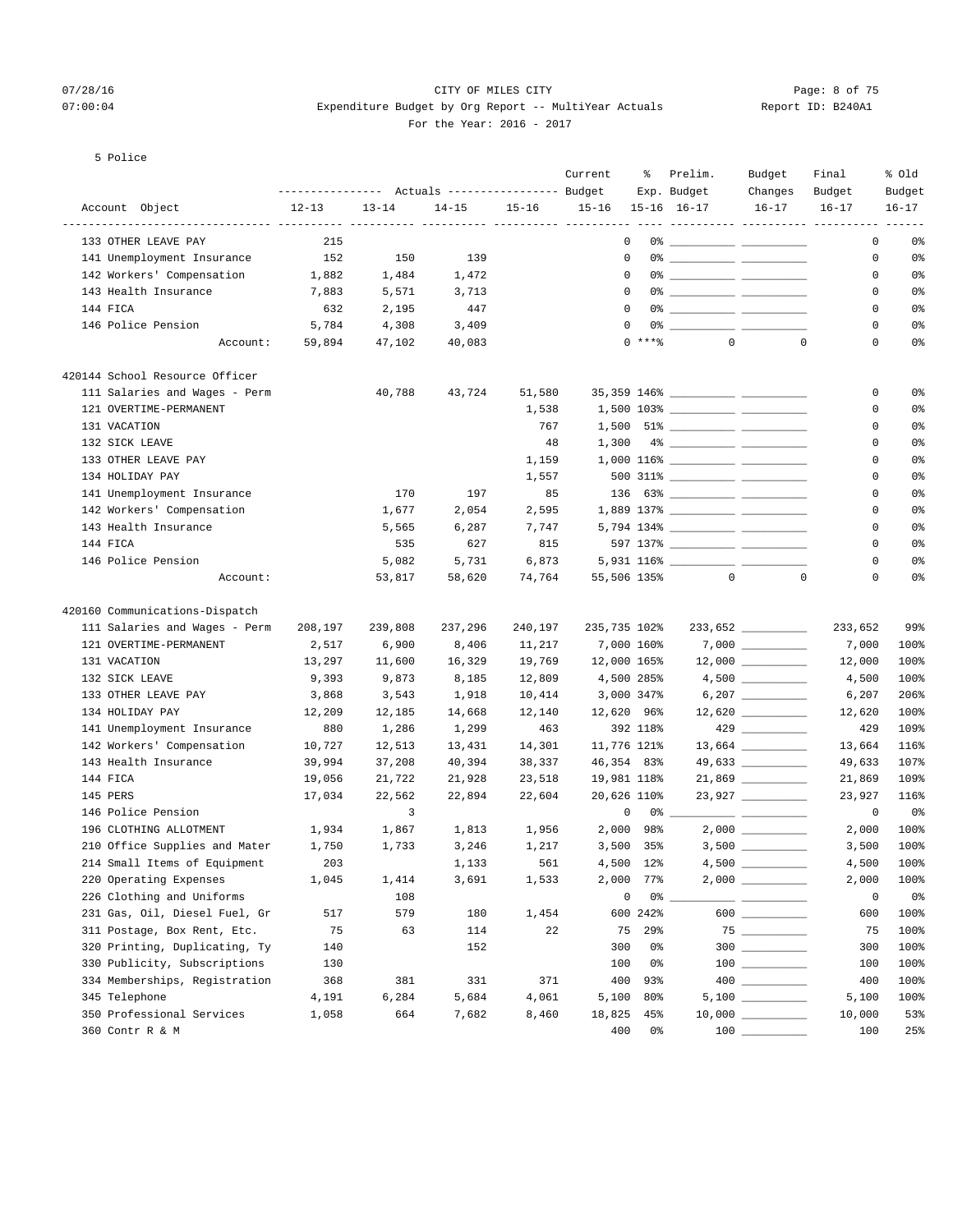## 07/28/16 Page: 8 of 75 07:00:04 Expenditure Budget by Org Report -- MultiYear Actuals Report ID: B240A1 For the Year: 2016 - 2017

## 5 Police

|                                |                  |           |                                  |           | Current      | ႜ             | Prelim.        | Budget                                                                                                                                                                                                                                                                                                                                              | Final                                        | % 01d          |
|--------------------------------|------------------|-----------|----------------------------------|-----------|--------------|---------------|----------------|-----------------------------------------------------------------------------------------------------------------------------------------------------------------------------------------------------------------------------------------------------------------------------------------------------------------------------------------------------|----------------------------------------------|----------------|
|                                | ---------------- |           | Actuals ----------------- Budget |           |              |               | Exp. Budget    | Changes                                                                                                                                                                                                                                                                                                                                             | Budget                                       | Budget         |
| Account Object                 | $12 - 13$        | $13 - 14$ | $14 - 15$                        | $15 - 16$ | $15 - 16$    |               | 15-16 16-17    | $16 - 17$                                                                                                                                                                                                                                                                                                                                           | $16 - 17$<br>---------- ---------- --------- | $16 - 17$      |
| 133 OTHER LEAVE PAY            | 215              |           |                                  |           |              | 0             |                |                                                                                                                                                                                                                                                                                                                                                     | 0                                            | 0%             |
| 141 Unemployment Insurance     | 152              | 150       | 139                              |           | $\mathbf 0$  |               |                |                                                                                                                                                                                                                                                                                                                                                     | 0                                            | 0 <sup>8</sup> |
| 142 Workers' Compensation      | 1,882            | 1,484     | 1,472                            |           | $^{\circ}$   |               |                |                                                                                                                                                                                                                                                                                                                                                     | 0                                            | 0%             |
| 143 Health Insurance           | 7,883            | 5,571     | 3,713                            |           | $\Omega$     |               |                |                                                                                                                                                                                                                                                                                                                                                     | 0                                            | 0 <sup>8</sup> |
| 144 FICA                       | 632              | 2,195     | 447                              |           | $\Omega$     |               |                |                                                                                                                                                                                                                                                                                                                                                     | 0                                            | 0%             |
| 146 Police Pension             | 5,784            | 4,308     | 3,409                            |           | $\mathbf 0$  |               |                |                                                                                                                                                                                                                                                                                                                                                     | 0                                            | $0\,$          |
| Account:                       | 59,894           | 47,102    | 40,083                           |           |              | $0***$        | $\circ$        | $\mathbf 0$                                                                                                                                                                                                                                                                                                                                         | $\mathbf 0$                                  | 0%             |
| 420144 School Resource Officer |                  |           |                                  |           |              |               |                |                                                                                                                                                                                                                                                                                                                                                     |                                              |                |
| 111 Salaries and Wages - Perm  |                  | 40,788    | 43,724                           | 51,580    |              |               |                |                                                                                                                                                                                                                                                                                                                                                     | 0                                            | 0 <sup>8</sup> |
| 121 OVERTIME-PERMANENT         |                  |           |                                  | 1,538     |              |               |                |                                                                                                                                                                                                                                                                                                                                                     | 0                                            | 0%             |
| 131 VACATION                   |                  |           |                                  | 767       |              |               |                |                                                                                                                                                                                                                                                                                                                                                     | 0                                            | 0 <sup>8</sup> |
| 132 SICK LEAVE                 |                  |           |                                  | 48        | 1,300        |               |                |                                                                                                                                                                                                                                                                                                                                                     | 0                                            | 0%             |
| 133 OTHER LEAVE PAY            |                  |           |                                  | 1,159     |              |               |                |                                                                                                                                                                                                                                                                                                                                                     | 0                                            | 0 <sup>8</sup> |
| 134 HOLIDAY PAY                |                  |           |                                  | 1,557     |              |               |                |                                                                                                                                                                                                                                                                                                                                                     | 0                                            | 0 <sup>8</sup> |
| 141 Unemployment Insurance     |                  | 170       | 197                              | 85        |              |               |                |                                                                                                                                                                                                                                                                                                                                                     | 0                                            | 0 <sup>8</sup> |
| 142 Workers' Compensation      |                  | 1,677     | 2,054                            | 2,595     |              |               |                |                                                                                                                                                                                                                                                                                                                                                     | 0                                            | 0 <sup>8</sup> |
| 143 Health Insurance           |                  | 5,565     | 6,287                            | 7,747     |              |               |                |                                                                                                                                                                                                                                                                                                                                                     | 0                                            | 0%             |
| 144 FICA                       |                  | 535       | 627                              | 815       |              |               |                |                                                                                                                                                                                                                                                                                                                                                     | $\mathbf 0$                                  | 0 <sup>8</sup> |
| 146 Police Pension             |                  | 5,082     | 5,731                            | 6,873     |              |               |                |                                                                                                                                                                                                                                                                                                                                                     | 0                                            | 0%             |
| Account:                       |                  | 53,817    | 58,620                           | 74,764    | 55,506 135%  |               | $\overline{0}$ | $\mathbf 0$                                                                                                                                                                                                                                                                                                                                         | 0                                            | 0 <sup>8</sup> |
| 420160 Communications-Dispatch |                  |           |                                  |           |              |               |                |                                                                                                                                                                                                                                                                                                                                                     |                                              |                |
| 111 Salaries and Wages - Perm  | 208,197          | 239,808   | 237,296                          | 240,197   | 235,735 102% |               |                | 233,652 _________                                                                                                                                                                                                                                                                                                                                   | 233,652                                      | 99%            |
| 121 OVERTIME-PERMANENT         | 2,517            | 6,900     | 8,406                            | 11,217    |              | 7,000 160%    |                |                                                                                                                                                                                                                                                                                                                                                     | 7,000                                        | 100%           |
| 131 VACATION                   | 13,297           | 11,600    | 16,329                           | 19,769    | 12,000 165%  |               |                |                                                                                                                                                                                                                                                                                                                                                     | 12,000                                       | 100%           |
| 132 SICK LEAVE                 | 9,393            | 9,873     | 8,185                            | 12,809    |              | 4,500 285%    |                |                                                                                                                                                                                                                                                                                                                                                     | 4,500                                        | 100%           |
| 133 OTHER LEAVE PAY            | 3,868            | 3,543     | 1,918                            | 10,414    |              | 3,000 347%    |                |                                                                                                                                                                                                                                                                                                                                                     | 6,207                                        | 206%           |
| 134 HOLIDAY PAY                | 12,209           | 12,185    | 14,668                           | 12,140    | 12,620 96%   |               |                | $12,620$ __________                                                                                                                                                                                                                                                                                                                                 | 12,620                                       | 100%           |
| 141 Unemployment Insurance     | 880              | 1,286     | 1,299                            | 463       |              | 392 118%      |                | $429$ _________                                                                                                                                                                                                                                                                                                                                     | 429                                          | 109%           |
| 142 Workers' Compensation      | 10,727           | 12,513    | 13,431                           | 14,301    | 11,776 121%  |               |                |                                                                                                                                                                                                                                                                                                                                                     | 13,664                                       | 116%           |
| 143 Health Insurance           | 39,994           | 37,208    | 40,394                           | 38,337    | 46,354 83%   |               |                | 49,633 _________                                                                                                                                                                                                                                                                                                                                    | 49,633                                       | 107%           |
| 144 FICA                       | 19,056           | 21,722    | 21,928                           | 23,518    | 19,981 118%  |               |                |                                                                                                                                                                                                                                                                                                                                                     | 21,869                                       | 109%           |
| 145 PERS                       | 17,034           | 22,562    | 22,894                           | 22,604    | 20,626 110%  |               |                | 23,927                                                                                                                                                                                                                                                                                                                                              | 23,927                                       | 116%           |
| 146 Police Pension             |                  | 3         |                                  |           | 0            |               | $0\%$ __       | <u> 22 mars - Amerikaans III (</u>                                                                                                                                                                                                                                                                                                                  | 0                                            | 0%             |
| 196 CLOTHING ALLOTMENT         | 1,934            | 1,867     | 1,813                            | 1,956     | 2,000        | 98%           |                |                                                                                                                                                                                                                                                                                                                                                     | 2,000                                        | 100%           |
| 210 Office Supplies and Mater  | 1,750            | 1,733     | 3,246                            | 1,217     |              | $3,500$ $35%$ |                |                                                                                                                                                                                                                                                                                                                                                     | 3,500                                        | 100%           |
| 214 Small Items of Equipment   | 203              |           | 1,133                            | 561       |              | 4,500 12%     |                |                                                                                                                                                                                                                                                                                                                                                     | 4,500                                        | 100%           |
| 220 Operating Expenses         | 1,045            | 1,414     | 3,691                            | 1,533     | 2,000        | 77%           |                |                                                                                                                                                                                                                                                                                                                                                     | 2,000                                        | 100%           |
| 226 Clothing and Uniforms      |                  | 108       |                                  |           | 0            | 0%            |                |                                                                                                                                                                                                                                                                                                                                                     | 0                                            | 0%             |
| 231 Gas, Oil, Diesel Fuel, Gr  | 517              | 579       | 180                              | 1,454     |              | 600 242%      |                |                                                                                                                                                                                                                                                                                                                                                     | 600                                          | 100%           |
| 311 Postage, Box Rent, Etc.    | 75               | 63        | 114                              | 22        | 75           | 29%           |                |                                                                                                                                                                                                                                                                                                                                                     | 75                                           | 100%           |
| 320 Printing, Duplicating, Ty  | 140              |           | 152                              |           | 300          | 0%            |                | $300$                                                                                                                                                                                                                                                                                                                                               | 300                                          | 100%           |
| 330 Publicity, Subscriptions   | 130              |           |                                  |           | 100          | 0%            |                | $\begin{array}{c} 100 \\ - \end{array}$                                                                                                                                                                                                                                                                                                             | 100                                          | 100%           |
| 334 Memberships, Registration  | 368              | 381       | 331                              | 371       | 400          | 93%           |                | $\begin{picture}(20,20) \put(0,0){\line(1,0){10}} \put(15,0){\line(1,0){10}} \put(15,0){\line(1,0){10}} \put(15,0){\line(1,0){10}} \put(15,0){\line(1,0){10}} \put(15,0){\line(1,0){10}} \put(15,0){\line(1,0){10}} \put(15,0){\line(1,0){10}} \put(15,0){\line(1,0){10}} \put(15,0){\line(1,0){10}} \put(15,0){\line(1,0){10}} \put(15,0){\line(1$ | 400                                          | 100%           |
| 345 Telephone                  | 4,191            | 6,284     | 5,684                            | 4,061     | 5,100        | 80%           |                |                                                                                                                                                                                                                                                                                                                                                     | 5,100                                        | 100%           |
| 350 Professional Services      | 1,058            | 664       | 7,682                            | 8,460     | 18,825       | 45%           |                | $10,000$ _________                                                                                                                                                                                                                                                                                                                                  | 10,000                                       | 53%            |
| 360 Contr R & M                |                  |           |                                  |           | 400          | 0%            |                | $100$                                                                                                                                                                                                                                                                                                                                               | 100                                          | 25%            |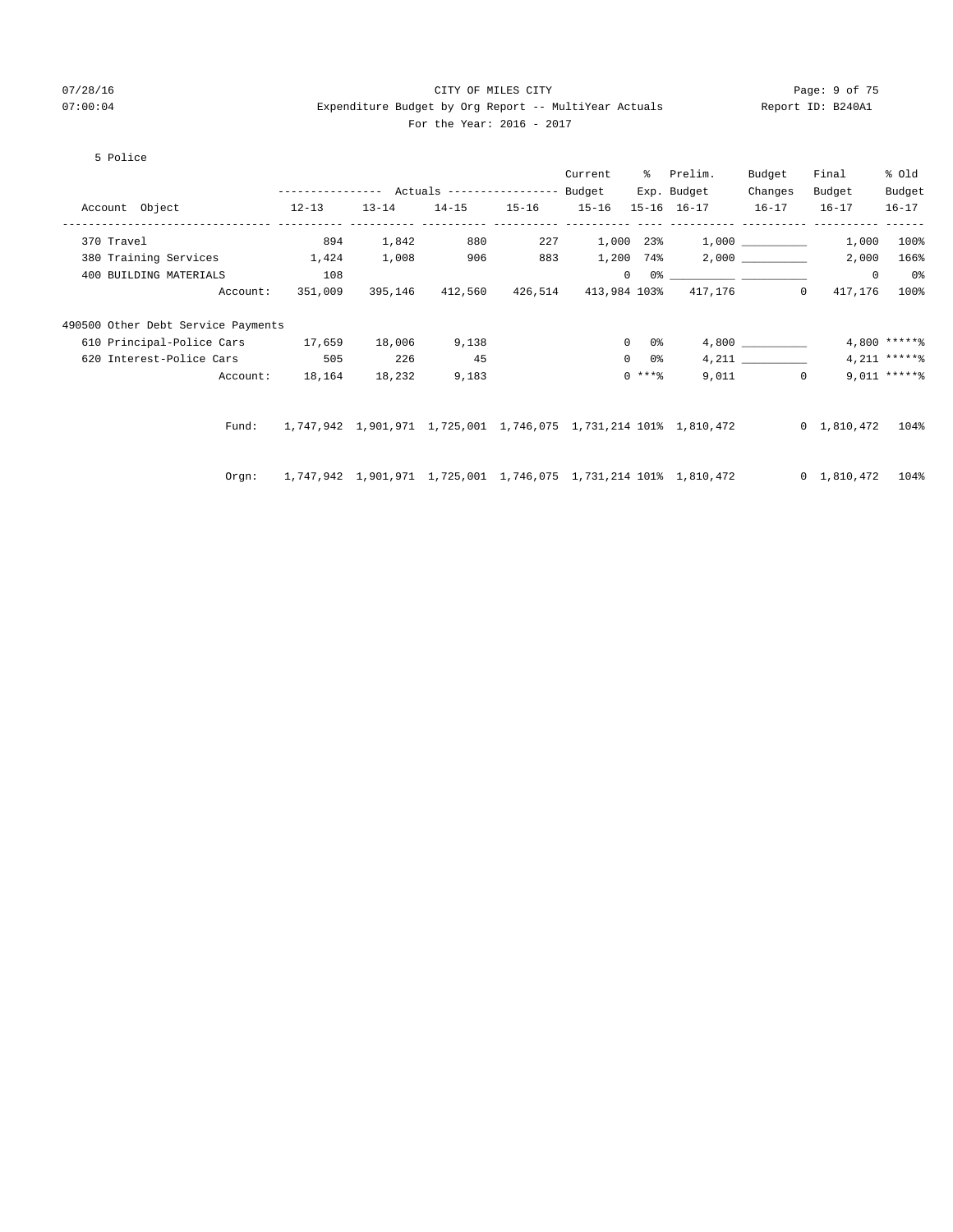## 07/28/16 Page: 9 of 75 07:00:04 Expenditure Budget by Org Report -- MultiYear Actuals Report ID: B240A1 For the Year: 2016 - 2017

## 5 Police

|                                         |                                                                                         |           |       | Current |               | % Prelim.                                                                                                                                                                                                                                                                                                                                                          | Budget    | Final   | % Old          |
|-----------------------------------------|-----------------------------------------------------------------------------------------|-----------|-------|---------|---------------|--------------------------------------------------------------------------------------------------------------------------------------------------------------------------------------------------------------------------------------------------------------------------------------------------------------------------------------------------------------------|-----------|---------|----------------|
|                                         |                                                                                         |           |       |         |               | Exp. Budget                                                                                                                                                                                                                                                                                                                                                        | Changes   | Budget  | Budget         |
| Account Object 12-13                    |                                                                                         | $13 - 14$ |       |         |               | 14-15 15-16 15-16 15-16 16-17 16-17 16-17                                                                                                                                                                                                                                                                                                                          |           |         | $16 - 17$      |
| 370 Travel                              | 894                                                                                     | 1,842     | 880   |         |               | $227$ 1,000 23% 1,000 1000 227                                                                                                                                                                                                                                                                                                                                     |           | 1,000   | $100\%$        |
| 380 Training Services 1,424             |                                                                                         | 1,008     | 906   |         |               | $883 \t 1,200 \t 74\$ 2,000 ________                                                                                                                                                                                                                                                                                                                               |           | 2,000   | 166%           |
| 400 BUILDING MATERIALS                  | 108                                                                                     |           |       |         |               | $\begin{picture}(150,10) \put(0,0){\vector(1,0){100}} \put(15,0){\vector(1,0){100}} \put(15,0){\vector(1,0){100}} \put(15,0){\vector(1,0){100}} \put(15,0){\vector(1,0){100}} \put(15,0){\vector(1,0){100}} \put(15,0){\vector(1,0){100}} \put(15,0){\vector(1,0){100}} \put(15,0){\vector(1,0){100}} \put(15,0){\vector(1,0){100}} \put(15,0){\vector(1,0){100}}$ |           | $\circ$ | 0 <sup>8</sup> |
| Account:                                | 351,009                                                                                 |           |       |         |               | 395,146 412,560 426,514 413,984 103% 417,176 0                                                                                                                                                                                                                                                                                                                     |           | 417,176 | $100\%$        |
| 490500 Other Debt Service Payments      |                                                                                         |           |       |         |               |                                                                                                                                                                                                                                                                                                                                                                    |           |         |                |
| 610 Principal-Police Cars 17,659 18,006 |                                                                                         |           | 9,138 |         | $0\qquad 0$ % |                                                                                                                                                                                                                                                                                                                                                                    | 4,800     |         | $4,800$ *****% |
| 620 Interest-Police Cars 505            |                                                                                         | 226       | 45    |         | $0\qquad 0$ % |                                                                                                                                                                                                                                                                                                                                                                    |           |         | $4,211$ ****** |
| Account:                                | 18,164                                                                                  | 18,232    | 9,183 |         | $0$ ****      |                                                                                                                                                                                                                                                                                                                                                                    | $9,011$ 0 |         | $9,011****$    |
|                                         |                                                                                         |           |       |         |               |                                                                                                                                                                                                                                                                                                                                                                    |           |         |                |
| Fund:                                   | 1,747,942 1,901,971 1,725,001 1,746,075 1,731,214 101% 1,810,472 0 1,810,472 104%       |           |       |         |               |                                                                                                                                                                                                                                                                                                                                                                    |           |         |                |
|                                         | Orgn: 1,747,942 1,901,971 1,725,001 1,746,075 1,731,214 101% 1,810,472 0 1,810,472 104% |           |       |         |               |                                                                                                                                                                                                                                                                                                                                                                    |           |         |                |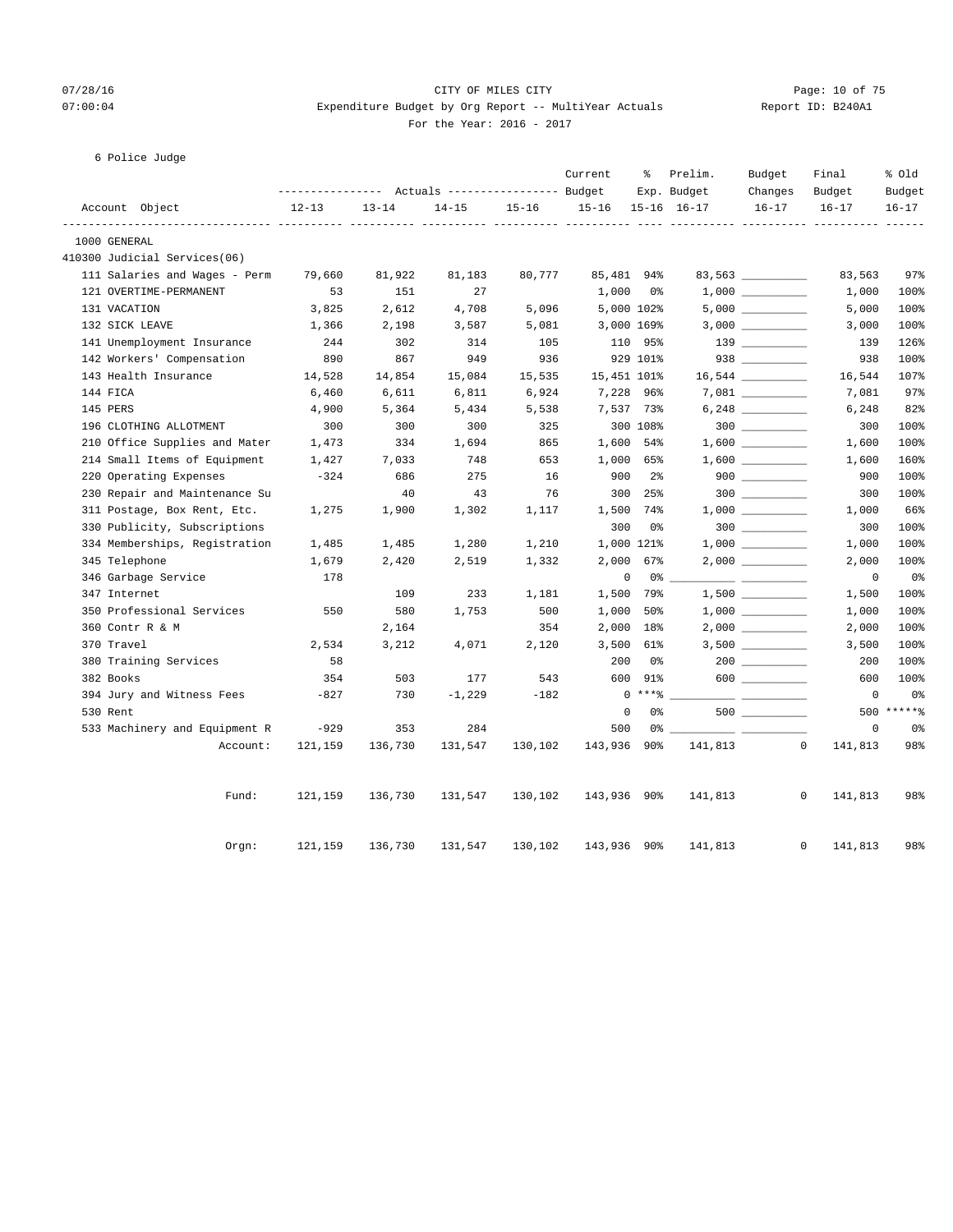## 07/28/16 Page: 10 of 75 07:00:04 Expenditure Budget by Org Report -- MultiYear Actuals Report ID: B240A1 For the Year: 2016 - 2017

## 6 Police Judge

|              |                               |           |           | Actuals ----------------- Budget  |           | Current     | နွ             | Prelim.<br>Exp. Budget | Budget<br>Changes  | Final<br>Budget | % Old<br>Budget   |
|--------------|-------------------------------|-----------|-----------|-----------------------------------|-----------|-------------|----------------|------------------------|--------------------|-----------------|-------------------|
|              | Account Object                | $12 - 13$ | $13 - 14$ | $14 - 15$                         | $15 - 16$ | $15 - 16$   |                | 15-16 16-17            | $16 - 17$          | $16 - 17$       | $16 - 17$         |
| 1000 GENERAL | ___________________           |           |           | ------ ---------- ---------- ---- |           |             |                |                        |                    |                 |                   |
|              | 410300 Judicial Services(06)  |           |           |                                   |           |             |                |                        |                    |                 |                   |
|              | 111 Salaries and Wages - Perm | 79,660    | 81,922    | 81,183                            | 80,777    | 85,481 94%  |                |                        | 83,563 ___________ | 83,563          | 97%               |
|              | 121 OVERTIME-PERMANENT        | 53        | 151       | 27                                |           | 1,000       | - 0%           |                        |                    | 1,000           | 100%              |
| 131 VACATION |                               | 3,825     | 2,612     | 4,708                             | 5,096     |             | 5,000 102%     |                        |                    | 5,000           | 100%              |
|              | 132 SICK LEAVE                | 1,366     | 2,198     | 3,587                             | 5,081     |             | 3,000 169%     |                        | $3,000$ __________ | 3,000           | 100%              |
|              | 141 Unemployment Insurance    | 244       | 302       | 314                               | 105       |             | 110 95%        |                        |                    | 139             | 126%              |
|              | 142 Workers' Compensation     | 890       | 867       | 949                               | 936       |             | 929 101%       |                        | $938$ _________    | 938             | 100%              |
|              | 143 Health Insurance          | 14,528    | 14,854    | 15,084                            | 15,535    | 15,451 101% |                |                        |                    | 16,544          | 107%              |
| 144 FICA     |                               | 6,460     | 6,611     | 6,811                             | 6,924     | 7,228 96%   |                |                        |                    | 7,081           | 97%               |
| 145 PERS     |                               | 4,900     | 5,364     | 5,434                             | 5,538     | 7,537 73%   |                |                        |                    | 6,248           | 82%               |
|              | 196 CLOTHING ALLOTMENT        | 300       | 300       | 300                               | 325       |             | 300 108%       |                        | $300$              | 300             | 100%              |
|              | 210 Office Supplies and Mater | 1,473     | 334       | 1,694                             | 865       | 1,600 54%   |                |                        |                    | 1,600           | 100%              |
|              | 214 Small Items of Equipment  | 1,427     | 7,033     | 748                               | 653       | 1,000 65%   |                |                        |                    | 1,600           | 160%              |
|              | 220 Operating Expenses        | $-324$    | 686       | 275                               | 16        | 900         | 2 <sup>°</sup> |                        |                    | 900             | 100%              |
|              | 230 Repair and Maintenance Su |           | 40        | 43                                | 76        | 300         | 25%            |                        |                    | 300             | 100%              |
|              | 311 Postage, Box Rent, Etc.   | 1,275     | 1,900     | 1,302                             | 1,117     | 1,500 74%   |                |                        |                    | 1,000           | 66%               |
|              | 330 Publicity, Subscriptions  |           |           |                                   |           | 300         | 0%             |                        | $300$              | 300             | 100%              |
|              | 334 Memberships, Registration | 1,485     | 1,485     | 1,280                             | 1,210     | 1,000 121%  |                |                        | $1,000$ _________  | 1,000           | 100%              |
|              | 345 Telephone                 | 1,679     | 2,420     | 2,519                             | 1,332     | 2,000       | 67%            |                        | $2,000$ __________ | 2,000           | 100%              |
|              | 346 Garbage Service           | 178       |           |                                   |           | $\mathbf 0$ | 0 %            |                        |                    | $\overline{0}$  | 0 <sub>8</sub>    |
| 347 Internet |                               |           | 109       | 233                               | 1,181     | 1,500       | 79%            |                        |                    | 1,500           | 100%              |
|              | 350 Professional Services     | 550       | 580       | 1,753                             | 500       | 1,000       | 50%            |                        |                    | 1,000           | 100%              |
|              | 360 Contr R & M               |           | 2,164     |                                   | 354       | 2,000       | 18%            |                        | $2,000$ __________ | 2,000           | 100%              |
| 370 Travel   |                               | 2,534     | 3,212     | 4,071                             | 2,120     | 3,500       | 61%            |                        |                    | 3,500           | 100%              |
|              | 380 Training Services         | 58        |           |                                   |           | 200         | 0%             |                        |                    | 200             | 100%              |
| 382 Books    |                               | 354       | 503       | 177                               | 543       | 600         | 91%            |                        | 600                | 600             | 100%              |
|              | 394 Jury and Witness Fees     | $-827$    | 730       | $-1,229$                          | $-182$    |             | $0***8$        |                        | __________         | $\mathbf 0$     | 0%                |
| 530 Rent     |                               |           |           |                                   |           | $\mathbf 0$ | 0%             |                        | 500                | 500             | $***$ * * * * $-$ |
|              | 533 Machinery and Equipment R | $-929$    | 353       | 284                               |           | 500         | 0%             |                        |                    | $\mathsf{O}$    | 0 <sub>8</sub>    |
|              | Account:                      | 121,159   | 136,730   | 131,547                           | 130,102   | 143,936     | 90%            | 141,813                | $\circ$            | 141,813         | 98%               |
|              | Fund:                         | 121,159   | 136,730   | 131,547                           | 130,102   | 143,936 90% |                | 141,813                |                    | 0<br>141,813    | 98%               |
|              | Orgn:                         | 121,159   | 136,730   | 131,547                           | 130,102   | 143,936 90% |                | 141,813                | 0                  | 141,813         | 98%               |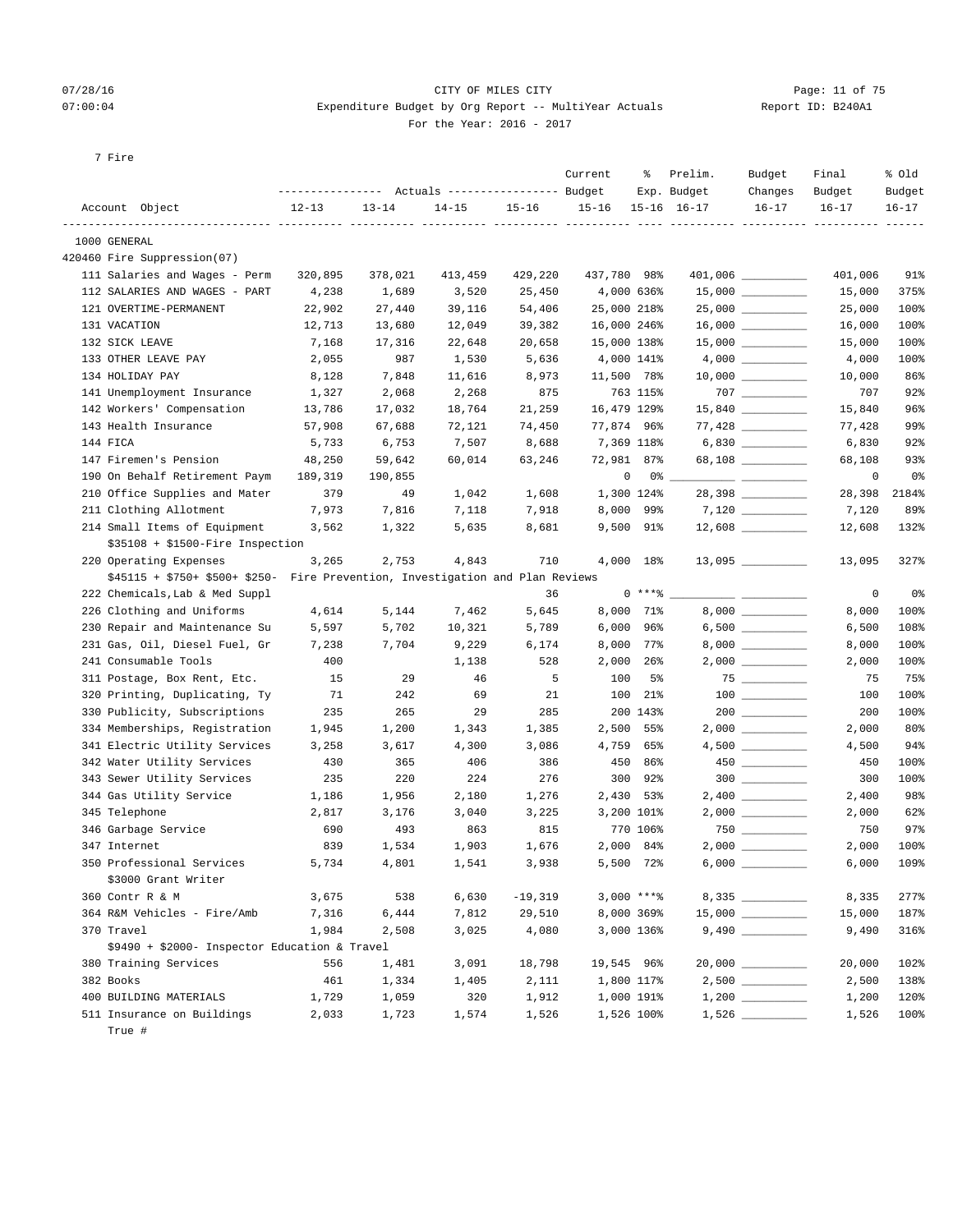## 07/28/16 Page: 11 of 75 07:00:04 Expenditure Budget by Org Report -- MultiYear Actuals Report ID: B240A1 For the Year: 2016 - 2017

| Report ID: B24 |  |
|----------------|--|
|                |  |

7 Fire

|                                               |           | Actuals ----------------- Budget<br>---------------- |                                                 |           |           | Current     | ႜ                | Prelim.<br>Exp. Budget | Budget<br>Changes                       | Final<br>Budget | % Old<br>Budget |
|-----------------------------------------------|-----------|------------------------------------------------------|-------------------------------------------------|-----------|-----------|-------------|------------------|------------------------|-----------------------------------------|-----------------|-----------------|
| Account Object                                | $12 - 13$ |                                                      | $13 - 14$                                       | $14 - 15$ | $15 - 16$ | $15 - 16$   |                  | $15 - 16$ $16 - 17$    | $16 - 17$                               | $16 - 17$       | $16 - 17$       |
| 1000 GENERAL                                  |           |                                                      |                                                 |           |           |             |                  | ----------- ---------- |                                         |                 |                 |
| 420460 Fire Suppression(07)                   |           |                                                      |                                                 |           |           |             |                  |                        |                                         |                 |                 |
| 111 Salaries and Wages - Perm                 |           | 320,895                                              | 378,021                                         | 413,459   | 429,220   | 437,780 98% |                  |                        | 401,006 _________                       | 401,006         | 91%             |
| 112 SALARIES AND WAGES - PART                 |           | 4,238                                                | 1,689                                           | 3,520     | 25,450    |             | 4,000 636%       |                        |                                         | 15,000          | 375%            |
| 121 OVERTIME-PERMANENT                        |           | 22,902                                               | 27,440                                          | 39,116    | 54,406    | 25,000 218% |                  |                        | 25,000 _________                        | 25,000          | 100%            |
| 131 VACATION                                  |           | 12,713                                               | 13,680                                          | 12,049    | 39,382    | 16,000 246% |                  |                        |                                         | 16,000          | 100%            |
| 132 SICK LEAVE                                |           | 7,168                                                | 17,316                                          | 22,648    | 20,658    | 15,000 138% |                  |                        | $15,000$ _________                      | 15,000          | 100%            |
| 133 OTHER LEAVE PAY                           |           | 2,055                                                | 987                                             | 1,530     | 5,636     |             | 4,000 141%       |                        |                                         | 4,000           | 100%            |
| 134 HOLIDAY PAY                               |           | 8,128                                                | 7,848                                           | 11,616    | 8,973     | 11,500 78%  |                  |                        |                                         | 10,000          | 86%             |
| 141 Unemployment Insurance                    |           | 1,327                                                | 2,068                                           | 2,268     | 875       |             | 763 115%         |                        |                                         | 707             | 92%             |
| 142 Workers' Compensation                     |           | 13,786                                               | 17,032                                          | 18,764    | 21,259    | 16,479 129% |                  |                        | $15,840$ __________                     | 15,840          | 96%             |
| 143 Health Insurance                          |           | 57,908                                               | 67,688                                          | 72,121    | 74,450    | 77,874 96%  |                  |                        |                                         | 77,428          | 99%             |
| 144 FICA                                      |           | 5,733                                                | 6,753                                           | 7,507     | 8,688     |             | 7,369 118%       |                        |                                         | 6,830           | 92%             |
| 147 Firemen's Pension                         |           | 48,250                                               | 59,642                                          | 60,014    | 63,246    | 72,981 87%  |                  |                        | $68,108$ __________                     | 68,108          | 93%             |
| 190 On Behalf Retirement Paym                 |           | 189,319                                              | 190,855                                         |           |           | 0           |                  | $0\%$ __               | ___ ___________                         | 0               | 0%              |
| 210 Office Supplies and Mater                 |           | 379                                                  | 49                                              | 1,042     | 1,608     |             | 1,300 124%       |                        | 28,398                                  | 28,398          | 2184%           |
| 211 Clothing Allotment                        |           | 7,973                                                | 7,816                                           | 7,118     | 7,918     |             | 8,000 99%        |                        |                                         | 7,120           | 89%             |
| 214 Small Items of Equipment                  |           | 3,562                                                | 1,322                                           | 5,635     | 8,681     |             | 9,500 91%        |                        |                                         | 12,608          | 132%            |
| \$35108 + \$1500-Fire Inspection              |           |                                                      |                                                 |           |           |             |                  |                        |                                         |                 |                 |
| 220 Operating Expenses                        |           | 3,265                                                | 2,753                                           | 4,843     | 710       |             | 4,000 18%        |                        | $13,095$ ___________                    | 13,095          | 327%            |
| \$45115 + \$750+ \$500+ \$250-                |           |                                                      | Fire Prevention, Investigation and Plan Reviews |           |           |             |                  |                        |                                         |                 |                 |
| 222 Chemicals, Lab & Med Suppl                |           |                                                      |                                                 |           | 36        |             | $0***$ $*$       |                        |                                         | 0               | 0%              |
| 226 Clothing and Uniforms                     |           | 4,614                                                | 5,144                                           | 7,462     | 5,645     | 8,000       | 71%              |                        |                                         | 8,000           | 100%            |
| 230 Repair and Maintenance Su                 |           | 5,597                                                | 5,702                                           | 10,321    | 5,789     | 6,000       | 96%              |                        |                                         | 6,500           | 108%            |
| 231 Gas, Oil, Diesel Fuel, Gr                 |           | 7,238                                                | 7,704                                           | 9,229     | 6,174     | 8,000       | 77%              |                        |                                         | 8,000           | 100%            |
| 241 Consumable Tools                          |           | 400                                                  |                                                 | 1,138     | 528       | 2,000       | 26%              |                        |                                         | 2,000           | 100%            |
| 311 Postage, Box Rent, Etc.                   |           | 15                                                   | 29                                              | 46        | 5         | 100         | 5%               |                        |                                         | 75              | 75%             |
| 320 Printing, Duplicating, Ty                 |           | 71                                                   | 242                                             | 69        | 21        | 100         | 21%              |                        | $\begin{array}{c} 100 \\ - \end{array}$ | 100             | 100%            |
| 330 Publicity, Subscriptions                  |           | 235                                                  | 265                                             | 29        | 285       |             | 200 143%         |                        |                                         | 200             | 100%            |
| 334 Memberships, Registration                 |           | 1,945                                                | 1,200                                           | 1,343     | 1,385     |             | 2,500 55%        |                        |                                         | 2,000           | 80%             |
| 341 Electric Utility Services                 |           | 3,258                                                | 3,617                                           | 4,300     | 3,086     |             | 4,759 65%        |                        |                                         | 4,500           | 94%             |
| 342 Water Utility Services                    |           | 430                                                  | 365                                             | 406       | 386       |             | 450 86%          |                        |                                         | 450             | 100%            |
| 343 Sewer Utility Services                    |           | 235                                                  | 220                                             | 224       | 276       |             | 300 92%          |                        | $300$                                   | 300             | 100%            |
| 344 Gas Utility Service                       |           | 1,186                                                | 1,956                                           | 2,180     | 1,276     |             | 2,430 53%        |                        |                                         | 2,400           | 98%             |
| 345 Telephone                                 |           | 2,817                                                | 3,176                                           | 3,040     | 3,225     |             | 3,200 101%       |                        |                                         | 2,000           | 62%             |
| 346 Garbage Service                           |           | 690                                                  | 493                                             | 863       | 815       |             | 770 106%         |                        |                                         | 750             | 97%             |
| 347 Internet                                  |           | 839                                                  | 1,534                                           | 1,903     | 1,676     |             | 2,000 84%        |                        |                                         | 2,000           | 100%            |
| 350 Professional Services                     |           | 5,734                                                | 4,801                                           | 1,541     | 3,938     |             | 5,500 72%        |                        |                                         | 6,000           | 109%            |
| \$3000 Grant Writer                           |           |                                                      |                                                 |           |           |             |                  |                        |                                         |                 |                 |
| 360 Contr R & M                               |           | 3,675                                                | 538                                             | 6,630     | $-19,319$ |             | $3,000$ *** $\$$ |                        | 8,335 __________                        | 8,335           | 277%            |
| 364 R&M Vehicles - Fire/Amb                   |           | 7,316                                                | 6,444                                           | 7,812     | 29,510    |             | 8,000 369%       |                        |                                         | 15,000          | 187%            |
| 370 Travel                                    |           | 1,984                                                | 2,508                                           | 3,025     | 4,080     |             | 3,000 136%       |                        |                                         | 9,490           | 316%            |
| \$9490 + \$2000- Inspector Education & Travel |           |                                                      |                                                 |           |           |             |                  |                        |                                         |                 |                 |
| 380 Training Services                         |           | 556                                                  | 1,481                                           | 3,091     | 18,798    | 19,545 96%  |                  |                        |                                         | 20,000          | 102%            |
| 382 Books                                     |           | 461                                                  | 1,334                                           | 1,405     | 2,111     |             | 1,800 117%       |                        |                                         | 2,500           | 138%            |
| 400 BUILDING MATERIALS                        |           | 1,729                                                | 1,059                                           | 320       | 1,912     |             | 1,000 191%       |                        |                                         | 1,200           | 120%            |
| 511 Insurance on Buildings                    |           | 2,033                                                | 1,723                                           | 1,574     | 1,526     |             | 1,526 100%       |                        |                                         | 1,526           | 100%            |
|                                               |           |                                                      |                                                 |           |           |             |                  |                        |                                         |                 |                 |

True #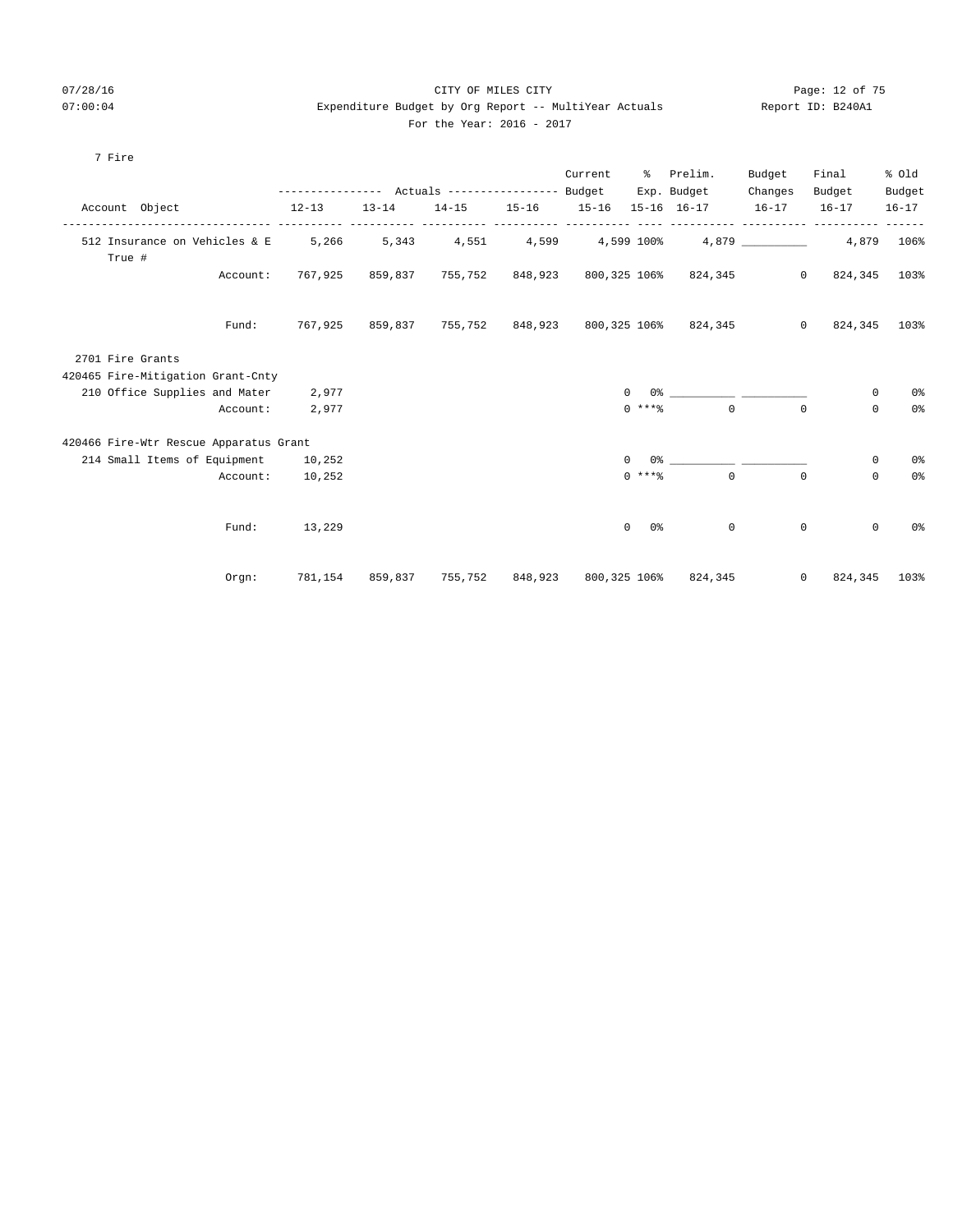## 07/28/16 CITY OF MILES CITY Page: 12 of 75 07:00:04 Expenditure Budget by Org Report -- MultiYear Actuals Report ID: B240A1 For the Year: 2016 - 2017

| For the Year: 2016 |
|--------------------|
|--------------------|

| 7 Fire                                  |                                                 |           |           |                          |                              |                       |                                             |           |                            |                |
|-----------------------------------------|-------------------------------------------------|-----------|-----------|--------------------------|------------------------------|-----------------------|---------------------------------------------|-----------|----------------------------|----------------|
|                                         |                                                 |           |           |                          | Current                      |                       | % Prelim.                                   | Budget    | Final                      | % Old          |
|                                         | --------------- Actuals ---------------- Budget |           |           |                          |                              |                       | Exp. Budget                                 | Changes   | Budget                     | Budget         |
| Account Object                          | $12 - 13$                                       | $13 - 14$ | $14 - 15$ | $15 - 16$<br>----------- | $15 - 16$<br>--------------- |                       | $15 - 16$ $16 - 17$                         | $16 - 17$ | $16 - 17$                  | $16 - 17$      |
| 512 Insurance on Vehicles & E<br>True # | 5,266                                           | 5,343     |           |                          |                              |                       | $4,551$ $4,599$ $4,599$ $100$ $4,879$ $100$ |           | 4,879                      | 106%           |
| Account:                                | 767,925                                         | 859,837   | 755,752   |                          |                              |                       | 848,923 800,325 106% 824,345                |           | $\circ$<br>824,345         | 103%           |
| Fund:                                   | 767,925                                         | 859,837   | 755,752   |                          |                              |                       | 848,923 800,325 106% 824,345                |           | $\mathbf 0$<br>824,345     | 103%           |
| 2701 Fire Grants                        |                                                 |           |           |                          |                              |                       |                                             |           |                            |                |
| 420465 Fire-Mitigation Grant-Cnty       |                                                 |           |           |                          |                              |                       |                                             |           |                            |                |
| 210 Office Supplies and Mater           | 2,977                                           |           |           |                          |                              | $\mathbf{0}$          |                                             |           | $\mathbf 0$                | 0 <sup>o</sup> |
| Account:                                | 2,977                                           |           |           |                          |                              | $0$ ****              | $\Omega$                                    |           | $\Omega$<br>$\Omega$       | 0 <sup>°</sup> |
| 420466 Fire-Wtr Rescue Apparatus Grant  |                                                 |           |           |                          |                              |                       |                                             |           |                            |                |
| 214 Small Items of Equipment            | 10,252                                          |           |           |                          |                              | $\mathbf 0$           |                                             |           | $\mathbf 0$                | 0%             |
| Account:                                | 10,252                                          |           |           |                          |                              | $0$ *** %             | $\Omega$                                    |           | $\Omega$<br>$\Omega$       | 0 <sup>°</sup> |
| Fund:                                   | 13,229                                          |           |           |                          |                              | $\overline{0}$<br>0 % | $\mathbf 0$                                 |           | $\mathbb O$<br>$\mathbf 0$ | 0 <sup>o</sup> |
| Orgn:                                   | 781,154                                         | 859,837   | 755,752   | 848,923                  | 800,325 106%                 |                       | 824,345                                     |           | $\circ$<br>824,345         | 103%           |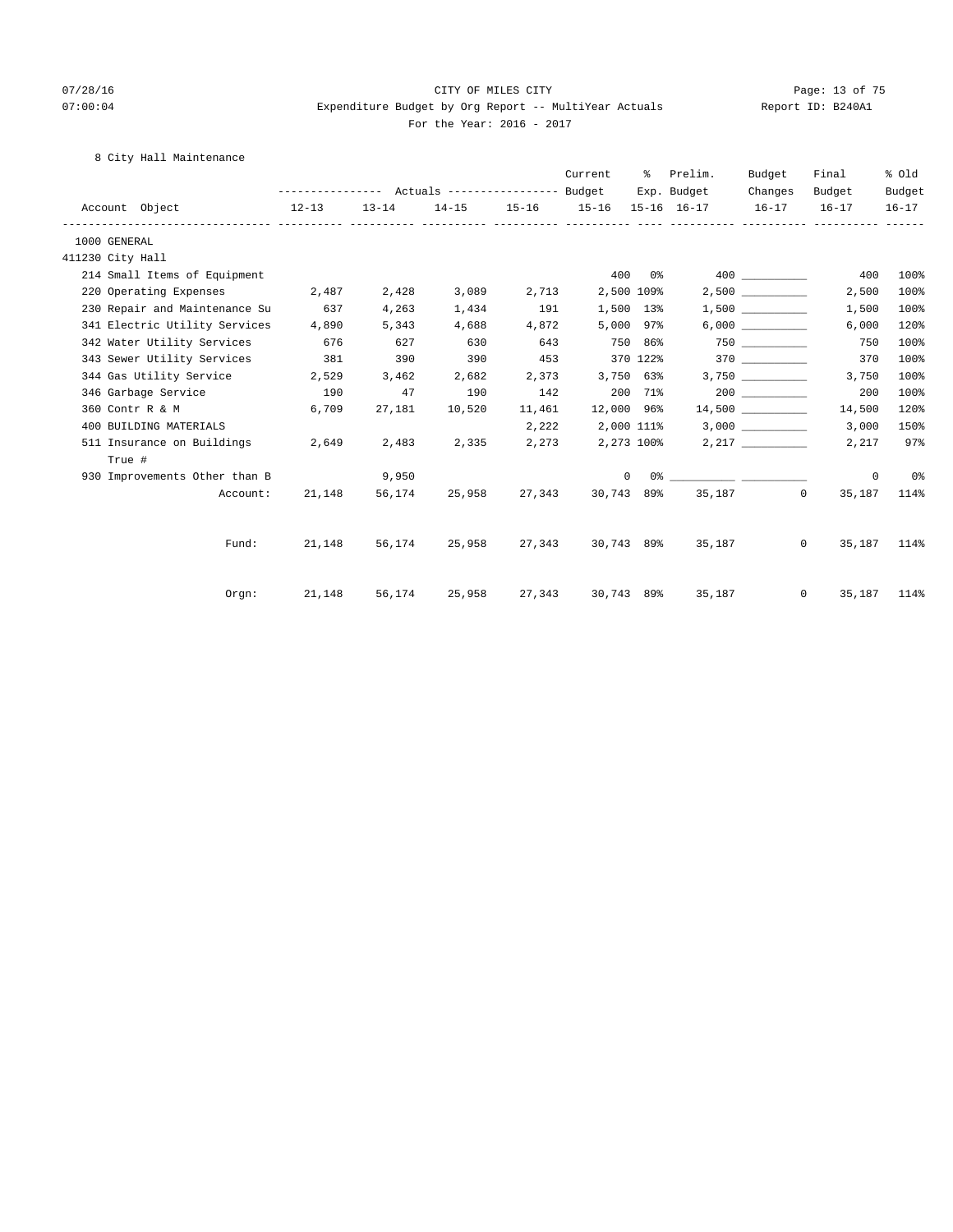## 07/28/16 Page: 13 of 75 07:00:04 Expenditure Budget by Org Report -- MultiYear Actuals Report ID: B240A1 For the Year: 2016 - 2017

## 8 City Hall Maintenance

|                  |                                     |                                                 |           |        |        | Current          | ိ         | Prelim.                                                                                                                                                                                                                                                                                                                                                            | Budget  | Final                                     | % old          |
|------------------|-------------------------------------|-------------------------------------------------|-----------|--------|--------|------------------|-----------|--------------------------------------------------------------------------------------------------------------------------------------------------------------------------------------------------------------------------------------------------------------------------------------------------------------------------------------------------------------------|---------|-------------------------------------------|----------------|
|                  |                                     | --------------- Actuals ---------------- Budget |           |        |        |                  |           | Exp. Budget                                                                                                                                                                                                                                                                                                                                                        | Changes | Budget                                    | Budget         |
|                  | Account Object                      | $12-13$                                         | $13 - 14$ |        |        |                  |           |                                                                                                                                                                                                                                                                                                                                                                    |         | 14-15 15-16 15-16 15-16 16-17 16-17 16-17 | 16-17          |
| 1000 GENERAL     |                                     |                                                 |           |        |        |                  |           |                                                                                                                                                                                                                                                                                                                                                                    |         |                                           |                |
| 411230 City Hall |                                     |                                                 |           |        |        |                  |           |                                                                                                                                                                                                                                                                                                                                                                    |         |                                           |                |
|                  | 214 Small Items of Equipment        |                                                 |           |        |        | 400              |           |                                                                                                                                                                                                                                                                                                                                                                    |         | 400                                       | 100%           |
|                  | 220 Operating Expenses              | 2,487                                           | 2,428     | 3,089  | 2,713  | 2,500 109%       |           |                                                                                                                                                                                                                                                                                                                                                                    | 2,500   | 2,500                                     | 100%           |
|                  | 230 Repair and Maintenance Su       | 637                                             | 4,263     | 1,434  | 191    | 1,500 13%        |           |                                                                                                                                                                                                                                                                                                                                                                    | 1,500   | 1,500                                     | 100%           |
|                  | 341 Electric Utility Services 4,890 |                                                 | 5,343     | 4,688  | 4,872  |                  | 5,000 97% |                                                                                                                                                                                                                                                                                                                                                                    | 6,000   | 6,000                                     | 120%           |
|                  | 342 Water Utility Services          | 676                                             | 627       | 630    | 643    | 750 86%          |           |                                                                                                                                                                                                                                                                                                                                                                    |         | 750                                       | 100%           |
|                  | 343 Sewer Utility Services          | 381                                             | 390       | 390    | 453    | 370 122%         |           |                                                                                                                                                                                                                                                                                                                                                                    | 370 370 | 370                                       | 100%           |
|                  | 344 Gas Utility Service 2,529       |                                                 | 3,462     | 2,682  | 2,373  |                  | 3,750 63% |                                                                                                                                                                                                                                                                                                                                                                    | 3,750   | 3,750                                     | 100%           |
|                  | 346 Garbage Service                 | 190                                             | 47        | 190    | 142    | 200 71%          |           |                                                                                                                                                                                                                                                                                                                                                                    | 200     | 200                                       | 100%           |
|                  | 360 Contr R & M                     | 6,709                                           | 27,181    | 10,520 | 11,461 | 12,000 96%       |           |                                                                                                                                                                                                                                                                                                                                                                    |         | 14,500                                    | 120%           |
|                  | 400 BUILDING MATERIALS              |                                                 |           |        | 2,222  | 2,000 111%       |           |                                                                                                                                                                                                                                                                                                                                                                    | 3,000   | 3,000                                     | 150%           |
|                  | 511 Insurance on Buildings          | 2,649                                           | 2,483     | 2,335  |        | 2,273 2,273 100% |           |                                                                                                                                                                                                                                                                                                                                                                    | 2,217   | 2,217                                     | 97%            |
|                  | True #                              |                                                 |           |        |        |                  |           |                                                                                                                                                                                                                                                                                                                                                                    |         |                                           |                |
|                  | 930 Improvements Other than B       |                                                 | 9,950     |        |        |                  |           | $\begin{picture}(150,10) \put(0,0){\vector(1,0){100}} \put(15,0){\vector(1,0){100}} \put(15,0){\vector(1,0){100}} \put(15,0){\vector(1,0){100}} \put(15,0){\vector(1,0){100}} \put(15,0){\vector(1,0){100}} \put(15,0){\vector(1,0){100}} \put(15,0){\vector(1,0){100}} \put(15,0){\vector(1,0){100}} \put(15,0){\vector(1,0){100}} \put(15,0){\vector(1,0){100}}$ |         | $\circ$                                   | 0 <sup>8</sup> |
|                  | Account:                            | 21,148                                          | 56,174    | 25,958 |        |                  |           | 27,343 30,743 89% 35,187 0                                                                                                                                                                                                                                                                                                                                         |         | 35,187                                    | 114%           |
|                  |                                     | 21,148 56,174 25,958                            |           |        |        | 30,743 89%       |           |                                                                                                                                                                                                                                                                                                                                                                    | 35,187  | $0 \qquad \qquad$                         |                |
|                  | Fund:                               |                                                 |           |        | 27,343 |                  |           |                                                                                                                                                                                                                                                                                                                                                                    |         | 35,187                                    | 114%           |
|                  | Orem:                               | 21,148                                          | 56,174    | 25,958 | 27,343 | 30,743 89%       |           | 35,187                                                                                                                                                                                                                                                                                                                                                             |         | $\overline{0}$                            | 35, 187 114%   |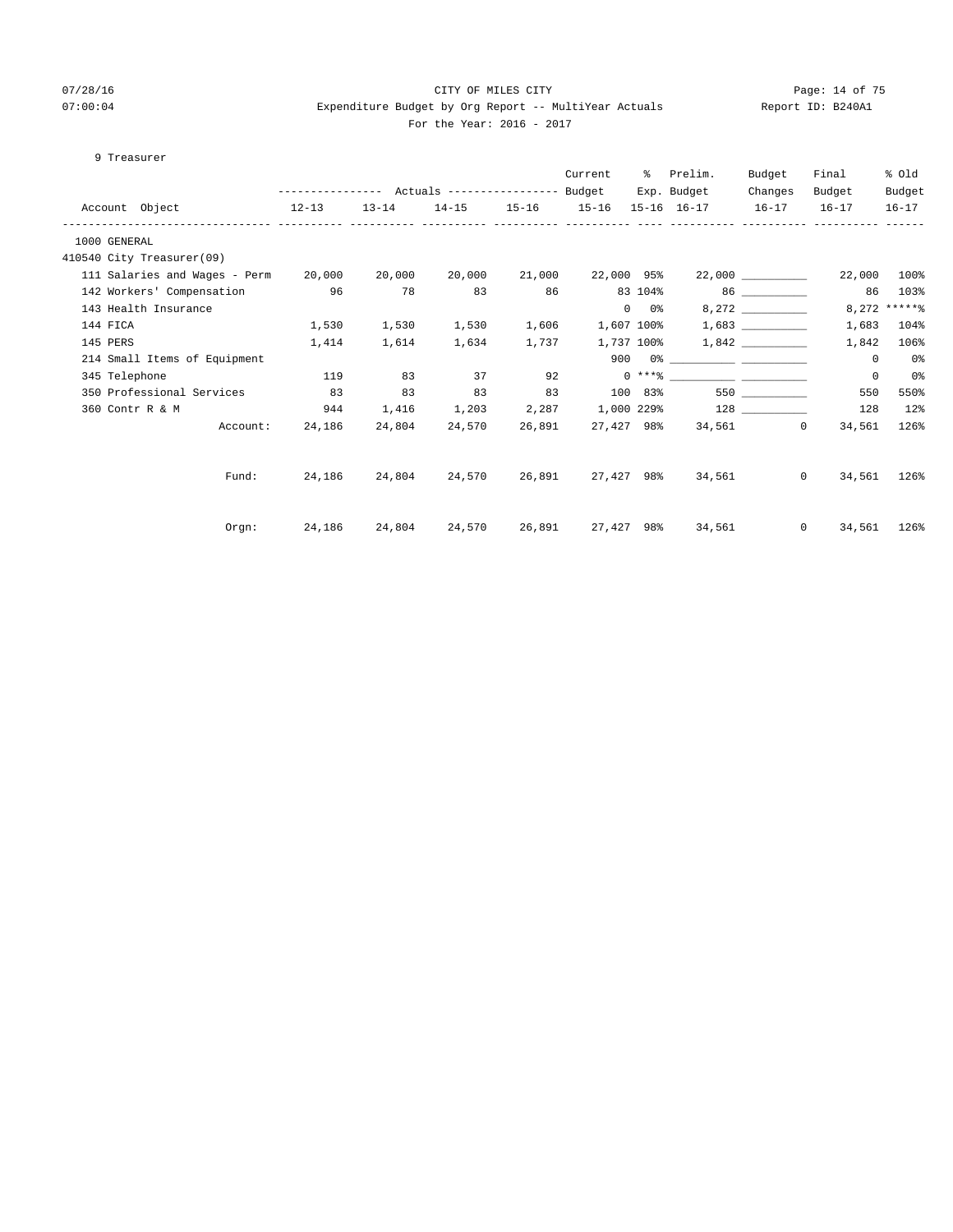## 07/28/16 Page: 14 of 75 07:00:04 Expenditure Budget by Org Report -- MultiYear Actuals Report ID: B240A1 For the Year: 2016 - 2017

## 9 Treasurer

|                                                    | --------------- Actuals ---------------- Budget |           |                      |                   | Current    |               | % Prelim.<br>Exp. Budget | Budget<br>Changes | Final<br>Budget | % old<br>Budget |
|----------------------------------------------------|-------------------------------------------------|-----------|----------------------|-------------------|------------|---------------|--------------------------|-------------------|-----------------|-----------------|
| Account Object 12-13                               |                                                 | $13 - 14$ |                      | 14-15 15-16 15-16 |            |               | 15-16 16-17 16-17 16-17  |                   |                 | $16 - 17$       |
| 1000 GENERAL                                       |                                                 |           |                      |                   |            |               |                          |                   |                 |                 |
| 410540 City Treasurer(09)                          |                                                 |           |                      |                   |            |               |                          |                   |                 |                 |
| 111 Salaries and Wages - Perm 20,000 20,000 20,000 |                                                 |           |                      | 21,000            | 22,000 95% |               |                          | 22,000            | 22,000          | 100%            |
| 142 Workers' Compensation 96                       |                                                 | 78        | 83                   | 86                |            |               | 83 104% 86 200           |                   | 86              | 103%            |
| 143 Health Insurance                               |                                                 |           |                      |                   |            | $0\qquad 0$ % |                          | 8,272             |                 | $8,272$ ***** % |
| 144 FICA                                           | 1,530                                           | 1,530     | 1,530                | 1,606             |            |               |                          |                   | 1,683           | 104%            |
| 145 PERS                                           | 1,414                                           | 1,614     | 1,634                | 1,737             |            |               |                          |                   | 1,842           | 106%            |
| 214 Small Items of Equipment                       |                                                 |           |                      |                   |            |               |                          |                   | $\circ$         | 0 <sup>o</sup>  |
| 345 Telephone                                      | 119                                             | 83        | 37                   | 92                |            |               |                          |                   | $\mathbf 0$     | $0\,$           |
| 350 Professional Services                          | 83                                              | 83        | 83                   | 83                | 100 83%    |               |                          | 550 350           | 550             | 550%            |
| 360 Contr R & M                                    | 944                                             | 1,416     | 1,203                | 2,287             |            |               |                          |                   | 128             | $12$ %          |
|                                                    | Account: 24,186                                 | 24,804    | 24,570               | 26,891            |            |               | 27,427 98% 34,561 0      |                   | 34,561          | 126%            |
|                                                    |                                                 |           |                      |                   |            |               |                          |                   |                 |                 |
| Fund:                                              |                                                 |           | 24,186 24,804 24,570 | 26,891            |            |               | 27,427 98% 34,561        | $\Omega$          | 34,561          | 126%            |
|                                                    |                                                 |           |                      |                   |            |               |                          |                   |                 |                 |
| Orem:                                              | 24,186 24,804 24,570 26,891                     |           |                      |                   |            |               | 27,427 98% 34,561        | $\overline{0}$    | 34,561          | 126%            |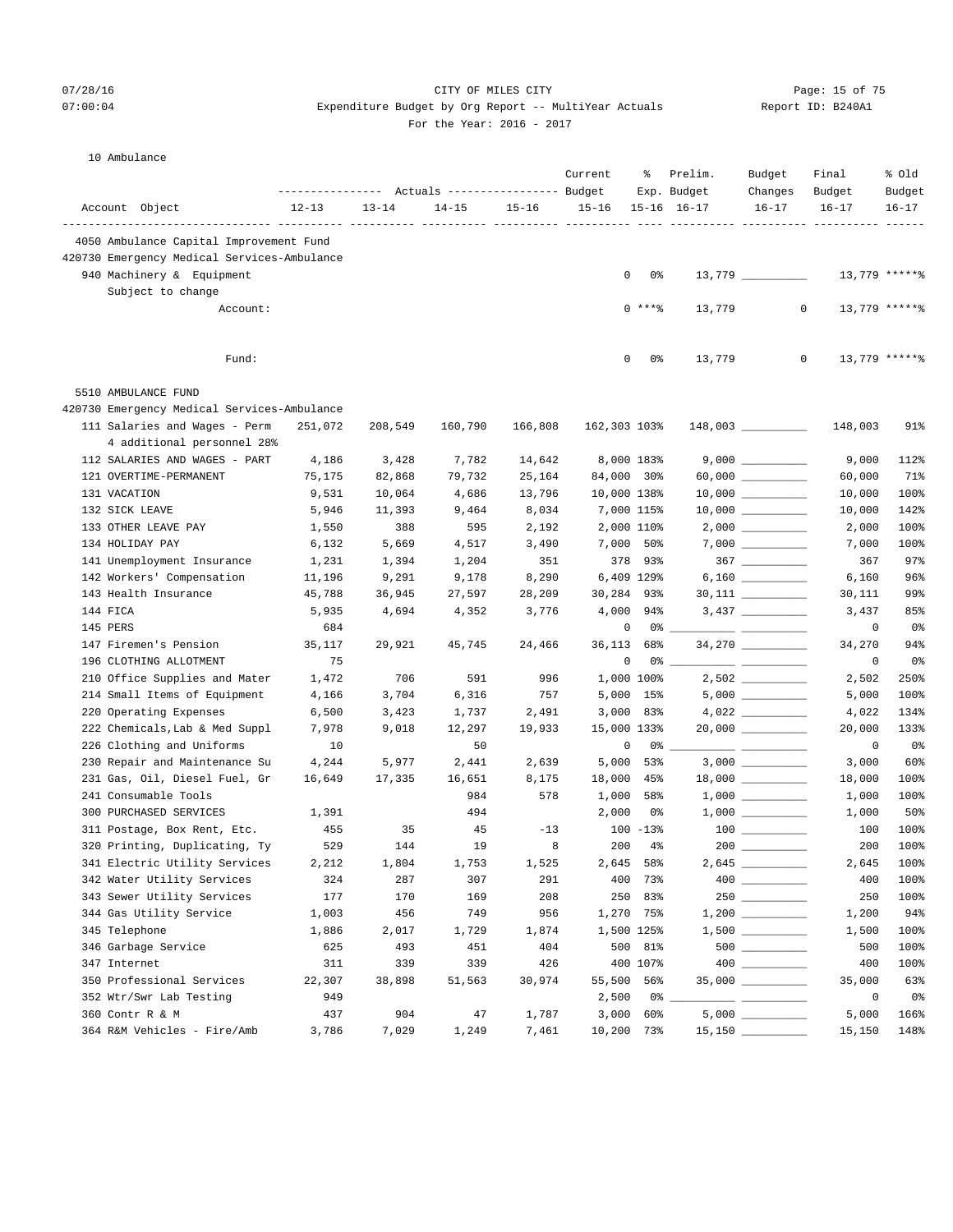## 07/28/16 Page: 15 of 75  $07:00:04$  Expenditure Budget by Org Report -- MultiYear Actuals For the Year: 2016 - 2017

| Report ID: B240A1 |  |
|-------------------|--|
|                   |  |

#### 10 Ambulance

|                                             |           |           | Actuals ----------------- Budget |           | Current      | ႜ            | Prelim.<br>Exp. Budget | Budget<br>Changes                      | Final<br>Budget | % Old<br>Budget |
|---------------------------------------------|-----------|-----------|----------------------------------|-----------|--------------|--------------|------------------------|----------------------------------------|-----------------|-----------------|
| Account Object                              | $12 - 13$ | $13 - 14$ | $14 - 15$                        | $15 - 16$ | $15 - 16$    |              | $15-16$ $16-17$        | $16 - 17$                              | $16 - 17$       | $16 - 17$       |
| 4050 Ambulance Capital Improvement Fund     |           |           |                                  |           |              |              |                        |                                        |                 |                 |
| 420730 Emergency Medical Services-Ambulance |           |           |                                  |           |              |              |                        |                                        |                 |                 |
| 940 Machinery & Equipment                   |           |           |                                  |           | 0            | 0%           |                        |                                        | 13,779 ******   |                 |
| Subject to change                           |           |           |                                  |           |              |              |                        |                                        |                 |                 |
| Account:                                    |           |           |                                  |           |              | $0***8$      | 13,779                 | $\mathbf{0}$                           | $13,779$ ****** |                 |
|                                             |           |           |                                  |           |              |              |                        |                                        |                 |                 |
| Fund:                                       |           |           |                                  |           | 0            | 0%           | 13,779                 | 0                                      | 13,779 ******   |                 |
| 5510 AMBULANCE FUND                         |           |           |                                  |           |              |              |                        |                                        |                 |                 |
| 420730 Emergency Medical Services-Ambulance |           |           |                                  |           |              |              |                        |                                        |                 |                 |
| 111 Salaries and Wages - Perm               | 251,072   | 208,549   | 160,790                          | 166,808   | 162,303 103% |              |                        | $148,003$ __________                   | 148,003         | 91%             |
| 4 additional personnel 28%                  |           |           |                                  |           |              |              |                        |                                        |                 |                 |
| 112 SALARIES AND WAGES - PART               | 4,186     | 3,428     | 7,782                            | 14,642    |              | 8,000 183%   |                        |                                        | 9,000           | 112%            |
| 121 OVERTIME-PERMANENT                      | 75,175    | 82,868    | 79,732                           | 25,164    | 84,000 30%   |              |                        |                                        | 60,000          | 71%             |
| 131 VACATION                                | 9,531     | 10,064    | 4,686                            | 13,796    | 10,000 138%  |              |                        | $10,000$ _________                     | 10,000          | 100%            |
| 132 SICK LEAVE                              | 5,946     | 11,393    | 9,464                            | 8,034     | 7,000 115%   |              |                        | $10,000$ __________                    | 10,000          | 142%            |
| 133 OTHER LEAVE PAY                         | 1,550     | 388       | 595                              | 2,192     | 2,000 110%   |              |                        |                                        | 2,000           | 100%            |
| 134 HOLIDAY PAY                             | 6,132     | 5,669     | 4,517                            | 3,490     | 7,000 50%    |              |                        | $7,000$                                | 7,000           | 100%            |
| 141 Unemployment Insurance                  | 1,231     | 1,394     | 1,204                            | 351       |              | 378 93%      |                        | 367 ___________                        | 367             | 97%             |
| 142 Workers' Compensation                   | 11,196    | 9,291     | 9,178                            | 8,290     |              | 6,409 129%   |                        |                                        | 6,160           | 96%             |
| 143 Health Insurance                        | 45,788    | 36,945    | 27,597                           | 28,209    | 30,284 93%   |              |                        | $30,111$ _________                     | 30,111          | 99%             |
| 144 FICA                                    | 5,935     | 4,694     | 4,352                            | 3,776     |              | 4,000 94%    |                        |                                        | 3,437           | 85%             |
| 145 PERS                                    | 684       |           |                                  |           | 0            | 0%           |                        |                                        | 0               | 0%              |
| 147 Firemen's Pension                       | 35,117    | 29,921    | 45,745                           | 24,466    | 36,113       | 68%          |                        |                                        | 34,270          | 94%             |
| 196 CLOTHING ALLOTMENT                      | 75        |           |                                  |           | 0            |              | $0\degree$ $-$         |                                        | 0               | 0%              |
| 210 Office Supplies and Mater               | 1,472     | 706       | 591                              | 996       | 1,000 100%   |              |                        |                                        | 2,502           | 250%            |
| 214 Small Items of Equipment                | 4,166     | 3,704     | 6,316                            | 757       |              | 5,000 15%    |                        |                                        | 5,000           | 100%            |
| 220 Operating Expenses                      | 6,500     | 3,423     | 1,737                            | 2,491     |              | $3,000$ 83%  |                        |                                        | 4,022           | 134%            |
| 222 Chemicals, Lab & Med Suppl              | 7,978     | 9,018     | 12,297                           | 19,933    | 15,000 133%  |              |                        | 20,000 __________                      | 20,000          | 133%            |
| 226 Clothing and Uniforms                   | 10        |           | 50                               |           | 0            |              | $0\%$ _                |                                        | 0               | 0%              |
| 230 Repair and Maintenance Su               | 4,244     | 5,977     | 2,441                            | 2,639     | 5,000        | 53%          |                        |                                        | 3,000           | 60%             |
| 231 Gas, Oil, Diesel Fuel, Gr               | 16,649    | 17,335    | 16,651                           | 8,175     | 18,000       | 45%          |                        |                                        | 18,000          | 100%            |
| 241 Consumable Tools                        |           |           | 984                              | 578       | 1,000        | 58%          |                        |                                        | 1,000           | 100%            |
| 300 PURCHASED SERVICES                      | 1,391     |           | 494                              |           | 2,000        | 0%           |                        |                                        | 1,000           | 50%             |
| 311 Postage, Box Rent, Etc.                 | 455       | 35        | 45                               | $-13$     |              | $100 - 13$ % |                        |                                        | 100             | 100%            |
| 320 Printing, Duplicating, Ty               | 529       | 144       | 19                               | 8         | 200          | $4\%$        |                        |                                        | 200             | 100%            |
| 341 Electric Utility Services               | 2,212     | 1,804     | 1,753                            | 1,525     |              | 2,645 58%    |                        |                                        | 2,645           | 100%            |
| 342 Water Utility Services                  | 324       | 287       | 307                              | 291       |              | 400 73%      |                        | $\begin{tabular}{c} 400 \end{tabular}$ | 400             | 100%            |
| 343 Sewer Utility Services                  | 177       | 170       | 169                              | 208       | 250          | 83%          |                        | $250$                                  | 250             | 100%            |
| 344 Gas Utility Service                     | 1,003     | 456       | 749                              | 956       |              | 1,270 75%    |                        |                                        | 1,200           | 94%             |
| 345 Telephone                               | 1,886     | 2,017     | 1,729                            | 1,874     |              | 1,500 125%   |                        |                                        | 1,500           | 100%            |
| 346 Garbage Service                         | 625       | 493       | 451                              | 404       |              | 500 81%      |                        |                                        | 500             | 100%            |
| 347 Internet                                | 311       | 339       | 339                              | 426       |              | 400 107%     |                        |                                        | 400             | 100%            |
| 350 Professional Services                   | 22,307    | 38,898    | 51,563                           | 30,974    | 55,500 56%   |              |                        | 35,000 _________                       | 35,000          | 63%             |
| 352 Wtr/Swr Lab Testing                     | 949       |           |                                  |           | 2,500        | 0%           |                        |                                        | 0               | 0%              |
| 360 Contr R & M                             | 437       | 904       | 47                               | 1,787     |              | $3,000$ 60%  |                        |                                        | 5,000           | 166%            |
| 364 R&M Vehicles - Fire/Amb                 | 3,786     | 7,029     | 1,249                            | 7,461     | 10,200 73%   |              |                        |                                        | 15,150          | 148%            |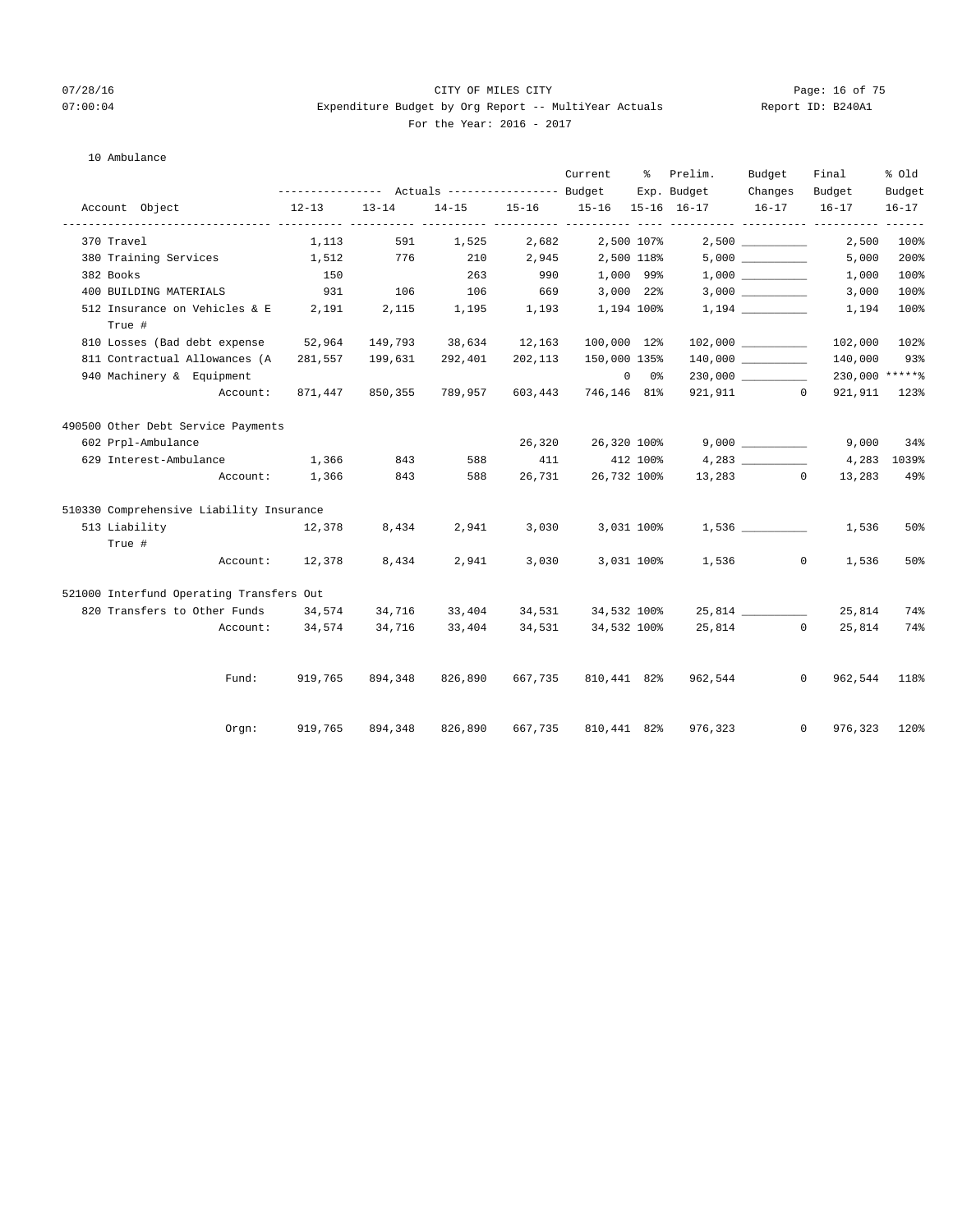## 07/28/16 Page: 16 of 75 07:00:04 Expenditure Budget by Org Report -- MultiYear Actuals Report ID: B240A1 For the Year: 2016 - 2017

## 10 Ambulance

|                              |                                            |                 |           |                           |         | Current                | - 왕           | Prelim.                             | Budget    | Final                          | % Old              |
|------------------------------|--------------------------------------------|-----------------|-----------|---------------------------|---------|------------------------|---------------|-------------------------------------|-----------|--------------------------------|--------------------|
|                              |                                            |                 |           |                           |         |                        |               | Exp. Budget                         | Changes   | Budget                         | Budget             |
| Account Object               |                                            | $12-13$         | $13 - 14$ |                           |         |                        |               | 14-15 15-16 15-16 15-16 16-17 16-17 |           | $16 - 17$                      | $16 - 17$<br>$---$ |
| 370 Travel                   |                                            | 1,113           | 591       | 1,525 2,682               |         |                        | 2,500 107%    |                                     |           | 2,500                          | 100%               |
|                              | 380 Training Services                      | 1,512           | 776       | 210                       | 2,945   | 2,500 118%             |               |                                     |           | 5,000                          | 200%               |
| 382 Books                    |                                            | 150             |           | 263                       | 990     | 1,000 99%              |               |                                     |           | 1,000                          | 100%               |
| 400 BUILDING MATERIALS       |                                            | <u>931</u>      | 106       | 106                       |         | 669 3,000 22%          |               |                                     |           | 3,000                          | 100%               |
| True #                       | 512 Insurance on Vehicles & E 2,191        |                 |           | 2,115 1,195               |         | 1,193 1,194 100%       |               |                                     |           | 1,194                          | 100%               |
| 810 Losses (Bad debt expense |                                            | 52,964          |           | 149,793 38,634 12,163     |         | 100,000 12%            |               |                                     |           | 102,000 102%                   |                    |
|                              | 811 Contractual Allowances (A              | 281,557         | 199,631   | 292,401                   | 202,113 | 150,000 135%           |               |                                     |           | 140,000                        | 93%                |
| 940 Machinery & Equipment    |                                            |                 |           |                           |         |                        | $0\qquad 0\%$ |                                     |           | 230,000 *****%                 |                    |
|                              | Account:                                   |                 |           | 871,447 850,355 789,957   | 603,443 | 746,146 81%            |               |                                     | 921,911 0 | 921, 911 123%                  |                    |
|                              | 490500 Other Debt Service Payments         |                 |           |                           |         |                        |               |                                     |           |                                |                    |
| 602 Prpl-Ambulance           |                                            |                 |           |                           |         | 26,320 26,320 100%     |               |                                     |           | 9,000                          | 34%                |
|                              | 629 Interest-Ambulance 1,366               |                 | 843       | 588                       | 411     | 412 100%               |               |                                     | 4,283     | 4,283                          | 1039%              |
|                              |                                            | Account: 1,366  | 843       | 588                       |         | 26,731 26,732 100%     |               |                                     | 13,283 0  | 13,283                         | 49%                |
|                              | 510330 Comprehensive Liability Insurance   |                 |           |                           |         |                        |               |                                     |           |                                |                    |
|                              | 513 Liability and the Liability            | 12,378          | 8,434     |                           |         | 2,941 3,030 3,031 100% |               |                                     | 1,536     | 1,536                          | 50%                |
| True #                       |                                            |                 |           |                           |         |                        |               |                                     |           |                                |                    |
|                              |                                            | Account: 12,378 | 8,434     | 2,941                     | 3,030   |                        | 3,031 100%    |                                     | 1,536     | $\overline{0}$<br>1,536        | 50%                |
|                              | 521000 Interfund Operating Transfers Out   |                 |           |                           |         |                        |               |                                     |           |                                |                    |
|                              | 820 Transfers to Other Funds 34,574 34,716 |                 |           | 33,404                    |         | 34,531 34,532 100%     |               |                                     |           | 25,814                         | 74%                |
|                              |                                            | Account: 34,574 | 34,716    | 33,404 34,531 34,532 100% |         |                        |               |                                     | 25,814 0  | 25,814                         | 74%                |
|                              | Fund:                                      | 919,765         |           | 894,348 826,890           | 667,735 | 810,441 82%            |               |                                     | 962,544   | $\overline{0}$<br>962,544 118% |                    |
|                              | Orgn:                                      | 919,765         | 894,348   | 826,890                   | 667,735 | 810,441 82%            |               | 976,323                             |           | $\circ$<br>976,323 120%        |                    |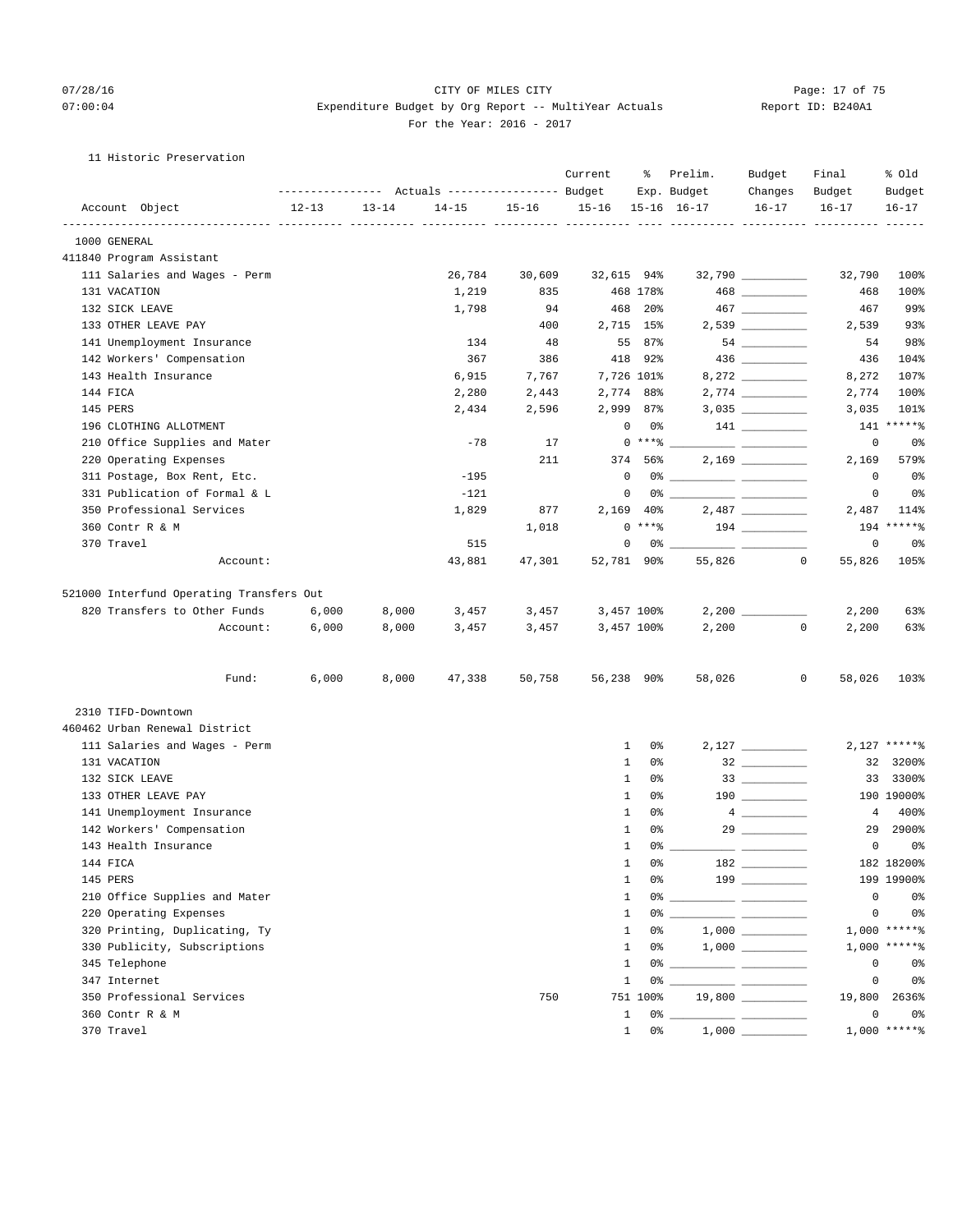## 07/28/16 Page: 17 of 75 07:00:04 Expenditure Budget by Org Report -- MultiYear Actuals Report ID: B240A1 For the Year: 2016 - 2017

## 11 Historic Preservation

|                                          |           |           | ------------- Actuals ---------------- Budget |           | Current    | ႜႜ                        | Prelim.<br>Exp. Budget | Budget<br>Changes                     | Final<br>Budget        | % old<br>Budget |
|------------------------------------------|-----------|-----------|-----------------------------------------------|-----------|------------|---------------------------|------------------------|---------------------------------------|------------------------|-----------------|
| Account Object                           | $12 - 13$ | $13 - 14$ | $14 - 15$                                     | $15 - 16$ | $15 - 16$  |                           | $15 - 16$ $16 - 17$    | $16 - 17$                             | $16 - 17$              | $16 - 17$       |
| 1000 GENERAL                             |           |           |                                               |           |            |                           |                        |                                       |                        |                 |
| 411840 Program Assistant                 |           |           |                                               |           |            |                           |                        |                                       |                        |                 |
| 111 Salaries and Wages - Perm            |           |           | 26,784                                        | 30,609    | 32,615 94% |                           |                        | $32,790$ _________                    | 32,790                 | 100%            |
| 131 VACATION                             |           |           | 1,219                                         | 835       |            | 468 178%                  |                        |                                       | 468                    | 100%            |
| 132 SICK LEAVE                           |           |           | 1,798                                         | 94        |            | 468 20%                   |                        |                                       | 467                    | 99%             |
| 133 OTHER LEAVE PAY                      |           |           |                                               | 400       |            | 2,715 15%                 |                        | $2,539$ _________                     | 2,539                  | 93%             |
| 141 Unemployment Insurance               |           |           | 134                                           | 48        |            | 55 87%                    |                        | $54 \ \ \underline{\hspace{1.5cm}}$   | 54                     | 98%             |
| 142 Workers' Compensation                |           |           | 367                                           | 386       |            | 418 92%                   |                        |                                       | 436                    | 104%            |
| 143 Health Insurance                     |           |           | 6,915                                         | 7,767     |            | 7,726 101%                |                        |                                       | 8,272                  | 107%            |
| 144 FICA                                 |           |           | 2,280                                         | 2,443     |            | 2,774 88%                 |                        |                                       | 2,774                  | 100%            |
| 145 PERS                                 |           |           | 2,434                                         | 2,596     |            | 2,999 87%                 |                        |                                       | 3,035                  | 101%            |
| 196 CLOTHING ALLOTMENT                   |           |           |                                               |           |            | 0<br>0%                   |                        | $\begin{array}{c} 141 \end{array}$    | 141                    | $*****$         |
| 210 Office Supplies and Mater            |           |           | $-78$                                         | 17        |            | $0***$ $*$                |                        |                                       | $\mathbf 0$            | 0%              |
| 220 Operating Expenses                   |           |           |                                               | 211       |            | 374 56%                   |                        |                                       | 2,169                  | 579%            |
| 311 Postage, Box Rent, Etc.              |           |           | $-195$                                        |           | 0          |                           |                        |                                       | 0                      | 0%              |
| 331 Publication of Formal & L            |           |           | $-121$                                        |           | 0          |                           |                        |                                       | $\mathbf 0$            | 0%              |
| 350 Professional Services                |           |           | 1,829                                         | 877       |            | 2,169 40%                 |                        |                                       | 2,487                  | 114%            |
| 360 Contr R & M                          |           |           |                                               | 1,018     |            | $0***8$                   |                        |                                       | 194                    | $*****$         |
| 370 Travel                               |           |           | 515                                           |           |            | 0<br>0% __                |                        |                                       | $\mathbf 0$            | 0%              |
| Account:                                 |           |           | 43,881                                        | 47,301    | 52,781 90% |                           | 55,826                 |                                       | 55,826<br>$\mathbf{0}$ | 105%            |
|                                          |           |           |                                               |           |            |                           |                        |                                       |                        |                 |
| 521000 Interfund Operating Transfers Out |           |           |                                               |           |            |                           |                        |                                       |                        |                 |
| 820 Transfers to Other Funds             | 6,000     | 8,000     | 3,457                                         | 3,457     |            | 3,457 100%                |                        |                                       | 2,200                  | 63%             |
| Account:                                 | 6,000     | 8,000     | 3,457                                         | 3,457     |            | 3,457 100%                | 2,200                  |                                       | $\mathbf{0}$<br>2,200  | 63%             |
| Fund:                                    | 6,000     | 8,000     | 47,338                                        | 50,758    | 56,238 90% |                           | 58,026                 |                                       | 0<br>58,026            | 103%            |
| 2310 TIFD-Downtown                       |           |           |                                               |           |            |                           |                        |                                       |                        |                 |
| 460462 Urban Renewal District            |           |           |                                               |           |            |                           |                        |                                       |                        |                 |
| 111 Salaries and Wages - Perm            |           |           |                                               |           |            | $\mathbf{1}$<br>0%        |                        | $2,127$ __________                    |                        | $2,127$ *****%  |
| 131 VACATION                             |           |           |                                               |           |            | $\mathbf{1}$<br>0%        |                        | $\begin{tabular}{c} 32 \end{tabular}$ |                        | 32 3200%        |
| 132 SICK LEAVE                           |           |           |                                               |           |            | $\mathbf{1}$<br>0%        |                        |                                       |                        | 33 3300%        |
| 133 OTHER LEAVE PAY                      |           |           |                                               |           |            | $\mathbf{1}$<br>0%        |                        |                                       |                        | 190 19000%      |
| 141 Unemployment Insurance               |           |           |                                               |           |            | $\mathbf{1}$<br>0%        |                        | $4 \quad \qquad$                      | 4                      | 400%            |
| 142 Workers' Compensation                |           |           |                                               |           |            | $\mathbf{1}$<br>0%        |                        | $29 \overline{\qquad \qquad }$        | 29                     | 2900%           |
| 143 Health Insurance                     |           |           |                                               |           |            | $\mathbf{1}$<br>$0\%$ $-$ |                        |                                       | 0                      | 0%              |
| 144 FICA                                 |           |           |                                               |           |            | $\mathbf{1}$<br>0 %       |                        |                                       |                        | 182 18200%      |
| 145 PERS                                 |           |           |                                               |           |            | $\mathbf{1}$<br>0%        |                        |                                       |                        | 199 19900%      |
| 210 Office Supplies and Mater            |           |           |                                               |           |            | $\mathbf{1}$              |                        |                                       | 0                      | 0 <sup>°</sup>  |
| 220 Operating Expenses                   |           |           |                                               |           |            | $\mathbf{1}$              |                        |                                       | 0                      | 0 <sup>°</sup>  |
| 320 Printing, Duplicating, Ty            |           |           |                                               |           |            | $\mathbf{1}$<br>0%        |                        |                                       |                        | $1,000$ *****%  |
| 330 Publicity, Subscriptions             |           |           |                                               |           |            | $\mathbf{1}$<br>0 %       |                        |                                       |                        | $1,000$ *****%  |
| 345 Telephone                            |           |           |                                               |           |            | $\mathbf{1}$              |                        |                                       | 0                      | 0 <sup>°</sup>  |
| 347 Internet                             |           |           |                                               |           |            | 1                         |                        |                                       | 0                      | 0%              |
| 350 Professional Services                |           |           |                                               | 750       |            | 751 100%                  |                        | 19,800 ________                       | 19,800                 | 2636%           |
| 360 Contr R & M                          |           |           |                                               |           |            | 1                         |                        |                                       | 0                      | 0 <sup>°</sup>  |
| 370 Travel                               |           |           |                                               |           |            | $1 \t 0$ %                |                        |                                       |                        | $1,000$ *****%  |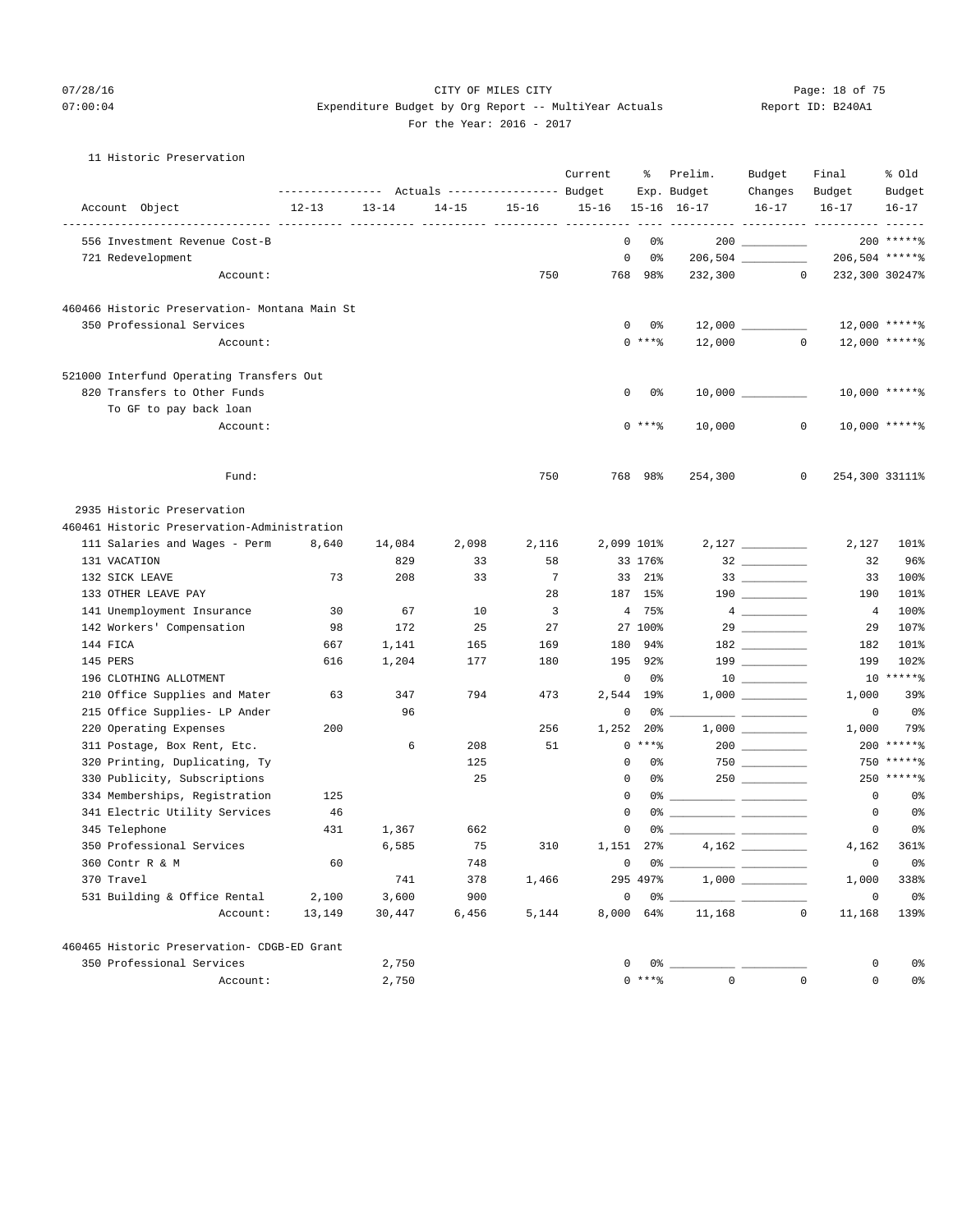## 07/28/16 Page: 18 of 75 07:00:04 Expenditure Budget by Org Report -- MultiYear Actuals Report ID: B240A1 For the Year: 2016 - 2017

## 11 Historic Preservation

|                                               | --------------- Actuals ---------------- Budget |           |           | Current         | ႜ                             | Prelim.<br>Exp. Budget | Budget<br>Changes               | Final<br>Budget   | % 01d<br>Budget                      |                |
|-----------------------------------------------|-------------------------------------------------|-----------|-----------|-----------------|-------------------------------|------------------------|---------------------------------|-------------------|--------------------------------------|----------------|
| Account Object                                | $12 - 13$                                       | $13 - 14$ | $14 - 15$ | $15 - 16$       | $15 - 16$                     |                        | $15 - 16$ $16 - 17$             | $16 - 17$         | $16 - 17$                            | $16 - 17$      |
| 556 Investment Revenue Cost-B                 |                                                 |           |           |                 | ---- ----------<br>$^{\circ}$ | $- - - - -$<br>0%      |                                 |                   | ------- ---------- ---------- ------ | $200$ ******   |
| 721 Redevelopment                             |                                                 |           |           |                 | 0                             | 0%                     |                                 |                   | 206,504 ******                       |                |
| Account:                                      |                                                 |           |           | 750             | 768                           | 98%                    | 232,300                         | $\circ$           | 232,300 30247%                       |                |
| 460466 Historic Preservation- Montana Main St |                                                 |           |           |                 |                               |                        |                                 |                   |                                      |                |
| 350 Professional Services                     |                                                 |           |           |                 |                               | 0<br>0 %               |                                 | $12,000$ ________ |                                      | 12,000 ******  |
| Account:                                      |                                                 |           |           |                 |                               | $0$ *** $%$            | 12,000                          | $\sim$ 0          |                                      | 12,000 ******  |
| 521000 Interfund Operating Transfers Out      |                                                 |           |           |                 |                               |                        |                                 |                   |                                      |                |
| 820 Transfers to Other Funds                  |                                                 |           |           |                 |                               | 0<br>0%                |                                 |                   |                                      | 10,000 ******  |
| To GF to pay back loan                        |                                                 |           |           |                 |                               |                        |                                 |                   |                                      |                |
| Account:                                      |                                                 |           |           |                 |                               | $0$ *** $%$            | 10,000                          | 0                 |                                      | 10,000 ******  |
| Fund:                                         |                                                 |           |           | 750             |                               | 768 98%                | 254,300                         | 0                 |                                      | 254,300 33111% |
| 2935 Historic Preservation                    |                                                 |           |           |                 |                               |                        |                                 |                   |                                      |                |
| 460461 Historic Preservation-Administration   |                                                 |           |           |                 |                               |                        |                                 |                   |                                      |                |
| 111 Salaries and Wages - Perm                 | 8,640                                           | 14,084    | 2,098     | 2,116           |                               | 2,099 101%             |                                 |                   | 2,127                                | 101%           |
| 131 VACATION                                  |                                                 | 829       | 33        | 58              |                               | 33 176%                |                                 |                   | 32                                   | 96%            |
| 132 SICK LEAVE                                | 73                                              | 208       | 33        | $7\phantom{.0}$ |                               | 33 21%                 |                                 |                   | 33                                   | 100%           |
| 133 OTHER LEAVE PAY                           |                                                 |           |           | 28              |                               | 187 15%                |                                 |                   | 190                                  | 101%           |
| 141 Unemployment Insurance                    | 30                                              | 67        | 10        | 3               |                               | 4 75%                  |                                 |                   | 4                                    | 100%           |
| 142 Workers' Compensation                     | 98                                              | 172       | 25        | 27              |                               | 27 100%                |                                 |                   | 29                                   | 107%           |
| 144 FICA                                      | 667                                             | 1,141     | 165       | 169             | 180                           | 94%                    |                                 |                   | 182                                  | 101%           |
| 145 PERS                                      | 616                                             | 1,204     | 177       | 180             | 195                           | $92\%$                 |                                 |                   | 199                                  | 102%           |
| 196 CLOTHING ALLOTMENT                        |                                                 |           |           |                 | 0                             | 0%                     |                                 |                   |                                      | $10*****$      |
| 210 Office Supplies and Mater                 | 63                                              | 347       | 794       | 473             |                               | 2,544 19%              |                                 |                   | 1,000                                | 39%            |
| 215 Office Supplies- LP Ander                 |                                                 | 96        |           |                 | $\mathbf 0$                   | 0%                     |                                 |                   | $\mathbf 0$                          | 0 <sup>°</sup> |
| 220 Operating Expenses                        | 200                                             |           |           | 256             | 1,252                         | 20%                    |                                 |                   | 1,000                                | 79%            |
| 311 Postage, Box Rent, Etc.                   |                                                 | 6         | 208       | 51              |                               | $0***8$                |                                 |                   |                                      | $200$ ******   |
| 320 Printing, Duplicating, Ty                 |                                                 |           | 125       |                 | 0                             | 0%                     |                                 | $750$             |                                      | 750 ******     |
| 330 Publicity, Subscriptions                  |                                                 |           | 25        |                 |                               | 0<br>0%                |                                 |                   |                                      | $250$ ******   |
| 334 Memberships, Registration                 | 125                                             |           |           |                 | $\mathbf 0$                   | 0%                     | <u> Alexandria (Alexandria)</u> |                   | 0                                    | 0 <sup>°</sup> |
| 341 Electric Utility Services                 | 46                                              |           |           |                 | 0                             | 0%                     |                                 |                   | 0                                    | 0%             |
| 345 Telephone                                 | 431                                             | 1,367     | 662       |                 | 0                             | 0%                     |                                 |                   | 0                                    | 0%             |
| 350 Professional Services                     |                                                 | 6,585     | 75        | 310             |                               | 1,151 27%              |                                 |                   | 4,162                                | 361%           |
| 360 Contr R & M                               | 60                                              |           | 748       |                 |                               | $0\qquad 0$ %          |                                 |                   |                                      | $0\,$ s        |
| 370 Travel                                    |                                                 | 741       | 378       | 1,466           |                               | 295 497%               |                                 |                   | 1,000                                | 338%           |
| 531 Building & Office Rental                  | 2,100                                           | 3,600     | 900       |                 |                               | 0<br>0% __             |                                 |                   | 0                                    | 0%             |
| Account:                                      | 13,149                                          | 30,447    | 6,456     | 5,144           |                               | 8,000 64%              | 11,168                          | $\mathbf 0$       | 11,168                               | 139%           |
| 460465 Historic Preservation- CDGB-ED Grant   |                                                 |           |           |                 |                               |                        |                                 |                   |                                      |                |
| 350 Professional Services                     |                                                 | 2,750     |           |                 |                               | 0<br>0% _              |                                 |                   | 0                                    | 0%             |
| Account:                                      |                                                 | 2,750     |           |                 |                               | $0***8$                | $\mathbf 0$                     | $\mathbf 0$       | $\mathsf{O}\xspace$                  | 0%             |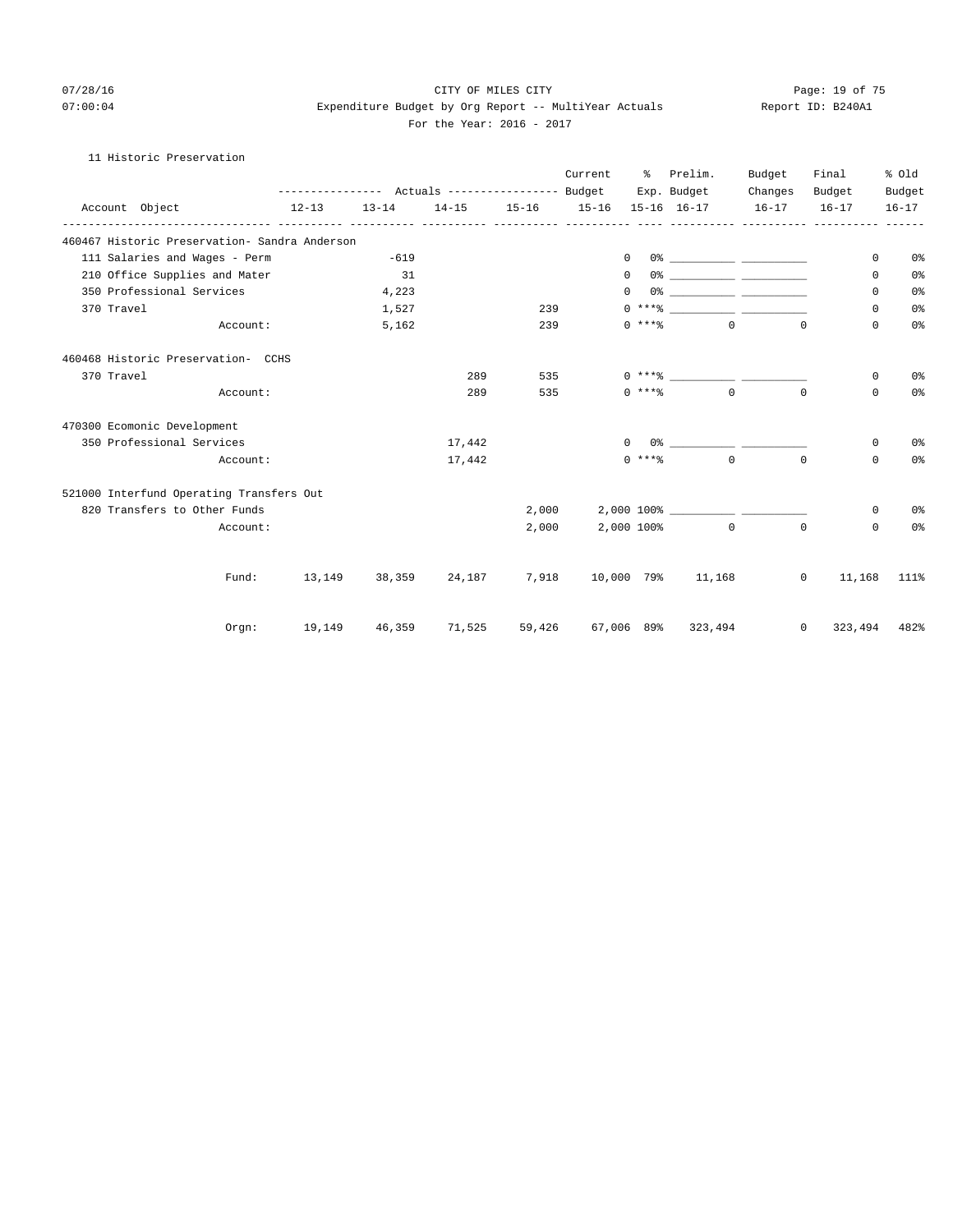## 07/28/16 Page: 19 of 75 07:00:04 Expenditure Budget by Org Report -- MultiYear Actuals Report ID: B240A1 For the Year: 2016 - 2017

## 11 Historic Preservation

|                                               |           |                 |                                                 |        | Current                                          | Prelim.<br>ႜႜၟ<br>Exp. Budget |                                  | Budget    | Final                        |              | % old<br>Budget |  |
|-----------------------------------------------|-----------|-----------------|-------------------------------------------------|--------|--------------------------------------------------|-------------------------------|----------------------------------|-----------|------------------------------|--------------|-----------------|--|
|                                               |           |                 | --------------- Actuals ---------------- Budget |        |                                                  |                               |                                  | Changes   | Budget                       |              |                 |  |
| Account Object                                | $12 - 13$ | $13 - 14$       | $14 - 15$                                       |        | $15 - 16$ $15 - 16$<br>_________________________ |                               | $15 - 16$ $16 - 17$              | $16 - 17$ | $16 - 17$                    |              | $16 - 17$       |  |
| 460467 Historic Preservation- Sandra Anderson |           |                 |                                                 |        |                                                  |                               |                                  |           |                              |              |                 |  |
| 111 Salaries and Wages - Perm                 |           | $-619$          |                                                 |        | 0                                                |                               |                                  |           |                              | $\mathbf 0$  | 0%              |  |
| 210 Office Supplies and Mater                 |           | 31              |                                                 |        | $\Omega$                                         |                               |                                  |           |                              | $\Omega$     | 0 <sup>o</sup>  |  |
| 350 Professional Services                     |           | 4,223           |                                                 |        | $\Omega$                                         |                               |                                  |           |                              | 0            | 0 <sup>°</sup>  |  |
| 370 Travel                                    |           | 1,527           |                                                 | 239    |                                                  |                               |                                  |           |                              | $\mathbf 0$  | 0 <sup>o</sup>  |  |
| Account:                                      |           | 5,162           |                                                 | 239    |                                                  | $0$ ****                      | $\Omega$                         |           | $\Omega$                     | 0            | 0 <sup>o</sup>  |  |
| 460468 Historic Preservation- CCHS            |           |                 |                                                 |        |                                                  |                               |                                  |           |                              |              |                 |  |
| 370 Travel                                    |           |                 | 289                                             | 535    |                                                  |                               | $0***$                           |           |                              | 0            | 0 <sup>°</sup>  |  |
| Account:                                      |           |                 | 289                                             | 535    |                                                  |                               | $0 \rightarrow + +8$ 0           |           | $\Omega$                     | 0            | 0 <sup>o</sup>  |  |
| 470300 Ecomonic Development                   |           |                 |                                                 |        |                                                  |                               |                                  |           |                              |              |                 |  |
| 350 Professional Services                     |           |                 | 17,442                                          |        |                                                  | $\Omega$                      |                                  |           |                              | 0            | 0 <sup>o</sup>  |  |
| Account:                                      |           |                 | 17,442                                          |        |                                                  | $0$ ****                      | $\Omega$                         |           | $\Omega$                     | $\Omega$     | 0%              |  |
| 521000 Interfund Operating Transfers Out      |           |                 |                                                 |        |                                                  |                               |                                  |           |                              |              |                 |  |
| 820 Transfers to Other Funds                  |           |                 |                                                 | 2,000  |                                                  |                               | $2,000$ 100% ___________________ |           |                              | $\mathbf{0}$ | 0%              |  |
| Account:                                      |           |                 |                                                 | 2,000  |                                                  | 2,000 100%                    | $\Omega$                         |           | $\Omega$                     | $\Omega$     | 0%              |  |
|                                               |           |                 |                                                 |        |                                                  |                               |                                  |           |                              |              |                 |  |
| Fund:                                         |           | 13, 149 38, 359 | 24,187                                          | 7,918  |                                                  |                               | 10,000 79% 11,168                |           | 11,168<br>$\mathbf{0}$       |              | 111%            |  |
| Orgn:                                         |           | 19,149 46,359   | 71,525                                          | 59,426 |                                                  |                               | 67,006 89% 323,494               |           | 323,494<br>$0 \qquad \qquad$ |              | 482%            |  |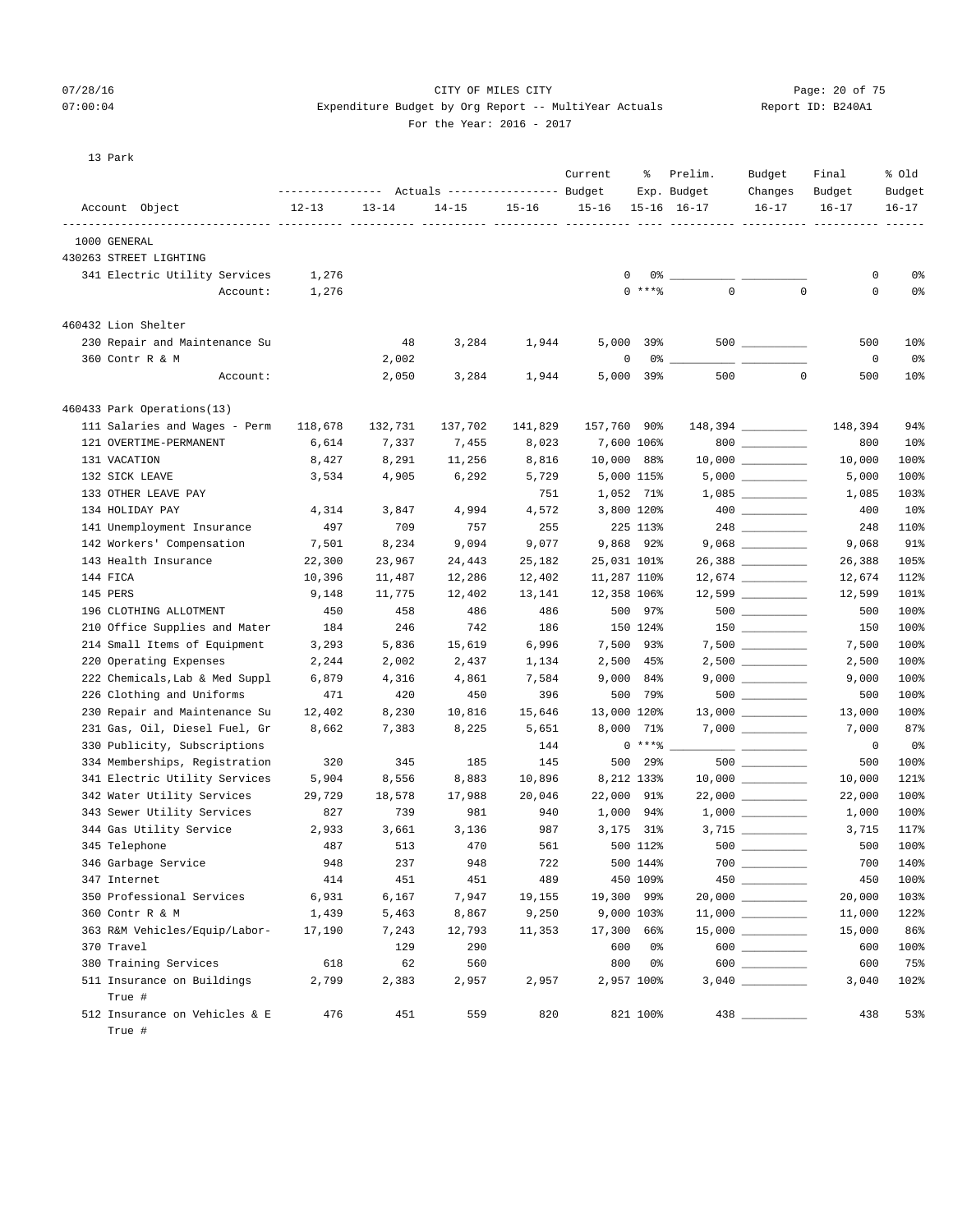## 07/28/16 CITY OF MILES CITY Page: 20 of 75 07:00:04 Expenditure Budget by Org Report -- MultiYear Actuals Report ID: B240A1

For the Year: 2016 - 2017

|  |  | <br><b>.</b><br>- |  |
|--|--|-------------------|--|
|  |  |                   |  |
|  |  |                   |  |
|  |  |                   |  |
|  |  |                   |  |

13 Park

|                                |           |           | Actuals ----------------- Budget |           | Current        | ႜ              | Prelim.<br>Exp. Budget | Budget<br>Changes   | Final<br>Budget | % Old<br>Budget |
|--------------------------------|-----------|-----------|----------------------------------|-----------|----------------|----------------|------------------------|---------------------|-----------------|-----------------|
| Account Object                 | $12 - 13$ | $13 - 14$ | $14 - 15$                        | $15 - 16$ | $15 - 16$      |                | $15 - 16$ $16 - 17$    | $16 - 17$           | $16 - 17$       | $16 - 17$       |
| -----------<br>1000 GENERAL    |           |           |                                  |           |                |                | ----------- ---------- |                     |                 |                 |
| 430263 STREET LIGHTING         |           |           |                                  |           |                |                |                        |                     |                 |                 |
| 341 Electric Utility Services  | 1,276     |           |                                  |           | 0              | $0\degree$ $-$ |                        |                     | 0               | 0%              |
| Account:                       | 1,276     |           |                                  |           |                | $0$ *** $8$    | $\mathbf 0$            | $\mathbf 0$         | 0               | 0%              |
|                                |           |           |                                  |           |                |                |                        |                     |                 |                 |
| 460432 Lion Shelter            |           |           |                                  |           |                |                |                        |                     |                 |                 |
| 230 Repair and Maintenance Su  |           | 48        | 3,284                            | 1,944     | 5,000          | 39%            |                        |                     | 500             | 10%             |
| 360 Contr R & M                |           | 2,002     |                                  |           | 0              | $0\degree$ $-$ |                        |                     | 0               | 0%              |
| Account:                       |           | 2,050     | 3,284                            | 1,944     | 5,000          | 39%            | 500                    | $\circ$             | 500             | 10%             |
| 460433 Park Operations(13)     |           |           |                                  |           |                |                |                        |                     |                 |                 |
| 111 Salaries and Wages - Perm  | 118,678   | 132,731   | 137,702                          | 141,829   | 157,760 90%    |                |                        | 148,394 _________   | 148,394         | 94%             |
| 121 OVERTIME-PERMANENT         | 6,614     | 7,337     | 7,455                            | 8,023     | 7,600 106%     |                |                        | 800                 | 800             | 10 <sub>8</sub> |
| 131 VACATION                   | 8,427     | 8,291     | 11,256                           | 8,816     | 10,000 88%     |                |                        | $10,000$ __________ | 10,000          | 100%            |
| 132 SICK LEAVE                 | 3,534     | 4,905     | 6,292                            | 5,729     | 5,000 115%     |                |                        |                     | 5,000           | 100%            |
| 133 OTHER LEAVE PAY            |           |           |                                  | 751       | 1,052 71%      |                |                        | $1,085$ __________  | 1,085           | 103%            |
| 134 HOLIDAY PAY                | 4,314     | 3,847     | 4,994                            | 4,572     | 3,800 120%     |                |                        |                     | 400             | 10%             |
| 141 Unemployment Insurance     | 497       | 709       | 757                              | 255       |                | 225 113%       |                        |                     | 248             | 110%            |
| 142 Workers' Compensation      | 7,501     | 8,234     | 9,094                            | 9,077     | 9,868 92%      |                |                        |                     | 9,068           | 91%             |
| 143 Health Insurance           | 22,300    | 23,967    | 24,443                           | 25,182    | 25,031 101%    |                |                        | 26,388 __________   | 26,388          | 105%            |
| 144 FICA                       | 10,396    | 11,487    | 12,286                           | 12,402    | 11,287 110%    |                |                        |                     | 12,674          | 112%            |
| 145 PERS                       | 9,148     | 11,775    | 12,402                           | 13,141    | 12,358 106%    |                |                        |                     | 12,599          | 101%            |
| 196 CLOTHING ALLOTMENT         | 450       | 458       | 486                              | 486       |                | 500 97%        |                        |                     | 500             | 100%            |
| 210 Office Supplies and Mater  | 184       | 246       | 742                              | 186       |                | 150 124%       |                        | $150$ _________     | 150             | 100%            |
| 214 Small Items of Equipment   | 3,293     | 5,836     | 15,619                           | 6,996     | 7,500 93%      |                |                        |                     | 7,500           | 100%            |
| 220 Operating Expenses         | 2,244     | 2,002     | 2,437                            | 1,134     | 2,500 45%      |                |                        | $2,500$ __________  | 2,500           | 100%            |
| 222 Chemicals, Lab & Med Suppl | 6,879     | 4,316     | 4,861                            | 7,584     | $9,000$ $84\%$ |                |                        |                     | 9,000           | 100%            |
| 226 Clothing and Uniforms      | 471       | 420       | 450                              | 396       |                | 500 79%        |                        |                     | 500             | 100%            |
| 230 Repair and Maintenance Su  | 12,402    | 8,230     | 10,816                           | 15,646    | 13,000 120%    |                |                        | $13,000$ __________ | 13,000          | 100%            |
| 231 Gas, Oil, Diesel Fuel, Gr  | 8,662     | 7,383     | 8,225                            | 5,651     | 8,000          | 71%            |                        |                     | 7,000           | 87%             |
| 330 Publicity, Subscriptions   |           |           |                                  | 144       |                | $0***$ $*$     |                        |                     | 0               | 0%              |
| 334 Memberships, Registration  | 320       | 345       | 185                              | 145       | 500            | 29%            |                        |                     | 500             | 100%            |
| 341 Electric Utility Services  | 5,904     | 8,556     | 8,883                            | 10,896    | 8,212 133%     |                |                        |                     | 10,000          | 121%            |
| 342 Water Utility Services     | 29,729    | 18,578    | 17,988                           | 20,046    | 22,000 91%     |                |                        | 22,000 _________    | 22,000          | 100%            |
| 343 Sewer Utility Services     | 827       | 739       | 981                              | 940       | 1,000 94%      |                |                        |                     | 1,000           | 100%            |
| 344 Gas Utility Service        | 2,933     | 3,661     | 3,136                            | 987       | 3,175 31%      |                |                        | $3,715$ __________  | 3,715           | 117%            |
| 345 Telephone                  | 487       | 513       | 470                              | 561       |                | 500 112%       |                        |                     | 500             | 100%            |
| 346 Garbage Service            | 948       | 237       | 948                              | 722       |                | 500 144%       |                        | 700 700             | 700             | 140%            |
| 347 Internet                   | 414       | 451       | 451                              | 489       |                | 450 109%       |                        |                     | 450             | 100%            |
| 350 Professional Services      | 6,931     | 6,167     | 7,947                            | 19,155    | 19,300 99%     |                |                        |                     | 20,000          | 103%            |
| 360 Contr R & M                | 1,439     | 5,463     | 8,867                            | 9,250     | 9,000 103%     |                |                        |                     | 11,000          | 122%            |
| 363 R&M Vehicles/Equip/Labor-  | 17,190    | 7,243     | 12,793                           | 11,353    | 17,300 66%     |                |                        |                     | 15,000          | 86%             |
| 370 Travel                     |           | 129       | 290                              |           | 600            | 0%             |                        | 600                 | 600             | 100%            |
| 380 Training Services          | 618       | 62        | 560                              |           | 800            | 0%             |                        | 600                 | 600             | 75%             |
| 511 Insurance on Buildings     | 2,799     | 2,383     | 2,957                            | 2,957     | 2,957 100%     |                |                        |                     | 3,040           | 102%            |
| True #                         |           |           |                                  |           |                |                |                        |                     |                 |                 |
| 512 Insurance on Vehicles & E  | 476       | 451       | 559                              | 820       |                | 821 100%       |                        |                     | 438             | 53%             |

True #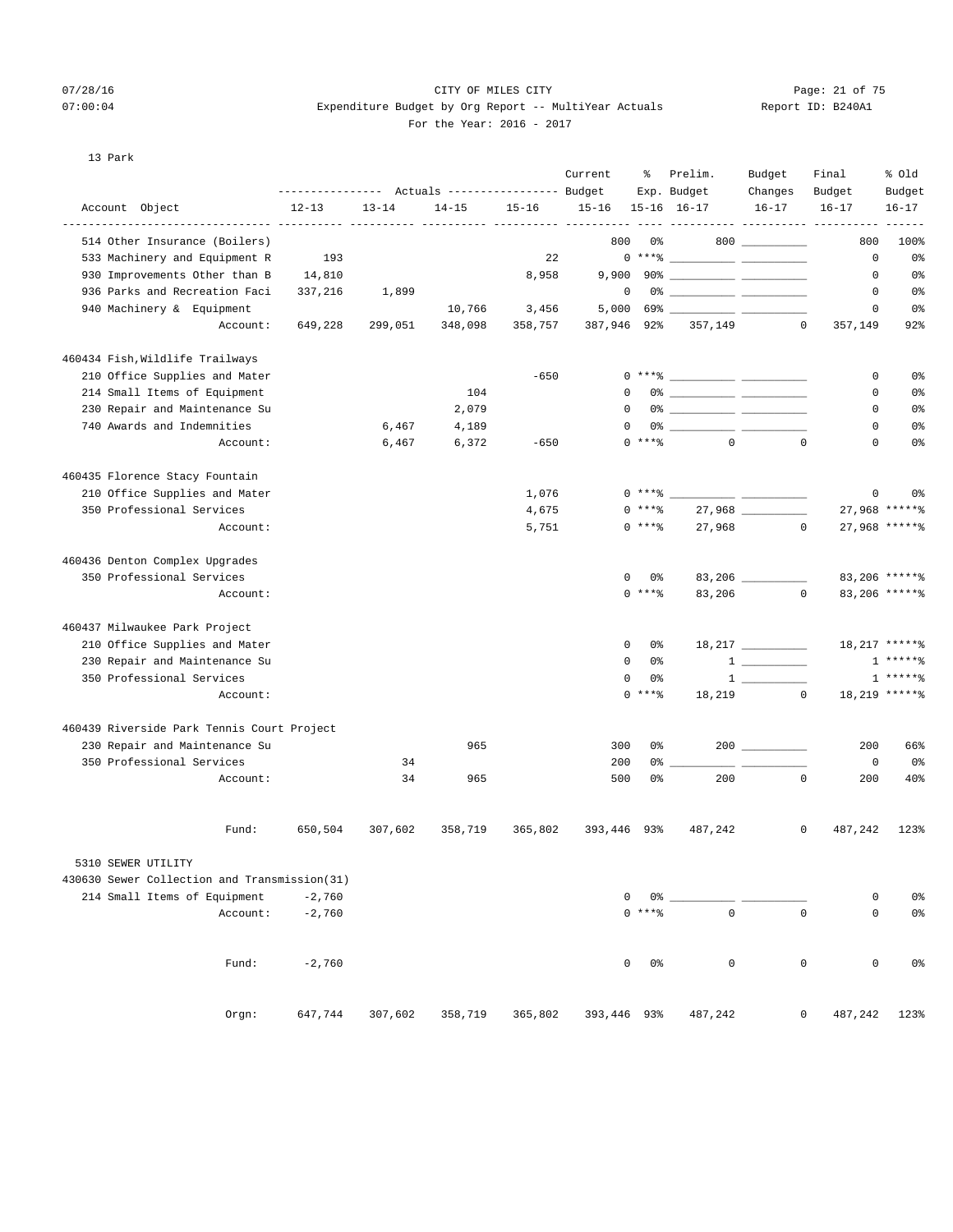## 07/28/16 Page: 21 of 75  $07:00:04$  Expenditure Budget by Org Report -- MultiYear Actuals For the Year: 2016 - 2017

| Report ID: B240A1 |  |  |
|-------------------|--|--|
|-------------------|--|--|

13 Park

|                                                      | ---------------- |           | Actuals ----------------- Budget |           | Current           | ႜ              | Prelim.<br>Exp. Budget                                                                                                                                                                                                                                                                                                   | Budget<br>Changes          | Final<br>Budget | % Old<br>Budget |
|------------------------------------------------------|------------------|-----------|----------------------------------|-----------|-------------------|----------------|--------------------------------------------------------------------------------------------------------------------------------------------------------------------------------------------------------------------------------------------------------------------------------------------------------------------------|----------------------------|-----------------|-----------------|
| Account Object<br>__________________________________ | $12 - 13$        | $13 - 14$ | $14 - 15$                        | $15 - 16$ | $15 - 16$         |                | $15 - 16$ $16 - 17$                                                                                                                                                                                                                                                                                                      | $16 - 17$                  | $16 - 17$       | $16 - 17$       |
| 514 Other Insurance (Boilers)                        |                  | ------    |                                  |           | ----- ----<br>800 | 0%             |                                                                                                                                                                                                                                                                                                                          | ----------- ----<br>$800$  | 800             | 100%            |
| 533 Machinery and Equipment R                        | 193              |           |                                  | 22        |                   |                | $0***$ $\frac{1}{2}$ $\frac{1}{2}$ $\frac{1}{2}$ $\frac{1}{2}$ $\frac{1}{2}$ $\frac{1}{2}$ $\frac{1}{2}$ $\frac{1}{2}$ $\frac{1}{2}$ $\frac{1}{2}$ $\frac{1}{2}$ $\frac{1}{2}$ $\frac{1}{2}$ $\frac{1}{2}$ $\frac{1}{2}$ $\frac{1}{2}$ $\frac{1}{2}$ $\frac{1}{2}$ $\frac{1}{2}$ $\frac{1}{2}$ $\frac{1}{2}$ $\frac{1}{$ |                            | 0               | 0%              |
| 930 Improvements Other than B                        | 14,810           |           |                                  | 8,958     |                   |                |                                                                                                                                                                                                                                                                                                                          |                            | 0               | 0%              |
| 936 Parks and Recreation Faci                        | 337,216          | 1,899     |                                  |           | $\mathbf 0$       |                |                                                                                                                                                                                                                                                                                                                          |                            | 0               | 0%              |
| 940 Machinery & Equipment                            |                  |           | 10,766                           | 3,456     | 5,000             |                |                                                                                                                                                                                                                                                                                                                          |                            | 0               | 0%              |
| Account:                                             | 649,228          | 299,051   | 348,098                          | 358,757   | 387,946 92%       |                |                                                                                                                                                                                                                                                                                                                          | 357,149<br>$\circ$         | 357,149         | 92%             |
| 460434 Fish, Wildlife Trailways                      |                  |           |                                  |           |                   |                |                                                                                                                                                                                                                                                                                                                          |                            |                 |                 |
| 210 Office Supplies and Mater                        |                  |           |                                  | $-650$    |                   |                | $0***$ $\frac{20}{100}$                                                                                                                                                                                                                                                                                                  |                            | 0               | 0 <sup>°</sup>  |
| 214 Small Items of Equipment                         |                  |           | 104                              |           | 0                 |                |                                                                                                                                                                                                                                                                                                                          |                            | 0               | 0%              |
| 230 Repair and Maintenance Su                        |                  |           | 2,079                            |           | $\Omega$          |                |                                                                                                                                                                                                                                                                                                                          |                            | 0               | 0 <sup>°</sup>  |
| 740 Awards and Indemnities                           |                  | 6,467     | 4,189                            |           | $\Omega$          |                |                                                                                                                                                                                                                                                                                                                          |                            | 0               | 0 <sup>°</sup>  |
| Account:                                             |                  | 6,467     | 6,372                            | $-650$    |                   | $0$ ****       | $\Omega$                                                                                                                                                                                                                                                                                                                 | $\Omega$                   | 0               | 0 <sup>°</sup>  |
| 460435 Florence Stacy Fountain                       |                  |           |                                  |           |                   |                |                                                                                                                                                                                                                                                                                                                          |                            |                 |                 |
| 210 Office Supplies and Mater                        |                  |           |                                  | 1,076     |                   | 0 ****         |                                                                                                                                                                                                                                                                                                                          |                            | 0               | 0 <sup>°</sup>  |
| 350 Professional Services                            |                  |           |                                  | 4,675     |                   | 0 ****         |                                                                                                                                                                                                                                                                                                                          |                            |                 | 27,968 ******   |
| Account:                                             |                  |           |                                  | 5,751     |                   | $0***8$        | 27,968                                                                                                                                                                                                                                                                                                                   |                            | $\mathbf{0}$    | 27,968 ******   |
| 460436 Denton Complex Upgrades                       |                  |           |                                  |           |                   |                |                                                                                                                                                                                                                                                                                                                          |                            |                 |                 |
| 350 Professional Services                            |                  |           |                                  |           | 0                 | 0%             |                                                                                                                                                                                                                                                                                                                          | $83,206$ __________        |                 | 83,206 ******   |
| Account:                                             |                  |           |                                  |           |                   | $0$ ****       | 83,206                                                                                                                                                                                                                                                                                                                   |                            | $\circ$         | 83,206 ******   |
| 460437 Milwaukee Park Project                        |                  |           |                                  |           |                   |                |                                                                                                                                                                                                                                                                                                                          |                            |                 |                 |
| 210 Office Supplies and Mater                        |                  |           |                                  |           | 0                 | 0%             |                                                                                                                                                                                                                                                                                                                          |                            |                 | 18,217 ******   |
| 230 Repair and Maintenance Su                        |                  |           |                                  |           | 0                 | 0%             |                                                                                                                                                                                                                                                                                                                          | $1 \quad \overline{\quad}$ |                 | $1****$         |
| 350 Professional Services                            |                  |           |                                  |           | 0                 | 0%             |                                                                                                                                                                                                                                                                                                                          |                            | $\mathbf{1}$    | $*****$         |
| Account:                                             |                  |           |                                  |           |                   | $0$ ****       |                                                                                                                                                                                                                                                                                                                          | 18,219<br>$\circ$          |                 | 18,219 ******   |
| 460439 Riverside Park Tennis Court Project           |                  |           |                                  |           |                   |                |                                                                                                                                                                                                                                                                                                                          |                            |                 |                 |
| 230 Repair and Maintenance Su                        |                  |           | 965                              |           | 300               | 0%             |                                                                                                                                                                                                                                                                                                                          | $200$ ________             | 200             | 66%             |
| 350 Professional Services                            |                  | 34        |                                  |           | 200               | 0%             |                                                                                                                                                                                                                                                                                                                          |                            | $\mathbf 0$     | 0%              |
| Account:                                             |                  | 34        | 965                              |           | 500               | 0 <sup>°</sup> | 200                                                                                                                                                                                                                                                                                                                      | $\mathbf 0$                | 200             | 40%             |
| Fund:                                                | 650,504          | 307,602   | 358,719                          | 365,802   | 393,446 93%       |                | 487,242                                                                                                                                                                                                                                                                                                                  | 0                          | 487,242         | 123%            |
| 5310 SEWER UTILITY                                   |                  |           |                                  |           |                   |                |                                                                                                                                                                                                                                                                                                                          |                            |                 |                 |
| 430630 Sewer Collection and Transmission(31)         |                  |           |                                  |           |                   |                |                                                                                                                                                                                                                                                                                                                          |                            |                 |                 |
| 214 Small Items of Equipment                         | $-2,760$         |           |                                  |           | 0                 | 0%             |                                                                                                                                                                                                                                                                                                                          |                            | 0               | 0%              |
| Account:                                             | $-2,760$         |           |                                  |           |                   | $0***8$        | $\mathbf 0$                                                                                                                                                                                                                                                                                                              | $\mathbf 0$                | 0               | 0%              |
| Fund:                                                | $-2,760$         |           |                                  |           | 0                 | 0%             | $\mathsf 0$                                                                                                                                                                                                                                                                                                              | $\mathsf 0$                | $\mathsf 0$     | 0%              |
| Orgn:                                                | 647,744          | 307,602   | 358,719                          | 365,802   | 393,446 93%       |                | 487,242                                                                                                                                                                                                                                                                                                                  | 0                          | 487,242         | 123%            |
|                                                      |                  |           |                                  |           |                   |                |                                                                                                                                                                                                                                                                                                                          |                            |                 |                 |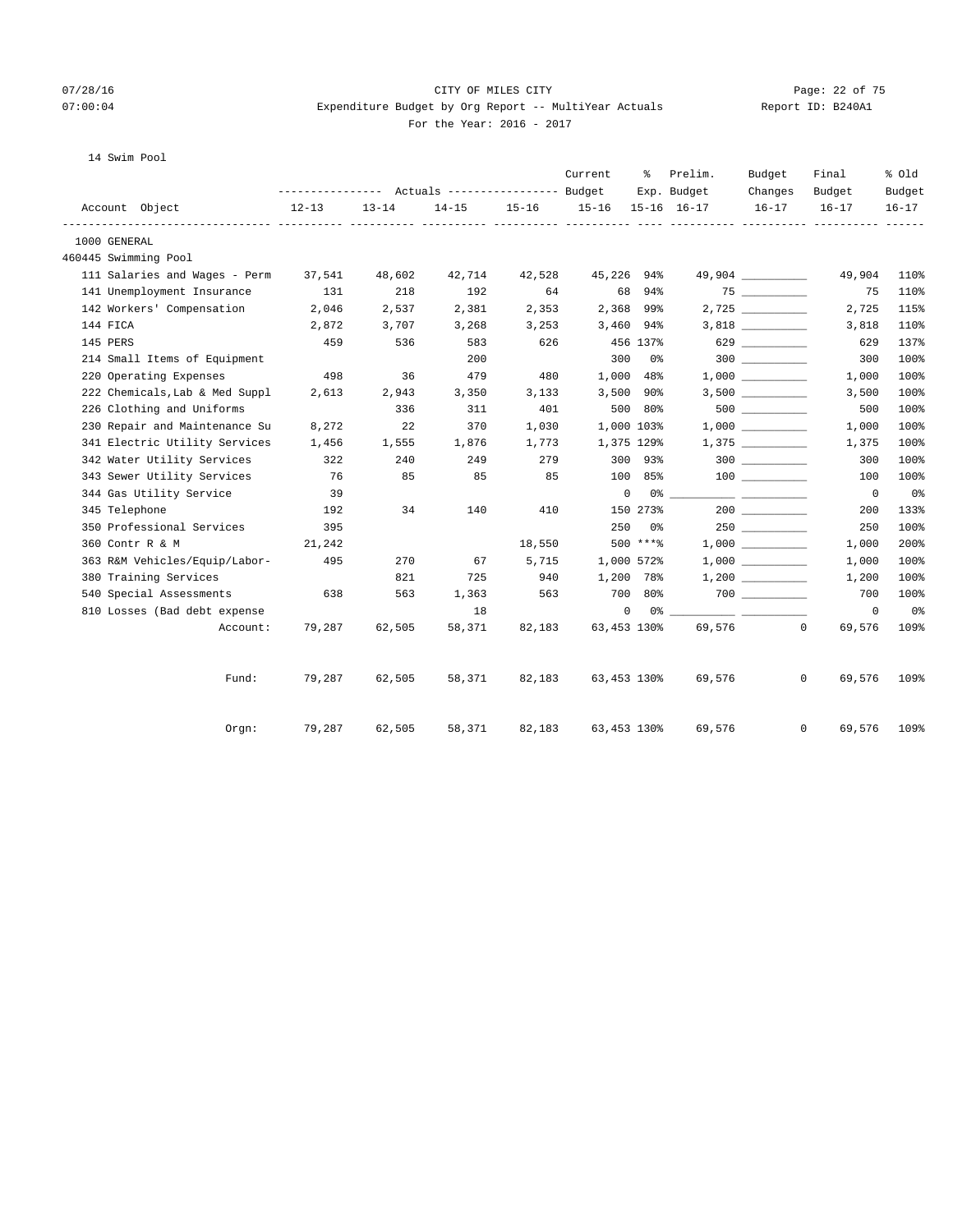## 07/28/16 Page: 22 of 75 07:00:04 Expenditure Budget by Org Report -- MultiYear Actuals Report ID: B240A1 For the Year: 2016 - 2017

## 14 Swim Pool

|               |                                |           |           | --------------- Actuals ---------------- Budget |           | Current      | ៖          | Prelim.<br>Exp. Budget | Budget<br>Changes                                                                                                                                                                                                               | Final<br>Budget          | % old<br>Budget |
|---------------|--------------------------------|-----------|-----------|-------------------------------------------------|-----------|--------------|------------|------------------------|---------------------------------------------------------------------------------------------------------------------------------------------------------------------------------------------------------------------------------|--------------------------|-----------------|
|               | Account Object                 | $12 - 13$ | $13 - 14$ | $14 - 15$                                       | $15 - 16$ | $15 - 16$    |            | 15-16 16-17            | $16 - 17$                                                                                                                                                                                                                       | $16 - 17$                | $16 - 17$       |
| 1000 GENERAL  |                                |           |           |                                                 |           |              |            |                        |                                                                                                                                                                                                                                 |                          |                 |
|               | 460445 Swimming Pool           |           |           |                                                 |           |              |            |                        |                                                                                                                                                                                                                                 |                          |                 |
|               | 111 Salaries and Wages - Perm  | 37,541    | 48,602    | 42,714                                          | 42,528    | 45,226 94%   |            |                        |                                                                                                                                                                                                                                 | 49,904                   | 110%            |
|               | 141 Unemployment Insurance     | 131       | 218       | 192                                             | 64        |              | 68 94%     |                        |                                                                                                                                                                                                                                 | 75                       | 110%            |
|               | 142 Workers' Compensation      | 2,046     | 2,537     | 2,381                                           | 2,353     |              | 2,368 99%  |                        |                                                                                                                                                                                                                                 | 2,725                    | 115%            |
| 144 FICA      |                                | 2,872     | 3,707     | 3,268                                           | 3,253     | 3,460 94%    |            |                        |                                                                                                                                                                                                                                 | 3,818                    | 110%            |
| 145 PERS      |                                | 459       | 536       | 583                                             | 626       |              | 456 137%   |                        | 629                                                                                                                                                                                                                             | 629                      | 137%            |
|               | 214 Small Items of Equipment   |           |           | 200                                             |           | 300          | 0 %        |                        | 300                                                                                                                                                                                                                             | 300                      | 100%            |
|               | 220 Operating Expenses         | 498       | 36        | 479                                             | 480       |              | 1,000 48%  |                        | 1,000                                                                                                                                                                                                                           | 1,000                    | 100%            |
|               | 222 Chemicals, Lab & Med Suppl | 2,613     | 2,943     | 3,350                                           | 3,133     |              | 3,500 90%  |                        |                                                                                                                                                                                                                                 | 3,500                    | 100%            |
|               | 226 Clothing and Uniforms      |           | 336       | 311                                             | 401       |              | 500 80%    |                        |                                                                                                                                                                                                                                 | 500                      | 100%            |
|               | 230 Repair and Maintenance Su  | 8,272     | 22        | 370                                             | 1,030     |              | 1,000 103% |                        | 1,000                                                                                                                                                                                                                           | 1,000                    | 100%            |
|               | 341 Electric Utility Services  | 1,456     | 1,555     | 1,876                                           | 1,773     |              | 1,375 129% |                        | 1,375                                                                                                                                                                                                                           | 1,375                    | 100%            |
|               | 342 Water Utility Services     | 322       | 240       | 249                                             | 279       |              | 300 93%    |                        |                                                                                                                                                                                                                                 | 300                      | 100%            |
|               | 343 Sewer Utility Services     | 76        | 85        | 85                                              | 85        |              | 100 85%    |                        |                                                                                                                                                                                                                                 | 100                      | 100%            |
|               | 344 Gas Utility Service        | 39        |           |                                                 |           | $\mathbf{0}$ |            | $0\%$                  |                                                                                                                                                                                                                                 | $\overline{\phantom{0}}$ | 0%              |
| 345 Telephone |                                | 192       | 34        | 140                                             | 410       |              | 150 273%   |                        |                                                                                                                                                                                                                                 | 200                      | 133%            |
|               | 350 Professional Services      | 395       |           |                                                 |           | 250          | 0%         |                        | 250                                                                                                                                                                                                                             | 250                      | 100%            |
|               | 360 Contr R & M                | 21,242    |           |                                                 | 18,550    |              | 500 ****   |                        | 1,000                                                                                                                                                                                                                           | 1,000                    | 200%            |
|               | 363 R&M Vehicles/Equip/Labor-  | 495       | 270       | 67                                              | 5,715     |              | 1,000 572% |                        |                                                                                                                                                                                                                                 | 1,000                    | 100%            |
|               | 380 Training Services          |           | 821       | 725                                             | 940       | 1,200 78%    |            |                        |                                                                                                                                                                                                                                 | 1,200                    | 100%            |
|               | 540 Special Assessments        | 638       | 563       | 1,363                                           | 563       |              | 700 80%    |                        | 700 — 100 — 100 — 100 — 100 — 100 — 100 — 100 — 100 — 100 — 100 — 100 — 100 — 100 — 100 — 100 — 100 — 100 — 100 — 100 — 100 — 100 — 100 — 100 — 100 — 100 — 100 — 100 — 100 — 100 — 100 — 100 — 100 — 100 — 100 — 100 — 100 — 1 | 700                      | 100%            |
|               | 810 Losses (Bad debt expense   |           |           | 18                                              |           | 0            | 0 %        |                        |                                                                                                                                                                                                                                 | $^{\circ}$               | 0%              |
|               | Account:                       | 79,287    | 62,505    | 58,371                                          | 82,183    | 63,453 130%  |            | 69,576                 |                                                                                                                                                                                                                                 | $\Omega$<br>69,576       | 109%            |
|               | Fund:                          | 79,287    | 62,505    | 58,371                                          | 82,183    | 63,453 130%  |            | 69,576                 |                                                                                                                                                                                                                                 | $\mathbf{0}$<br>69,576   | 109%            |
|               | $0$ rgn:                       | 79,287    | 62,505    | 58,371                                          | 82,183    | 63,453 130%  |            | 69,576                 |                                                                                                                                                                                                                                 | $\mathbf{0}$<br>69,576   | 109%            |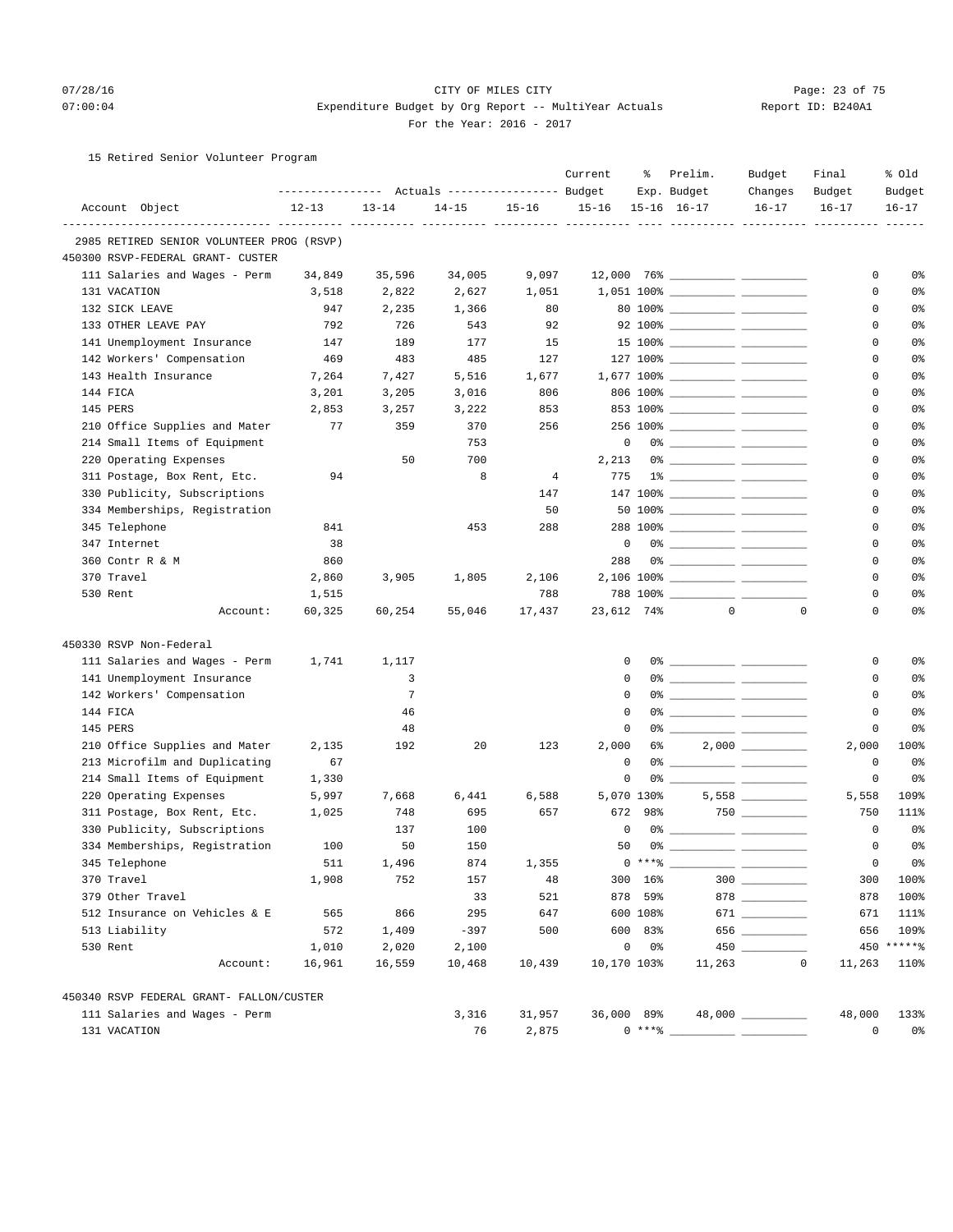#### 07/28/16 CITY OF MILES CITY Page: 23 of 75 07:00:04 Expenditure Budget by Org Report -- MultiYear Actuals Report ID: B240A1 For the Year: 2016 - 2017

## 15 Retired Senior Volunteer Program

|                                           |                                                       |           |           |                | Current     | ್ಠಿ            | Prelim.                             | Budget      | Final       | % old      |
|-------------------------------------------|-------------------------------------------------------|-----------|-----------|----------------|-------------|----------------|-------------------------------------|-------------|-------------|------------|
|                                           | ---------------    Actuals ----------------    Budget |           |           |                |             |                | Exp. Budget                         | Changes     | Budget      | Budget     |
| Account Object                            | $12 - 13$                                             | $13 - 14$ | $14 - 15$ | $15 - 16$      | $15 - 16$   |                | $15 - 16$ $16 - 17$                 | $16 - 17$   | $16 - 17$   | $16 - 17$  |
| 2985 RETIRED SENIOR VOLUNTEER PROG (RSVP) |                                                       |           |           |                |             |                |                                     |             |             |            |
| 450300 RSVP-FEDERAL GRANT- CUSTER         |                                                       |           |           |                |             |                |                                     |             |             |            |
| 111 Salaries and Wages - Perm             | 34,849                                                | 35,596    | 34,005    | 9,097          |             |                |                                     |             | 0           | 0%         |
| 131 VACATION                              | 3,518                                                 | 2,822     | 2,627     | 1,051          |             |                |                                     |             | 0           | 0%         |
| 132 SICK LEAVE                            | 947                                                   | 2,235     | 1,366     | 80             |             |                |                                     |             | $\mathbf 0$ | 0%         |
| 133 OTHER LEAVE PAY                       | 792                                                   | 726       | 543       | 92             |             |                | 92 100% _____________ ___________   |             | 0           | 0%         |
| 141 Unemployment Insurance                | 147                                                   | 189       | 177       | 15             |             |                | 15 100% ______________ ____________ |             | $\Omega$    | 0%         |
| 142 Workers' Compensation                 | 469                                                   | 483       | 485       | 127            |             |                | 127 100% _____________ ____________ |             | $\mathbf 0$ | 0%         |
| 143 Health Insurance                      | 7,264                                                 | 7,427     | 5,516     | 1,677          |             |                |                                     |             | 0           | 0%         |
| 144 FICA                                  | 3,201                                                 | 3,205     | 3,016     | 806            |             |                |                                     |             | $\mathbf 0$ | 0%         |
| 145 PERS                                  | 2,853                                                 | 3,257     | 3,222     | 853            |             |                |                                     |             | 0           | 0%         |
| 210 Office Supplies and Mater             | 77                                                    | 359       | 370       | 256            |             |                |                                     |             | $\Omega$    | 0%         |
| 214 Small Items of Equipment              |                                                       |           | 753       |                | $\mathbf 0$ |                |                                     |             | $\mathbf 0$ | 0%         |
| 220 Operating Expenses                    |                                                       | 50        | 700       |                | 2,213       |                |                                     |             | $\mathbf 0$ | 0%         |
| 311 Postage, Box Rent, Etc.               | 94                                                    |           | 8         | $\overline{4}$ | 775         |                |                                     |             | $\mathbf 0$ | 0%         |
| 330 Publicity, Subscriptions              |                                                       |           |           | 147            |             |                |                                     |             | 0           | 0%         |
| 334 Memberships, Registration             |                                                       |           |           | 50             |             |                |                                     |             | $\mathbf 0$ | 0%         |
| 345 Telephone                             | 841                                                   |           | 453       | 288            |             |                |                                     |             | $\mathbf 0$ | 0%         |
| 347 Internet                              | 38                                                    |           |           |                | $\mathbf 0$ |                |                                     |             | 0           | 0%         |
| 360 Contr R & M                           | 860                                                   |           |           |                | 288         |                |                                     |             | $\mathbf 0$ | 0%         |
| 370 Travel                                | 2,860                                                 | 3,905     | 1,805     | 2,106          |             |                |                                     |             | $\mathbf 0$ | 0%         |
| 530 Rent                                  | 1,515                                                 |           |           | 788            |             |                |                                     |             | $\Omega$    | 0%         |
| Account:                                  | 60,325                                                | 60,254    | 55,046    | 17,437         | 23,612 74%  |                | $\mathbf{0}$                        | $\mathbf 0$ | $\mathbf 0$ | 0%         |
| 450330 RSVP Non-Federal                   |                                                       |           |           |                |             |                |                                     |             |             |            |
| 111 Salaries and Wages - Perm             | 1,741                                                 | 1,117     |           |                | 0           |                |                                     |             | 0           | 0%         |
| 141 Unemployment Insurance                |                                                       | 3         |           |                | $\Omega$    |                |                                     |             | 0           | 0%         |
| 142 Workers' Compensation                 |                                                       | 7         |           |                | $\mathbf 0$ |                | 0% ____________ ______________      |             | $\mathbf 0$ | 0%         |
| 144 FICA                                  |                                                       | 46        |           |                | 0           |                |                                     |             | 0           | 0%         |
| 145 PERS                                  |                                                       | 48        |           |                | $\mathsf 0$ |                | $0$ %                               |             | $\mathbf 0$ | 0%         |
| 210 Office Supplies and Mater             | 2,135                                                 | 192       | 20        | 123            | 2,000       | 6%             |                                     |             | 2,000       | 100%       |
| 213 Microfilm and Duplicating             | 67                                                    |           |           |                | 0           |                |                                     |             | $\mathbf 0$ | 0%         |
| 214 Small Items of Equipment              | 1,330                                                 |           |           |                | 0           |                |                                     |             | $\mathbf 0$ | 0%         |
| 220 Operating Expenses                    | 5,997                                                 | 7,668     | 6,441     | 6,588          |             | 5,070 130%     |                                     |             | 5,558       | 109%       |
| 311 Postage, Box Rent, Etc.               | 1,025                                                 | 748       | 695       | 657            | 672         | 98%            |                                     |             | 750         | 111%       |
| 330 Publicity, Subscriptions              |                                                       | 137       | 100       |                | 0           |                |                                     |             | $\mathbf 0$ | 0%         |
| 334 Memberships, Registration             | 100                                                   | 50        | 150       |                | 50          |                |                                     |             | $\Omega$    | 0%         |
| 345 Telephone                             | 511                                                   | 1,496     | 874       | 1,355          |             | $0$ *** $%$    |                                     |             | $\Omega$    | 0%         |
| 370 Travel                                | 1,908                                                 | 752       | 157       | 48             |             | 300 16%        |                                     | $300$       | 300         | 100%       |
| 379 Other Travel                          |                                                       |           | 33        | 521            |             | 878 59%        |                                     | 878 78      | 878         | 100%       |
| 512 Insurance on Vehicles & E             | 565                                                   | 866       | 295       | 647            |             | 600 108%       |                                     | 671         | 671         | 111%       |
| 513 Liability                             | 572                                                   | 1,409     | $-397$    | 500            |             | 600 83%        |                                     | 656         | 656         | 109%       |
| 530 Rent                                  | 1,010                                                 | 2,020     | 2,100     |                | $\mathbb O$ | 0 <sup>8</sup> |                                     |             |             | 450 ****** |
| Account:                                  | 16,961                                                | 16,559    | 10,468    | 10,439         | 10,170 103% |                | 11,263                              | 0           | 11,263      | 110%       |
| 450340 RSVP FEDERAL GRANT- FALLON/CUSTER  |                                                       |           |           |                |             |                |                                     |             |             |            |
| 111 Salaries and Wages - Perm             |                                                       |           | 3,316     | 31,957         | 36,000 89%  |                |                                     |             | 48,000      | 133%       |
| 131 VACATION                              |                                                       |           | 76        | 2,875          |             | $0***$ $*$     |                                     |             | 0           | 0%         |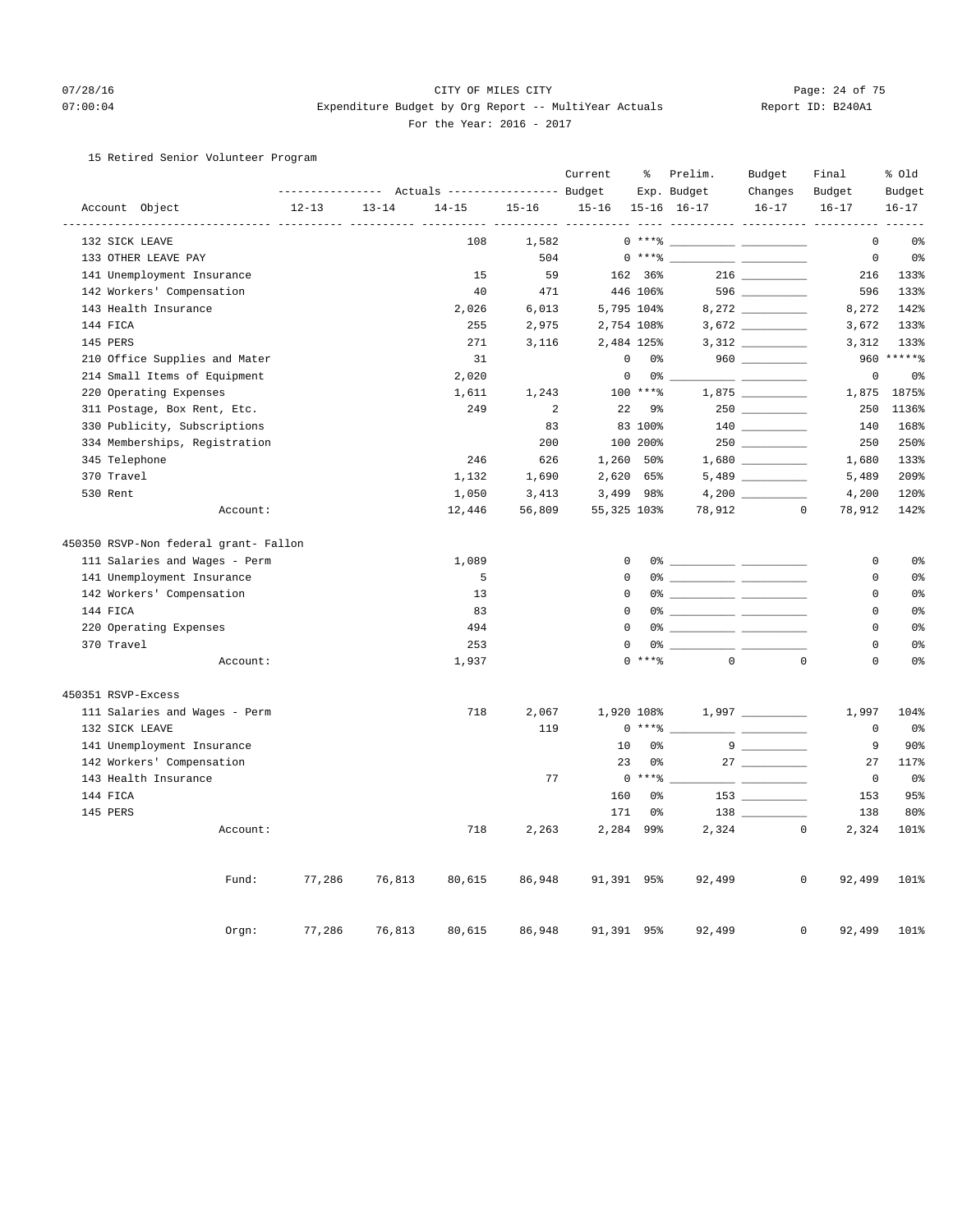## 07/28/16 Page: 24 of 75 07:00:04 Expenditure Budget by Org Report -- MultiYear Actuals Report ID: B240A1 For the Year: 2016 - 2017

## 15 Retired Senior Volunteer Program

|  |                                       |                |           |           |                                  | Current              | ್ಠಿ                             | Prelim.                       | Budget                                          | Final                                               | % old                 |                      |
|--|---------------------------------------|----------------|-----------|-----------|----------------------------------|----------------------|---------------------------------|-------------------------------|-------------------------------------------------|-----------------------------------------------------|-----------------------|----------------------|
|  |                                       |                |           |           | Actuals ----------------- Budget |                      |                                 |                               | Exp. Budget                                     | Changes                                             | Budget                | Budget               |
|  | Account Object                        | -------------- | $12 - 13$ | $13 - 14$ | $14 - 15$                        | $15 - 16$<br>$- - -$ | $15 - 16$<br>$- - - -$<br>----- |                               | $15 - 16$ $16 - 17$<br>________________________ | $16 - 17$                                           | $16 - 17$             | $16 - 17$<br>$- - -$ |
|  | 132 SICK LEAVE                        |                |           |           | 108                              | 1,582                |                                 | $0***$                        |                                                 |                                                     | $\mathbf 0$           | 0 <sup>°</sup>       |
|  | 133 OTHER LEAVE PAY                   |                |           |           |                                  | 504                  |                                 | $0***8$                       |                                                 |                                                     | $\mathsf{O}$          | 0 <sup>°</sup>       |
|  | 141 Unemployment Insurance            |                |           |           | 15                               | 59                   |                                 | 162 36%                       |                                                 |                                                     | 216                   | 133%                 |
|  | 142 Workers' Compensation             |                |           |           | 40                               | 471                  |                                 | 446 106%                      |                                                 | 596 _________                                       | 596                   | 133%                 |
|  | 143 Health Insurance                  |                |           |           | 2,026                            | 6,013                |                                 | 5,795 104%                    |                                                 |                                                     | 8,272                 | 142%                 |
|  | 144 FICA                              |                |           |           | 255                              | 2,975                |                                 | 2,754 108%                    |                                                 |                                                     | 3,672                 | 133%                 |
|  | 145 PERS                              |                |           |           | 271                              | 3,116                |                                 | 2,484 125%                    |                                                 |                                                     | 3,312                 | 133%                 |
|  | 210 Office Supplies and Mater         |                |           |           | 31                               |                      |                                 | $\mathsf 0$<br>0 <sup>°</sup> |                                                 |                                                     |                       | 960 ******           |
|  | 214 Small Items of Equipment          |                |           |           | 2,020                            |                      | $\mathbf 0$                     | 0 <sup>8</sup>                |                                                 |                                                     | $\mathsf 0$           | 0 <sup>°</sup>       |
|  | 220 Operating Expenses                |                |           |           | 1,611                            | 1,243                |                                 | 100 ****                      |                                                 |                                                     | 1,875                 | 1875%                |
|  | 311 Postage, Box Rent, Etc.           |                |           |           | 249                              | 2                    | 22                              | 9%                            |                                                 |                                                     | 250                   | 1136%                |
|  | 330 Publicity, Subscriptions          |                |           |           |                                  | 83                   |                                 | 83 100%                       |                                                 | $140$                                               | 140                   | 168%                 |
|  | 334 Memberships, Registration         |                |           |           |                                  | 200                  |                                 | 100 200%                      |                                                 |                                                     | 250                   | 250%                 |
|  | 345 Telephone                         |                |           |           | 246                              | 626                  | 1,260                           | 50%                           |                                                 |                                                     | 1,680                 | 133%                 |
|  | 370 Travel                            |                |           |           | 1,132                            | 1,690                | 2,620                           | 65%                           |                                                 |                                                     | 5,489                 | 209%                 |
|  | 530 Rent                              |                |           |           | 1,050                            | 3,413                | 3,499                           | 98%                           |                                                 |                                                     | 4,200                 | 120%                 |
|  |                                       | Account:       |           |           | 12,446                           | 56,809               | 55,325 103%                     |                               | 78,912                                          | $\mathbb O$                                         | 78,912                | 142%                 |
|  | 450350 RSVP-Non federal grant- Fallon |                |           |           |                                  |                      |                                 |                               |                                                 |                                                     |                       |                      |
|  | 111 Salaries and Wages - Perm         |                |           |           | 1,089                            |                      | $\mathbf 0$                     |                               |                                                 |                                                     | $\circ$               | 0 <sup>°</sup>       |
|  | 141 Unemployment Insurance            |                |           |           | 5                                |                      | $\mathbf 0$                     |                               |                                                 |                                                     | $\mathbf 0$           | 0 <sup>8</sup>       |
|  | 142 Workers' Compensation             |                |           |           | 13                               |                      | $\mathbf 0$                     |                               |                                                 |                                                     | $\mathbf 0$           | 0%                   |
|  | 144 FICA                              |                |           |           | 83                               |                      | $\Omega$                        |                               |                                                 |                                                     | $\Omega$              | 0 <sup>°</sup>       |
|  | 220 Operating Expenses                |                |           |           | 494                              |                      | $\mathbf 0$                     | 0%                            |                                                 |                                                     | 0                     | 0%                   |
|  | 370 Travel                            |                |           |           | 253                              |                      | 0                               | 0 %                           |                                                 | __ __                                               | $\mathbf 0$           | 0%                   |
|  |                                       | Account:       |           |           | 1,937                            |                      |                                 | $\Omega$<br>$***$ $%$         | $\mathbf{0}$                                    | $\mathbf 0$                                         | $\mathbf 0$           | 0 <sup>°</sup>       |
|  | 450351 RSVP-Excess                    |                |           |           |                                  |                      |                                 |                               |                                                 |                                                     |                       |                      |
|  | 111 Salaries and Wages - Perm         |                |           |           | 718                              | 2,067                |                                 | 1,920 108%                    |                                                 |                                                     | 1,997                 | 104%                 |
|  | 132 SICK LEAVE                        |                |           |           |                                  | 119                  |                                 | $0***8$                       |                                                 |                                                     | $\circ$               | 0 <sup>°</sup>       |
|  | 141 Unemployment Insurance            |                |           |           |                                  |                      | 10                              | 0 <sup>°</sup>                |                                                 |                                                     | 9                     | 90%                  |
|  | 142 Workers' Compensation             |                |           |           |                                  |                      | 23                              | 0 <sup>8</sup>                |                                                 |                                                     | 27                    | 117%                 |
|  | 143 Health Insurance                  |                |           |           |                                  | 77                   |                                 | $0$ *** $8$                   |                                                 | <u> Listo de la contenentación de la contenenta</u> | $\circ$               | 0 <sup>°</sup>       |
|  | 144 FICA                              |                |           |           |                                  |                      | 160                             | 0%                            |                                                 | $153$ ________                                      | 153                   | 95%                  |
|  | 145 PERS                              |                |           |           |                                  |                      | 171                             | 0 <sup>°</sup>                |                                                 | $138 \quad \underline{\hspace{1cm}}$                | 138                   | 80%                  |
|  |                                       | Account:       |           |           | 718                              | 2,263                | 2,284                           | 99%                           | 2,324                                           |                                                     | $\mathbf 0$<br>2,324  | 101%                 |
|  |                                       |                |           |           |                                  |                      |                                 |                               |                                                 |                                                     |                       |                      |
|  |                                       | Fund:          | 77,286    | 76,813    | 80,615                           | 86,948               | 91,391 95%                      |                               | 92,499                                          |                                                     | 0<br>92,499           | 101%                 |
|  |                                       | Orgn:          | 77,286    | 76,813    | 80,615                           | 86,948               | 91,391                          | 95%                           | 92,499                                          |                                                     | 92,499<br>$\mathbf 0$ | 101%                 |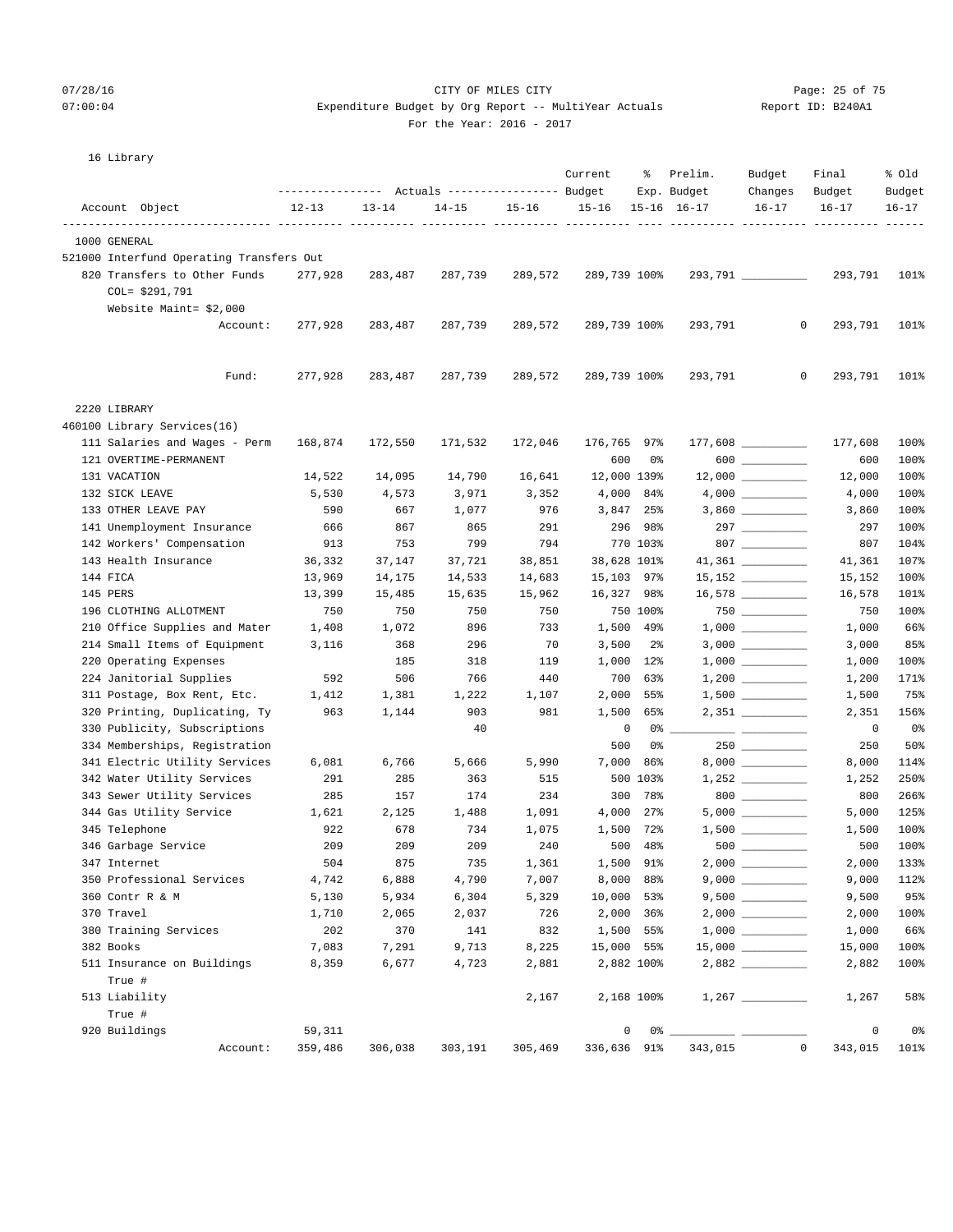# 07/28/16 Page: 25 of 75

## 07:00:04 Expenditure Budget by Org Report -- MultiYear Actuals Report ID: B240A1 For the Year: 2016 - 2017

| 16 Library                                            |              |              |                                  |                |              |                  |                        |                                          |                 |                 |
|-------------------------------------------------------|--------------|--------------|----------------------------------|----------------|--------------|------------------|------------------------|------------------------------------------|-----------------|-----------------|
|                                                       |              |              | Actuals ----------------- Budget |                | Current      | ႜ                | Prelim.<br>Exp. Budget | Budget<br>Changes                        | Final<br>Budget | % old<br>Budget |
| Account Object                                        | $12 - 13$    | $13 - 14$    | $14 - 15$                        | $15 - 16$      | $15 - 16$    |                  | $15 - 16$ $16 - 17$    | $16 - 17$                                | $16 - 17$       | $16 - 17$       |
| ---------------- ---------- ---------<br>1000 GENERAL |              |              |                                  |                |              |                  | ----------- ---------- |                                          |                 |                 |
| 521000 Interfund Operating Transfers Out              |              |              |                                  |                |              |                  |                        |                                          |                 |                 |
| 820 Transfers to Other Funds<br>$COL = $291,791$      | 277,928      | 283,487      | 287,739                          | 289,572        | 289,739 100% |                  |                        |                                          | 293,791         | 101%            |
| Website Maint= \$2,000                                |              |              |                                  |                |              |                  |                        |                                          |                 |                 |
| Account:                                              | 277,928      | 283,487      | 287,739                          | 289,572        | 289,739 100% |                  | 293,791                | 0                                        | 293,791         | 101%            |
| Fund:                                                 | 277,928      | 283,487      | 287,739                          | 289,572        | 289,739 100% |                  | 293,791                | 0                                        | 293,791         | 101%            |
| 2220 LIBRARY                                          |              |              |                                  |                |              |                  |                        |                                          |                 |                 |
| 460100 Library Services(16)                           |              |              |                                  |                |              |                  |                        |                                          |                 |                 |
| 111 Salaries and Wages - Perm                         | 168,874      | 172,550      | 171,532                          | 172,046        | 176,765 97%  |                  |                        |                                          | 177,608         | 100%            |
| 121 OVERTIME-PERMANENT                                |              |              |                                  |                | 600          | 0%               |                        | $600$                                    | 600             | 100%            |
| 131 VACATION                                          | 14,522       | 14,095       | 14,790                           | 16,641         | 12,000 139%  |                  |                        | $12,000$ __________                      | 12,000          | 100%            |
| 132 SICK LEAVE                                        | 5,530        | 4,573        | 3,971                            | 3,352          |              | 4,000 84%        |                        |                                          | 4,000           | 100%            |
| 133 OTHER LEAVE PAY                                   | 590          | 667          | 1,077                            | 976            |              | 3,847 25%        |                        |                                          | 3,860           | 100%            |
| 141 Unemployment Insurance                            | 666          | 867          | 865                              | 291            |              | 296 98%          |                        |                                          | 297             | 100%            |
| 142 Workers' Compensation                             | 913          | 753          | 799                              | 794            |              | 770 103%         |                        | 807                                      | 807             | 104%            |
| 143 Health Insurance                                  | 36,332       | 37,147       | 37,721                           | 38,851         | 38,628 101%  |                  |                        |                                          | 41,361          | 107%            |
| 144 FICA                                              | 13,969       | 14,175       | 14,533                           | 14,683         | 15,103 97%   |                  |                        | $15,152$ _________                       | 15,152          | 100%            |
| 145 PERS                                              | 13,399       | 15,485       | 15,635                           | 15,962         | 16,327 98%   |                  |                        |                                          | 16,578          | 101%            |
| 196 CLOTHING ALLOTMENT                                | 750          | 750          | 750                              | 750            |              | 750 100%         |                        |                                          | 750             | 100%            |
| 210 Office Supplies and Mater                         | 1,408        | 1,072        | 896                              | 733            |              | 1,500 49%        |                        |                                          | 1,000           | 66%             |
| 214 Small Items of Equipment                          | 3,116        | 368          | 296                              | 70             | 3,500        | $2\overline{8}$  |                        |                                          | 3,000           | 85%             |
| 220 Operating Expenses                                |              | 185          | 318                              | 119            |              | 1,000 12%        |                        |                                          | 1,000           | 100%            |
| 224 Janitorial Supplies                               | 592          | 506          | 766                              | 440            | 700          | 63%              |                        |                                          | 1,200           | 171%            |
| 311 Postage, Box Rent, Etc.                           | 1,412        | 1,381        | 1,222                            | 1,107          | 2,000        | 55%              |                        |                                          | 1,500           | 75%             |
| 320 Printing, Duplicating, Ty                         | 963          | 1,144        | 903                              | 981            | 1,500        | 65%              |                        | 2,351 __________                         | 2,351           | 156%            |
| 330 Publicity, Subscriptions                          |              |              | 40                               |                | 0            | 0%               |                        |                                          | 0               | 0%              |
| 334 Memberships, Registration                         |              |              |                                  |                | 500          | 0%               |                        |                                          | 250             | 50%             |
| 341 Electric Utility Services                         | 6,081        | 6,766        | 5,666                            | 5,990          | 7,000        | 86%              |                        |                                          | 8,000           | 114%            |
| 342 Water Utility Services                            | 291          | 285          | 363                              | 515            |              | 500 103%         |                        | 1,252                                    | 1,252           | 250%            |
| 343 Sewer Utility Services                            | 285          | 157          | 174                              | 234            | 300          | 78%              |                        | $800$                                    | 800             | 266%            |
| 344 Gas Utility Service<br>345 Telephone              | 1,621<br>922 | 2,125<br>678 | 1,488<br>734                     | 1,091<br>1,075 | 4,000        | 27%<br>1,500 72% |                        | $5,000$ __________<br>$1,500$ __________ | 5,000<br>1,500  | 125%<br>100%    |
| 346 Garbage Service                                   | 209          | 209          | 209                              | 240            |              | 500 48%          | $500$ $\_$             |                                          | 500             | 100%            |
| 347 Internet                                          | 504          | 875          | 735                              | 1,361          |              | 1,500 91%        |                        |                                          | 2,000           | 133%            |
| 350 Professional Services                             | 4,742        | 6,888        | 4,790                            | 7,007          |              | 8,000 88%        |                        |                                          | 9,000           | 112%            |
| 360 Contr R & M                                       | 5,130        | 5,934        | 6,304                            | 5,329          | 10,000 53%   |                  |                        | $9,500$ __________                       | 9,500           | 95%             |
| 370 Travel                                            | 1,710        | 2,065        | 2,037                            | 726            |              | 2,000 36%        |                        |                                          | 2,000           | 100%            |
| 380 Training Services                                 | 202          | 370          | 141                              | 832            |              | 1,500 55%        |                        |                                          | 1,000           | 66%             |
| 382 Books                                             | 7,083        | 7,291        | 9,713                            | 8,225          | 15,000 55%   |                  |                        |                                          | 15,000          | 100%            |
| 511 Insurance on Buildings                            | 8,359        | 6,677        | 4,723                            | 2,881          |              | 2,882 100%       |                        |                                          | 2,882           | 100%            |
| True #                                                |              |              |                                  |                |              |                  |                        |                                          |                 |                 |
| 513 Liability                                         |              |              |                                  | 2,167          |              | 2,168 100%       |                        |                                          | 1,267           | 58%             |
| True #                                                |              |              |                                  |                |              |                  |                        |                                          |                 |                 |
| 920 Buildings                                         | 59,311       |              |                                  |                | 0            | $0\%$ _          |                        |                                          | 0               | 0%              |
| Account:                                              | 359,486      | 306,038      | 303,191                          | 305,469        | 336,636 91%  |                  | 343,015                | 0                                        | 343,015         | 101%            |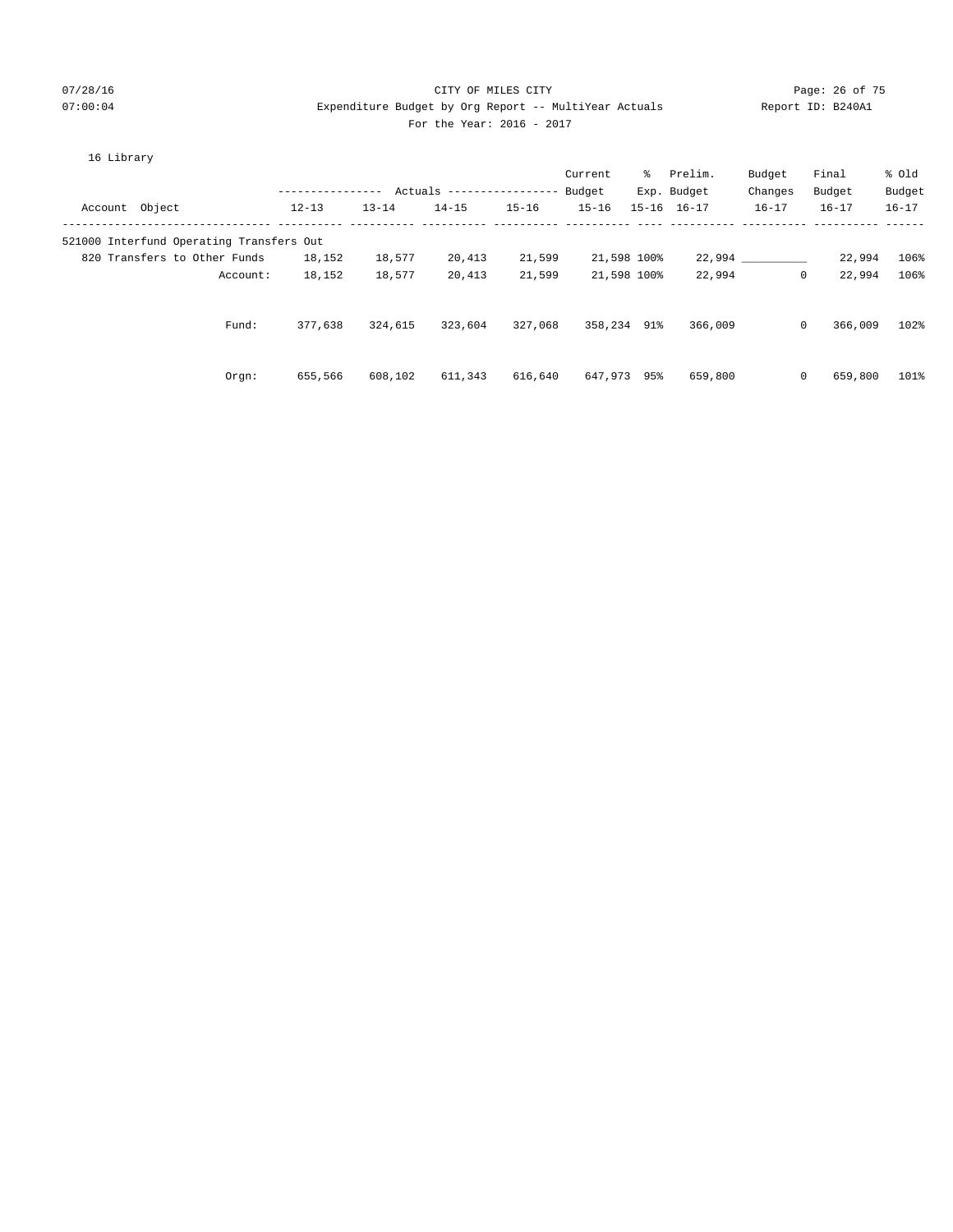## 07/28/16 Page: 26 of 75 07:00:04 Expenditure Budget by Org Report -- MultiYear Actuals Report ID: B240A1 For the Year: 2016 - 2017

|  | Lıbrarv |
|--|---------|
|--|---------|

|                |                                          | ---------------- |           | Actuals ----------------- Budget |           | Current     | ိ | Prelim.<br>Exp. Budget | Budget<br>Changes | Final<br>Budget | % old<br>Budget |
|----------------|------------------------------------------|------------------|-----------|----------------------------------|-----------|-------------|---|------------------------|-------------------|-----------------|-----------------|
| Account Object |                                          | $12 - 13$        | $13 - 14$ | $14 - 15$                        | $15 - 16$ | $15 - 16$   |   | $15 - 16$ $16 - 17$    | $16 - 17$         | $16 - 17$       | $16 - 17$       |
|                | 521000 Interfund Operating Transfers Out |                  |           |                                  |           |             |   |                        |                   |                 |                 |
|                | 820 Transfers to Other Funds             | 18,152           | 18,577    | 20,413                           | 21,599    | 21,598 100% |   |                        | 22,994            | 22,994          | 106%            |
|                | Account:                                 | 18,152           | 18,577    | 20,413                           | 21,599    | 21,598 100% |   | 22,994                 | $\circ$           | 22,994          | 106%            |
|                | Fund:                                    | 377,638          | 324,615   | 323,604                          | 327,068   | 358,234 91% |   | 366,009                | $\circ$           | 366,009         | 102%            |
|                | $0$ rqn:                                 | 655,566          | 608,102   | 611,343                          | 616,640   | 647,973 95% |   | 659,800                | $\circ$           | 659,800         | 101%            |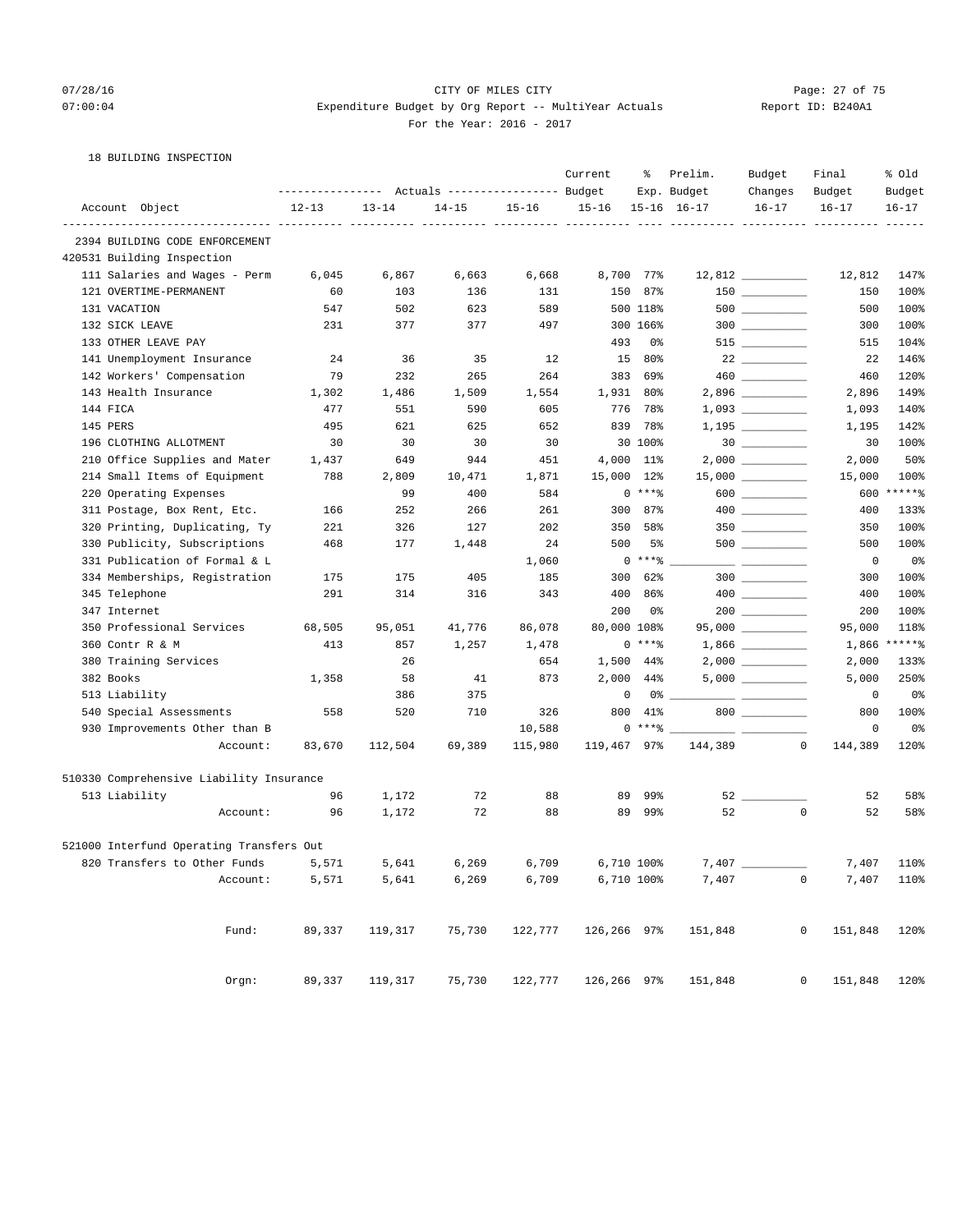## 07/28/16 Page: 27 of 75 07:00:04 Expenditure Budget by Org Report -- MultiYear Actuals Report ID: B240A1 For the Year: 2016 - 2017

18 BUILDING INSPECTION

|                                          | Current<br>Actuals ----------------- Budget<br>---------------- |                                     |           |                                     | ႜ           | Prelim.    | Budget<br>Final                               | % old                                   |                        |                |
|------------------------------------------|-----------------------------------------------------------------|-------------------------------------|-----------|-------------------------------------|-------------|------------|-----------------------------------------------|-----------------------------------------|------------------------|----------------|
|                                          |                                                                 |                                     |           |                                     |             |            | Exp. Budget                                   | Changes                                 | Budget                 | Budget         |
| Account Object                           | $12 - 13$                                                       | $13 - 14$<br>----------- ---------- | $14 - 15$ | $15 - 16$<br>----------- ---------- | $15 - 16$   |            | $15 - 16$ $16 - 17$<br>---------------------- | $16 - 17$                               | $16 - 17$              | $16 - 17$      |
| 2394 BUILDING CODE ENFORCEMENT           |                                                                 |                                     |           |                                     |             |            |                                               |                                         |                        |                |
| 420531 Building Inspection               |                                                                 |                                     |           |                                     |             |            |                                               |                                         |                        |                |
| 111 Salaries and Wages - Perm            | 6,045                                                           | 6,867                               | 6,663     | 6,668                               |             | 8,700 77%  |                                               | $12,812$ _________                      | 12,812                 | 147%           |
| 121 OVERTIME-PERMANENT                   | 60                                                              | 103                                 | 136       | 131                                 | 150         | 87%        |                                               |                                         | 150                    | 100%           |
| 131 VACATION                             | 547                                                             | 502                                 | 623       | 589                                 |             | 500 118%   |                                               |                                         | 500                    | 100%           |
| 132 SICK LEAVE                           | 231                                                             | 377                                 | 377       | 497                                 |             | 300 166%   |                                               | $300$                                   | 300                    | 100%           |
| 133 OTHER LEAVE PAY                      |                                                                 |                                     |           |                                     | 493         | 0%         |                                               | $515$ ________                          | 515                    | 104%           |
| 141 Unemployment Insurance               | 24                                                              | 36                                  | 35        | 12                                  | 15          | 80%        |                                               |                                         | 22                     | 146%           |
| 142 Workers' Compensation                | 79                                                              | 232                                 | 265       | 264                                 | 383         | 69%        |                                               |                                         | 460                    | 120%           |
| 143 Health Insurance                     | 1,302                                                           | 1,486                               | 1,509     | 1,554                               |             | 1,931 80%  |                                               | 2,896                                   | 2,896                  | 149%           |
| 144 FICA                                 | 477                                                             | 551                                 | 590       | 605                                 | 776         | 78%        |                                               |                                         | 1,093                  | 140%           |
| 145 PERS                                 | 495                                                             | 621                                 | 625       | 652                                 | 839         | 78%        |                                               | $1,195$ __________                      | 1,195                  | 142%           |
| 196 CLOTHING ALLOTMENT                   | 30                                                              | 30                                  | 30        | 30                                  |             | 30 100%    |                                               |                                         | 30                     | 100%           |
| 210 Office Supplies and Mater            | 1,437                                                           | 649                                 | 944       | 451                                 |             | 4,000 11%  |                                               |                                         | 2,000                  | 50%            |
| 214 Small Items of Equipment             | 788                                                             | 2,809                               | 10,471    | 1,871                               | 15,000      | $12\%$     |                                               | 15,000 __________                       | 15,000                 | 100%           |
| 220 Operating Expenses                   |                                                                 | 99                                  | 400       | 584                                 |             | $0***$     |                                               | 600 ________                            | 600                    | $*****$        |
| 311 Postage, Box Rent, Etc.              | 166                                                             | 252                                 | 266       | 261                                 | 300         | 87%        |                                               |                                         | 400                    | 133%           |
| 320 Printing, Duplicating, Ty            | 221                                                             | 326                                 | 127       | 202                                 | 350         | 58%        |                                               |                                         | 350                    | 100%           |
| 330 Publicity, Subscriptions             | 468                                                             | 177                                 | 1,448     | 24                                  | 500         | 5%         |                                               |                                         | 500                    | 100%           |
| 331 Publication of Formal & L            |                                                                 |                                     |           | 1,060                               |             | $0***$ $*$ |                                               | <u> 2002 - Jan James Barnett, prins</u> | 0                      | 0%             |
| 334 Memberships, Registration            | 175                                                             | 175                                 | 405       | 185                                 | 300         | 62%        |                                               |                                         | 300                    | 100%           |
| 345 Telephone                            | 291                                                             | 314                                 | 316       | 343                                 | 400         | 86%        |                                               |                                         | 400                    | 100%           |
| 347 Internet                             |                                                                 |                                     |           |                                     | 200         | 0%         |                                               |                                         | 200                    | 100%           |
| 350 Professional Services                | 68,505                                                          | 95,051                              | 41,776    | 86,078                              | 80,000 108% |            |                                               | $95,000$ __________                     | 95,000                 | 118%           |
| 360 Contr R & M                          | 413                                                             | 857                                 | 1,257     | 1,478                               |             | $0***8$    |                                               |                                         | 1,866                  | $*****$        |
| 380 Training Services                    |                                                                 | 26                                  |           | 654                                 |             | 1,500 44%  |                                               |                                         | 2,000                  | 133%           |
| 382 Books                                | 1,358                                                           | 58                                  | 41        | 873                                 | 2,000       | 44%        |                                               |                                         | 5,000                  | 250%           |
| 513 Liability                            |                                                                 | 386                                 | 375       |                                     | 0           | 0%         |                                               |                                         | 0                      | 0%             |
| 540 Special Assessments                  | 558                                                             | 520                                 | 710       | 326                                 | 800         | 41%        |                                               | 800                                     | 800                    | 100%           |
| 930 Improvements Other than B            |                                                                 |                                     |           | 10,588                              |             | $0***8$    | $\frac{1}{2}$                                 |                                         | 0                      | 0 <sup>°</sup> |
| Account:                                 | 83,670                                                          | 112,504                             | 69,389    | 115,980                             | 119,467 97% |            | 144,389                                       |                                         | 0<br>144,389           | 120%           |
| 510330 Comprehensive Liability Insurance |                                                                 |                                     |           |                                     |             |            |                                               |                                         |                        |                |
| 513 Liability                            | 96                                                              | 1,172                               | 72        | 88                                  | 89          | 99%        |                                               | $52$ __                                 | 52                     | 58%            |
| Account:                                 | 96                                                              | 1,172                               | 72        | 88                                  | 89          | 99%        | 52                                            |                                         | 0<br>52                | 58%            |
| 521000 Interfund Operating Transfers Out |                                                                 |                                     |           |                                     |             |            |                                               |                                         |                        |                |
| 820 Transfers to Other Funds             | 5,571                                                           | 5,641                               | 6,269     | 6,709                               |             | 6,710 100% | 7,407                                         |                                         | 7,407                  | 110%           |
| Account:                                 | 5,571                                                           | 5,641                               | 6,269     | 6,709                               |             | 6,710 100% | 7,407                                         |                                         | $\mathsf{O}$<br>7,407  | 110%           |
|                                          |                                                                 |                                     |           |                                     |             |            |                                               |                                         |                        |                |
| Fund:                                    | 89,337                                                          | 119,317                             | 75,730    | 122,777                             | 126,266 97% |            | 151,848                                       |                                         | $\mathbf 0$<br>151,848 | 120%           |
| Orgn:                                    | 89,337                                                          | 119,317                             | 75,730    | 122,777                             | 126,266 97% |            | 151,848                                       |                                         | 0<br>151,848           | 120%           |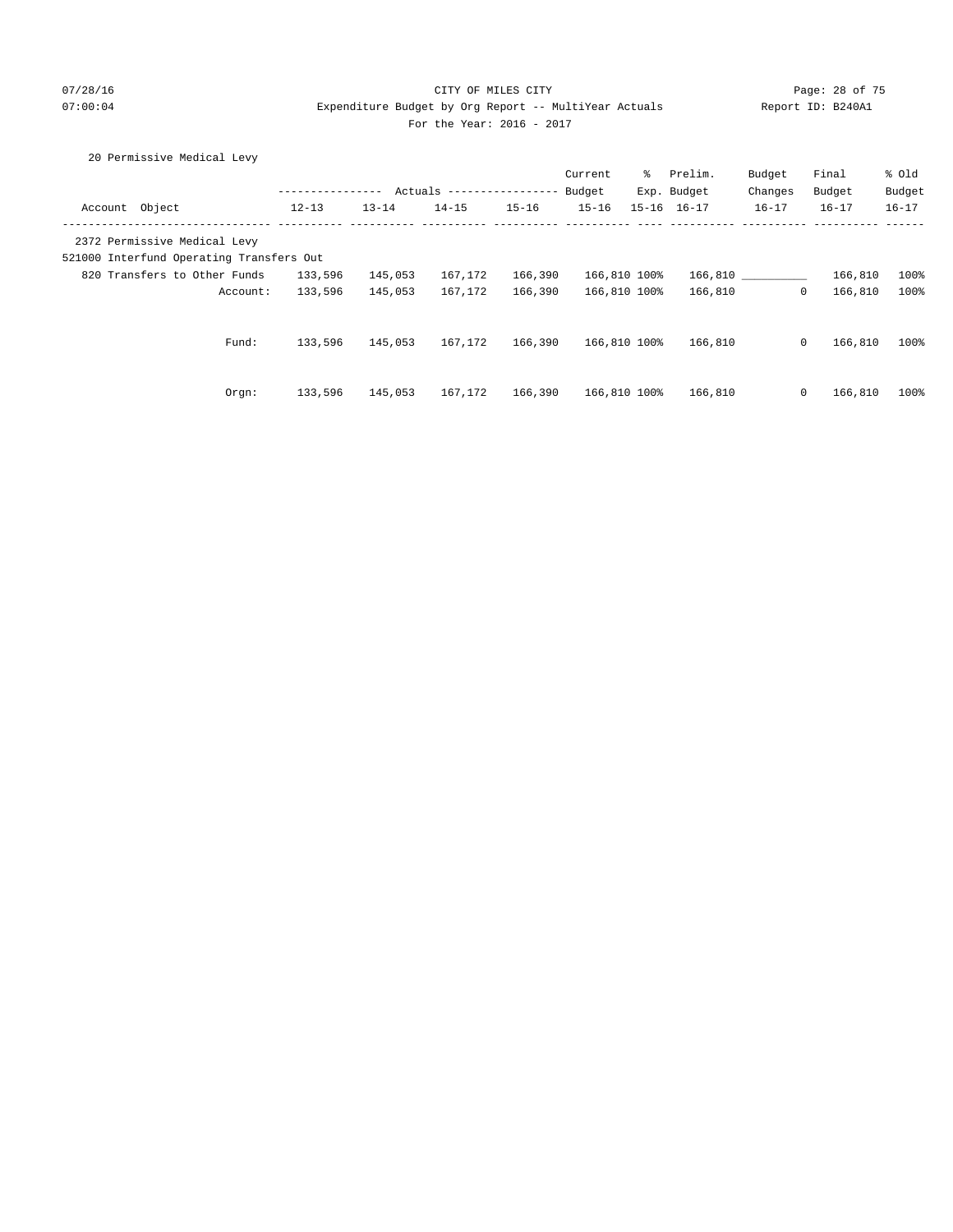## 07/28/16 Page: 28 of 75 07:00:04 Expenditure Budget by Org Report -- MultiYear Actuals Report ID: B240A1 For the Year: 2016 - 2017

## 20 Permissive Medical Levy

|                |                                          |           |           |                           |           | Current      | ႜႜၟ       | Prelim.     | Budget       | Final     | % old     |
|----------------|------------------------------------------|-----------|-----------|---------------------------|-----------|--------------|-----------|-------------|--------------|-----------|-----------|
|                |                                          |           |           | Actuals ----------------- |           | Budget       |           | Exp. Budget | Changes      | Budget    | Budget    |
| Account Object |                                          | $12 - 13$ | $13 - 14$ | $14 - 15$                 | $15 - 16$ | $15 - 16$    | $15 - 16$ | $16 - 17$   | $16 - 17$    | $16 - 17$ | $16 - 17$ |
|                | 2372 Permissive Medical Levy             |           |           |                           |           |              |           |             |              |           |           |
|                | 521000 Interfund Operating Transfers Out |           |           |                           |           |              |           |             |              |           |           |
|                | 820 Transfers to Other Funds             | 133,596   | 145,053   | 167,172                   | 166,390   | 166,810 100% |           | 166,810     |              | 166,810   | 100%      |
|                | Account:                                 | 133,596   | 145,053   | 167,172                   | 166,390   | 166,810 100% |           | 166,810     | $\mathbf{0}$ | 166,810   | 100%      |
|                | Fund:                                    | 133,596   | 145,053   | 167,172                   | 166,390   | 166,810 100% |           | 166,810     | $\mathbf{0}$ | 166,810   | 100%      |
|                |                                          |           |           |                           |           |              |           |             |              |           |           |
|                | Orgn:                                    | 133,596   | 145,053   | 167.172                   | 166,390   | 166,810 100% |           | 166,810     | $\mathbf{0}$ | 166,810   | 100%      |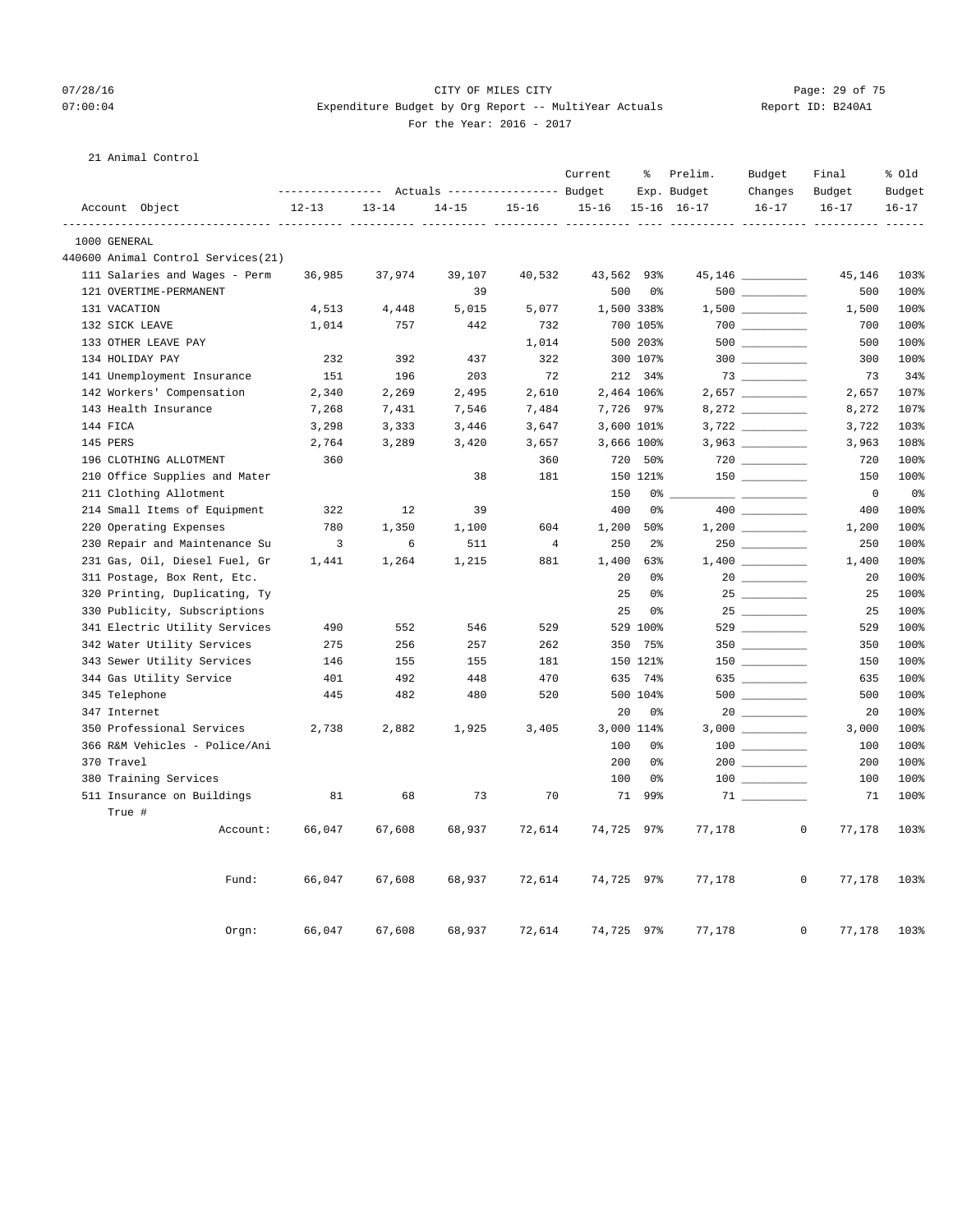## 07/28/16 Page: 29 of 75 07:00:04 Expenditure Budget by Org Report -- MultiYear Actuals Report ID: B240A1 For the Year: 2016 - 2017

## 21 Animal Control

|                     |                                    |           |           | ---------------    Actuals ----------------    Budget |                | Current    | နွ             | Prelim.<br>Exp. Budget | Budget<br>Changes                   | Final<br>Budget        | % Old<br>Budget |
|---------------------|------------------------------------|-----------|-----------|-------------------------------------------------------|----------------|------------|----------------|------------------------|-------------------------------------|------------------------|-----------------|
| Account Object      |                                    | $12 - 13$ | $13 - 14$ | $14 - 15$                                             | $15 - 16$      | $15 - 16$  |                | $15 - 16$ $16 - 17$    | $16 - 17$                           | $16 - 17$              | $16 - 17$       |
| 1000 GENERAL        |                                    |           |           |                                                       |                |            |                |                        |                                     |                        | -----           |
|                     | 440600 Animal Control Services(21) |           |           |                                                       |                |            |                |                        |                                     |                        |                 |
|                     | 111 Salaries and Wages - Perm      | 36,985    | 37,974    | 39,107                                                | 40,532         | 43,562 93% |                |                        | 45,146 _________                    | 45,146                 | 103%            |
|                     | 121 OVERTIME-PERMANENT             |           |           | 39                                                    |                | 500        | 0 %            |                        | $500$                               | 500                    | 100%            |
| 131 VACATION        |                                    | 4,513     | 4,448     | 5,015                                                 | 5,077          |            | 1,500 338%     |                        |                                     | 1,500                  | 100%            |
| 132 SICK LEAVE      |                                    | 1,014     | 757       | 442                                                   | 732            |            | 700 105%       |                        |                                     | 700                    | 100%            |
| 133 OTHER LEAVE PAY |                                    |           |           |                                                       | 1,014          |            | 500 203%       |                        |                                     | 500                    | 100%            |
| 134 HOLIDAY PAY     |                                    | 232       | 392       | 437                                                   | 322            |            | 300 107%       |                        | $300$ ________                      | 300                    | 100%            |
|                     | 141 Unemployment Insurance         | 151       | 196       | 203                                                   | 72             |            | 212 34%        |                        | $73 \ \ \underline{\hspace{1.5cm}}$ | 73                     | 34%             |
|                     | 142 Workers' Compensation          | 2,340     | 2,269     | 2,495                                                 | 2,610          |            | 2,464 106%     |                        | $2,657$ __________                  | 2,657                  | 107%            |
|                     | 143 Health Insurance               | 7,268     | 7,431     | 7,546                                                 | 7,484          |            | 7,726 97%      |                        |                                     | 8,272                  | 107%            |
| 144 FICA            |                                    | 3,298     | 3,333     | 3,446                                                 | 3,647          |            | 3,600 101%     |                        |                                     | 3,722                  | 103%            |
| 145 PERS            |                                    | 2,764     | 3,289     | 3,420                                                 | 3,657          |            | 3,666 100%     |                        |                                     | 3,963                  | 108%            |
|                     | 196 CLOTHING ALLOTMENT             | 360       |           |                                                       | 360            |            | 720 50%        |                        |                                     | 720                    | 100%            |
|                     | 210 Office Supplies and Mater      |           |           | 38                                                    | 181            |            | 150 121%       |                        |                                     | 150                    | 100%            |
|                     | 211 Clothing Allotment             |           |           |                                                       |                | 150        | 0%             |                        | المستورين                           | $\overline{0}$         | 0%              |
|                     | 214 Small Items of Equipment       | 322       | 12        | 39                                                    |                | 400        | 0%             |                        |                                     | 400                    | 100%            |
|                     | 220 Operating Expenses             | 780       | 1,350     | 1,100                                                 | 604            | 1,200      | 50%            |                        |                                     | 1,200                  | 100%            |
|                     | 230 Repair and Maintenance Su      | 3         | 6         | 511                                                   | $\overline{4}$ | 250        | 2 <sup>°</sup> |                        | $250$ _________                     | 250                    | 100%            |
|                     | 231 Gas, Oil, Diesel Fuel, Gr      | 1,441     | 1,264     | 1,215                                                 | 881            | 1,400      | 63%            |                        |                                     | 1,400                  | 100%            |
|                     | 311 Postage, Box Rent, Etc.        |           |           |                                                       |                | 20         | 0%             |                        |                                     | 20                     | 100%            |
|                     | 320 Printing, Duplicating, Ty      |           |           |                                                       |                | 25         | 0%             |                        |                                     | 25                     | 100%            |
|                     | 330 Publicity, Subscriptions       |           |           |                                                       |                | 25         | 0%             |                        | 25                                  | 25                     | 100%            |
|                     | 341 Electric Utility Services      | 490       | 552       | 546                                                   | 529            |            | 529 100%       |                        |                                     | 529                    | 100%            |
|                     | 342 Water Utility Services         | 275       | 256       | 257                                                   | 262            |            | 350 75%        |                        |                                     | 350                    | 100%            |
|                     | 343 Sewer Utility Services         | 146       | 155       | 155                                                   | 181            |            | 150 121%       |                        |                                     | 150                    | 100%            |
|                     | 344 Gas Utility Service            | 401       | 492       | 448                                                   | 470            | 635        | 74%            |                        | 635                                 | 635                    | 100%            |
| 345 Telephone       |                                    | 445       | 482       | 480                                                   | 520            |            | 500 104%       |                        |                                     | 500                    | 100%            |
| 347 Internet        |                                    |           |           |                                                       |                | 20         | 0%             |                        |                                     | 20                     | 100%            |
|                     | 350 Professional Services          | 2,738     | 2,882     | 1,925                                                 | 3,405          |            | 3,000 114%     |                        |                                     | 3,000                  | 100%            |
|                     | 366 R&M Vehicles - Police/Ani      |           |           |                                                       |                | 100        | 0%             |                        |                                     | 100                    | 100%            |
| 370 Travel          |                                    |           |           |                                                       |                | 200        | 0 <sup>°</sup> |                        |                                     | 200                    | 100%            |
|                     | 380 Training Services              |           |           |                                                       |                | 100        | 0%             |                        |                                     | 100                    | 100%            |
| True #              | 511 Insurance on Buildings         | 81        | 68        | 73                                                    | 70             | 71         | 99%            |                        | $71$ _______                        | 71                     | 100%            |
|                     | Account:                           | 66,047    | 67,608    | 68,937                                                | 72,614         | 74,725 97% |                | 77,178                 |                                     | $\mathsf{O}$<br>77,178 | 103%            |
|                     | Fund:                              | 66,047    | 67,608    | 68,937                                                | 72,614         | 74,725 97% |                | 77,178                 |                                     | $\mathsf{O}$<br>77,178 | 103%            |
|                     | Orgn:                              | 66,047    | 67,608    | 68,937                                                | 72,614         | 74,725 97% |                | 77,178                 |                                     | $\mathbf 0$<br>77,178  | 103%            |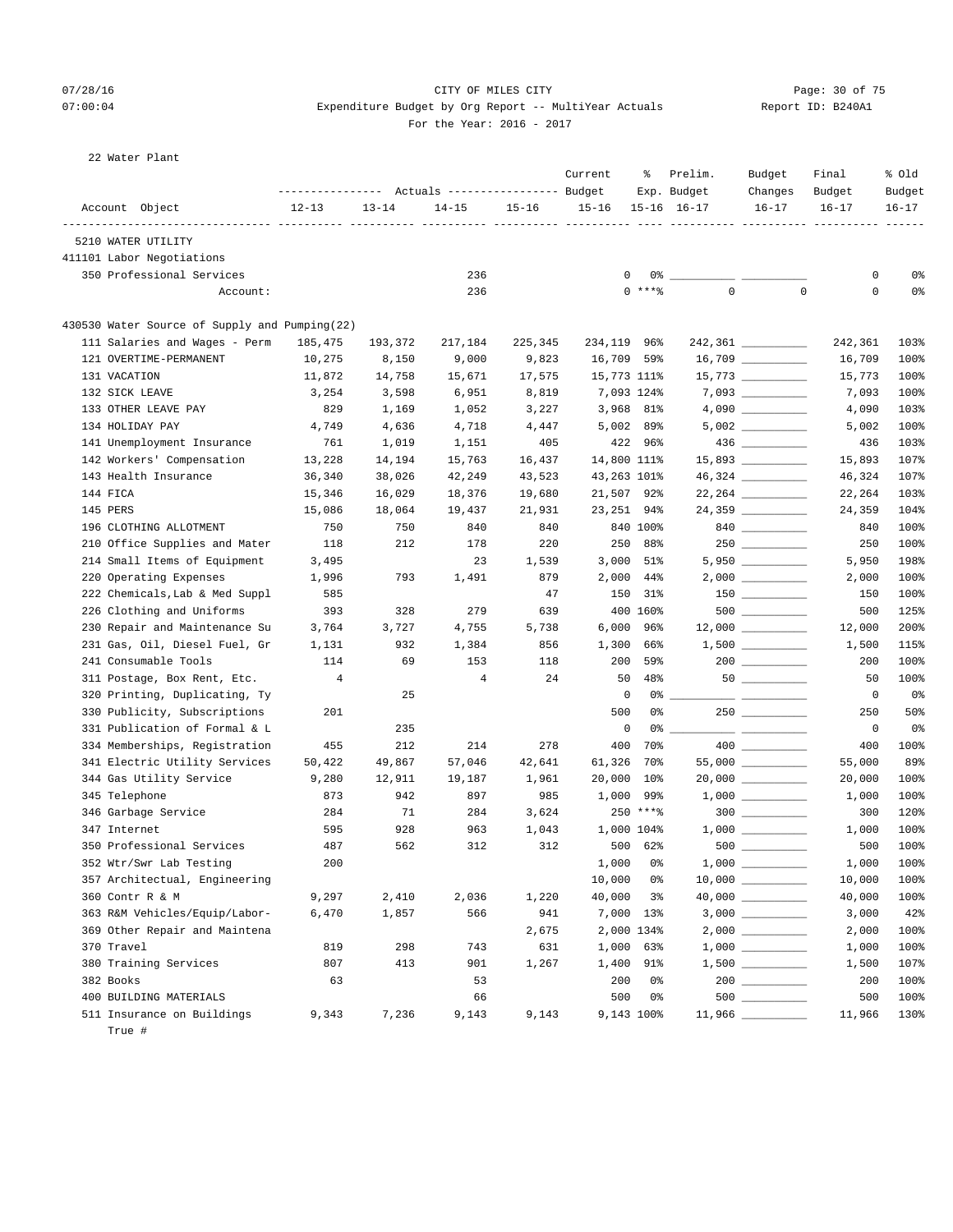## 07/28/16 Page: 30 of 75 07:00:04 Expenditure Budget by Org Report -- MultiYear Actuals Report ID: B240A1 For the Year: 2016 - 2017

| Report ID: B240A |  |
|------------------|--|
|                  |  |

22 Water Plant

|                                               |           |           | Actuals ----------------- Budget |           | Current     | ႜ          | Prelim.<br>Exp. Budget                        | Budget<br>Changes   | Final<br>Budget | % Old<br>Budget |
|-----------------------------------------------|-----------|-----------|----------------------------------|-----------|-------------|------------|-----------------------------------------------|---------------------|-----------------|-----------------|
| Account Object                                | $12 - 13$ | $13 - 14$ | $14 - 15$                        | $15 - 16$ | $15 - 16$   |            | $15 - 16$ $16 - 17$<br>----------- ---------- | $16 - 17$           | $16 - 17$       | $16 - 17$       |
| 5210 WATER UTILITY                            |           |           |                                  |           |             |            |                                               |                     |                 |                 |
| 411101 Labor Negotiations                     |           |           |                                  |           |             |            |                                               |                     |                 |                 |
| 350 Professional Services                     |           |           | 236                              |           | 0           | 0%         |                                               |                     | 0               | 0%              |
| Account:                                      |           |           | 236                              |           |             | $0$ ****   | $\mathsf 0$                                   | $\mathbb O$         | $\mathbf 0$     | 0%              |
| 430530 Water Source of Supply and Pumping(22) |           |           |                                  |           |             |            |                                               |                     |                 |                 |
| 111 Salaries and Wages - Perm                 | 185,475   | 193,372   | 217,184                          | 225,345   | 234,119     | 96%        |                                               | 242,361             | 242,361         | 103%            |
| 121 OVERTIME-PERMANENT                        | 10,275    | 8,150     | 9,000                            | 9,823     | 16,709 59%  |            |                                               |                     | 16,709          | 100%            |
| 131 VACATION                                  | 11,872    | 14,758    | 15,671                           | 17,575    | 15,773 111% |            |                                               | $15,773$ _________  | 15,773          | 100%            |
| 132 SICK LEAVE                                | 3,254     | 3,598     | 6,951                            | 8,819     | 7,093 124%  |            |                                               |                     | 7,093           | 100%            |
| 133 OTHER LEAVE PAY                           | 829       | 1,169     | 1,052                            | 3,227     |             | 3,968 81%  |                                               |                     | 4,090           | 103%            |
| 134 HOLIDAY PAY                               | 4,749     | 4,636     | 4,718                            | 4,447     |             | 5,002 89%  |                                               |                     | 5,002           | 100%            |
| 141 Unemployment Insurance                    | 761       | 1,019     | 1,151                            | 405       | 422         | 96%        |                                               |                     | 436             | 103%            |
| 142 Workers' Compensation                     | 13,228    | 14,194    | 15,763                           | 16,437    | 14,800 111% |            |                                               | 15,893 __________   | 15,893          | 107%            |
| 143 Health Insurance                          | 36,340    | 38,026    | 42,249                           | 43,523    | 43,263 101% |            |                                               |                     | 46,324          | 107%            |
| 144 FICA                                      | 15,346    | 16,029    | 18,376                           | 19,680    | 21,507 92%  |            |                                               | 22, 264 _________   | 22,264          | 103%            |
| 145 PERS                                      | 15,086    | 18,064    | 19,437                           | 21,931    | 23, 251 94% |            |                                               |                     | 24,359          | 104%            |
| 196 CLOTHING ALLOTMENT                        | 750       | 750       | 840                              | 840       |             | 840 100%   |                                               |                     | 840             | 100%            |
| 210 Office Supplies and Mater                 | 118       | 212       | 178                              | 220       | 250         | 88%        |                                               | 250                 | 250             | 100%            |
| 214 Small Items of Equipment                  | 3,495     |           | 23                               | 1,539     | 3,000       | 51%        |                                               | 5,950 _________     | 5,950           | 198%            |
| 220 Operating Expenses                        | 1,996     | 793       | 1,491                            | 879       | 2,000       | $44\%$     |                                               |                     | 2,000           | 100%            |
| 222 Chemicals, Lab & Med Suppl                | 585       |           |                                  | 47        | 150         | 31%        |                                               |                     | 150             | 100%            |
| 226 Clothing and Uniforms                     | 393       | 328       | 279                              | 639       |             | 400 160%   |                                               |                     | 500             | 125%            |
| 230 Repair and Maintenance Su                 | 3,764     | 3,727     | 4,755                            | 5,738     | 6,000       | 96%        |                                               | $12,000$ _________  | 12,000          | 200%            |
| 231 Gas, Oil, Diesel Fuel, Gr                 | 1,131     | 932       | 1,384                            | 856       | 1,300       | 66%        |                                               |                     | 1,500           | 115%            |
| 241 Consumable Tools                          | 114       | 69        | 153                              | 118       | 200         | 59%        |                                               |                     | 200             | 100%            |
| 311 Postage, Box Rent, Etc.                   | 4         |           | 4                                | 24        | 50          | 48%        |                                               |                     | 50              | 100%            |
| 320 Printing, Duplicating, Ty                 |           | 25        |                                  |           | $\mathbf 0$ | 0%         |                                               |                     | $\mathbf 0$     | 0%              |
| 330 Publicity, Subscriptions                  | 201       |           |                                  |           | 500         | 0%         |                                               |                     | 250             | 50%             |
| 331 Publication of Formal & L                 |           | 235       |                                  |           | 0           | 0%         |                                               |                     | 0               | 0 <sub>8</sub>  |
| 334 Memberships, Registration                 | 455       | 212       | 214                              | 278       | 400         | 70%        |                                               |                     | 400             | 100%            |
| 341 Electric Utility Services                 | 50,422    | 49,867    | 57,046                           | 42,641    | 61,326      | 70%        |                                               | $55,000$ __________ | 55,000          | 89%             |
| 344 Gas Utility Service                       | 9,280     | 12,911    | 19,187                           | 1,961     | 20,000      | 10%        |                                               |                     | 20,000          | 100%            |
| 345 Telephone                                 | 873       | 942       | 897                              | 985       | 1,000       | 99%        |                                               |                     | 1,000           | 100%            |
| 346 Garbage Service                           | 284       | 71        | 284                              | 3,624     |             | 250 ****   |                                               | $300$               | 300             | 120%            |
| 347 Internet                                  | 595       | 928       | 963                              | 1,043     |             | 1,000 104% |                                               |                     | 1,000           | 100%            |
| 350 Professional Services                     | 487       | 562       | 312                              | 312       | 500         | 62%        |                                               |                     | 500             | 100%            |
| 352 Wtr/Swr Lab Testing                       | 200       |           |                                  |           | $1,000$ 0%  |            |                                               |                     | 1,000           | 100%            |
| 357 Architectual, Engineering                 |           |           |                                  |           | 10,000      | 0%         |                                               |                     | 10,000          | 100%            |
| 360 Contr R & M                               | 9,297     | 2,410     | 2,036                            | 1,220     | 40,000      | 3%         |                                               |                     | 40,000          | 100%            |
| 363 R&M Vehicles/Equip/Labor-                 | 6,470     | 1,857     | 566                              | 941       |             | 7,000 13%  |                                               |                     | 3,000           | 42%             |
| 369 Other Repair and Maintena                 |           |           |                                  | 2,675     |             | 2,000 134% |                                               |                     | 2,000           | 100%            |
| 370 Travel                                    | 819       | 298       | 743                              | 631       |             | 1,000 63%  |                                               |                     | 1,000           | 100%            |
| 380 Training Services                         | 807       | 413       | 901                              | 1,267     | 1,400       | 91%        |                                               |                     | 1,500           | 107%            |
| 382 Books                                     | 63        |           | 53                               |           | 200         | 0%         |                                               | $200$               | 200             | 100%            |
| 400 BUILDING MATERIALS                        |           |           | 66                               |           | 500         | 0%         |                                               |                     | 500             | 100%            |
| 511 Insurance on Buildings                    | 9,343     | 7,236     | 9,143                            | 9,143     |             | 9,143 100% |                                               |                     | 11,966          | 130%            |

True #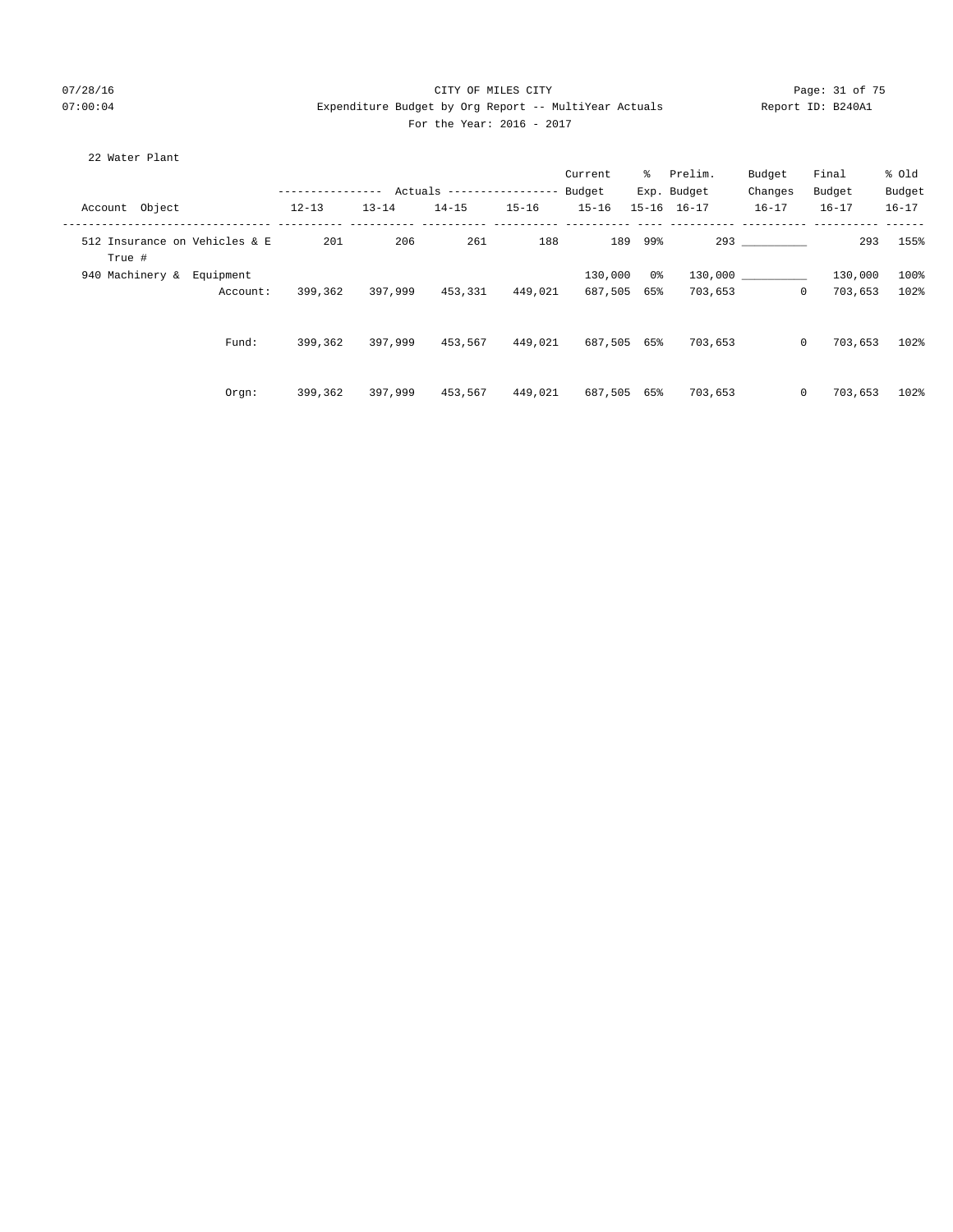## 07/28/16 Page: 31 of 75 07:00:04 Expenditure Budget by Org Report -- MultiYear Actuals Report ID: B240A1 For the Year: 2016 - 2017

## 22 Water Plant

|                                         |           |           |                            |           | Current     | ိ       | Prelim.     | Budget    | Final     | % Old     |
|-----------------------------------------|-----------|-----------|----------------------------|-----------|-------------|---------|-------------|-----------|-----------|-----------|
|                                         |           |           | Actuals ------------------ |           | Budget      |         | Exp. Budget | Changes   | Budget    | Budget    |
| Account Object                          | $12 - 13$ | $13 - 14$ | $14 - 15$                  | $15 - 16$ | $15 - 16$   |         | 15-16 16-17 | $16 - 17$ | $16 - 17$ | $16 - 17$ |
| 512 Insurance on Vehicles & E<br>True # | 201       | 206       | 261                        | 188       |             | 189 99% |             | 293       | 293       | 155%      |
| 940 Machinery & Equipment               |           |           |                            |           | 130,000     | 0 %     |             | 130,000   | 130,000   | 100%      |
| Account:                                | 399,362   | 397,999   | 453,331                    | 449,021   | 687,505 65% |         | 703,653     | $\circ$   | 703,653   | 102%      |
| Fund:                                   | 399,362   | 397,999   | 453,567                    | 449,021   | 687,505 65% |         | 703,653     | $\circ$   | 703,653   | 102%      |
| Orgn:                                   | 399,362   | 397,999   | 453,567                    | 449,021   | 687,505 65% |         | 703,653     | $\circ$   | 703,653   | 102%      |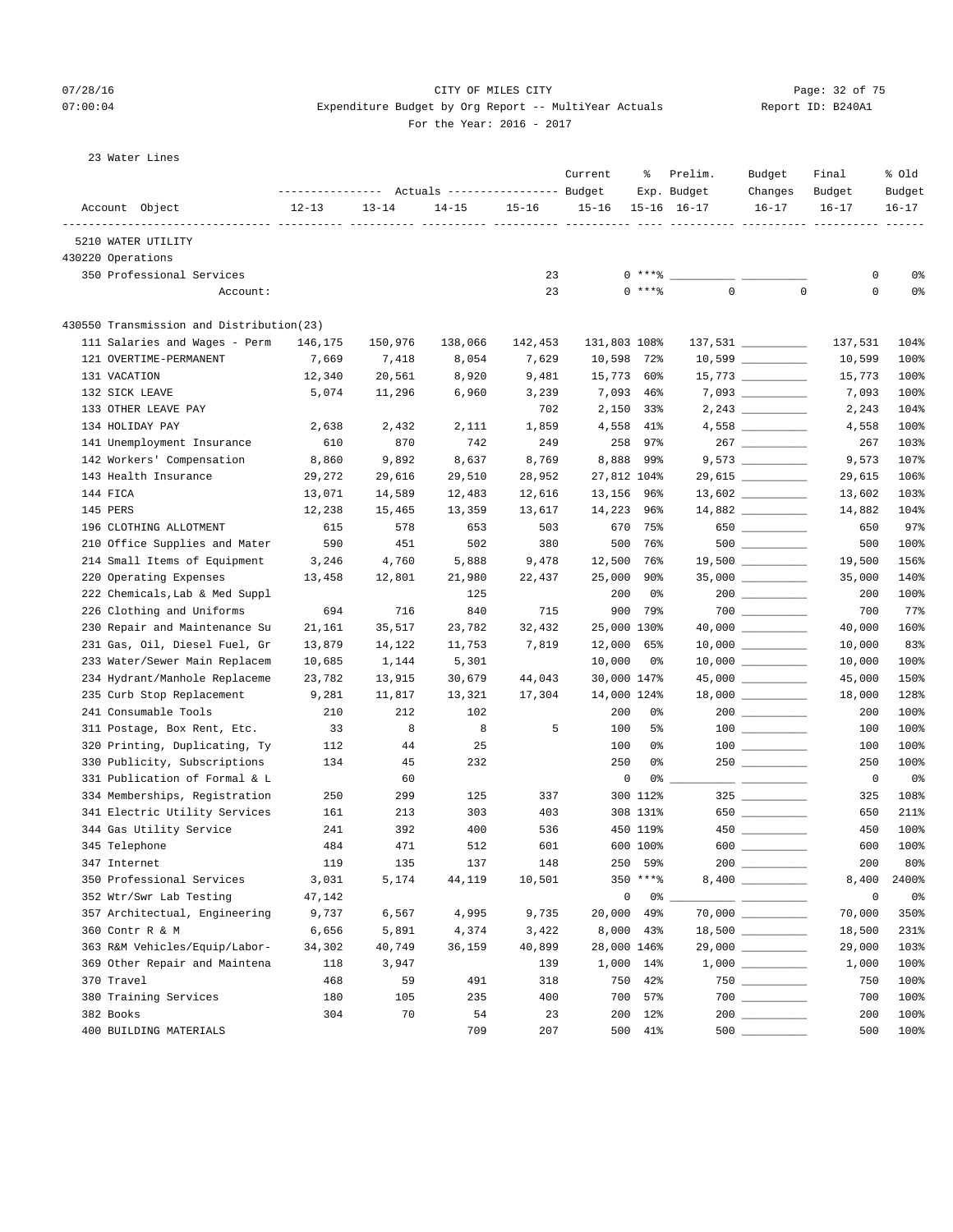# 07/28/16 Page: 32 of 75 07:00:04 Expenditure Budget by Org Report -- MultiYear Actuals Report ID: B240A1

For the Year: 2016 - 2017

| 23 Water Lines |  |
|----------------|--|

|                                          | ----------------       |                      | Actuals ----------------- Budget |           | Current      | ႜ             | Prelim.<br>Exp. Budget | Budget<br>Changes   | Final<br>Budget | % old<br>Budget |
|------------------------------------------|------------------------|----------------------|----------------------------------|-----------|--------------|---------------|------------------------|---------------------|-----------------|-----------------|
| Account Object                           | $12 - 13$<br>----- --- | $13 - 14$<br>---- -- | $14 - 15$<br>---- ---            | $15 - 16$ | $15 - 16$    |               | $15 - 16$ $16 - 17$    | $16 - 17$           | $16 - 17$       | $16 - 17$       |
| 5210 WATER UTILITY                       |                        |                      |                                  |           |              |               |                        |                     |                 |                 |
| 430220 Operations                        |                        |                      |                                  |           |              |               |                        |                     |                 |                 |
| 350 Professional Services                |                        |                      |                                  | 23        |              | $0***8$       |                        |                     | 0               | 0%              |
| Account:                                 |                        |                      |                                  | 23        |              | $0***8$       | $\mathbf 0$            | $\mathbf 0$         | $\mathsf 0$     | 0%              |
| 430550 Transmission and Distribution(23) |                        |                      |                                  |           |              |               |                        |                     |                 |                 |
| 111 Salaries and Wages - Perm            | 146,175                | 150,976              | 138,066                          | 142,453   | 131,803 108% |               |                        | 137,531 __________  | 137,531         | 104%            |
| 121 OVERTIME-PERMANENT                   | 7,669                  | 7,418                | 8,054                            | 7,629     | 10,598       | 72%           |                        | $10,599$ _________  | 10,599          | 100%            |
| 131 VACATION                             | 12,340                 | 20,561               | 8,920                            | 9,481     | 15,773       | 60%           |                        | $15,773$ _________  | 15,773          | 100%            |
| 132 SICK LEAVE                           | 5,074                  | 11,296               | 6,960                            | 3,239     | 7,093        | $46\%$        |                        | $7,093$ __________  | 7,093           | 100%            |
| 133 OTHER LEAVE PAY                      |                        |                      |                                  | 702       | 2,150        | 33%           |                        | $2,243$ _________   | 2,243           | 104%            |
| 134 HOLIDAY PAY                          | 2,638                  | 2,432                | 2,111                            | 1,859     | 4,558        | 41%           |                        |                     | 4,558           | 100%            |
| 141 Unemployment Insurance               | 610                    | 870                  | 742                              | 249       | 258          | 97%           |                        |                     | 267             | 103%            |
| 142 Workers' Compensation                | 8,860                  | 9,892                | 8,637                            | 8,769     | 8,888        | 99%           |                        |                     | 9,573           | 107%            |
| 143 Health Insurance                     | 29,272                 | 29,616               | 29,510                           | 28,952    | 27,812 104%  |               |                        | 29,615 ________     | 29,615          | 106%            |
| 144 FICA                                 | 13,071                 | 14,589               | 12,483                           | 12,616    | 13,156       | 96%           |                        | $13,602$ __________ | 13,602          | 103%            |
| 145 PERS                                 | 12,238                 | 15,465               | 13,359                           | 13,617    | 14,223       | 96%           |                        |                     | 14,882          | 104%            |
| 196 CLOTHING ALLOTMENT                   | 615                    | 578                  | 653                              | 503       | 670          | 75%           |                        | 650                 | 650             | 97%             |
| 210 Office Supplies and Mater            | 590                    | 451                  | 502                              | 380       | 500          | 76%           |                        |                     | 500             | 100%            |
| 214 Small Items of Equipment             | 3,246                  | 4,760                | 5,888                            | 9,478     | 12,500       | 76%           |                        | $19,500$ _________  | 19,500          | 156%            |
| 220 Operating Expenses                   | 13,458                 | 12,801               | 21,980                           | 22,437    | 25,000       | 90%           |                        | $35,000$ __________ | 35,000          | 140%            |
| 222 Chemicals, Lab & Med Suppl           |                        |                      | 125                              |           | 200          | 0%            |                        |                     | 200             | 100%            |
| 226 Clothing and Uniforms                | 694                    | 716                  | 840                              | 715       | 900          | 79%           |                        |                     | 700             | 77%             |
| 230 Repair and Maintenance Su            | 21,161                 | 35,517               | 23,782                           | 32,432    | 25,000 130%  |               |                        |                     | 40,000          | 160%            |
| 231 Gas, Oil, Diesel Fuel, Gr            | 13,879                 | 14,122               | 11,753                           | 7,819     | 12,000       | 65%           |                        |                     | 10,000          | 83%             |
| 233 Water/Sewer Main Replacem            | 10,685                 | 1,144                | 5,301                            |           | 10,000       | 0%            |                        | $10,000$ _________  | 10,000          | 100%            |
| 234 Hydrant/Manhole Replaceme            | 23,782                 | 13,915               | 30,679                           | 44,043    | 30,000 147%  |               |                        |                     | 45,000          | 150%            |
| 235 Curb Stop Replacement                | 9,281                  | 11,817               | 13,321                           | 17,304    | 14,000 124%  |               |                        |                     | 18,000          | 128%            |
| 241 Consumable Tools                     | 210                    | 212                  | 102                              |           | 200          | 0%            |                        |                     | 200             | 100%            |
| 311 Postage, Box Rent, Etc.              | 33                     | 8                    | 8                                | 5         | 100          | 5%            |                        |                     | 100             | 100%            |
| 320 Printing, Duplicating, Ty            | 112                    | 44                   | 25                               |           | 100          | 0%            |                        |                     | 100             | 100%            |
| 330 Publicity, Subscriptions             | 134                    | 45                   | 232                              |           | 250          | 0%            |                        |                     | 250             | 100%            |
| 331 Publication of Formal & L            |                        | 60                   |                                  |           | 0            | 0%            |                        |                     | 0               | 0%              |
| 334 Memberships, Registration            | 250                    | 299                  | 125                              | 337       |              | 300 112%      |                        |                     | 325             | 108%            |
| 341 Electric Utility Services            | 161                    | 213                  | 303                              | 403       |              | 308 131%      |                        | 650                 | 650             | 211%            |
| 344 Gas Utility Service                  | 241                    | 392                  | 400                              | 536       |              | 450 119%      |                        |                     | 450             | 100%            |
| 345 Telephone                            | 484                    | 471                  | 512                              | 601       |              | 600 100%      |                        | $600$               | 600             | 100%            |
| 347 Internet                             | 119                    | 135                  | 137                              | 148       | 250          | 59%           |                        | $200$               | 200             | 80%             |
| 350 Professional Services                | 3,031                  | 5,174                | 44,119                           | 10,501    |              | $350$ *** $8$ |                        | 8,400 _________     | 8,400           | 2400%           |
| 352 Wtr/Swr Lab Testing                  | 47,142                 |                      |                                  |           | 0            | $0\%$ $-$     |                        |                     | 0               | 0%              |
| 357 Architectual, Engineering            | 9,737                  | 6,567                | 4,995                            | 9,735     | 20,000       | 49%           |                        |                     | 70,000          | 350%            |
| 360 Contr R & M                          | 6,656                  | 5,891                | 4,374                            | 3,422     | 8,000        | 43%           |                        | $18,500$ _________  | 18,500          | 231%            |
| 363 R&M Vehicles/Equip/Labor-            | 34,302                 | 40,749               | 36,159                           | 40,899    | 28,000 146%  |               |                        |                     | 29,000          | 103%            |
| 369 Other Repair and Maintena            | 118                    | 3,947                |                                  | 139       |              | 1,000 14%     |                        |                     | 1,000           | 100%            |
| 370 Travel                               | 468                    | 59                   | 491                              | 318       | 750          | 42%           |                        |                     | 750             | 100%            |
| 380 Training Services                    | 180                    | 105                  | 235                              | 400       | 700          | 57%           |                        |                     | 700             | 100%            |
| 382 Books                                | 304                    | 70                   | 54                               | 23        | 200          | $12\%$        |                        |                     | 200             | 100%            |
| 400 BUILDING MATERIALS                   |                        |                      | 709                              | 207       |              | 500 41%       | 500                    |                     | 500             | 100%            |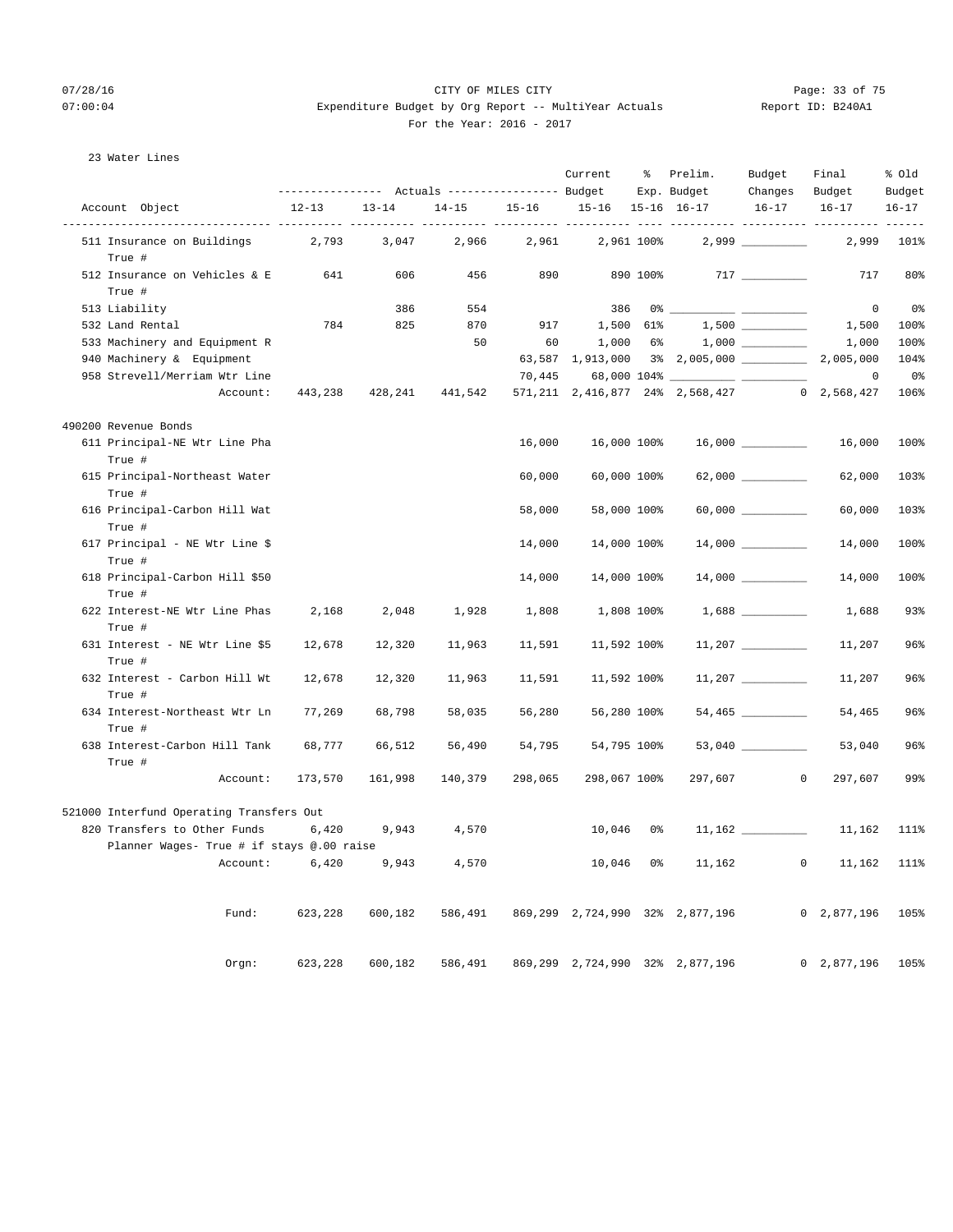## 07/28/16 Page: 33 of 75 07:00:04 Expenditure Budget by Org Report -- MultiYear Actuals Report ID: B240A1 For the Year: 2016 - 2017

## 23 Water Lines

|                                           |           |           | --------------- Actuals ---------------- Budget |           | Current           | ိ             | Prelim.<br>Exp. Budget                             | Budget<br>Changes        | Final<br>Budget           | % Old<br>Budget   |
|-------------------------------------------|-----------|-----------|-------------------------------------------------|-----------|-------------------|---------------|----------------------------------------------------|--------------------------|---------------------------|-------------------|
| Account Object                            | $12 - 13$ | $13 - 14$ | $14 - 15$                                       | $15 - 16$ | 15-16 15-16 16-17 |               |                                                    | $16 - 17$                | $16 - 17$                 | $16 - 17$         |
| 511 Insurance on Buildings<br>True #      | 2,793     | 3,047     | 2,966                                           | 2,961     |                   | 2,961 100%    |                                                    |                          | 2,999                     | $- - - -$<br>101% |
| 512 Insurance on Vehicles & E<br>True #   | 641       | 606       | 456                                             | 890       |                   | 890 100%      |                                                    |                          | 717                       | 80%               |
| 513 Liability                             |           | 386       | 554                                             |           | 386               |               | $0*$ $-$                                           | $\overline{\phantom{a}}$ | $\circ$                   | 0 <sup>o</sup>    |
| 532 Land Rental                           | 784       | 825       | 870                                             | 917       |                   | 1,500 61%     |                                                    |                          | 1,500                     | 100%              |
| 533 Machinery and Equipment R             |           |           | 50                                              | 60        | 1,000             | $6\%$         |                                                    |                          | 1,000                     | 100%              |
| 940 Machinery & Equipment                 |           |           |                                                 |           | 63,587 1,913,000  |               | 3% 2,005,000 2,005,000                             |                          |                           | 104%              |
| 958 Strevell/Merriam Wtr Line             |           |           |                                                 | 70,445    |                   | 68,000 104% _ |                                                    |                          | $\mathbf 0$               | 0%                |
| Account:                                  | 443,238   | 428,241   | 441,542                                         |           |                   |               | 571, 211 2, 416, 877 24% 2, 568, 427 0 2, 568, 427 |                          |                           | 106%              |
| 490200 Revenue Bonds                      |           |           |                                                 |           |                   |               |                                                    |                          |                           |                   |
| 611 Principal-NE Wtr Line Pha<br>True #   |           |           |                                                 | 16,000    |                   | 16,000 100%   |                                                    |                          | 16,000                    | 100%              |
| 615 Principal-Northeast Water<br>True #   |           |           |                                                 | 60,000    |                   | 60,000 100%   |                                                    |                          | 62,000                    | 103%              |
| 616 Principal-Carbon Hill Wat<br>True #   |           |           |                                                 | 58,000    |                   | 58,000 100%   |                                                    | 60,000 000               | 60,000                    | 103%              |
| 617 Principal - NE Wtr Line \$<br>True #  |           |           |                                                 | 14,000    |                   | 14,000 100%   |                                                    |                          | 14,000                    | 100%              |
| 618 Principal-Carbon Hill \$50<br>True #  |           |           |                                                 | 14,000    |                   | 14,000 100%   |                                                    |                          | 14,000                    | 100%              |
| 622 Interest-NE Wtr Line Phas<br>True #   | 2,168     | 2,048     | 1,928                                           | 1,808     |                   | 1,808 100%    |                                                    |                          | 1,688                     | 93%               |
| 631 Interest - NE Wtr Line \$5<br>True #  | 12,678    | 12,320    | 11,963                                          | 11,591    |                   | 11,592 100%   |                                                    | 11,207                   | 11,207                    | 96%               |
| 632 Interest - Carbon Hill Wt<br>True #   | 12,678    | 12,320    | 11,963                                          | 11,591    |                   | 11,592 100%   |                                                    |                          | 11,207                    | 96%               |
| 634 Interest-Northeast Wtr Ln<br>True #   | 77,269    | 68,798    | 58,035                                          | 56,280    |                   | 56,280 100%   |                                                    | 54,465 _________         | 54,465                    | 96%               |
| 638 Interest-Carbon Hill Tank<br>True #   | 68,777    | 66,512    | 56,490                                          | 54,795    |                   | 54,795 100%   |                                                    |                          | 53,040                    | 96%               |
| Account:                                  | 173,570   | 161,998   | 140,379                                         | 298,065   | 298,067 100%      |               | 297,607                                            | $\mathbf 0$              | 297,607                   | 99%               |
| 521000 Interfund Operating Transfers Out  |           |           |                                                 |           |                   |               |                                                    |                          |                           |                   |
| 820 Transfers to Other Funds              | 6,420     | 9,943     | 4,570                                           |           | 10,046            | 0%            |                                                    |                          | 11,162                    | 111%              |
| Planner Wages- True # if stays @.00 raise |           |           |                                                 |           |                   |               |                                                    |                          |                           |                   |
| Account:                                  | 6,420     | 9,943     | 4,570                                           |           | 10,046            | 0 %           | 11,162                                             | $\mathbf{0}$             | 11,162                    | 111%              |
| Fund:                                     | 623,228   | 600,182   | 586,491                                         |           |                   |               | 869,299 2,724,990 32% 2,877,196                    |                          | 0, 2, 877, 196            | 105%              |
| Orgn:                                     | 623,228   | 600,182   | 586,491                                         |           | 869,299 2,724,990 |               | 32% 2,877,196                                      |                          | $\mathbf{0}$<br>2,877,196 | 105%              |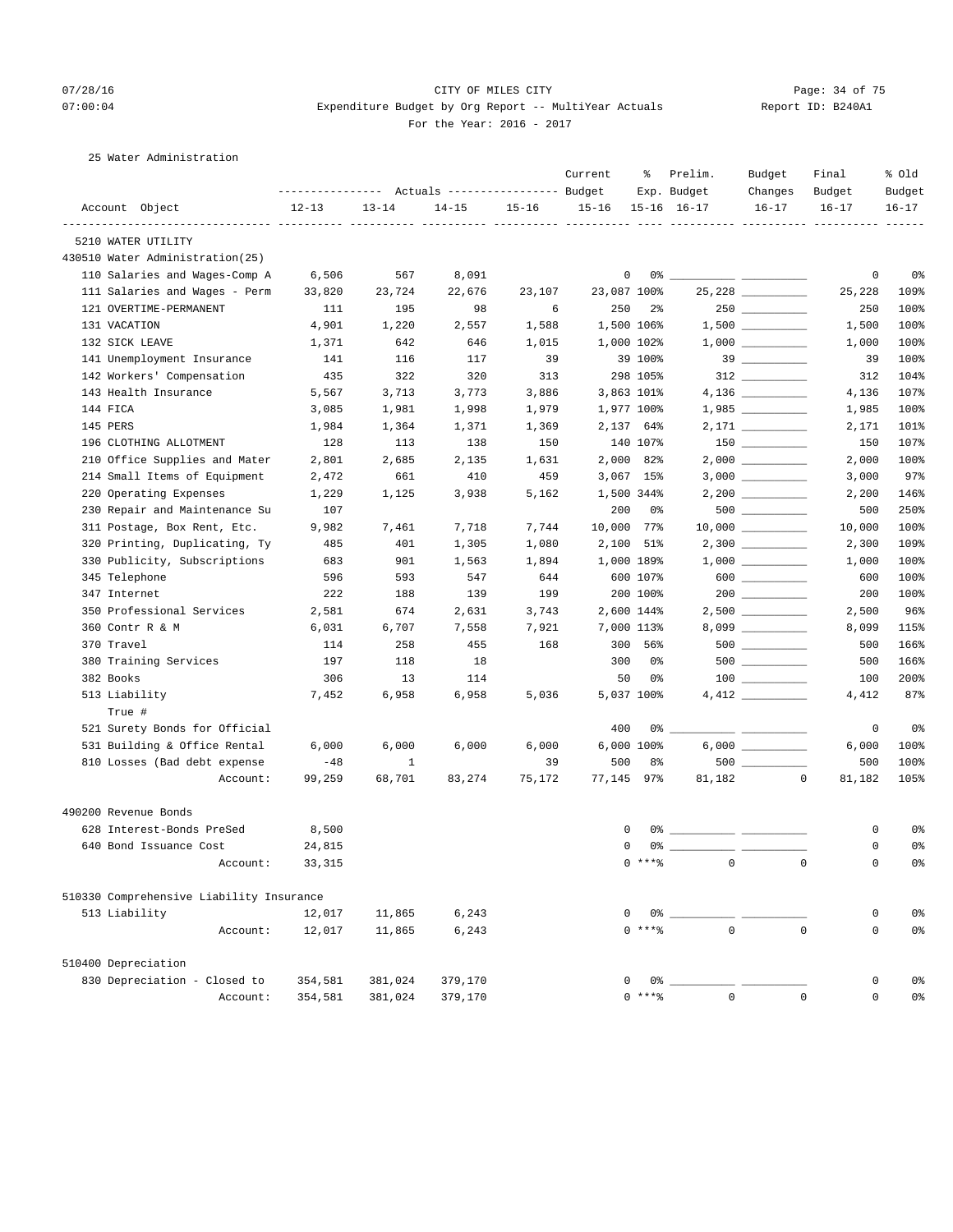## 07/28/16 Page: 34 of 75 07:00:04 Expenditure Budget by Org Report -- MultiYear Actuals Report ID: B240A1 For the Year: 2016 - 2017

## 25 Water Administration

|                                          |                                                       |           |           |           | Current   | ႜ               | Prelim.             | Budget              | Final             | % old          |
|------------------------------------------|-------------------------------------------------------|-----------|-----------|-----------|-----------|-----------------|---------------------|---------------------|-------------------|----------------|
|                                          | ---------------    Actuals ----------------    Budget |           |           |           |           |                 | Exp. Budget         | Changes             | Budget            | Budget         |
| Account Object                           | $12 - 13$                                             | $13 - 14$ | $14 - 15$ | $15 - 16$ | $15 - 16$ |                 | $15 - 16$ $16 - 17$ | $16 - 17$           | $16 - 17$         | $16 - 17$      |
| 5210 WATER UTILITY                       |                                                       |           |           |           |           |                 |                     |                     |                   |                |
| 430510 Water Administration(25)          |                                                       |           |           |           |           |                 |                     |                     |                   |                |
| 110 Salaries and Wages-Comp A            | 6,506                                                 | 567       | 8,091     |           |           | 0               | 0% -                |                     | 0                 | 0%             |
| 111 Salaries and Wages - Perm            | 33,820                                                | 23,724    | 22,676    | 23,107    |           | 23,087 100%     |                     |                     | 25,228            | 109%           |
| 121 OVERTIME-PERMANENT                   | 111                                                   | 195       | 98        | 6         | 250       | $2\overline{8}$ |                     |                     | 250               | 100%           |
| 131 VACATION                             | 4,901                                                 | 1,220     | 2,557     | 1,588     |           | 1,500 106%      |                     |                     | 1,500             | 100%           |
| 132 SICK LEAVE                           | 1,371                                                 | 642       | 646       | 1,015     |           | 1,000 102%      |                     |                     | 1,000             | 100%           |
| 141 Unemployment Insurance               | 141                                                   | 116       | 117       | 39        |           | 39 100%         |                     | $39$ _________      | 39                | 100%           |
| 142 Workers' Compensation                | 435                                                   | 322       | 320       | 313       |           | 298 105%        |                     |                     | 312               | 104%           |
| 143 Health Insurance                     | 5,567                                                 | 3,713     | 3,773     | 3,886     |           | 3,863 101%      |                     |                     | 4,136             | 107%           |
| 144 FICA                                 | 3,085                                                 | 1,981     | 1,998     | 1,979     |           | 1,977 100%      |                     |                     | 1,985             | 100%           |
| 145 PERS                                 | 1,984                                                 | 1,364     | 1,371     | 1,369     |           | 2,137 64%       |                     |                     | 2,171             | 101%           |
| 196 CLOTHING ALLOTMENT                   | 128                                                   | 113       | 138       | 150       |           | 140 107%        |                     |                     | 150               | 107%           |
| 210 Office Supplies and Mater            | 2,801                                                 | 2,685     | 2,135     | 1,631     |           | 2,000 82%       |                     |                     | 2,000             | 100%           |
| 214 Small Items of Equipment             | 2,472                                                 | 661       | 410       | 459       |           | 3,067 15%       |                     | 3,000               | 3,000             | 97%            |
| 220 Operating Expenses                   | 1,229                                                 | 1,125     | 3,938     | 5,162     |           | 1,500 344%      |                     |                     | 2,200             | 146%           |
| 230 Repair and Maintenance Su            | 107                                                   |           |           |           | 200       | 0%              |                     |                     | 500               | 250%           |
| 311 Postage, Box Rent, Etc.              | 9,982                                                 | 7,461     | 7,718     | 7,744     |           | 10,000 77%      |                     |                     | 10,000            | 100%           |
| 320 Printing, Duplicating, Ty            | 485                                                   | 401       | 1,305     | 1,080     | 2,100     | 51%             |                     | $2,300$ __________  | 2,300             | 109%           |
| 330 Publicity, Subscriptions             | 683                                                   | 901       | 1,563     | 1,894     |           | 1,000 189%      |                     |                     | 1,000             | 100%           |
| 345 Telephone                            | 596                                                   | 593       | 547       | 644       |           | 600 107%        |                     | $600$ ________      | 600               | 100%           |
| 347 Internet                             | 222                                                   | 188       | 139       | 199       |           | 200 100%        |                     | $200$ ________      | 200               | 100%           |
| 350 Professional Services                | 2,581                                                 | 674       | 2,631     | 3,743     |           | 2,600 144%      |                     | $2,500$ __________  | 2,500             | 96%            |
| 360 Contr R & M                          | 6,031                                                 | 6,707     | 7,558     | 7,921     |           | 7,000 113%      |                     | $8,099$ ___________ | 8,099             | 115%           |
| 370 Travel                               | 114                                                   | 258       | 455       | 168       |           | 300 56%         |                     |                     | 500               | 166%           |
| 380 Training Services                    | 197                                                   | 118       | 18        |           | 300       | 0%              |                     | $500$               | 500               | 166%           |
| 382 Books                                | 306                                                   | 13        | 114       |           | 50        | 0%              |                     |                     | 100               | 200%           |
| 513 Liability                            | 7,452                                                 | 6,958     | 6,958     | 5,036     |           | 5,037 100%      |                     |                     | 4,412             | 87%            |
| True #                                   |                                                       |           |           |           |           |                 |                     |                     |                   |                |
| 521 Surety Bonds for Official            |                                                       |           |           |           | 400       |                 | $0\%$ __            |                     | 0                 | 0%             |
| 531 Building & Office Rental             | 6,000                                                 | 6,000     | 6,000     | 6,000     |           | 6,000 100%      |                     |                     | 6,000             | 100%           |
| 810 Losses (Bad debt expense             | $-48$                                                 | 1         |           | 39        | 500       | 8%              |                     |                     | 500               | 100%           |
| Account:                                 | 99,259                                                | 68,701    | 83,274    | 75,172    |           | 77,145 97%      | 81,182              | $\sim$ 0            | 81,182            | 105%           |
| 490200 Revenue Bonds                     |                                                       |           |           |           |           |                 |                     |                     |                   |                |
| 628 Interest-Bonds PreSed                | 8,500                                                 |           |           |           |           | 0               |                     |                     | 0                 | 0%             |
| 640 Bond Issuance Cost                   | 24,815                                                |           |           |           |           | $\Omega$        |                     |                     | 0                 | 0%             |
| Account:                                 | 33,315                                                |           |           |           |           | $0***$          |                     | $\overline{0}$      | $\mathbf{0}$<br>0 | 0%             |
| 510330 Comprehensive Liability Insurance |                                                       |           |           |           |           |                 |                     |                     |                   |                |
| 513 Liability                            | 12,017                                                | 11,865    | 6,243     |           |           | 0 %<br>0        |                     |                     | 0                 | 0%             |
| Account:                                 | 12,017                                                | 11,865    | 6,243     |           |           | $0***8$         | $\Omega$            |                     | $\Omega$<br>0     | 0 <sup>°</sup> |
| 510400 Depreciation                      |                                                       |           |           |           |           |                 |                     |                     |                   |                |
| 830 Depreciation - Closed to             | 354,581                                               | 381,024   | 379,170   |           |           | 0               | 0%                  |                     | 0                 | 0%             |
| Account:                                 | 354,581                                               | 381,024   | 379,170   |           |           | $0***8$         | $\circ$             |                     | $\mathbf 0$<br>0  | 0%             |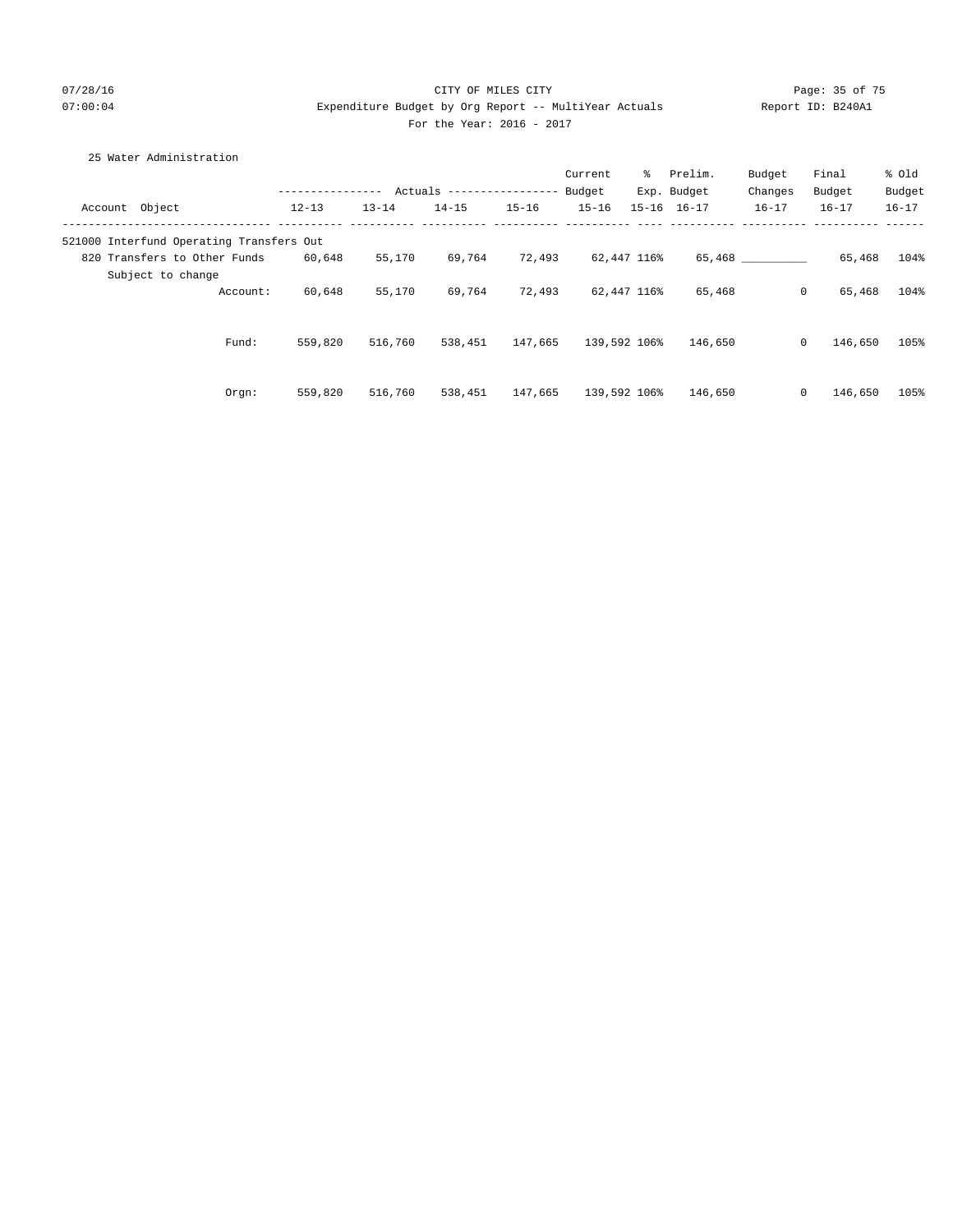## 07/28/16 CITY OF MILES CITY Page: 35 of 75 07:00:04 Expenditure Budget by Org Report -- MultiYear Actuals Report ID: B240A1 For the Year: 2016 - 2017

| 25 Water Administration                  |                  |           |                            |           |              |             |                     |           |           |           |
|------------------------------------------|------------------|-----------|----------------------------|-----------|--------------|-------------|---------------------|-----------|-----------|-----------|
|                                          |                  |           |                            |           | Current      |             | % Prelim.           | Budget    | Final     | % old     |
|                                          | ---------------- |           | Actuals ------------------ |           | Budget       |             | Exp. Budget         | Changes   | Budget    | Budget    |
| Account Object                           | $12 - 13$        | $13 - 14$ | $14 - 15$                  | $15 - 16$ | $15 - 16$    |             | $15 - 16$ $16 - 17$ | $16 - 17$ | $16 - 17$ | $16 - 17$ |
| 521000 Interfund Operating Transfers Out |                  |           |                            |           |              |             |                     |           |           |           |
| 820 Transfers to Other Funds             | 60,648           | 55,170    | 69,764                     | 72,493    |              | 62,447 116% |                     | 65,468    | 65,468    | 104%      |
| Subject to change                        |                  |           |                            |           |              |             |                     |           |           |           |
| Account:                                 | 60,648           | 55,170    | 69,764                     | 72,493    |              | 62,447 116% | 65,468              | $\circ$   | 65,468    | 104%      |
|                                          |                  |           |                            |           |              |             |                     |           |           |           |
| Fund:                                    | 559,820          | 516,760   | 538,451                    | 147,665   | 139,592 106% |             | 146,650             | $\circ$   | 146,650   | 105%      |
|                                          |                  |           |                            |           |              |             |                     |           |           |           |
|                                          |                  |           |                            |           |              |             |                     |           |           |           |
| Orgn:                                    | 559,820          | 516,760   | 538,451                    | 147,665   | 139,592 106% |             | 146,650             | $\circ$   | 146,650   | 105%      |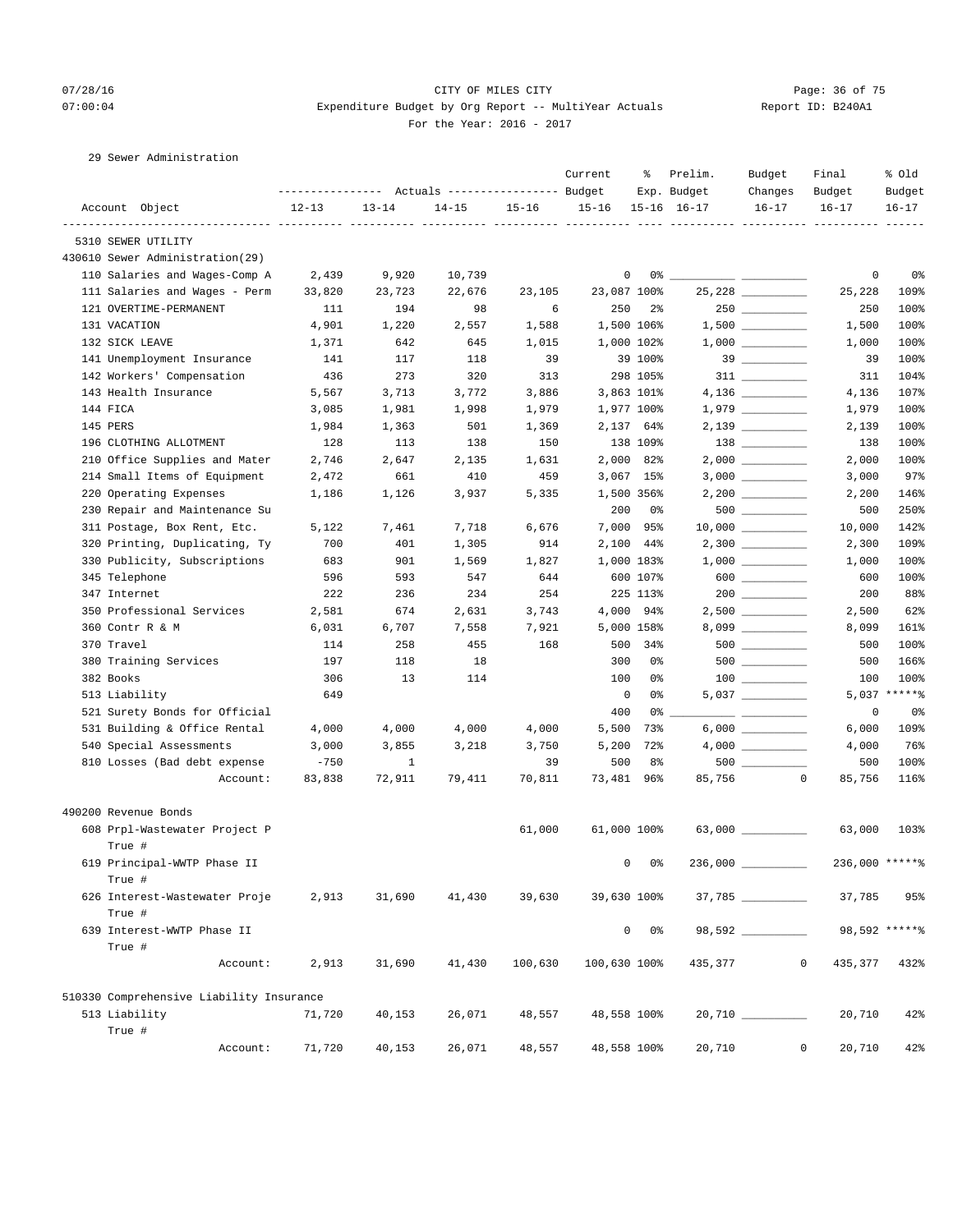## 07/28/16 Page: 36 of 75 07:00:04 Expenditure Budget by Org Report -- MultiYear Actuals Report ID: B240A1 For the Year: 2016 - 2017

29 Sewer Administration

|                                          |           |           |                                                       |           | Current      | ိင             | Prelim.             | Budget              | Final                    | % old          |
|------------------------------------------|-----------|-----------|-------------------------------------------------------|-----------|--------------|----------------|---------------------|---------------------|--------------------------|----------------|
|                                          |           |           | ---------------    Actuals ----------------    Budget |           |              |                | Exp. Budget         | Changes             | Budget                   | Budget         |
| Account Object                           | $12 - 13$ | $13 - 14$ | $14 - 15$                                             | $15 - 16$ | $15 - 16$    |                | $15 - 16$ $16 - 17$ | $16 - 17$           | $16 - 17$                | $16 - 17$      |
| 5310 SEWER UTILITY                       |           |           |                                                       |           |              |                |                     |                     |                          |                |
| 430610 Sewer Administration(29)          |           |           |                                                       |           |              |                |                     |                     |                          |                |
| 110 Salaries and Wages-Comp A            | 2,439     | 9,920     | 10,739                                                |           | 0            |                |                     |                     | 0                        | 0 <sup>°</sup> |
| 111 Salaries and Wages - Perm            | 33,820    | 23,723    | 22,676                                                | 23,105    | 23,087 100%  |                |                     | 25,228 __________   | 25,228                   | 109%           |
| 121 OVERTIME-PERMANENT                   | 111       | 194       | 98                                                    | 6         | 250          | $2\frac{6}{9}$ |                     |                     | 250                      | 100%           |
| 131 VACATION                             | 4,901     | 1,220     | 2,557                                                 | 1,588     |              | 1,500 106%     |                     | $1,500$ _________   | 1,500                    | 100%           |
| 132 SICK LEAVE                           | 1,371     | 642       | 645                                                   | 1,015     |              | 1,000 102%     |                     |                     | 1,000                    | 100%           |
| 141 Unemployment Insurance               | 141       | 117       | 118                                                   | 39        |              | 39 100%        |                     |                     | 39                       | 100%           |
| 142 Workers' Compensation                | 436       | 273       | 320                                                   | 313       |              | 298 105%       |                     |                     | 311                      | 104%           |
| 143 Health Insurance                     | 5,567     | 3,713     | 3,772                                                 | 3,886     |              | 3,863 101%     |                     |                     | 4,136                    | 107%           |
| 144 FICA                                 | 3,085     | 1,981     | 1,998                                                 | 1,979     |              | 1,977 100%     |                     | $1,979$ __________  | 1,979                    | 100%           |
| 145 PERS                                 | 1,984     | 1,363     | 501                                                   | 1,369     |              | 2,137 64%      |                     |                     | 2,139                    | 100%           |
| 196 CLOTHING ALLOTMENT                   | 128       | 113       | 138                                                   | 150       |              | 138 109%       |                     |                     | 138                      | 100%           |
| 210 Office Supplies and Mater            | 2,746     | 2,647     | 2,135                                                 | 1,631     |              | 2,000 82%      |                     |                     | 2,000                    | 100%           |
| 214 Small Items of Equipment             | 2,472     | 661       | 410                                                   | 459       |              | $3,067$ 15%    |                     |                     | 3,000                    | 97%            |
| 220 Operating Expenses                   | 1,186     | 1,126     | 3,937                                                 | 5,335     |              | 1,500 356%     |                     | $2,200$ __________  | 2,200                    | 146%           |
| 230 Repair and Maintenance Su            |           |           |                                                       |           | 200          | 0 %            |                     |                     | 500                      | 250%           |
| 311 Postage, Box Rent, Etc.              | 5,122     | 7,461     | 7,718                                                 | 6,676     |              | 7,000 95%      |                     |                     | 10,000                   | 142%           |
| 320 Printing, Duplicating, Ty            | 700       | 401       | 1,305                                                 | 914       |              | 2,100 44%      |                     |                     | 2,300                    | 109%           |
| 330 Publicity, Subscriptions             | 683       | 901       | 1,569                                                 | 1,827     |              | 1,000 183%     |                     |                     | 1,000                    | 100%           |
| 345 Telephone                            | 596       | 593       | 547                                                   | 644       |              | 600 107%       |                     | $600$               | 600                      | 100%           |
| 347 Internet                             | 222       | 236       | 234                                                   | 254       |              | 225 113%       |                     |                     | 200                      | 88%            |
| 350 Professional Services                | 2,581     | 674       | 2,631                                                 | 3,743     |              | 4,000 94%      |                     | $2,500$ __________  | 2,500                    | 62%            |
| 360 Contr R & M                          | 6,031     | 6,707     | 7,558                                                 | 7,921     |              | 5,000 158%     |                     |                     | 8,099                    | 161%           |
| 370 Travel                               | 114       | 258       | 455                                                   | 168       |              | 500 34%        |                     |                     | 500                      | 100%           |
| 380 Training Services                    | 197       | 118       | 18                                                    |           | 300          | 0%             |                     | $500$ ________      | 500                      | 166%           |
| 382 Books                                | 306       | 13        | 114                                                   |           | 100          | 0%             |                     |                     | 100                      | 100%           |
| 513 Liability                            | 649       |           |                                                       |           | 0            | 0%             |                     |                     |                          | 5,037 ******   |
| 521 Surety Bonds for Official            |           |           |                                                       |           | 400          | 0%             |                     |                     | 0                        | 0%             |
| 531 Building & Office Rental             | 4,000     | 4,000     | 4,000                                                 | 4,000     | 5,500        | 73%            |                     | $6,000$             | 6,000                    | 109%           |
| 540 Special Assessments                  | 3,000     | 3,855     | 3,218                                                 | 3,750     | 5,200        | 72%            |                     | $4,000$ __________  | 4,000                    | 76%            |
| 810 Losses (Bad debt expense             | $-750$    | 1         |                                                       | 39        | 500          | 8%             |                     | 500                 | 500                      | 100%           |
| Account:                                 | 83,838    | 72,911    | 79,411                                                | 70,811    | 73,481 96%   |                | 85,756              | $\sim$ 0            | 85,756                   | 116%           |
| 490200 Revenue Bonds                     |           |           |                                                       |           |              |                |                     |                     |                          |                |
| 608 Prpl-Wastewater Project P            |           |           |                                                       | 61,000    | 61,000 100%  |                |                     | $63,000$ __________ | 63,000                   | 103%           |
| True #                                   |           |           |                                                       |           |              |                |                     |                     |                          |                |
| 619 Principal-WWTP Phase II              |           |           |                                                       |           | 0            | 0%             | 236,000             |                     | 236,000 ******           |                |
| True #<br>626 Interest-Wastewater Proje  | 2,913     | 31,690    | 41,430                                                | 39,630    | 39,630 100%  |                |                     |                     | 37,785                   | 95%            |
| True #                                   |           |           |                                                       |           |              |                |                     |                     |                          |                |
| 639 Interest-WWTP Phase II               |           |           |                                                       |           |              | $0\qquad 0$ %  |                     | $98,592$ _________  |                          | 98,592 ******  |
| True #                                   |           |           |                                                       |           |              |                |                     |                     |                          |                |
| Account:                                 | 2,913     | 31,690    | 41,430                                                | 100,630   | 100,630 100% |                | 435,377             |                     | $\mathbf{0}$<br>435,377  | 432%           |
| 510330 Comprehensive Liability Insurance |           |           |                                                       |           |              |                |                     |                     |                          |                |
| 513 Liability                            | 71,720    | 40,153    | 26,071                                                | 48,557    | 48,558 100%  |                |                     |                     | 20,710                   | 42%            |
| True #                                   |           |           |                                                       |           |              |                |                     |                     |                          |                |
| Account:                                 | 71,720    | 40,153    | 26,071                                                | 48,557    | 48,558 100%  |                | 20,710              |                     | $\overline{0}$<br>20,710 | 42%            |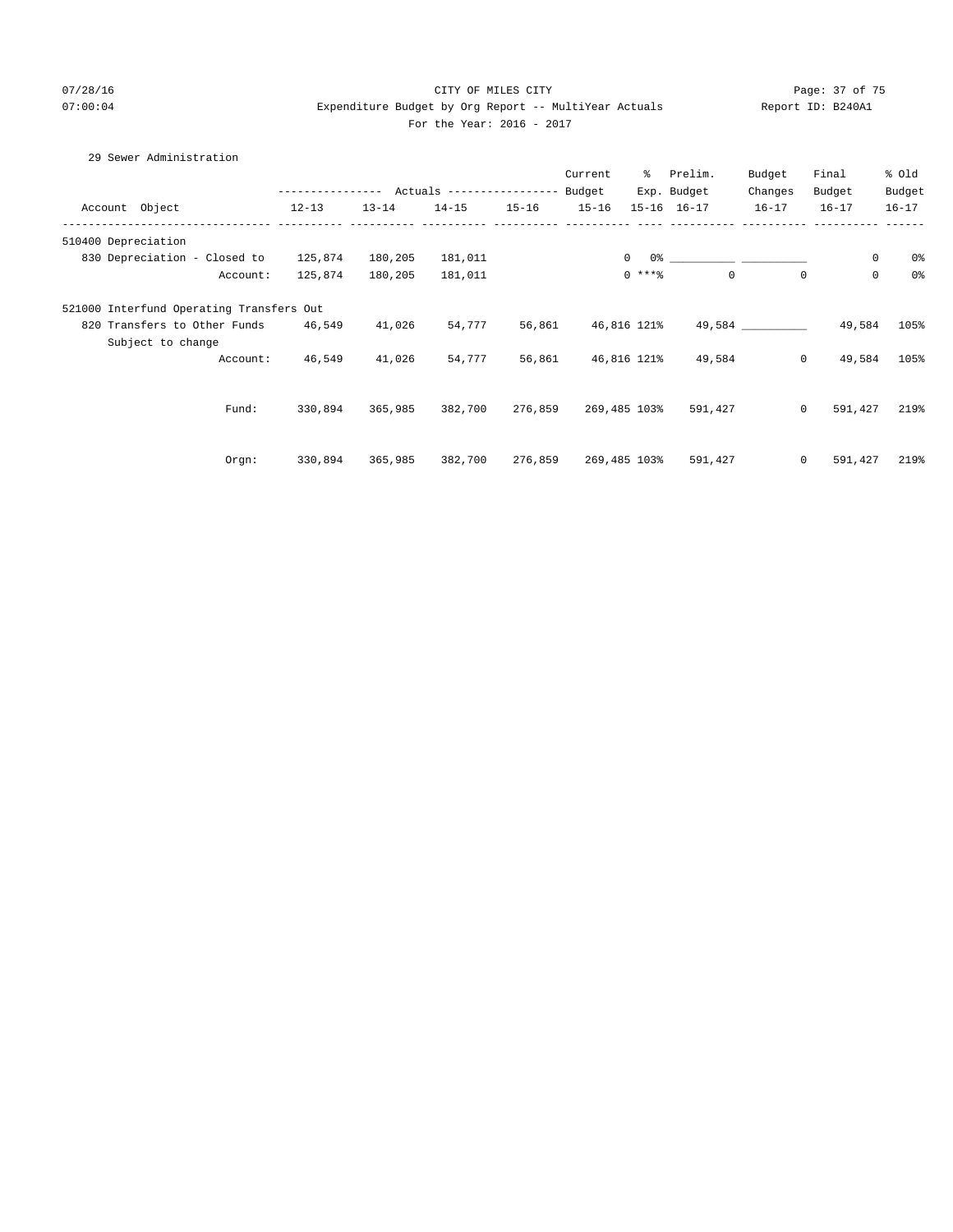# 07/28/16 Page: 37 of 75 07:00:04 Expenditure Budget by Org Report -- MultiYear Actuals Report ID: B240A1 For the Year: 2016 - 2017

# 29 Sewer Administration

|                     |                                          |                                           |           |           |           | Current   | ိ              | Prelim.             | Budget      | Final       | % old          |
|---------------------|------------------------------------------|-------------------------------------------|-----------|-----------|-----------|-----------|----------------|---------------------|-------------|-------------|----------------|
|                     |                                          | --------------- Actuals ----------------- |           |           |           | Budget    |                | Exp. Budget         | Changes     | Budget      | Budget         |
| Account Object      |                                          | $12 - 13$                                 | $13 - 14$ | $14 - 15$ | $15 - 16$ | $15 - 16$ |                | $15 - 16$ $16 - 17$ | $16 - 17$   | $16 - 17$   | $16 - 17$      |
| 510400 Depreciation |                                          |                                           |           |           |           |           |                |                     |             |             |                |
|                     | 830 Depreciation - Closed to             | 125,874                                   | 180,205   | 181,011   |           |           | $\overline{0}$ |                     |             | $\circ$     | 0%             |
|                     | Account:                                 | 125,874                                   | 180,205   | 181,011   |           |           | $0***$         | $\mathbf 0$         | $\mathbf 0$ | $\mathbf 0$ | 0 <sup>°</sup> |
|                     | 521000 Interfund Operating Transfers Out |                                           |           |           |           |           |                |                     |             |             |                |
|                     | 820 Transfers to Other Funds             | 46,549                                    | 41,026    | 54,777    | 56,861    |           | 46,816 121%    |                     | 49,584      | 49,584      | 105%           |
|                     | Subject to change                        |                                           |           |           |           |           |                |                     |             |             |                |
|                     | Account:                                 | 46,549                                    | 41,026    | 54,777    | 56,861    |           | 46,816 121%    | 49,584              | $\circ$     | 49,584      | 105%           |
|                     |                                          |                                           |           |           |           |           |                |                     |             |             |                |
|                     | Fund:                                    | 330,894                                   | 365,985   | 382,700   | 276,859   |           | 269,485 103%   | 591,427             | $\circ$     | 591,427     | 219%           |
|                     |                                          |                                           |           |           |           |           |                |                     |             |             |                |
|                     | Orgn:                                    | 330,894                                   | 365,985   | 382,700   | 276,859   |           | 269,485 103%   | 591,427             | $\circ$     | 591,427     | 219%           |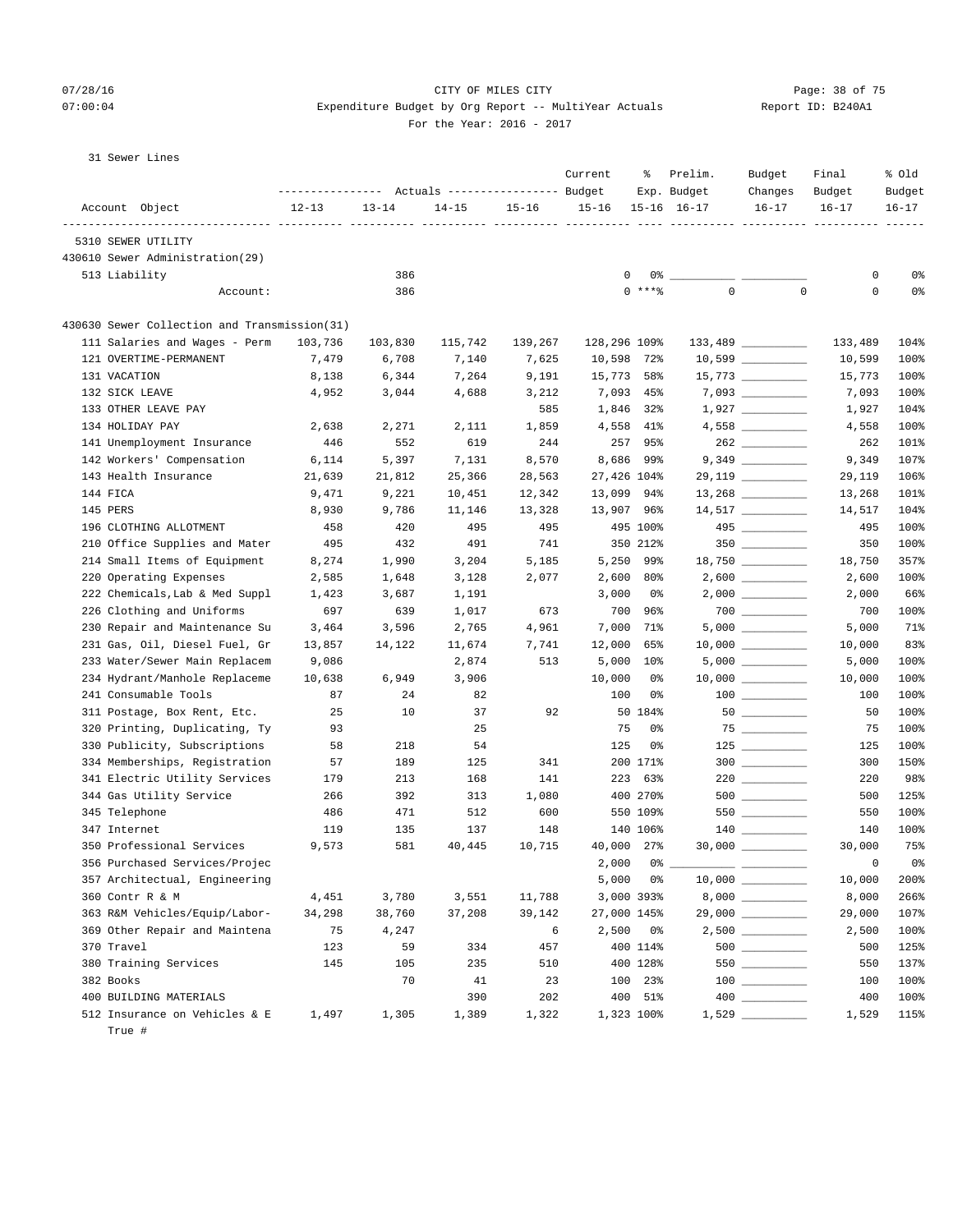## 07/28/16 Page: 38 of 75 07:00:04 Expenditure Budget by Org Report -- MultiYear Actuals Report ID: B240A1 For the Year: 2016 - 2017

|  | 31 Sewer Lines |  |
|--|----------------|--|
|--|----------------|--|

| Account Object<br>$13 - 14$<br>$15 - 16$<br>$15 - 16$<br>$15 - 16$ $16 - 17$<br>$16 - 17$<br>$16 - 17$<br>$16 - 17$<br>$12 - 13$<br>$14 - 15$<br>-----------<br>$- - - - - - -$<br>5310 SEWER UTILITY<br>430610 Sewer Administration(29)<br>386<br>0<br>0%<br>513 Liability<br>0<br>$0\%$ $-$<br>$\mathsf 0$<br>$0$ ****<br>$\mathbf 0$<br>0<br>0%<br>386<br>Account:<br>430630 Sewer Collection and Transmission(31)<br>$133,489$ _________<br>111 Salaries and Wages - Perm<br>103,736<br>103,830<br>115,742<br>139,267<br>128,296 109%<br>133,489<br>104%<br>121 OVERTIME-PERMANENT<br>7,479<br>6,708<br>7,140<br>7,625<br>10,598<br>$72\%$<br>10,599<br>100%<br>15,773<br>$15,773$ __________<br>131 VACATION<br>6,344<br>7,264<br>9,191<br>58%<br>15,773<br>100%<br>8,138<br>132 SICK LEAVE<br>4,952<br>3,044<br>4,688<br>7,093 45%<br>100%<br>3,212<br>7,093<br>$1,927$ _________<br>133 OTHER LEAVE PAY<br>585<br>1,846 32%<br>104%<br>1,927<br>$4,558$ ___________<br>134 HOLIDAY PAY<br>2,638<br>2,271<br>2,111<br>1,859<br>4,558<br>41%<br>4,558<br>100%<br>141 Unemployment Insurance<br>257<br>446<br>552<br>619<br>244<br>95%<br>262<br>101%<br>8,570<br>142 Workers' Compensation<br>6,114<br>5,397<br>7,131<br>8,686<br>99%<br>9,349<br>107%<br>143 Health Insurance<br>25,366<br>27,426 104%<br>29,119 _________<br>106%<br>21,639<br>21,812<br>28,563<br>29,119<br>144 FICA<br>9,221<br>13,099<br>101%<br>9,471<br>10,451<br>12,342<br>94%<br>13,268<br>145 PERS<br>8,930<br>9,786<br>11,146<br>13,328<br>13,907<br>96%<br>14,517<br>104%<br>420<br>495<br>495 100%<br>$495$ _________<br>196 CLOTHING ALLOTMENT<br>458<br>495<br>495<br>100%<br>210 Office Supplies and Mater<br>491<br>741<br>350 212%<br>350<br>495<br>432<br>350<br>100%<br>214 Small Items of Equipment<br>8,274<br>1,990<br>5,250<br>99%<br>$18,750$ _________<br>357%<br>3,204<br>5,185<br>18,750<br>220 Operating Expenses<br>2,600<br>80%<br>100%<br>2,585<br>1,648<br>3,128<br>2,077<br>2,600<br>$2,000$ _________<br>222 Chemicals, Lab & Med Suppl<br>1,423<br>3,687<br>1,191<br>3,000<br>0%<br>2,000<br>66%<br>226 Clothing and Uniforms<br>700<br>697<br>639<br>1,017<br>673<br>96%<br>700<br>100%<br>7,000<br>230 Repair and Maintenance Su<br>3,464<br>3,596<br>2,765<br>4,961<br>71%<br>5,000<br>71%<br>83%<br>231 Gas, Oil, Diesel Fuel, Gr<br>12,000<br>65%<br>$10,000$ _________<br>10,000<br>13,857<br>14,122<br>11,674<br>7,741<br>$5,000$ __________<br>233 Water/Sewer Main Replacem<br>9,086<br>513<br>5,000<br>$10\%$<br>100%<br>2,874<br>5,000<br>234 Hydrant/Manhole Replaceme<br>10,638<br>6,949<br>3,906<br>10,000<br>0%<br>$10,000$ _________<br>10,000<br>100%<br>241 Consumable Tools<br>100<br>$100$ _______<br>87<br>24<br>82<br>0%<br>100<br>100%<br>25<br>10<br>92<br>$50$<br>311 Postage, Box Rent, Etc.<br>37<br>50 184%<br>50<br>100%<br>25<br>75<br>$75 \begin{tabular}{l} \hline \rule{0.2cm}{0.1cm} \rule{0.2cm}{0.1cm} \rule{0.2cm}{0.1cm} \rule{0.2cm}{0.1cm} \rule{0.2cm}{0.1cm} \rule{0.2cm}{0.1cm} \rule{0.2cm}{0.1cm} \rule{0.2cm}{0.1cm} \rule{0.2cm}{0.1cm} \rule{0.2cm}{0.1cm} \rule{0.2cm}{0.1cm} \rule{0.2cm}{0.1cm} \rule{0.2cm}{0.1cm} \rule{0.2cm}{0.1cm} \rule{0.2cm}{0.1cm} \rule{0.2cm}{0.1cm$<br>320 Printing, Duplicating, Ty<br>93<br>0%<br>75<br>100%<br>330 Publicity, Subscriptions<br>218<br>54<br>125<br>0%<br>100%<br>58<br>125<br>$300$<br>334 Memberships, Registration<br>57<br>189<br>125<br>341<br>200 171%<br>300<br>150%<br>341 Electric Utility Services<br>$220$ _________<br>179<br>213<br>168<br>141<br>223 63%<br>220<br>98%<br>344 Gas Utility Service<br>400 270%<br>$500$ __________<br>266<br>392<br>313<br>1,080<br>500<br>125%<br>345 Telephone<br>471<br>512<br>600<br>550 109%<br>$550$ _________<br>550<br>100%<br>486<br>100%<br>347 Internet<br>119<br>135<br>137<br>148<br>140 106%<br>140<br>40,000 27%<br>$30,000$ _________<br>75%<br>350 Professional Services<br>9,573<br>581<br>40,445<br>10,715<br>30,000<br>2,000<br>0%<br>356 Purchased Services/Projec<br>0%<br>0<br>357 Architectual, Engineering<br>5,000<br>200%<br>0%<br>10,000<br>360 Contr R & M<br>3,551<br>3,000 393%<br>8,000<br>8,000<br>266%<br>4,451<br>3,780<br>11,788<br>29,000 _________<br>363 R&M Vehicles/Equip/Labor-<br>37,208<br>39,142<br>107%<br>34,298<br>38,760<br>27,000 145%<br>29,000<br>$2,500$ __________<br>369 Other Repair and Maintena<br>75<br>6<br>2,500<br>2,500<br>100%<br>4,247<br>0%<br>370 Travel<br>123<br>457<br>400 114%<br>500<br>125%<br>59<br>334<br>380 Training Services<br>145<br>105<br>235<br>510<br>400 128%<br>550<br>550<br>137%<br>70<br>41<br>23<br>100 23%<br>$\begin{tabular}{c} 100 \end{tabular}$<br>100%<br>382 Books<br>100<br>400 BUILDING MATERIALS<br>390<br>202<br>400 51%<br>400<br>100%<br>$1,529$<br>512 Insurance on Vehicles & E<br>1,322<br>1,323 100%<br>1,529<br>115%<br>1,497<br>1,305<br>1,389 |  | Actuals ----------------- Budget | Current | ႜ | Prelim.<br>Exp. Budget | Budget<br>Changes | Final<br>Budget | % Old<br>Budget |
|---------------------------------------------------------------------------------------------------------------------------------------------------------------------------------------------------------------------------------------------------------------------------------------------------------------------------------------------------------------------------------------------------------------------------------------------------------------------------------------------------------------------------------------------------------------------------------------------------------------------------------------------------------------------------------------------------------------------------------------------------------------------------------------------------------------------------------------------------------------------------------------------------------------------------------------------------------------------------------------------------------------------------------------------------------------------------------------------------------------------------------------------------------------------------------------------------------------------------------------------------------------------------------------------------------------------------------------------------------------------------------------------------------------------------------------------------------------------------------------------------------------------------------------------------------------------------------------------------------------------------------------------------------------------------------------------------------------------------------------------------------------------------------------------------------------------------------------------------------------------------------------------------------------------------------------------------------------------------------------------------------------------------------------------------------------------------------------------------------------------------------------------------------------------------------------------------------------------------------------------------------------------------------------------------------------------------------------------------------------------------------------------------------------------------------------------------------------------------------------------------------------------------------------------------------------------------------------------------------------------------------------------------------------------------------------------------------------------------------------------------------------------------------------------------------------------------------------------------------------------------------------------------------------------------------------------------------------------------------------------------------------------------------------------------------------------------------------------------------------------------------------------------------------------------------------------------------------------------------------------------------------------------------------------------------------------------------------------------------------------------------------------------------------------------------------------------------------------------------------------------------------------------------------------------------------------------------------------------------------------------------------------------------------------------------------------------------------------------------------------------------------------------------------------------------------------------------------------------------------------------------------------------------------------------------------------------------------------------------------------------------------------------------------------------------------------------------------------------------------------------------------------------------------------------------------------------------------------------------------------------------------------------------------------------------------------------------------------------------------------------------------------------------------------------------------------------------------------------------------------------------------------------------------------------------------------------------------------------------------------------------------------------------------------------------------------------------------------------------------------------------------------------------------------------------------------------------------------------------------------------------------------------------------------|--|----------------------------------|---------|---|------------------------|-------------------|-----------------|-----------------|
|                                                                                                                                                                                                                                                                                                                                                                                                                                                                                                                                                                                                                                                                                                                                                                                                                                                                                                                                                                                                                                                                                                                                                                                                                                                                                                                                                                                                                                                                                                                                                                                                                                                                                                                                                                                                                                                                                                                                                                                                                                                                                                                                                                                                                                                                                                                                                                                                                                                                                                                                                                                                                                                                                                                                                                                                                                                                                                                                                                                                                                                                                                                                                                                                                                                                                                                                                                                                                                                                                                                                                                                                                                                                                                                                                                                                                                                                                                                                                                                                                                                                                                                                                                                                                                                                                                                                                                                                                                                                                                                                                                                                                                                                                                                                                                                                                                                                                                                     |  |                                  |         |   |                        |                   |                 |                 |
|                                                                                                                                                                                                                                                                                                                                                                                                                                                                                                                                                                                                                                                                                                                                                                                                                                                                                                                                                                                                                                                                                                                                                                                                                                                                                                                                                                                                                                                                                                                                                                                                                                                                                                                                                                                                                                                                                                                                                                                                                                                                                                                                                                                                                                                                                                                                                                                                                                                                                                                                                                                                                                                                                                                                                                                                                                                                                                                                                                                                                                                                                                                                                                                                                                                                                                                                                                                                                                                                                                                                                                                                                                                                                                                                                                                                                                                                                                                                                                                                                                                                                                                                                                                                                                                                                                                                                                                                                                                                                                                                                                                                                                                                                                                                                                                                                                                                                                                     |  |                                  |         |   |                        |                   |                 |                 |
|                                                                                                                                                                                                                                                                                                                                                                                                                                                                                                                                                                                                                                                                                                                                                                                                                                                                                                                                                                                                                                                                                                                                                                                                                                                                                                                                                                                                                                                                                                                                                                                                                                                                                                                                                                                                                                                                                                                                                                                                                                                                                                                                                                                                                                                                                                                                                                                                                                                                                                                                                                                                                                                                                                                                                                                                                                                                                                                                                                                                                                                                                                                                                                                                                                                                                                                                                                                                                                                                                                                                                                                                                                                                                                                                                                                                                                                                                                                                                                                                                                                                                                                                                                                                                                                                                                                                                                                                                                                                                                                                                                                                                                                                                                                                                                                                                                                                                                                     |  |                                  |         |   |                        |                   |                 |                 |
|                                                                                                                                                                                                                                                                                                                                                                                                                                                                                                                                                                                                                                                                                                                                                                                                                                                                                                                                                                                                                                                                                                                                                                                                                                                                                                                                                                                                                                                                                                                                                                                                                                                                                                                                                                                                                                                                                                                                                                                                                                                                                                                                                                                                                                                                                                                                                                                                                                                                                                                                                                                                                                                                                                                                                                                                                                                                                                                                                                                                                                                                                                                                                                                                                                                                                                                                                                                                                                                                                                                                                                                                                                                                                                                                                                                                                                                                                                                                                                                                                                                                                                                                                                                                                                                                                                                                                                                                                                                                                                                                                                                                                                                                                                                                                                                                                                                                                                                     |  |                                  |         |   |                        |                   |                 |                 |
|                                                                                                                                                                                                                                                                                                                                                                                                                                                                                                                                                                                                                                                                                                                                                                                                                                                                                                                                                                                                                                                                                                                                                                                                                                                                                                                                                                                                                                                                                                                                                                                                                                                                                                                                                                                                                                                                                                                                                                                                                                                                                                                                                                                                                                                                                                                                                                                                                                                                                                                                                                                                                                                                                                                                                                                                                                                                                                                                                                                                                                                                                                                                                                                                                                                                                                                                                                                                                                                                                                                                                                                                                                                                                                                                                                                                                                                                                                                                                                                                                                                                                                                                                                                                                                                                                                                                                                                                                                                                                                                                                                                                                                                                                                                                                                                                                                                                                                                     |  |                                  |         |   |                        |                   |                 |                 |
|                                                                                                                                                                                                                                                                                                                                                                                                                                                                                                                                                                                                                                                                                                                                                                                                                                                                                                                                                                                                                                                                                                                                                                                                                                                                                                                                                                                                                                                                                                                                                                                                                                                                                                                                                                                                                                                                                                                                                                                                                                                                                                                                                                                                                                                                                                                                                                                                                                                                                                                                                                                                                                                                                                                                                                                                                                                                                                                                                                                                                                                                                                                                                                                                                                                                                                                                                                                                                                                                                                                                                                                                                                                                                                                                                                                                                                                                                                                                                                                                                                                                                                                                                                                                                                                                                                                                                                                                                                                                                                                                                                                                                                                                                                                                                                                                                                                                                                                     |  |                                  |         |   |                        |                   |                 |                 |
|                                                                                                                                                                                                                                                                                                                                                                                                                                                                                                                                                                                                                                                                                                                                                                                                                                                                                                                                                                                                                                                                                                                                                                                                                                                                                                                                                                                                                                                                                                                                                                                                                                                                                                                                                                                                                                                                                                                                                                                                                                                                                                                                                                                                                                                                                                                                                                                                                                                                                                                                                                                                                                                                                                                                                                                                                                                                                                                                                                                                                                                                                                                                                                                                                                                                                                                                                                                                                                                                                                                                                                                                                                                                                                                                                                                                                                                                                                                                                                                                                                                                                                                                                                                                                                                                                                                                                                                                                                                                                                                                                                                                                                                                                                                                                                                                                                                                                                                     |  |                                  |         |   |                        |                   |                 |                 |
|                                                                                                                                                                                                                                                                                                                                                                                                                                                                                                                                                                                                                                                                                                                                                                                                                                                                                                                                                                                                                                                                                                                                                                                                                                                                                                                                                                                                                                                                                                                                                                                                                                                                                                                                                                                                                                                                                                                                                                                                                                                                                                                                                                                                                                                                                                                                                                                                                                                                                                                                                                                                                                                                                                                                                                                                                                                                                                                                                                                                                                                                                                                                                                                                                                                                                                                                                                                                                                                                                                                                                                                                                                                                                                                                                                                                                                                                                                                                                                                                                                                                                                                                                                                                                                                                                                                                                                                                                                                                                                                                                                                                                                                                                                                                                                                                                                                                                                                     |  |                                  |         |   |                        |                   |                 |                 |
|                                                                                                                                                                                                                                                                                                                                                                                                                                                                                                                                                                                                                                                                                                                                                                                                                                                                                                                                                                                                                                                                                                                                                                                                                                                                                                                                                                                                                                                                                                                                                                                                                                                                                                                                                                                                                                                                                                                                                                                                                                                                                                                                                                                                                                                                                                                                                                                                                                                                                                                                                                                                                                                                                                                                                                                                                                                                                                                                                                                                                                                                                                                                                                                                                                                                                                                                                                                                                                                                                                                                                                                                                                                                                                                                                                                                                                                                                                                                                                                                                                                                                                                                                                                                                                                                                                                                                                                                                                                                                                                                                                                                                                                                                                                                                                                                                                                                                                                     |  |                                  |         |   |                        |                   |                 |                 |
|                                                                                                                                                                                                                                                                                                                                                                                                                                                                                                                                                                                                                                                                                                                                                                                                                                                                                                                                                                                                                                                                                                                                                                                                                                                                                                                                                                                                                                                                                                                                                                                                                                                                                                                                                                                                                                                                                                                                                                                                                                                                                                                                                                                                                                                                                                                                                                                                                                                                                                                                                                                                                                                                                                                                                                                                                                                                                                                                                                                                                                                                                                                                                                                                                                                                                                                                                                                                                                                                                                                                                                                                                                                                                                                                                                                                                                                                                                                                                                                                                                                                                                                                                                                                                                                                                                                                                                                                                                                                                                                                                                                                                                                                                                                                                                                                                                                                                                                     |  |                                  |         |   |                        |                   |                 |                 |
|                                                                                                                                                                                                                                                                                                                                                                                                                                                                                                                                                                                                                                                                                                                                                                                                                                                                                                                                                                                                                                                                                                                                                                                                                                                                                                                                                                                                                                                                                                                                                                                                                                                                                                                                                                                                                                                                                                                                                                                                                                                                                                                                                                                                                                                                                                                                                                                                                                                                                                                                                                                                                                                                                                                                                                                                                                                                                                                                                                                                                                                                                                                                                                                                                                                                                                                                                                                                                                                                                                                                                                                                                                                                                                                                                                                                                                                                                                                                                                                                                                                                                                                                                                                                                                                                                                                                                                                                                                                                                                                                                                                                                                                                                                                                                                                                                                                                                                                     |  |                                  |         |   |                        |                   |                 |                 |
|                                                                                                                                                                                                                                                                                                                                                                                                                                                                                                                                                                                                                                                                                                                                                                                                                                                                                                                                                                                                                                                                                                                                                                                                                                                                                                                                                                                                                                                                                                                                                                                                                                                                                                                                                                                                                                                                                                                                                                                                                                                                                                                                                                                                                                                                                                                                                                                                                                                                                                                                                                                                                                                                                                                                                                                                                                                                                                                                                                                                                                                                                                                                                                                                                                                                                                                                                                                                                                                                                                                                                                                                                                                                                                                                                                                                                                                                                                                                                                                                                                                                                                                                                                                                                                                                                                                                                                                                                                                                                                                                                                                                                                                                                                                                                                                                                                                                                                                     |  |                                  |         |   |                        |                   |                 |                 |
|                                                                                                                                                                                                                                                                                                                                                                                                                                                                                                                                                                                                                                                                                                                                                                                                                                                                                                                                                                                                                                                                                                                                                                                                                                                                                                                                                                                                                                                                                                                                                                                                                                                                                                                                                                                                                                                                                                                                                                                                                                                                                                                                                                                                                                                                                                                                                                                                                                                                                                                                                                                                                                                                                                                                                                                                                                                                                                                                                                                                                                                                                                                                                                                                                                                                                                                                                                                                                                                                                                                                                                                                                                                                                                                                                                                                                                                                                                                                                                                                                                                                                                                                                                                                                                                                                                                                                                                                                                                                                                                                                                                                                                                                                                                                                                                                                                                                                                                     |  |                                  |         |   |                        |                   |                 |                 |
|                                                                                                                                                                                                                                                                                                                                                                                                                                                                                                                                                                                                                                                                                                                                                                                                                                                                                                                                                                                                                                                                                                                                                                                                                                                                                                                                                                                                                                                                                                                                                                                                                                                                                                                                                                                                                                                                                                                                                                                                                                                                                                                                                                                                                                                                                                                                                                                                                                                                                                                                                                                                                                                                                                                                                                                                                                                                                                                                                                                                                                                                                                                                                                                                                                                                                                                                                                                                                                                                                                                                                                                                                                                                                                                                                                                                                                                                                                                                                                                                                                                                                                                                                                                                                                                                                                                                                                                                                                                                                                                                                                                                                                                                                                                                                                                                                                                                                                                     |  |                                  |         |   |                        |                   |                 |                 |
|                                                                                                                                                                                                                                                                                                                                                                                                                                                                                                                                                                                                                                                                                                                                                                                                                                                                                                                                                                                                                                                                                                                                                                                                                                                                                                                                                                                                                                                                                                                                                                                                                                                                                                                                                                                                                                                                                                                                                                                                                                                                                                                                                                                                                                                                                                                                                                                                                                                                                                                                                                                                                                                                                                                                                                                                                                                                                                                                                                                                                                                                                                                                                                                                                                                                                                                                                                                                                                                                                                                                                                                                                                                                                                                                                                                                                                                                                                                                                                                                                                                                                                                                                                                                                                                                                                                                                                                                                                                                                                                                                                                                                                                                                                                                                                                                                                                                                                                     |  |                                  |         |   |                        |                   |                 |                 |
|                                                                                                                                                                                                                                                                                                                                                                                                                                                                                                                                                                                                                                                                                                                                                                                                                                                                                                                                                                                                                                                                                                                                                                                                                                                                                                                                                                                                                                                                                                                                                                                                                                                                                                                                                                                                                                                                                                                                                                                                                                                                                                                                                                                                                                                                                                                                                                                                                                                                                                                                                                                                                                                                                                                                                                                                                                                                                                                                                                                                                                                                                                                                                                                                                                                                                                                                                                                                                                                                                                                                                                                                                                                                                                                                                                                                                                                                                                                                                                                                                                                                                                                                                                                                                                                                                                                                                                                                                                                                                                                                                                                                                                                                                                                                                                                                                                                                                                                     |  |                                  |         |   |                        |                   |                 |                 |
|                                                                                                                                                                                                                                                                                                                                                                                                                                                                                                                                                                                                                                                                                                                                                                                                                                                                                                                                                                                                                                                                                                                                                                                                                                                                                                                                                                                                                                                                                                                                                                                                                                                                                                                                                                                                                                                                                                                                                                                                                                                                                                                                                                                                                                                                                                                                                                                                                                                                                                                                                                                                                                                                                                                                                                                                                                                                                                                                                                                                                                                                                                                                                                                                                                                                                                                                                                                                                                                                                                                                                                                                                                                                                                                                                                                                                                                                                                                                                                                                                                                                                                                                                                                                                                                                                                                                                                                                                                                                                                                                                                                                                                                                                                                                                                                                                                                                                                                     |  |                                  |         |   |                        |                   |                 |                 |
|                                                                                                                                                                                                                                                                                                                                                                                                                                                                                                                                                                                                                                                                                                                                                                                                                                                                                                                                                                                                                                                                                                                                                                                                                                                                                                                                                                                                                                                                                                                                                                                                                                                                                                                                                                                                                                                                                                                                                                                                                                                                                                                                                                                                                                                                                                                                                                                                                                                                                                                                                                                                                                                                                                                                                                                                                                                                                                                                                                                                                                                                                                                                                                                                                                                                                                                                                                                                                                                                                                                                                                                                                                                                                                                                                                                                                                                                                                                                                                                                                                                                                                                                                                                                                                                                                                                                                                                                                                                                                                                                                                                                                                                                                                                                                                                                                                                                                                                     |  |                                  |         |   |                        |                   |                 |                 |
|                                                                                                                                                                                                                                                                                                                                                                                                                                                                                                                                                                                                                                                                                                                                                                                                                                                                                                                                                                                                                                                                                                                                                                                                                                                                                                                                                                                                                                                                                                                                                                                                                                                                                                                                                                                                                                                                                                                                                                                                                                                                                                                                                                                                                                                                                                                                                                                                                                                                                                                                                                                                                                                                                                                                                                                                                                                                                                                                                                                                                                                                                                                                                                                                                                                                                                                                                                                                                                                                                                                                                                                                                                                                                                                                                                                                                                                                                                                                                                                                                                                                                                                                                                                                                                                                                                                                                                                                                                                                                                                                                                                                                                                                                                                                                                                                                                                                                                                     |  |                                  |         |   |                        |                   |                 |                 |
|                                                                                                                                                                                                                                                                                                                                                                                                                                                                                                                                                                                                                                                                                                                                                                                                                                                                                                                                                                                                                                                                                                                                                                                                                                                                                                                                                                                                                                                                                                                                                                                                                                                                                                                                                                                                                                                                                                                                                                                                                                                                                                                                                                                                                                                                                                                                                                                                                                                                                                                                                                                                                                                                                                                                                                                                                                                                                                                                                                                                                                                                                                                                                                                                                                                                                                                                                                                                                                                                                                                                                                                                                                                                                                                                                                                                                                                                                                                                                                                                                                                                                                                                                                                                                                                                                                                                                                                                                                                                                                                                                                                                                                                                                                                                                                                                                                                                                                                     |  |                                  |         |   |                        |                   |                 |                 |
|                                                                                                                                                                                                                                                                                                                                                                                                                                                                                                                                                                                                                                                                                                                                                                                                                                                                                                                                                                                                                                                                                                                                                                                                                                                                                                                                                                                                                                                                                                                                                                                                                                                                                                                                                                                                                                                                                                                                                                                                                                                                                                                                                                                                                                                                                                                                                                                                                                                                                                                                                                                                                                                                                                                                                                                                                                                                                                                                                                                                                                                                                                                                                                                                                                                                                                                                                                                                                                                                                                                                                                                                                                                                                                                                                                                                                                                                                                                                                                                                                                                                                                                                                                                                                                                                                                                                                                                                                                                                                                                                                                                                                                                                                                                                                                                                                                                                                                                     |  |                                  |         |   |                        |                   |                 |                 |
|                                                                                                                                                                                                                                                                                                                                                                                                                                                                                                                                                                                                                                                                                                                                                                                                                                                                                                                                                                                                                                                                                                                                                                                                                                                                                                                                                                                                                                                                                                                                                                                                                                                                                                                                                                                                                                                                                                                                                                                                                                                                                                                                                                                                                                                                                                                                                                                                                                                                                                                                                                                                                                                                                                                                                                                                                                                                                                                                                                                                                                                                                                                                                                                                                                                                                                                                                                                                                                                                                                                                                                                                                                                                                                                                                                                                                                                                                                                                                                                                                                                                                                                                                                                                                                                                                                                                                                                                                                                                                                                                                                                                                                                                                                                                                                                                                                                                                                                     |  |                                  |         |   |                        |                   |                 |                 |
|                                                                                                                                                                                                                                                                                                                                                                                                                                                                                                                                                                                                                                                                                                                                                                                                                                                                                                                                                                                                                                                                                                                                                                                                                                                                                                                                                                                                                                                                                                                                                                                                                                                                                                                                                                                                                                                                                                                                                                                                                                                                                                                                                                                                                                                                                                                                                                                                                                                                                                                                                                                                                                                                                                                                                                                                                                                                                                                                                                                                                                                                                                                                                                                                                                                                                                                                                                                                                                                                                                                                                                                                                                                                                                                                                                                                                                                                                                                                                                                                                                                                                                                                                                                                                                                                                                                                                                                                                                                                                                                                                                                                                                                                                                                                                                                                                                                                                                                     |  |                                  |         |   |                        |                   |                 |                 |
|                                                                                                                                                                                                                                                                                                                                                                                                                                                                                                                                                                                                                                                                                                                                                                                                                                                                                                                                                                                                                                                                                                                                                                                                                                                                                                                                                                                                                                                                                                                                                                                                                                                                                                                                                                                                                                                                                                                                                                                                                                                                                                                                                                                                                                                                                                                                                                                                                                                                                                                                                                                                                                                                                                                                                                                                                                                                                                                                                                                                                                                                                                                                                                                                                                                                                                                                                                                                                                                                                                                                                                                                                                                                                                                                                                                                                                                                                                                                                                                                                                                                                                                                                                                                                                                                                                                                                                                                                                                                                                                                                                                                                                                                                                                                                                                                                                                                                                                     |  |                                  |         |   |                        |                   |                 |                 |
|                                                                                                                                                                                                                                                                                                                                                                                                                                                                                                                                                                                                                                                                                                                                                                                                                                                                                                                                                                                                                                                                                                                                                                                                                                                                                                                                                                                                                                                                                                                                                                                                                                                                                                                                                                                                                                                                                                                                                                                                                                                                                                                                                                                                                                                                                                                                                                                                                                                                                                                                                                                                                                                                                                                                                                                                                                                                                                                                                                                                                                                                                                                                                                                                                                                                                                                                                                                                                                                                                                                                                                                                                                                                                                                                                                                                                                                                                                                                                                                                                                                                                                                                                                                                                                                                                                                                                                                                                                                                                                                                                                                                                                                                                                                                                                                                                                                                                                                     |  |                                  |         |   |                        |                   |                 |                 |
|                                                                                                                                                                                                                                                                                                                                                                                                                                                                                                                                                                                                                                                                                                                                                                                                                                                                                                                                                                                                                                                                                                                                                                                                                                                                                                                                                                                                                                                                                                                                                                                                                                                                                                                                                                                                                                                                                                                                                                                                                                                                                                                                                                                                                                                                                                                                                                                                                                                                                                                                                                                                                                                                                                                                                                                                                                                                                                                                                                                                                                                                                                                                                                                                                                                                                                                                                                                                                                                                                                                                                                                                                                                                                                                                                                                                                                                                                                                                                                                                                                                                                                                                                                                                                                                                                                                                                                                                                                                                                                                                                                                                                                                                                                                                                                                                                                                                                                                     |  |                                  |         |   |                        |                   |                 |                 |
|                                                                                                                                                                                                                                                                                                                                                                                                                                                                                                                                                                                                                                                                                                                                                                                                                                                                                                                                                                                                                                                                                                                                                                                                                                                                                                                                                                                                                                                                                                                                                                                                                                                                                                                                                                                                                                                                                                                                                                                                                                                                                                                                                                                                                                                                                                                                                                                                                                                                                                                                                                                                                                                                                                                                                                                                                                                                                                                                                                                                                                                                                                                                                                                                                                                                                                                                                                                                                                                                                                                                                                                                                                                                                                                                                                                                                                                                                                                                                                                                                                                                                                                                                                                                                                                                                                                                                                                                                                                                                                                                                                                                                                                                                                                                                                                                                                                                                                                     |  |                                  |         |   |                        |                   |                 |                 |
|                                                                                                                                                                                                                                                                                                                                                                                                                                                                                                                                                                                                                                                                                                                                                                                                                                                                                                                                                                                                                                                                                                                                                                                                                                                                                                                                                                                                                                                                                                                                                                                                                                                                                                                                                                                                                                                                                                                                                                                                                                                                                                                                                                                                                                                                                                                                                                                                                                                                                                                                                                                                                                                                                                                                                                                                                                                                                                                                                                                                                                                                                                                                                                                                                                                                                                                                                                                                                                                                                                                                                                                                                                                                                                                                                                                                                                                                                                                                                                                                                                                                                                                                                                                                                                                                                                                                                                                                                                                                                                                                                                                                                                                                                                                                                                                                                                                                                                                     |  |                                  |         |   |                        |                   |                 |                 |
|                                                                                                                                                                                                                                                                                                                                                                                                                                                                                                                                                                                                                                                                                                                                                                                                                                                                                                                                                                                                                                                                                                                                                                                                                                                                                                                                                                                                                                                                                                                                                                                                                                                                                                                                                                                                                                                                                                                                                                                                                                                                                                                                                                                                                                                                                                                                                                                                                                                                                                                                                                                                                                                                                                                                                                                                                                                                                                                                                                                                                                                                                                                                                                                                                                                                                                                                                                                                                                                                                                                                                                                                                                                                                                                                                                                                                                                                                                                                                                                                                                                                                                                                                                                                                                                                                                                                                                                                                                                                                                                                                                                                                                                                                                                                                                                                                                                                                                                     |  |                                  |         |   |                        |                   |                 |                 |
|                                                                                                                                                                                                                                                                                                                                                                                                                                                                                                                                                                                                                                                                                                                                                                                                                                                                                                                                                                                                                                                                                                                                                                                                                                                                                                                                                                                                                                                                                                                                                                                                                                                                                                                                                                                                                                                                                                                                                                                                                                                                                                                                                                                                                                                                                                                                                                                                                                                                                                                                                                                                                                                                                                                                                                                                                                                                                                                                                                                                                                                                                                                                                                                                                                                                                                                                                                                                                                                                                                                                                                                                                                                                                                                                                                                                                                                                                                                                                                                                                                                                                                                                                                                                                                                                                                                                                                                                                                                                                                                                                                                                                                                                                                                                                                                                                                                                                                                     |  |                                  |         |   |                        |                   |                 |                 |
|                                                                                                                                                                                                                                                                                                                                                                                                                                                                                                                                                                                                                                                                                                                                                                                                                                                                                                                                                                                                                                                                                                                                                                                                                                                                                                                                                                                                                                                                                                                                                                                                                                                                                                                                                                                                                                                                                                                                                                                                                                                                                                                                                                                                                                                                                                                                                                                                                                                                                                                                                                                                                                                                                                                                                                                                                                                                                                                                                                                                                                                                                                                                                                                                                                                                                                                                                                                                                                                                                                                                                                                                                                                                                                                                                                                                                                                                                                                                                                                                                                                                                                                                                                                                                                                                                                                                                                                                                                                                                                                                                                                                                                                                                                                                                                                                                                                                                                                     |  |                                  |         |   |                        |                   |                 |                 |
|                                                                                                                                                                                                                                                                                                                                                                                                                                                                                                                                                                                                                                                                                                                                                                                                                                                                                                                                                                                                                                                                                                                                                                                                                                                                                                                                                                                                                                                                                                                                                                                                                                                                                                                                                                                                                                                                                                                                                                                                                                                                                                                                                                                                                                                                                                                                                                                                                                                                                                                                                                                                                                                                                                                                                                                                                                                                                                                                                                                                                                                                                                                                                                                                                                                                                                                                                                                                                                                                                                                                                                                                                                                                                                                                                                                                                                                                                                                                                                                                                                                                                                                                                                                                                                                                                                                                                                                                                                                                                                                                                                                                                                                                                                                                                                                                                                                                                                                     |  |                                  |         |   |                        |                   |                 |                 |
|                                                                                                                                                                                                                                                                                                                                                                                                                                                                                                                                                                                                                                                                                                                                                                                                                                                                                                                                                                                                                                                                                                                                                                                                                                                                                                                                                                                                                                                                                                                                                                                                                                                                                                                                                                                                                                                                                                                                                                                                                                                                                                                                                                                                                                                                                                                                                                                                                                                                                                                                                                                                                                                                                                                                                                                                                                                                                                                                                                                                                                                                                                                                                                                                                                                                                                                                                                                                                                                                                                                                                                                                                                                                                                                                                                                                                                                                                                                                                                                                                                                                                                                                                                                                                                                                                                                                                                                                                                                                                                                                                                                                                                                                                                                                                                                                                                                                                                                     |  |                                  |         |   |                        |                   |                 |                 |
|                                                                                                                                                                                                                                                                                                                                                                                                                                                                                                                                                                                                                                                                                                                                                                                                                                                                                                                                                                                                                                                                                                                                                                                                                                                                                                                                                                                                                                                                                                                                                                                                                                                                                                                                                                                                                                                                                                                                                                                                                                                                                                                                                                                                                                                                                                                                                                                                                                                                                                                                                                                                                                                                                                                                                                                                                                                                                                                                                                                                                                                                                                                                                                                                                                                                                                                                                                                                                                                                                                                                                                                                                                                                                                                                                                                                                                                                                                                                                                                                                                                                                                                                                                                                                                                                                                                                                                                                                                                                                                                                                                                                                                                                                                                                                                                                                                                                                                                     |  |                                  |         |   |                        |                   |                 |                 |
|                                                                                                                                                                                                                                                                                                                                                                                                                                                                                                                                                                                                                                                                                                                                                                                                                                                                                                                                                                                                                                                                                                                                                                                                                                                                                                                                                                                                                                                                                                                                                                                                                                                                                                                                                                                                                                                                                                                                                                                                                                                                                                                                                                                                                                                                                                                                                                                                                                                                                                                                                                                                                                                                                                                                                                                                                                                                                                                                                                                                                                                                                                                                                                                                                                                                                                                                                                                                                                                                                                                                                                                                                                                                                                                                                                                                                                                                                                                                                                                                                                                                                                                                                                                                                                                                                                                                                                                                                                                                                                                                                                                                                                                                                                                                                                                                                                                                                                                     |  |                                  |         |   |                        |                   |                 |                 |
|                                                                                                                                                                                                                                                                                                                                                                                                                                                                                                                                                                                                                                                                                                                                                                                                                                                                                                                                                                                                                                                                                                                                                                                                                                                                                                                                                                                                                                                                                                                                                                                                                                                                                                                                                                                                                                                                                                                                                                                                                                                                                                                                                                                                                                                                                                                                                                                                                                                                                                                                                                                                                                                                                                                                                                                                                                                                                                                                                                                                                                                                                                                                                                                                                                                                                                                                                                                                                                                                                                                                                                                                                                                                                                                                                                                                                                                                                                                                                                                                                                                                                                                                                                                                                                                                                                                                                                                                                                                                                                                                                                                                                                                                                                                                                                                                                                                                                                                     |  |                                  |         |   |                        |                   |                 |                 |
|                                                                                                                                                                                                                                                                                                                                                                                                                                                                                                                                                                                                                                                                                                                                                                                                                                                                                                                                                                                                                                                                                                                                                                                                                                                                                                                                                                                                                                                                                                                                                                                                                                                                                                                                                                                                                                                                                                                                                                                                                                                                                                                                                                                                                                                                                                                                                                                                                                                                                                                                                                                                                                                                                                                                                                                                                                                                                                                                                                                                                                                                                                                                                                                                                                                                                                                                                                                                                                                                                                                                                                                                                                                                                                                                                                                                                                                                                                                                                                                                                                                                                                                                                                                                                                                                                                                                                                                                                                                                                                                                                                                                                                                                                                                                                                                                                                                                                                                     |  |                                  |         |   |                        |                   |                 |                 |
|                                                                                                                                                                                                                                                                                                                                                                                                                                                                                                                                                                                                                                                                                                                                                                                                                                                                                                                                                                                                                                                                                                                                                                                                                                                                                                                                                                                                                                                                                                                                                                                                                                                                                                                                                                                                                                                                                                                                                                                                                                                                                                                                                                                                                                                                                                                                                                                                                                                                                                                                                                                                                                                                                                                                                                                                                                                                                                                                                                                                                                                                                                                                                                                                                                                                                                                                                                                                                                                                                                                                                                                                                                                                                                                                                                                                                                                                                                                                                                                                                                                                                                                                                                                                                                                                                                                                                                                                                                                                                                                                                                                                                                                                                                                                                                                                                                                                                                                     |  |                                  |         |   |                        |                   |                 |                 |
|                                                                                                                                                                                                                                                                                                                                                                                                                                                                                                                                                                                                                                                                                                                                                                                                                                                                                                                                                                                                                                                                                                                                                                                                                                                                                                                                                                                                                                                                                                                                                                                                                                                                                                                                                                                                                                                                                                                                                                                                                                                                                                                                                                                                                                                                                                                                                                                                                                                                                                                                                                                                                                                                                                                                                                                                                                                                                                                                                                                                                                                                                                                                                                                                                                                                                                                                                                                                                                                                                                                                                                                                                                                                                                                                                                                                                                                                                                                                                                                                                                                                                                                                                                                                                                                                                                                                                                                                                                                                                                                                                                                                                                                                                                                                                                                                                                                                                                                     |  |                                  |         |   |                        |                   |                 |                 |
|                                                                                                                                                                                                                                                                                                                                                                                                                                                                                                                                                                                                                                                                                                                                                                                                                                                                                                                                                                                                                                                                                                                                                                                                                                                                                                                                                                                                                                                                                                                                                                                                                                                                                                                                                                                                                                                                                                                                                                                                                                                                                                                                                                                                                                                                                                                                                                                                                                                                                                                                                                                                                                                                                                                                                                                                                                                                                                                                                                                                                                                                                                                                                                                                                                                                                                                                                                                                                                                                                                                                                                                                                                                                                                                                                                                                                                                                                                                                                                                                                                                                                                                                                                                                                                                                                                                                                                                                                                                                                                                                                                                                                                                                                                                                                                                                                                                                                                                     |  |                                  |         |   |                        |                   |                 |                 |
|                                                                                                                                                                                                                                                                                                                                                                                                                                                                                                                                                                                                                                                                                                                                                                                                                                                                                                                                                                                                                                                                                                                                                                                                                                                                                                                                                                                                                                                                                                                                                                                                                                                                                                                                                                                                                                                                                                                                                                                                                                                                                                                                                                                                                                                                                                                                                                                                                                                                                                                                                                                                                                                                                                                                                                                                                                                                                                                                                                                                                                                                                                                                                                                                                                                                                                                                                                                                                                                                                                                                                                                                                                                                                                                                                                                                                                                                                                                                                                                                                                                                                                                                                                                                                                                                                                                                                                                                                                                                                                                                                                                                                                                                                                                                                                                                                                                                                                                     |  |                                  |         |   |                        |                   |                 |                 |
|                                                                                                                                                                                                                                                                                                                                                                                                                                                                                                                                                                                                                                                                                                                                                                                                                                                                                                                                                                                                                                                                                                                                                                                                                                                                                                                                                                                                                                                                                                                                                                                                                                                                                                                                                                                                                                                                                                                                                                                                                                                                                                                                                                                                                                                                                                                                                                                                                                                                                                                                                                                                                                                                                                                                                                                                                                                                                                                                                                                                                                                                                                                                                                                                                                                                                                                                                                                                                                                                                                                                                                                                                                                                                                                                                                                                                                                                                                                                                                                                                                                                                                                                                                                                                                                                                                                                                                                                                                                                                                                                                                                                                                                                                                                                                                                                                                                                                                                     |  |                                  |         |   |                        |                   |                 |                 |
|                                                                                                                                                                                                                                                                                                                                                                                                                                                                                                                                                                                                                                                                                                                                                                                                                                                                                                                                                                                                                                                                                                                                                                                                                                                                                                                                                                                                                                                                                                                                                                                                                                                                                                                                                                                                                                                                                                                                                                                                                                                                                                                                                                                                                                                                                                                                                                                                                                                                                                                                                                                                                                                                                                                                                                                                                                                                                                                                                                                                                                                                                                                                                                                                                                                                                                                                                                                                                                                                                                                                                                                                                                                                                                                                                                                                                                                                                                                                                                                                                                                                                                                                                                                                                                                                                                                                                                                                                                                                                                                                                                                                                                                                                                                                                                                                                                                                                                                     |  |                                  |         |   |                        |                   |                 |                 |
|                                                                                                                                                                                                                                                                                                                                                                                                                                                                                                                                                                                                                                                                                                                                                                                                                                                                                                                                                                                                                                                                                                                                                                                                                                                                                                                                                                                                                                                                                                                                                                                                                                                                                                                                                                                                                                                                                                                                                                                                                                                                                                                                                                                                                                                                                                                                                                                                                                                                                                                                                                                                                                                                                                                                                                                                                                                                                                                                                                                                                                                                                                                                                                                                                                                                                                                                                                                                                                                                                                                                                                                                                                                                                                                                                                                                                                                                                                                                                                                                                                                                                                                                                                                                                                                                                                                                                                                                                                                                                                                                                                                                                                                                                                                                                                                                                                                                                                                     |  |                                  |         |   |                        |                   |                 |                 |
|                                                                                                                                                                                                                                                                                                                                                                                                                                                                                                                                                                                                                                                                                                                                                                                                                                                                                                                                                                                                                                                                                                                                                                                                                                                                                                                                                                                                                                                                                                                                                                                                                                                                                                                                                                                                                                                                                                                                                                                                                                                                                                                                                                                                                                                                                                                                                                                                                                                                                                                                                                                                                                                                                                                                                                                                                                                                                                                                                                                                                                                                                                                                                                                                                                                                                                                                                                                                                                                                                                                                                                                                                                                                                                                                                                                                                                                                                                                                                                                                                                                                                                                                                                                                                                                                                                                                                                                                                                                                                                                                                                                                                                                                                                                                                                                                                                                                                                                     |  |                                  |         |   |                        |                   |                 |                 |
|                                                                                                                                                                                                                                                                                                                                                                                                                                                                                                                                                                                                                                                                                                                                                                                                                                                                                                                                                                                                                                                                                                                                                                                                                                                                                                                                                                                                                                                                                                                                                                                                                                                                                                                                                                                                                                                                                                                                                                                                                                                                                                                                                                                                                                                                                                                                                                                                                                                                                                                                                                                                                                                                                                                                                                                                                                                                                                                                                                                                                                                                                                                                                                                                                                                                                                                                                                                                                                                                                                                                                                                                                                                                                                                                                                                                                                                                                                                                                                                                                                                                                                                                                                                                                                                                                                                                                                                                                                                                                                                                                                                                                                                                                                                                                                                                                                                                                                                     |  |                                  |         |   |                        |                   |                 |                 |
|                                                                                                                                                                                                                                                                                                                                                                                                                                                                                                                                                                                                                                                                                                                                                                                                                                                                                                                                                                                                                                                                                                                                                                                                                                                                                                                                                                                                                                                                                                                                                                                                                                                                                                                                                                                                                                                                                                                                                                                                                                                                                                                                                                                                                                                                                                                                                                                                                                                                                                                                                                                                                                                                                                                                                                                                                                                                                                                                                                                                                                                                                                                                                                                                                                                                                                                                                                                                                                                                                                                                                                                                                                                                                                                                                                                                                                                                                                                                                                                                                                                                                                                                                                                                                                                                                                                                                                                                                                                                                                                                                                                                                                                                                                                                                                                                                                                                                                                     |  |                                  |         |   |                        |                   |                 |                 |
|                                                                                                                                                                                                                                                                                                                                                                                                                                                                                                                                                                                                                                                                                                                                                                                                                                                                                                                                                                                                                                                                                                                                                                                                                                                                                                                                                                                                                                                                                                                                                                                                                                                                                                                                                                                                                                                                                                                                                                                                                                                                                                                                                                                                                                                                                                                                                                                                                                                                                                                                                                                                                                                                                                                                                                                                                                                                                                                                                                                                                                                                                                                                                                                                                                                                                                                                                                                                                                                                                                                                                                                                                                                                                                                                                                                                                                                                                                                                                                                                                                                                                                                                                                                                                                                                                                                                                                                                                                                                                                                                                                                                                                                                                                                                                                                                                                                                                                                     |  |                                  |         |   |                        |                   |                 |                 |

True #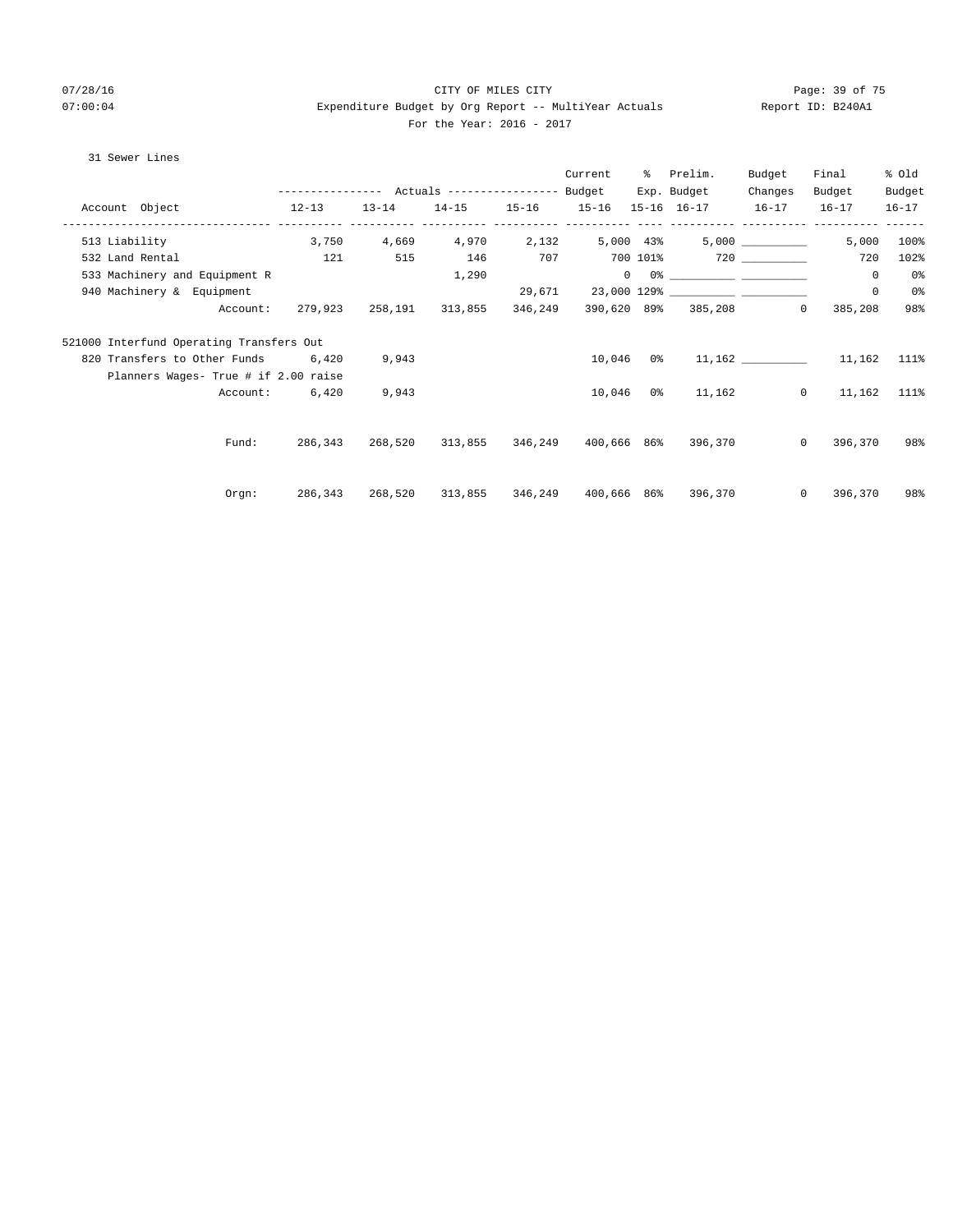# 07/28/16 Page: 39 of 75 07:00:04 Expenditure Budget by Org Report -- MultiYear Actuals Report ID: B240A1 For the Year: 2016 - 2017

## 31 Sewer Lines

|                                          |         |       |                                                | Current   | % Prelim.                                                                                                                                                                                                                                                                                                                                                          | Budget           | Final                     | % Old     |
|------------------------------------------|---------|-------|------------------------------------------------|-----------|--------------------------------------------------------------------------------------------------------------------------------------------------------------------------------------------------------------------------------------------------------------------------------------------------------------------------------------------------------------------|------------------|---------------------------|-----------|
|                                          |         |       |                                                |           | Exp. Budget                                                                                                                                                                                                                                                                                                                                                        | Changes          | Budget                    | Budget    |
| $12 - 13$<br>Account Object              |         |       |                                                |           | 13-14 14-15 15-16 15-16 15-16 16-17 16-17 16-17                                                                                                                                                                                                                                                                                                                    |                  |                           | $16 - 17$ |
| 513 Liability                            |         |       | $3,750$ $4,669$ $4,970$ $2,132$ $5,000$ $43\%$ |           |                                                                                                                                                                                                                                                                                                                                                                    | 5,000 __________ | 5,000                     | 100%      |
| 532 Land Rental                          | 121     | 515   | 146                                            |           | $707$ $700$ $101$ <sup>2</sup> $720$ $101$                                                                                                                                                                                                                                                                                                                         |                  | 720                       | 102%      |
| 533 Machinery and Equipment R            |         |       | 1,290                                          |           | $\begin{picture}(180,10) \put(0,0){\vector(1,0){100}} \put(10,0){\vector(1,0){100}} \put(10,0){\vector(1,0){100}} \put(10,0){\vector(1,0){100}} \put(10,0){\vector(1,0){100}} \put(10,0){\vector(1,0){100}} \put(10,0){\vector(1,0){100}} \put(10,0){\vector(1,0){100}} \put(10,0){\vector(1,0){100}} \put(10,0){\vector(1,0){100}} \put(10,0){\vector(1,0){100}}$ |                  | $\circ$                   | 0%        |
| 940 Machinery & Equipment                |         |       |                                                |           |                                                                                                                                                                                                                                                                                                                                                                    |                  | $\circ$                   | 0%        |
| Account:                                 |         |       | 279,923 258,191 313,855 346,249                |           | 390,620 89% 385,208                                                                                                                                                                                                                                                                                                                                                |                  | 385,208<br>$\mathbf{0}$   | 98%       |
| 521000 Interfund Operating Transfers Out |         |       |                                                |           |                                                                                                                                                                                                                                                                                                                                                                    |                  |                           |           |
| 820 Transfers to Other Funds 6,420       |         | 9,943 |                                                |           |                                                                                                                                                                                                                                                                                                                                                                    |                  | 10,046 0% 11,162 11,162   | 111%      |
| Planners Wages- True # if 2.00 raise     |         |       |                                                |           |                                                                                                                                                                                                                                                                                                                                                                    |                  |                           |           |
| Account:                                 | 6,420   | 9,943 |                                                | 10,046 0% |                                                                                                                                                                                                                                                                                                                                                                    | 11,162           | $0 \t 11,162$             | 111%      |
|                                          |         |       |                                                |           |                                                                                                                                                                                                                                                                                                                                                                    |                  |                           |           |
| Fund:                                    | 286,343 |       |                                                |           | 268,520 313,855 346,249 400,666 86% 396,370                                                                                                                                                                                                                                                                                                                        |                  | $\overline{0}$<br>396,370 | 98%       |
|                                          |         |       |                                                |           |                                                                                                                                                                                                                                                                                                                                                                    |                  |                           |           |
| Orgn:                                    | 286,343 |       |                                                |           | 268,520 313,855 346,249 400,666 86% 396,370                                                                                                                                                                                                                                                                                                                        |                  | $\circ$<br>396,370        | 98%       |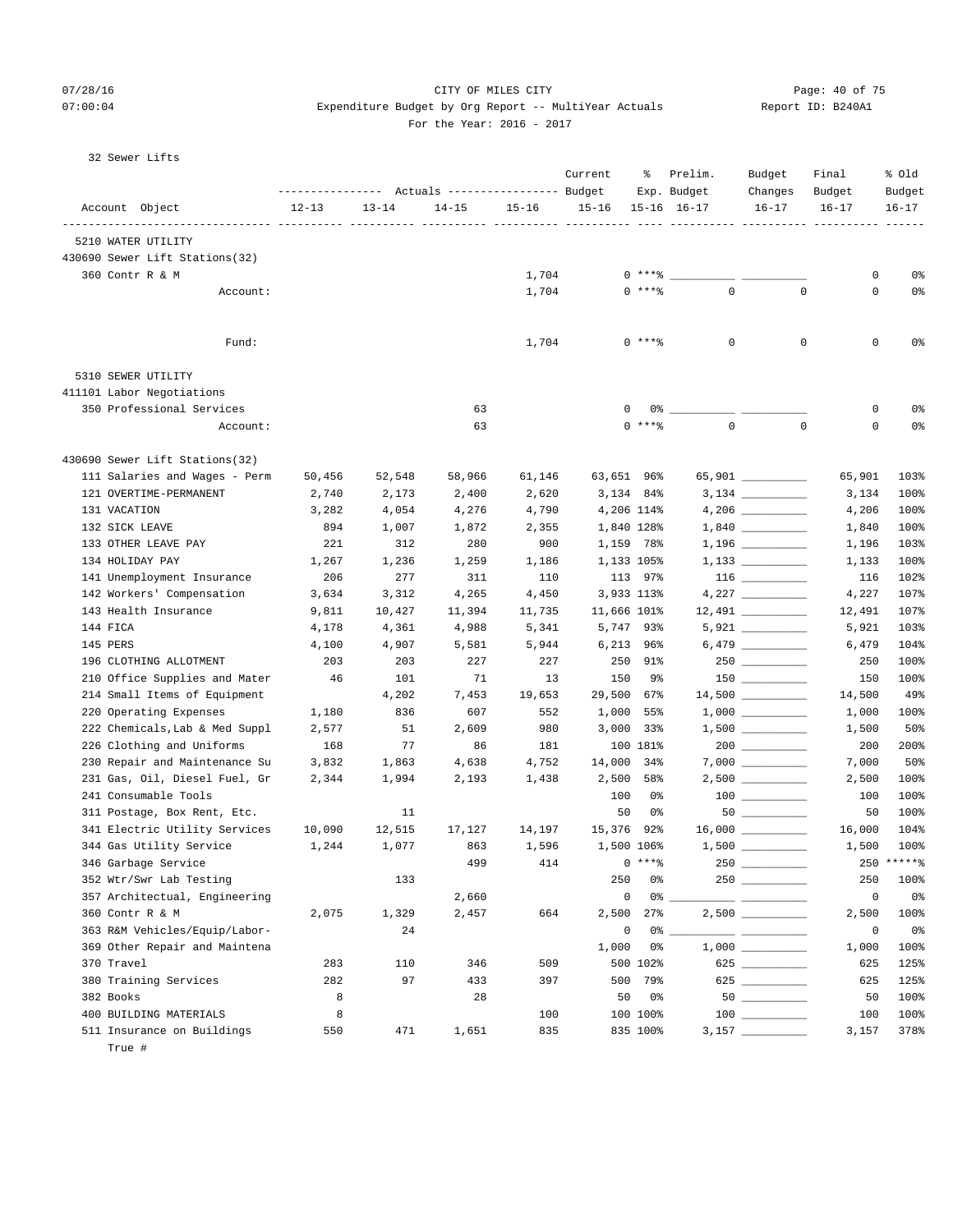# 07/28/16 Page: 40 of 75 07:00:04 Expenditure Budget by Org Report -- MultiYear Actuals Report ID: B240A1

## For the Year: 2016 - 2017

| 32 Sewer Lifts |  |
|----------------|--|
|                |  |

|                                      |              |              | Actuals ----------------- Budget |              | Current                 | ႜ        | Prelim.<br>Exp. Budget | Budget<br>Changes  | Final<br>Budget | % old<br>Budget |
|--------------------------------------|--------------|--------------|----------------------------------|--------------|-------------------------|----------|------------------------|--------------------|-----------------|-----------------|
| Account Object                       | $12 - 13$    | $13 - 14$    | $14 - 15$                        | $15 - 16$    | $15 - 16$               |          | $15 - 16$ $16 - 17$    | $16 - 17$          | $16 - 17$       | $16 - 17$       |
| 5210 WATER UTILITY                   |              |              |                                  |              |                         |          |                        |                    |                 |                 |
| 430690 Sewer Lift Stations(32)       |              |              |                                  |              |                         |          |                        |                    |                 |                 |
| 360 Contr R & M                      |              |              |                                  | 1,704        |                         | $0***8$  |                        |                    | 0               | 0%              |
| Account:                             |              |              |                                  | 1,704        |                         | 0 ****   | $\mathbf 0$            | $\mathbf 0$        | 0               | 0%              |
|                                      |              |              |                                  |              |                         |          |                        |                    |                 |                 |
| Fund:                                |              |              |                                  | 1,704        |                         | $0$ **** | $\mathbf 0$            | $\mathbf 0$        | 0               | 0%              |
| 5310 SEWER UTILITY                   |              |              |                                  |              |                         |          |                        |                    |                 |                 |
| 411101 Labor Negotiations            |              |              |                                  |              |                         |          |                        |                    |                 |                 |
| 350 Professional Services            |              |              | 63                               |              | 0                       | 0%       |                        |                    | 0               | 0 <sup>°</sup>  |
| Account:                             |              |              | 63                               |              |                         | $0$ **** | $\mathbf 0$            | $\mathbf 0$        | 0               | 0 <sup>8</sup>  |
| 430690 Sewer Lift Stations(32)       |              |              |                                  |              |                         |          |                        |                    |                 |                 |
| 111 Salaries and Wages - Perm        | 50,456       | 52,548       | 58,966                           | 61,146       | 63,651 96%              |          |                        | 65,901 _________   | 65,901          | 103%            |
| 121 OVERTIME-PERMANENT               | 2,740        | 2,173        | 2,400                            | 2,620        | 3,134 84%               |          |                        |                    | 3,134           | 100%            |
| 131 VACATION<br>132 SICK LEAVE       | 3,282<br>894 | 4,054        | 4,276                            | 4,790        | 4,206 114%              |          |                        |                    | 4,206           | 100%<br>100%    |
| 133 OTHER LEAVE PAY                  | 221          | 1,007<br>312 | 1,872<br>280                     | 2,355<br>900 | 1,840 128%<br>1,159 78% |          |                        |                    | 1,840<br>1,196  | 103%            |
| 134 HOLIDAY PAY                      | 1,267        | 1,236        | 1,259                            | 1,186        | 1,133 105%              |          |                        |                    | 1,133           | 100%            |
| 141 Unemployment Insurance           | 206          | 277          | 311                              | 110          |                         | 113 97%  |                        |                    | 116             | 102%            |
| 142 Workers' Compensation            | 3,634        | 3,312        | 4,265                            | 4,450        | 3,933 113%              |          |                        |                    | 4,227           | 107%            |
| 143 Health Insurance                 | 9,811        | 10,427       | 11,394                           | 11,735       | 11,666 101%             |          |                        |                    | 12,491          | 107%            |
| 144 FICA                             | 4,178        | 4,361        | 4,988                            | 5,341        | 5,747 93%               |          |                        | $5,921$ _________  | 5,921           | 103%            |
| 145 PERS                             | 4,100        | 4,907        | 5,581                            | 5,944        | $6,213$ $96\%$          |          |                        |                    | 6,479           | 104%            |
| 196 CLOTHING ALLOTMENT               | 203          | 203          | 227                              | 227          |                         | 250 91%  |                        |                    | 250             | 100%            |
| 210 Office Supplies and Mater        | 46           | 101          | 71                               | 13           | 150                     | 9%       |                        |                    | 150             | 100%            |
| 214 Small Items of Equipment         |              | 4,202        | 7,453                            | 19,653       | 29,500                  | 67%      |                        |                    | 14,500          | 49%             |
| 220 Operating Expenses               | 1,180        | 836          | 607                              | 552          | 1,000                   | 55%      |                        |                    | 1,000           | 100%            |
| 222 Chemicals, Lab & Med Suppl       | 2,577        | 51           | 2,609                            | 980          | $3,000$ $33\%$          |          |                        | $1,500$ __________ | 1,500           | 50%             |
| 226 Clothing and Uniforms            | 168          | 77           | 86                               | 181          |                         | 100 181% |                        |                    | 200             | 200%            |
| 230 Repair and Maintenance Su        | 3,832        | 1,863        | 4,638                            | 4,752        | 14,000 34%              |          |                        |                    | 7,000           | 50%             |
| 231 Gas, Oil, Diesel Fuel, Gr        | 2,344        | 1,994        | 2,193                            | 1,438        | 2,500                   | 58%      |                        |                    | 2,500           | 100%            |
| 241 Consumable Tools                 |              |              |                                  |              | 100                     | 0%       |                        | $100$ _______      | 100             | 100%            |
| 311 Postage, Box Rent, Etc.          |              | 11           |                                  |              | 50                      | 0%       |                        |                    | 50              | 100%            |
| 341 Electric Utility Services        | 10,090       | 12,515       | 17,127                           | 14,197       | 15,376 92%              |          |                        |                    | 16,000          | 104%            |
| 344 Gas Utility Service              | 1,244        | 1,077        | 863                              | 1,596        | 1,500 106%              |          |                        |                    | 1,500           | 100%            |
| 346 Garbage Service                  |              |              | 499                              | 414          | $0***8$                 |          |                        |                    |                 | $250$ ***** %   |
| 352 Wtr/Swr Lab Testing              |              | 133          |                                  |              | 250                     | 0%       |                        |                    | 250             | 100%            |
| 357 Architectual, Engineering        |              |              | 2,660                            |              | 0                       | 0%       |                        | ____ ________      | 0               | 0 <sup>°</sup>  |
| 360 Contr R & M                      | 2,075        | 1,329        | 2,457                            | 664          | 2,500                   | 27%      |                        |                    | 2,500           | 100%            |
| 363 R&M Vehicles/Equip/Labor-        |              | 24           |                                  |              | 0                       | 0%       |                        |                    | 0               | 0%              |
| 369 Other Repair and Maintena        |              |              |                                  |              | 1,000                   | 0%       |                        |                    | 1,000           | 100%            |
| 370 Travel                           | 283          | 110          | 346                              | 509          |                         | 500 102% |                        |                    | 625             | 125%            |
| 380 Training Services                | 282          | 97           | 433                              | 397          | 500                     | 79%      |                        | 625 _________      | 625             | 125%            |
| 382 Books                            | 8            |              | 28                               |              | 50                      | 0%       |                        |                    | 50              | 100%            |
| 400 BUILDING MATERIALS               | 8            |              |                                  | 100          |                         | 100 100% |                        | $100$              | 100             | 100%            |
| 511 Insurance on Buildings<br>True # | 550          | 471          | 1,651                            | 835          |                         | 835 100% |                        |                    | 3,157           | 378%            |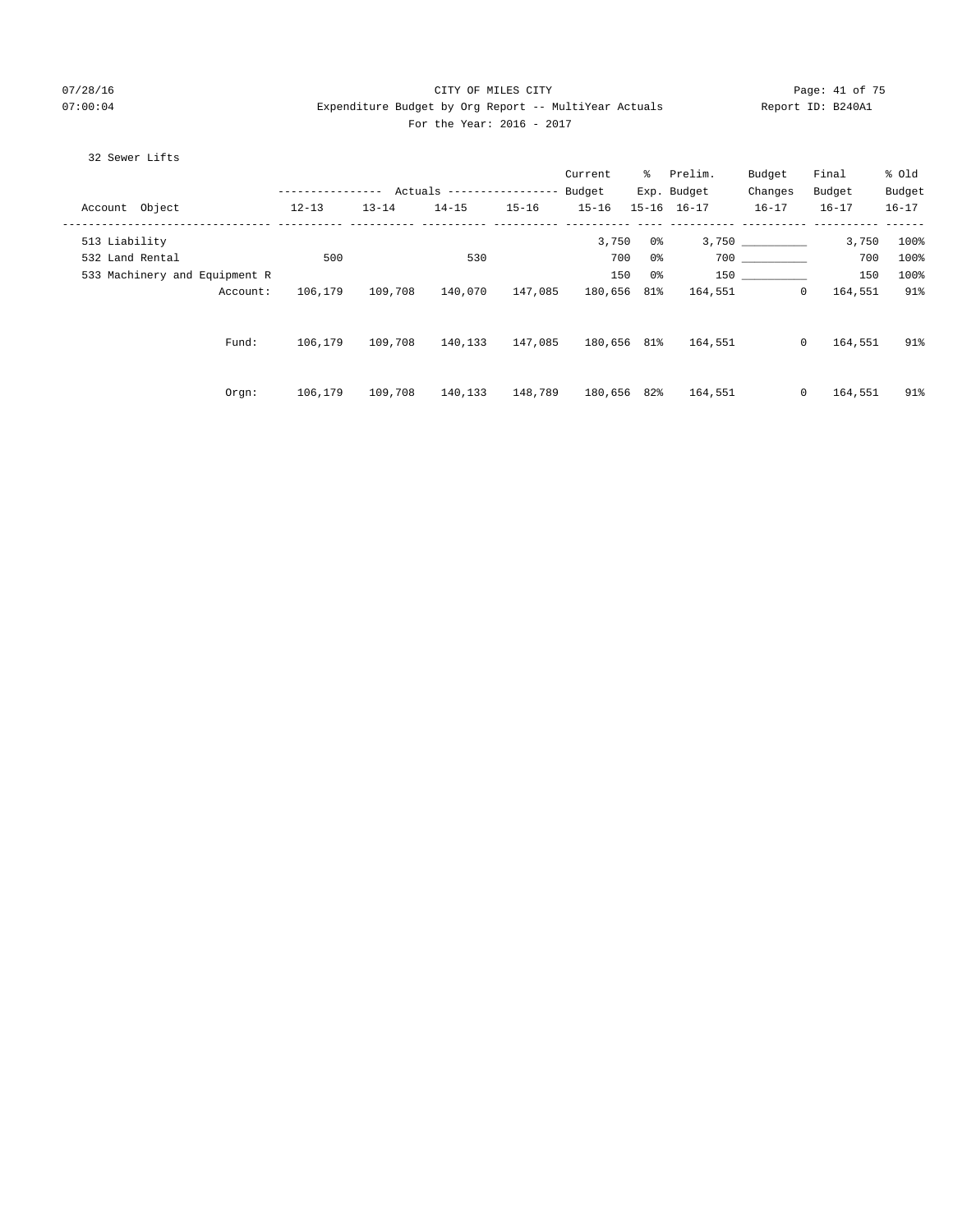# 07/28/16 Page: 41 of 75 07:00:04 Expenditure Budget by Org Report -- MultiYear Actuals Report ID: B240A1 For the Year: 2016 - 2017

## 32 Sewer Lifts

|                               |                  |           |                            |           | Current     |     | % Prelim.           | Budget           | Final     | % Old     |
|-------------------------------|------------------|-----------|----------------------------|-----------|-------------|-----|---------------------|------------------|-----------|-----------|
|                               | ---------------- |           | Actuals ------------------ |           | Budget      |     | Exp. Budget         | Changes          | Budget    | Budget    |
| Account Object                | $12 - 13$        | $13 - 14$ | $14 - 15$                  | $15 - 16$ | $15 - 16$   |     | $15 - 16$ $16 - 17$ | $16 - 17$        | $16 - 17$ | $16 - 17$ |
| 513 Liability                 |                  |           |                            |           | 3,750       | 0 % |                     | 3,750 __________ | 3,750     | 100%      |
| 532 Land Rental               | 500              |           | 530                        |           | 700         | 0%  |                     | 700 000          | 700       | 100%      |
| 533 Machinery and Equipment R |                  |           |                            |           | 150         | 0%  |                     |                  | 150       | 100%      |
| Account:                      | 106,179          | 109,708   | 140,070                    | 147,085   | 180,656 81% |     | 164,551             | $\mathbf{0}$     | 164,551   | 91%       |
| Fund:                         | 106,179          | 109,708   | 140,133                    | 147,085   | 180,656 81% |     | 164,551             | $\circ$          | 164,551   | 91%       |
| Orgn:                         | 106,179          | 109,708   | 140,133                    | 148,789   | 180,656 82% |     | 164,551             | $\mathbf{0}$     | 164,551   | 91%       |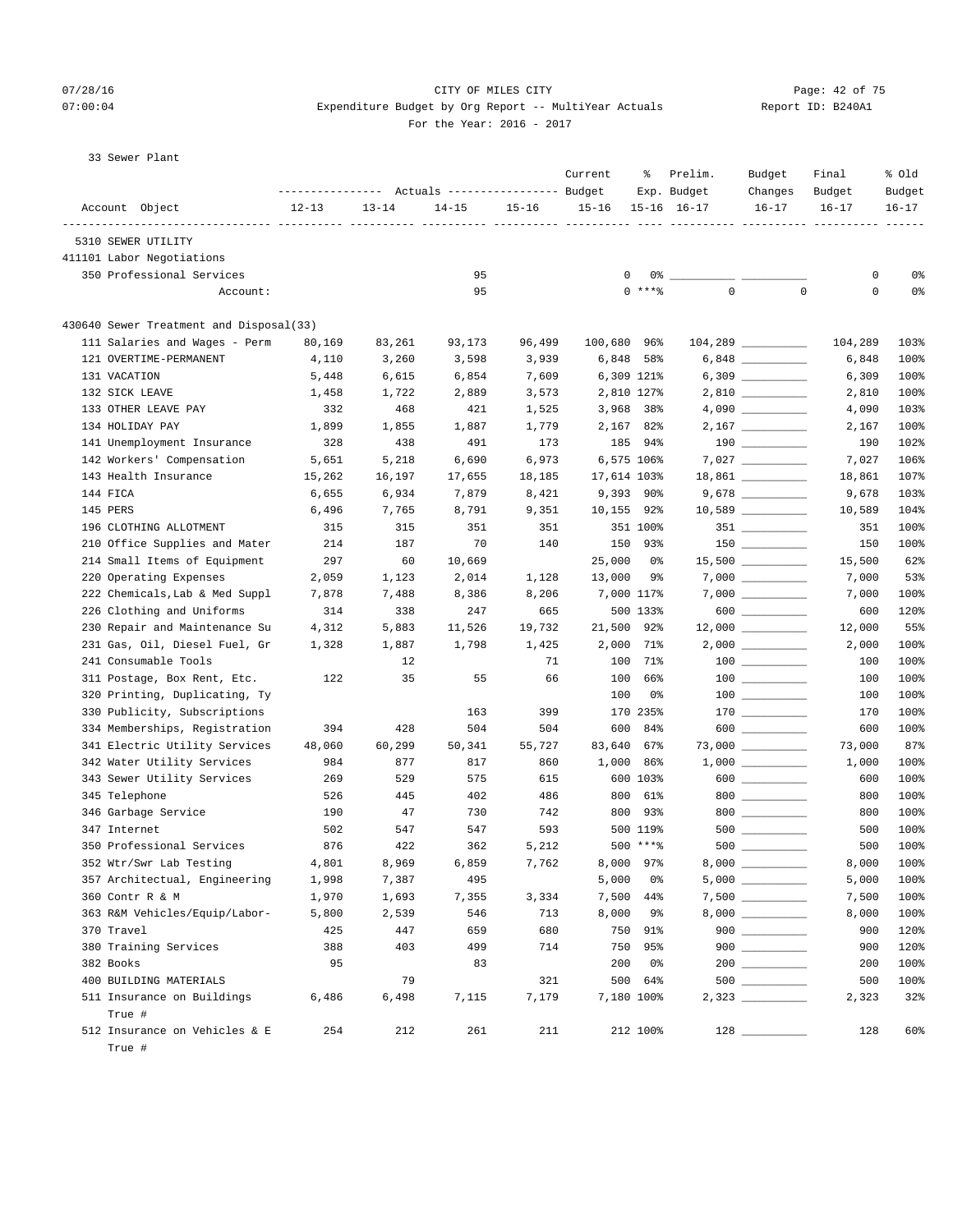# 07/28/16 Page: 42 of 75 07:00:04 Expenditure Budget by Org Report -- MultiYear Actuals Report ID: B240A1 For the Year: 2016 - 2017

|  |  | 33 Sewer Plant |  |  |
|--|--|----------------|--|--|
|--|--|----------------|--|--|

| Account Object<br>$12 - 13$<br>$13 - 14$<br>$14 - 15$<br>$15 - 16$<br>$15 - 16$<br>$15 - 16$ $16 - 17$<br>$16 - 17$<br>$16 - 17$<br>$16 - 17$<br>5310 SEWER UTILITY<br>411101 Labor Negotiations<br>0<br>0%<br>350 Professional Services<br>95<br>0<br>0%<br>$\mathbf 0$<br>$0$ ****<br>$\mathbf 0$<br>0<br>95<br>Account:<br>430640 Sewer Treatment and Disposal(33)<br>111 Salaries and Wages - Perm<br>96,499<br>80,169<br>83,261<br>93,173<br>100,680 96%<br>104,289<br>$6,848$ __________<br>121 OVERTIME-PERMANENT<br>3,260<br>3,598<br>3,939<br>6,848 58%<br>6,848<br>4,110<br>$6,309$ __________<br>131 VACATION<br>5,448<br>6,615<br>6,854<br>7,609<br>6,309 121%<br>6,309<br>132 SICK LEAVE<br>1,722<br>2,889<br>3,573<br>2,810 127%<br>$2,810$ _________<br>2,810<br>1,458<br>133 OTHER LEAVE PAY<br>332<br>468<br>421<br>1,525<br>3,968 38%<br>4,090<br>134 HOLIDAY PAY<br>1,899<br>1,855<br>1,887<br>1,779<br>2,167 82%<br>2,167<br>141 Unemployment Insurance<br>328<br>438<br>491<br>173<br>185<br>94%<br>190<br>142 Workers' Compensation<br>5,651<br>5,218<br>6,690<br>6,973<br>6,575 106%<br>7,027<br>143 Health Insurance<br>15,262<br>16,197<br>18,185<br>17,614 103%<br>$18,861$ __________<br>17,655<br>18,861<br>144 FICA<br>6,655<br>6,934<br>7,879<br>8,421<br>$9,393$ 90%<br>9,678<br>145 PERS<br>$10,589$ _________<br>6,496<br>7,765<br>8,791<br>9,351<br>10,155 92%<br>10,589<br>196 CLOTHING ALLOTMENT<br>315<br>315<br>351<br>351<br>351 100%<br>$351$ _________<br>351<br>$150$ ________<br>210 Office Supplies and Mater<br>214<br>187<br>70<br>140<br>150 93%<br>150<br>214 Small Items of Equipment<br>297<br>10,669<br>25,000<br>$15,500$ ___________<br>15,500<br>60<br>0%<br>220 Operating Expenses<br>2,059<br>1,123<br>2,014<br>1,128<br>13,000<br>9%<br>7,000<br>222 Chemicals, Lab & Med Suppl<br>7,878<br>8,386<br>8,206<br>7,000 117%<br>7,000<br>7,488<br>600 __________<br>226 Clothing and Uniforms<br>314<br>338<br>247<br>665<br>500 133%<br>600<br>230 Repair and Maintenance Su<br>4,312<br>5,883<br>11,526<br>19,732<br>21,500 92%<br>12,000<br>231 Gas, Oil, Diesel Fuel, Gr<br>1,328<br>1,887<br>1,798<br>1,425<br>2,000<br>71%<br>$2,000$ _________<br>2,000<br>241 Consumable Tools<br>71<br>100<br>71%<br>100<br>12<br>35<br>311 Postage, Box Rent, Etc.<br>122<br>55<br>66<br>100<br>66%<br>100<br>100<br>320 Printing, Duplicating, Ty<br>100<br>0%<br>330 Publicity, Subscriptions<br>$170$ ________<br>163<br>399<br>170 235%<br>170<br>334 Memberships, Registration<br>394<br>428<br>504<br>504<br>600<br>600 _________<br>600<br>84%<br>341 Electric Utility Services<br>48,060<br>60,299<br>50,341<br>55,727<br>83,640<br>67%<br>73,000<br>$1,000$ __________<br>342 Water Utility Services<br>984<br>877<br>817<br>1,000<br>86%<br>860<br>1,000<br>343 Sewer Utility Services<br>$600$<br>269<br>575<br>600 103%<br>600<br>529<br>615<br>$800$<br>345 Telephone<br>526<br>445<br>402<br>486<br>800<br>61%<br>800<br>346 Garbage Service<br>190<br>47<br>730<br>742<br>800<br>93%<br>$800$<br>800<br>347 Internet<br>502<br>547<br>547<br>593<br>500 119%<br>500<br>876<br>422<br>500 ****<br>500<br>350 Professional Services<br>362<br>5,212<br>4,801<br>8,969<br>6,859<br>8,000<br>352 Wtr/Swr Lab Testing<br>7,762<br>8,000 97%<br>357 Architectual, Engineering<br>1,998<br>7,387<br>495<br>5,000<br>0%<br>$5,000$ ___________<br>5,000<br>360 Contr R & M<br>1,970<br>1,693<br>7,355<br>3,334<br>7,500<br>7,500<br>44%<br>363 R&M Vehicles/Equip/Labor-<br>5,800<br>2,539<br>546<br>713<br>8,000<br>8,000<br>9%<br>750 91%<br>$900$<br>370 Travel<br>425<br>447<br>659<br>680<br>900<br>$900$<br>380 Training Services<br>388<br>403<br>499<br>714<br>750<br>95%<br>900<br>382 Books<br>95<br>83<br>200<br>- 0%<br>200<br>400 BUILDING MATERIALS<br>79<br>500 64%<br>321<br>500<br>511 Insurance on Buildings<br>6,498<br>7,179<br>7,180 100%<br>6,486<br>7,115<br>2,323<br>True #<br>$\frac{128}{\frac{128}{256}}$<br>512 Insurance on Vehicles & E<br>254<br>211<br>212 100%<br>212<br>261<br>128<br>True # | ---------------- | Actuals ----------------- Budget | Current | ႜ | Prelim.<br>Exp. Budget | Budget<br>Changes | Final<br>Budget | % old<br>Budget |
|--------------------------------------------------------------------------------------------------------------------------------------------------------------------------------------------------------------------------------------------------------------------------------------------------------------------------------------------------------------------------------------------------------------------------------------------------------------------------------------------------------------------------------------------------------------------------------------------------------------------------------------------------------------------------------------------------------------------------------------------------------------------------------------------------------------------------------------------------------------------------------------------------------------------------------------------------------------------------------------------------------------------------------------------------------------------------------------------------------------------------------------------------------------------------------------------------------------------------------------------------------------------------------------------------------------------------------------------------------------------------------------------------------------------------------------------------------------------------------------------------------------------------------------------------------------------------------------------------------------------------------------------------------------------------------------------------------------------------------------------------------------------------------------------------------------------------------------------------------------------------------------------------------------------------------------------------------------------------------------------------------------------------------------------------------------------------------------------------------------------------------------------------------------------------------------------------------------------------------------------------------------------------------------------------------------------------------------------------------------------------------------------------------------------------------------------------------------------------------------------------------------------------------------------------------------------------------------------------------------------------------------------------------------------------------------------------------------------------------------------------------------------------------------------------------------------------------------------------------------------------------------------------------------------------------------------------------------------------------------------------------------------------------------------------------------------------------------------------------------------------------------------------------------------------------------------------------------------------------------------------------------------------------------------------------------------------------------------------------------------------------------------------------------------------------------------------------------------------------------------------------------------------------------------------------------------------------------------------------------------------------------------------------------------------------------------------------------------------------------------------------------------------------------------------------------------------------------------------------------------------------------------------------------------------------------------------------------------------------------------------------------------------------------------------------------------------------------|------------------|----------------------------------|---------|---|------------------------|-------------------|-----------------|-----------------|
|                                                                                                                                                                                                                                                                                                                                                                                                                                                                                                                                                                                                                                                                                                                                                                                                                                                                                                                                                                                                                                                                                                                                                                                                                                                                                                                                                                                                                                                                                                                                                                                                                                                                                                                                                                                                                                                                                                                                                                                                                                                                                                                                                                                                                                                                                                                                                                                                                                                                                                                                                                                                                                                                                                                                                                                                                                                                                                                                                                                                                                                                                                                                                                                                                                                                                                                                                                                                                                                                                                                                                                                                                                                                                                                                                                                                                                                                                                                                                                                                                                                                                      |                  |                                  |         |   |                        |                   |                 |                 |
|                                                                                                                                                                                                                                                                                                                                                                                                                                                                                                                                                                                                                                                                                                                                                                                                                                                                                                                                                                                                                                                                                                                                                                                                                                                                                                                                                                                                                                                                                                                                                                                                                                                                                                                                                                                                                                                                                                                                                                                                                                                                                                                                                                                                                                                                                                                                                                                                                                                                                                                                                                                                                                                                                                                                                                                                                                                                                                                                                                                                                                                                                                                                                                                                                                                                                                                                                                                                                                                                                                                                                                                                                                                                                                                                                                                                                                                                                                                                                                                                                                                                                      |                  |                                  |         |   |                        |                   |                 |                 |
|                                                                                                                                                                                                                                                                                                                                                                                                                                                                                                                                                                                                                                                                                                                                                                                                                                                                                                                                                                                                                                                                                                                                                                                                                                                                                                                                                                                                                                                                                                                                                                                                                                                                                                                                                                                                                                                                                                                                                                                                                                                                                                                                                                                                                                                                                                                                                                                                                                                                                                                                                                                                                                                                                                                                                                                                                                                                                                                                                                                                                                                                                                                                                                                                                                                                                                                                                                                                                                                                                                                                                                                                                                                                                                                                                                                                                                                                                                                                                                                                                                                                                      |                  |                                  |         |   |                        |                   |                 |                 |
|                                                                                                                                                                                                                                                                                                                                                                                                                                                                                                                                                                                                                                                                                                                                                                                                                                                                                                                                                                                                                                                                                                                                                                                                                                                                                                                                                                                                                                                                                                                                                                                                                                                                                                                                                                                                                                                                                                                                                                                                                                                                                                                                                                                                                                                                                                                                                                                                                                                                                                                                                                                                                                                                                                                                                                                                                                                                                                                                                                                                                                                                                                                                                                                                                                                                                                                                                                                                                                                                                                                                                                                                                                                                                                                                                                                                                                                                                                                                                                                                                                                                                      |                  |                                  |         |   |                        |                   |                 |                 |
|                                                                                                                                                                                                                                                                                                                                                                                                                                                                                                                                                                                                                                                                                                                                                                                                                                                                                                                                                                                                                                                                                                                                                                                                                                                                                                                                                                                                                                                                                                                                                                                                                                                                                                                                                                                                                                                                                                                                                                                                                                                                                                                                                                                                                                                                                                                                                                                                                                                                                                                                                                                                                                                                                                                                                                                                                                                                                                                                                                                                                                                                                                                                                                                                                                                                                                                                                                                                                                                                                                                                                                                                                                                                                                                                                                                                                                                                                                                                                                                                                                                                                      |                  |                                  |         |   |                        |                   |                 | 0%              |
|                                                                                                                                                                                                                                                                                                                                                                                                                                                                                                                                                                                                                                                                                                                                                                                                                                                                                                                                                                                                                                                                                                                                                                                                                                                                                                                                                                                                                                                                                                                                                                                                                                                                                                                                                                                                                                                                                                                                                                                                                                                                                                                                                                                                                                                                                                                                                                                                                                                                                                                                                                                                                                                                                                                                                                                                                                                                                                                                                                                                                                                                                                                                                                                                                                                                                                                                                                                                                                                                                                                                                                                                                                                                                                                                                                                                                                                                                                                                                                                                                                                                                      |                  |                                  |         |   |                        |                   |                 |                 |
|                                                                                                                                                                                                                                                                                                                                                                                                                                                                                                                                                                                                                                                                                                                                                                                                                                                                                                                                                                                                                                                                                                                                                                                                                                                                                                                                                                                                                                                                                                                                                                                                                                                                                                                                                                                                                                                                                                                                                                                                                                                                                                                                                                                                                                                                                                                                                                                                                                                                                                                                                                                                                                                                                                                                                                                                                                                                                                                                                                                                                                                                                                                                                                                                                                                                                                                                                                                                                                                                                                                                                                                                                                                                                                                                                                                                                                                                                                                                                                                                                                                                                      |                  |                                  |         |   |                        |                   |                 | 103%            |
|                                                                                                                                                                                                                                                                                                                                                                                                                                                                                                                                                                                                                                                                                                                                                                                                                                                                                                                                                                                                                                                                                                                                                                                                                                                                                                                                                                                                                                                                                                                                                                                                                                                                                                                                                                                                                                                                                                                                                                                                                                                                                                                                                                                                                                                                                                                                                                                                                                                                                                                                                                                                                                                                                                                                                                                                                                                                                                                                                                                                                                                                                                                                                                                                                                                                                                                                                                                                                                                                                                                                                                                                                                                                                                                                                                                                                                                                                                                                                                                                                                                                                      |                  |                                  |         |   |                        |                   |                 | 100%            |
|                                                                                                                                                                                                                                                                                                                                                                                                                                                                                                                                                                                                                                                                                                                                                                                                                                                                                                                                                                                                                                                                                                                                                                                                                                                                                                                                                                                                                                                                                                                                                                                                                                                                                                                                                                                                                                                                                                                                                                                                                                                                                                                                                                                                                                                                                                                                                                                                                                                                                                                                                                                                                                                                                                                                                                                                                                                                                                                                                                                                                                                                                                                                                                                                                                                                                                                                                                                                                                                                                                                                                                                                                                                                                                                                                                                                                                                                                                                                                                                                                                                                                      |                  |                                  |         |   |                        |                   |                 | 100%            |
|                                                                                                                                                                                                                                                                                                                                                                                                                                                                                                                                                                                                                                                                                                                                                                                                                                                                                                                                                                                                                                                                                                                                                                                                                                                                                                                                                                                                                                                                                                                                                                                                                                                                                                                                                                                                                                                                                                                                                                                                                                                                                                                                                                                                                                                                                                                                                                                                                                                                                                                                                                                                                                                                                                                                                                                                                                                                                                                                                                                                                                                                                                                                                                                                                                                                                                                                                                                                                                                                                                                                                                                                                                                                                                                                                                                                                                                                                                                                                                                                                                                                                      |                  |                                  |         |   |                        |                   |                 | 100%            |
|                                                                                                                                                                                                                                                                                                                                                                                                                                                                                                                                                                                                                                                                                                                                                                                                                                                                                                                                                                                                                                                                                                                                                                                                                                                                                                                                                                                                                                                                                                                                                                                                                                                                                                                                                                                                                                                                                                                                                                                                                                                                                                                                                                                                                                                                                                                                                                                                                                                                                                                                                                                                                                                                                                                                                                                                                                                                                                                                                                                                                                                                                                                                                                                                                                                                                                                                                                                                                                                                                                                                                                                                                                                                                                                                                                                                                                                                                                                                                                                                                                                                                      |                  |                                  |         |   |                        |                   |                 | 103%            |
|                                                                                                                                                                                                                                                                                                                                                                                                                                                                                                                                                                                                                                                                                                                                                                                                                                                                                                                                                                                                                                                                                                                                                                                                                                                                                                                                                                                                                                                                                                                                                                                                                                                                                                                                                                                                                                                                                                                                                                                                                                                                                                                                                                                                                                                                                                                                                                                                                                                                                                                                                                                                                                                                                                                                                                                                                                                                                                                                                                                                                                                                                                                                                                                                                                                                                                                                                                                                                                                                                                                                                                                                                                                                                                                                                                                                                                                                                                                                                                                                                                                                                      |                  |                                  |         |   |                        |                   |                 | 100%            |
|                                                                                                                                                                                                                                                                                                                                                                                                                                                                                                                                                                                                                                                                                                                                                                                                                                                                                                                                                                                                                                                                                                                                                                                                                                                                                                                                                                                                                                                                                                                                                                                                                                                                                                                                                                                                                                                                                                                                                                                                                                                                                                                                                                                                                                                                                                                                                                                                                                                                                                                                                                                                                                                                                                                                                                                                                                                                                                                                                                                                                                                                                                                                                                                                                                                                                                                                                                                                                                                                                                                                                                                                                                                                                                                                                                                                                                                                                                                                                                                                                                                                                      |                  |                                  |         |   |                        |                   |                 | 102%            |
|                                                                                                                                                                                                                                                                                                                                                                                                                                                                                                                                                                                                                                                                                                                                                                                                                                                                                                                                                                                                                                                                                                                                                                                                                                                                                                                                                                                                                                                                                                                                                                                                                                                                                                                                                                                                                                                                                                                                                                                                                                                                                                                                                                                                                                                                                                                                                                                                                                                                                                                                                                                                                                                                                                                                                                                                                                                                                                                                                                                                                                                                                                                                                                                                                                                                                                                                                                                                                                                                                                                                                                                                                                                                                                                                                                                                                                                                                                                                                                                                                                                                                      |                  |                                  |         |   |                        |                   |                 | 106%            |
|                                                                                                                                                                                                                                                                                                                                                                                                                                                                                                                                                                                                                                                                                                                                                                                                                                                                                                                                                                                                                                                                                                                                                                                                                                                                                                                                                                                                                                                                                                                                                                                                                                                                                                                                                                                                                                                                                                                                                                                                                                                                                                                                                                                                                                                                                                                                                                                                                                                                                                                                                                                                                                                                                                                                                                                                                                                                                                                                                                                                                                                                                                                                                                                                                                                                                                                                                                                                                                                                                                                                                                                                                                                                                                                                                                                                                                                                                                                                                                                                                                                                                      |                  |                                  |         |   |                        |                   |                 | 107%            |
|                                                                                                                                                                                                                                                                                                                                                                                                                                                                                                                                                                                                                                                                                                                                                                                                                                                                                                                                                                                                                                                                                                                                                                                                                                                                                                                                                                                                                                                                                                                                                                                                                                                                                                                                                                                                                                                                                                                                                                                                                                                                                                                                                                                                                                                                                                                                                                                                                                                                                                                                                                                                                                                                                                                                                                                                                                                                                                                                                                                                                                                                                                                                                                                                                                                                                                                                                                                                                                                                                                                                                                                                                                                                                                                                                                                                                                                                                                                                                                                                                                                                                      |                  |                                  |         |   |                        |                   |                 | 103%            |
|                                                                                                                                                                                                                                                                                                                                                                                                                                                                                                                                                                                                                                                                                                                                                                                                                                                                                                                                                                                                                                                                                                                                                                                                                                                                                                                                                                                                                                                                                                                                                                                                                                                                                                                                                                                                                                                                                                                                                                                                                                                                                                                                                                                                                                                                                                                                                                                                                                                                                                                                                                                                                                                                                                                                                                                                                                                                                                                                                                                                                                                                                                                                                                                                                                                                                                                                                                                                                                                                                                                                                                                                                                                                                                                                                                                                                                                                                                                                                                                                                                                                                      |                  |                                  |         |   |                        |                   |                 | 104%            |
|                                                                                                                                                                                                                                                                                                                                                                                                                                                                                                                                                                                                                                                                                                                                                                                                                                                                                                                                                                                                                                                                                                                                                                                                                                                                                                                                                                                                                                                                                                                                                                                                                                                                                                                                                                                                                                                                                                                                                                                                                                                                                                                                                                                                                                                                                                                                                                                                                                                                                                                                                                                                                                                                                                                                                                                                                                                                                                                                                                                                                                                                                                                                                                                                                                                                                                                                                                                                                                                                                                                                                                                                                                                                                                                                                                                                                                                                                                                                                                                                                                                                                      |                  |                                  |         |   |                        |                   |                 | 100%            |
|                                                                                                                                                                                                                                                                                                                                                                                                                                                                                                                                                                                                                                                                                                                                                                                                                                                                                                                                                                                                                                                                                                                                                                                                                                                                                                                                                                                                                                                                                                                                                                                                                                                                                                                                                                                                                                                                                                                                                                                                                                                                                                                                                                                                                                                                                                                                                                                                                                                                                                                                                                                                                                                                                                                                                                                                                                                                                                                                                                                                                                                                                                                                                                                                                                                                                                                                                                                                                                                                                                                                                                                                                                                                                                                                                                                                                                                                                                                                                                                                                                                                                      |                  |                                  |         |   |                        |                   |                 | 100%            |
|                                                                                                                                                                                                                                                                                                                                                                                                                                                                                                                                                                                                                                                                                                                                                                                                                                                                                                                                                                                                                                                                                                                                                                                                                                                                                                                                                                                                                                                                                                                                                                                                                                                                                                                                                                                                                                                                                                                                                                                                                                                                                                                                                                                                                                                                                                                                                                                                                                                                                                                                                                                                                                                                                                                                                                                                                                                                                                                                                                                                                                                                                                                                                                                                                                                                                                                                                                                                                                                                                                                                                                                                                                                                                                                                                                                                                                                                                                                                                                                                                                                                                      |                  |                                  |         |   |                        |                   |                 | 62%             |
|                                                                                                                                                                                                                                                                                                                                                                                                                                                                                                                                                                                                                                                                                                                                                                                                                                                                                                                                                                                                                                                                                                                                                                                                                                                                                                                                                                                                                                                                                                                                                                                                                                                                                                                                                                                                                                                                                                                                                                                                                                                                                                                                                                                                                                                                                                                                                                                                                                                                                                                                                                                                                                                                                                                                                                                                                                                                                                                                                                                                                                                                                                                                                                                                                                                                                                                                                                                                                                                                                                                                                                                                                                                                                                                                                                                                                                                                                                                                                                                                                                                                                      |                  |                                  |         |   |                        |                   |                 | 53%             |
|                                                                                                                                                                                                                                                                                                                                                                                                                                                                                                                                                                                                                                                                                                                                                                                                                                                                                                                                                                                                                                                                                                                                                                                                                                                                                                                                                                                                                                                                                                                                                                                                                                                                                                                                                                                                                                                                                                                                                                                                                                                                                                                                                                                                                                                                                                                                                                                                                                                                                                                                                                                                                                                                                                                                                                                                                                                                                                                                                                                                                                                                                                                                                                                                                                                                                                                                                                                                                                                                                                                                                                                                                                                                                                                                                                                                                                                                                                                                                                                                                                                                                      |                  |                                  |         |   |                        |                   |                 | 100%            |
|                                                                                                                                                                                                                                                                                                                                                                                                                                                                                                                                                                                                                                                                                                                                                                                                                                                                                                                                                                                                                                                                                                                                                                                                                                                                                                                                                                                                                                                                                                                                                                                                                                                                                                                                                                                                                                                                                                                                                                                                                                                                                                                                                                                                                                                                                                                                                                                                                                                                                                                                                                                                                                                                                                                                                                                                                                                                                                                                                                                                                                                                                                                                                                                                                                                                                                                                                                                                                                                                                                                                                                                                                                                                                                                                                                                                                                                                                                                                                                                                                                                                                      |                  |                                  |         |   |                        |                   |                 | 120%            |
|                                                                                                                                                                                                                                                                                                                                                                                                                                                                                                                                                                                                                                                                                                                                                                                                                                                                                                                                                                                                                                                                                                                                                                                                                                                                                                                                                                                                                                                                                                                                                                                                                                                                                                                                                                                                                                                                                                                                                                                                                                                                                                                                                                                                                                                                                                                                                                                                                                                                                                                                                                                                                                                                                                                                                                                                                                                                                                                                                                                                                                                                                                                                                                                                                                                                                                                                                                                                                                                                                                                                                                                                                                                                                                                                                                                                                                                                                                                                                                                                                                                                                      |                  |                                  |         |   |                        |                   |                 | 55%             |
|                                                                                                                                                                                                                                                                                                                                                                                                                                                                                                                                                                                                                                                                                                                                                                                                                                                                                                                                                                                                                                                                                                                                                                                                                                                                                                                                                                                                                                                                                                                                                                                                                                                                                                                                                                                                                                                                                                                                                                                                                                                                                                                                                                                                                                                                                                                                                                                                                                                                                                                                                                                                                                                                                                                                                                                                                                                                                                                                                                                                                                                                                                                                                                                                                                                                                                                                                                                                                                                                                                                                                                                                                                                                                                                                                                                                                                                                                                                                                                                                                                                                                      |                  |                                  |         |   |                        |                   |                 | 100%            |
|                                                                                                                                                                                                                                                                                                                                                                                                                                                                                                                                                                                                                                                                                                                                                                                                                                                                                                                                                                                                                                                                                                                                                                                                                                                                                                                                                                                                                                                                                                                                                                                                                                                                                                                                                                                                                                                                                                                                                                                                                                                                                                                                                                                                                                                                                                                                                                                                                                                                                                                                                                                                                                                                                                                                                                                                                                                                                                                                                                                                                                                                                                                                                                                                                                                                                                                                                                                                                                                                                                                                                                                                                                                                                                                                                                                                                                                                                                                                                                                                                                                                                      |                  |                                  |         |   |                        |                   |                 | 100%            |
|                                                                                                                                                                                                                                                                                                                                                                                                                                                                                                                                                                                                                                                                                                                                                                                                                                                                                                                                                                                                                                                                                                                                                                                                                                                                                                                                                                                                                                                                                                                                                                                                                                                                                                                                                                                                                                                                                                                                                                                                                                                                                                                                                                                                                                                                                                                                                                                                                                                                                                                                                                                                                                                                                                                                                                                                                                                                                                                                                                                                                                                                                                                                                                                                                                                                                                                                                                                                                                                                                                                                                                                                                                                                                                                                                                                                                                                                                                                                                                                                                                                                                      |                  |                                  |         |   |                        |                   |                 | 100%            |
|                                                                                                                                                                                                                                                                                                                                                                                                                                                                                                                                                                                                                                                                                                                                                                                                                                                                                                                                                                                                                                                                                                                                                                                                                                                                                                                                                                                                                                                                                                                                                                                                                                                                                                                                                                                                                                                                                                                                                                                                                                                                                                                                                                                                                                                                                                                                                                                                                                                                                                                                                                                                                                                                                                                                                                                                                                                                                                                                                                                                                                                                                                                                                                                                                                                                                                                                                                                                                                                                                                                                                                                                                                                                                                                                                                                                                                                                                                                                                                                                                                                                                      |                  |                                  |         |   |                        |                   |                 | 100%            |
|                                                                                                                                                                                                                                                                                                                                                                                                                                                                                                                                                                                                                                                                                                                                                                                                                                                                                                                                                                                                                                                                                                                                                                                                                                                                                                                                                                                                                                                                                                                                                                                                                                                                                                                                                                                                                                                                                                                                                                                                                                                                                                                                                                                                                                                                                                                                                                                                                                                                                                                                                                                                                                                                                                                                                                                                                                                                                                                                                                                                                                                                                                                                                                                                                                                                                                                                                                                                                                                                                                                                                                                                                                                                                                                                                                                                                                                                                                                                                                                                                                                                                      |                  |                                  |         |   |                        |                   |                 | 100%            |
|                                                                                                                                                                                                                                                                                                                                                                                                                                                                                                                                                                                                                                                                                                                                                                                                                                                                                                                                                                                                                                                                                                                                                                                                                                                                                                                                                                                                                                                                                                                                                                                                                                                                                                                                                                                                                                                                                                                                                                                                                                                                                                                                                                                                                                                                                                                                                                                                                                                                                                                                                                                                                                                                                                                                                                                                                                                                                                                                                                                                                                                                                                                                                                                                                                                                                                                                                                                                                                                                                                                                                                                                                                                                                                                                                                                                                                                                                                                                                                                                                                                                                      |                  |                                  |         |   |                        |                   |                 | 100%            |
|                                                                                                                                                                                                                                                                                                                                                                                                                                                                                                                                                                                                                                                                                                                                                                                                                                                                                                                                                                                                                                                                                                                                                                                                                                                                                                                                                                                                                                                                                                                                                                                                                                                                                                                                                                                                                                                                                                                                                                                                                                                                                                                                                                                                                                                                                                                                                                                                                                                                                                                                                                                                                                                                                                                                                                                                                                                                                                                                                                                                                                                                                                                                                                                                                                                                                                                                                                                                                                                                                                                                                                                                                                                                                                                                                                                                                                                                                                                                                                                                                                                                                      |                  |                                  |         |   |                        |                   |                 | 87%             |
|                                                                                                                                                                                                                                                                                                                                                                                                                                                                                                                                                                                                                                                                                                                                                                                                                                                                                                                                                                                                                                                                                                                                                                                                                                                                                                                                                                                                                                                                                                                                                                                                                                                                                                                                                                                                                                                                                                                                                                                                                                                                                                                                                                                                                                                                                                                                                                                                                                                                                                                                                                                                                                                                                                                                                                                                                                                                                                                                                                                                                                                                                                                                                                                                                                                                                                                                                                                                                                                                                                                                                                                                                                                                                                                                                                                                                                                                                                                                                                                                                                                                                      |                  |                                  |         |   |                        |                   |                 | 100%            |
|                                                                                                                                                                                                                                                                                                                                                                                                                                                                                                                                                                                                                                                                                                                                                                                                                                                                                                                                                                                                                                                                                                                                                                                                                                                                                                                                                                                                                                                                                                                                                                                                                                                                                                                                                                                                                                                                                                                                                                                                                                                                                                                                                                                                                                                                                                                                                                                                                                                                                                                                                                                                                                                                                                                                                                                                                                                                                                                                                                                                                                                                                                                                                                                                                                                                                                                                                                                                                                                                                                                                                                                                                                                                                                                                                                                                                                                                                                                                                                                                                                                                                      |                  |                                  |         |   |                        |                   |                 | 100%            |
|                                                                                                                                                                                                                                                                                                                                                                                                                                                                                                                                                                                                                                                                                                                                                                                                                                                                                                                                                                                                                                                                                                                                                                                                                                                                                                                                                                                                                                                                                                                                                                                                                                                                                                                                                                                                                                                                                                                                                                                                                                                                                                                                                                                                                                                                                                                                                                                                                                                                                                                                                                                                                                                                                                                                                                                                                                                                                                                                                                                                                                                                                                                                                                                                                                                                                                                                                                                                                                                                                                                                                                                                                                                                                                                                                                                                                                                                                                                                                                                                                                                                                      |                  |                                  |         |   |                        |                   |                 | 100%            |
|                                                                                                                                                                                                                                                                                                                                                                                                                                                                                                                                                                                                                                                                                                                                                                                                                                                                                                                                                                                                                                                                                                                                                                                                                                                                                                                                                                                                                                                                                                                                                                                                                                                                                                                                                                                                                                                                                                                                                                                                                                                                                                                                                                                                                                                                                                                                                                                                                                                                                                                                                                                                                                                                                                                                                                                                                                                                                                                                                                                                                                                                                                                                                                                                                                                                                                                                                                                                                                                                                                                                                                                                                                                                                                                                                                                                                                                                                                                                                                                                                                                                                      |                  |                                  |         |   |                        |                   |                 | 100%            |
|                                                                                                                                                                                                                                                                                                                                                                                                                                                                                                                                                                                                                                                                                                                                                                                                                                                                                                                                                                                                                                                                                                                                                                                                                                                                                                                                                                                                                                                                                                                                                                                                                                                                                                                                                                                                                                                                                                                                                                                                                                                                                                                                                                                                                                                                                                                                                                                                                                                                                                                                                                                                                                                                                                                                                                                                                                                                                                                                                                                                                                                                                                                                                                                                                                                                                                                                                                                                                                                                                                                                                                                                                                                                                                                                                                                                                                                                                                                                                                                                                                                                                      |                  |                                  |         |   |                        |                   |                 | 100%            |
|                                                                                                                                                                                                                                                                                                                                                                                                                                                                                                                                                                                                                                                                                                                                                                                                                                                                                                                                                                                                                                                                                                                                                                                                                                                                                                                                                                                                                                                                                                                                                                                                                                                                                                                                                                                                                                                                                                                                                                                                                                                                                                                                                                                                                                                                                                                                                                                                                                                                                                                                                                                                                                                                                                                                                                                                                                                                                                                                                                                                                                                                                                                                                                                                                                                                                                                                                                                                                                                                                                                                                                                                                                                                                                                                                                                                                                                                                                                                                                                                                                                                                      |                  |                                  |         |   |                        |                   |                 | 100%            |
|                                                                                                                                                                                                                                                                                                                                                                                                                                                                                                                                                                                                                                                                                                                                                                                                                                                                                                                                                                                                                                                                                                                                                                                                                                                                                                                                                                                                                                                                                                                                                                                                                                                                                                                                                                                                                                                                                                                                                                                                                                                                                                                                                                                                                                                                                                                                                                                                                                                                                                                                                                                                                                                                                                                                                                                                                                                                                                                                                                                                                                                                                                                                                                                                                                                                                                                                                                                                                                                                                                                                                                                                                                                                                                                                                                                                                                                                                                                                                                                                                                                                                      |                  |                                  |         |   |                        |                   |                 | 100%            |
|                                                                                                                                                                                                                                                                                                                                                                                                                                                                                                                                                                                                                                                                                                                                                                                                                                                                                                                                                                                                                                                                                                                                                                                                                                                                                                                                                                                                                                                                                                                                                                                                                                                                                                                                                                                                                                                                                                                                                                                                                                                                                                                                                                                                                                                                                                                                                                                                                                                                                                                                                                                                                                                                                                                                                                                                                                                                                                                                                                                                                                                                                                                                                                                                                                                                                                                                                                                                                                                                                                                                                                                                                                                                                                                                                                                                                                                                                                                                                                                                                                                                                      |                  |                                  |         |   |                        |                   |                 | 100%            |
|                                                                                                                                                                                                                                                                                                                                                                                                                                                                                                                                                                                                                                                                                                                                                                                                                                                                                                                                                                                                                                                                                                                                                                                                                                                                                                                                                                                                                                                                                                                                                                                                                                                                                                                                                                                                                                                                                                                                                                                                                                                                                                                                                                                                                                                                                                                                                                                                                                                                                                                                                                                                                                                                                                                                                                                                                                                                                                                                                                                                                                                                                                                                                                                                                                                                                                                                                                                                                                                                                                                                                                                                                                                                                                                                                                                                                                                                                                                                                                                                                                                                                      |                  |                                  |         |   |                        |                   |                 | 100%            |
|                                                                                                                                                                                                                                                                                                                                                                                                                                                                                                                                                                                                                                                                                                                                                                                                                                                                                                                                                                                                                                                                                                                                                                                                                                                                                                                                                                                                                                                                                                                                                                                                                                                                                                                                                                                                                                                                                                                                                                                                                                                                                                                                                                                                                                                                                                                                                                                                                                                                                                                                                                                                                                                                                                                                                                                                                                                                                                                                                                                                                                                                                                                                                                                                                                                                                                                                                                                                                                                                                                                                                                                                                                                                                                                                                                                                                                                                                                                                                                                                                                                                                      |                  |                                  |         |   |                        |                   |                 | 100%            |
|                                                                                                                                                                                                                                                                                                                                                                                                                                                                                                                                                                                                                                                                                                                                                                                                                                                                                                                                                                                                                                                                                                                                                                                                                                                                                                                                                                                                                                                                                                                                                                                                                                                                                                                                                                                                                                                                                                                                                                                                                                                                                                                                                                                                                                                                                                                                                                                                                                                                                                                                                                                                                                                                                                                                                                                                                                                                                                                                                                                                                                                                                                                                                                                                                                                                                                                                                                                                                                                                                                                                                                                                                                                                                                                                                                                                                                                                                                                                                                                                                                                                                      |                  |                                  |         |   |                        |                   |                 | 120%            |
|                                                                                                                                                                                                                                                                                                                                                                                                                                                                                                                                                                                                                                                                                                                                                                                                                                                                                                                                                                                                                                                                                                                                                                                                                                                                                                                                                                                                                                                                                                                                                                                                                                                                                                                                                                                                                                                                                                                                                                                                                                                                                                                                                                                                                                                                                                                                                                                                                                                                                                                                                                                                                                                                                                                                                                                                                                                                                                                                                                                                                                                                                                                                                                                                                                                                                                                                                                                                                                                                                                                                                                                                                                                                                                                                                                                                                                                                                                                                                                                                                                                                                      |                  |                                  |         |   |                        |                   |                 | 120%            |
|                                                                                                                                                                                                                                                                                                                                                                                                                                                                                                                                                                                                                                                                                                                                                                                                                                                                                                                                                                                                                                                                                                                                                                                                                                                                                                                                                                                                                                                                                                                                                                                                                                                                                                                                                                                                                                                                                                                                                                                                                                                                                                                                                                                                                                                                                                                                                                                                                                                                                                                                                                                                                                                                                                                                                                                                                                                                                                                                                                                                                                                                                                                                                                                                                                                                                                                                                                                                                                                                                                                                                                                                                                                                                                                                                                                                                                                                                                                                                                                                                                                                                      |                  |                                  |         |   |                        |                   |                 | 100%            |
|                                                                                                                                                                                                                                                                                                                                                                                                                                                                                                                                                                                                                                                                                                                                                                                                                                                                                                                                                                                                                                                                                                                                                                                                                                                                                                                                                                                                                                                                                                                                                                                                                                                                                                                                                                                                                                                                                                                                                                                                                                                                                                                                                                                                                                                                                                                                                                                                                                                                                                                                                                                                                                                                                                                                                                                                                                                                                                                                                                                                                                                                                                                                                                                                                                                                                                                                                                                                                                                                                                                                                                                                                                                                                                                                                                                                                                                                                                                                                                                                                                                                                      |                  |                                  |         |   |                        |                   |                 | 100%            |
|                                                                                                                                                                                                                                                                                                                                                                                                                                                                                                                                                                                                                                                                                                                                                                                                                                                                                                                                                                                                                                                                                                                                                                                                                                                                                                                                                                                                                                                                                                                                                                                                                                                                                                                                                                                                                                                                                                                                                                                                                                                                                                                                                                                                                                                                                                                                                                                                                                                                                                                                                                                                                                                                                                                                                                                                                                                                                                                                                                                                                                                                                                                                                                                                                                                                                                                                                                                                                                                                                                                                                                                                                                                                                                                                                                                                                                                                                                                                                                                                                                                                                      |                  |                                  |         |   |                        |                   |                 | 32%             |
|                                                                                                                                                                                                                                                                                                                                                                                                                                                                                                                                                                                                                                                                                                                                                                                                                                                                                                                                                                                                                                                                                                                                                                                                                                                                                                                                                                                                                                                                                                                                                                                                                                                                                                                                                                                                                                                                                                                                                                                                                                                                                                                                                                                                                                                                                                                                                                                                                                                                                                                                                                                                                                                                                                                                                                                                                                                                                                                                                                                                                                                                                                                                                                                                                                                                                                                                                                                                                                                                                                                                                                                                                                                                                                                                                                                                                                                                                                                                                                                                                                                                                      |                  |                                  |         |   |                        |                   |                 | 60%             |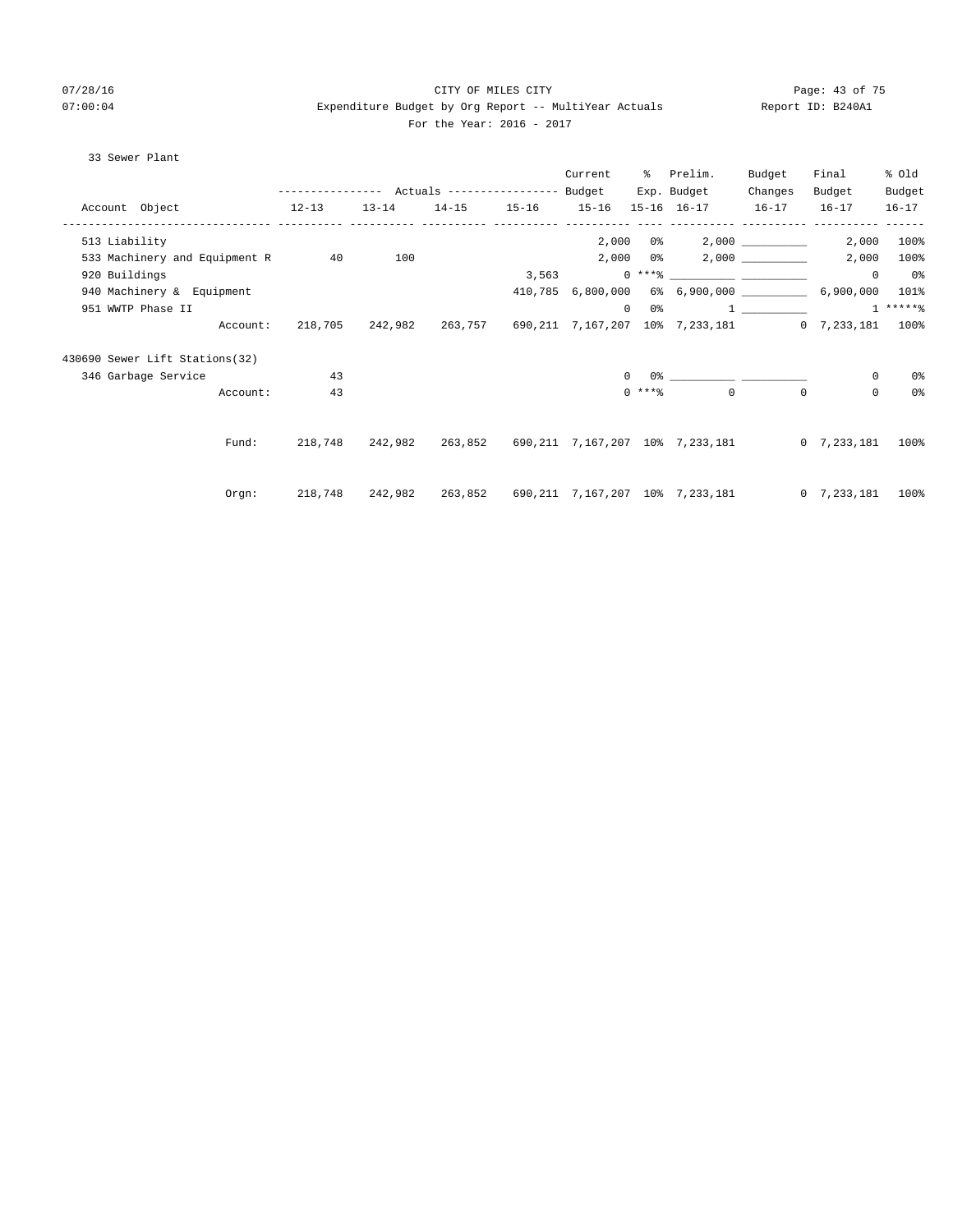# 07/28/16 Page: 43 of 75 07:00:04 Expenditure Budget by Org Report -- MultiYear Actuals Report ID: B240A1 For the Year: 2016 - 2017

# 33 Sewer Plant

|                                  |                                                       |           |                   | Current  |            | % Prelim.                                                        | Budget   | Final               | % old          |
|----------------------------------|-------------------------------------------------------|-----------|-------------------|----------|------------|------------------------------------------------------------------|----------|---------------------|----------------|
|                                  | ---------------    Actuals ----------------    Budget |           |                   |          |            | Exp. Budget                                                      | Changes  | Budget              | Budget         |
| $12-13$<br>Account Object        |                                                       | $13 - 14$ | 14-15 15-16 15-16 |          |            | 15-16 16-17 16-17 16-17                                          |          |                     | $16 - 17$      |
| 513 Liability                    |                                                       |           |                   |          |            |                                                                  |          |                     | 2,000 100%     |
| 533 Machinery and Equipment R 40 |                                                       | 100       |                   |          | $2,000$ 0% |                                                                  |          | 2,000               | $100\%$        |
| 920 Buildings                    |                                                       |           |                   |          |            |                                                                  |          | $\overline{0}$      | 0 <sup>8</sup> |
| 940 Machinery & Equipment        |                                                       |           |                   |          |            | 410,785 6,800,000 6% 6,900,000 600 6,900,000 101%                |          |                     |                |
| 951 WWTP Phase II                |                                                       |           |                   | $\Omega$ | 0 %        |                                                                  |          | $1 \t + \t * * * *$ |                |
| Account:                         | 218,705                                               |           |                   |          |            | 242,982 263,757 690,211 7,167,207 10% 7,233,181 0 7,233,181 100% |          |                     |                |
| 430690 Sewer Lift Stations(32)   |                                                       |           |                   |          |            |                                                                  |          |                     |                |
| 346 Garbage Service              | 43                                                    |           |                   | $\Omega$ |            |                                                                  |          | 0                   | 0%             |
| Account:                         | 43                                                    |           |                   |          |            | $0 \; * * *$ $*$<br>$\Omega$                                     | $\Omega$ | $\mathbf{0}$        | 0 <sup>o</sup> |
|                                  |                                                       |           |                   |          |            |                                                                  |          |                     |                |
| Fund:                            | 218,748                                               |           |                   |          |            | 242,982 263,852 690,211 7,167,207 10% 7,233,181 0 7,233,181      |          |                     | 100%           |
|                                  |                                                       |           |                   |          |            |                                                                  |          |                     |                |
| Orgn:                            | 218,748                                               |           |                   |          |            |                                                                  |          | $0 \quad 7.233.181$ | 100%           |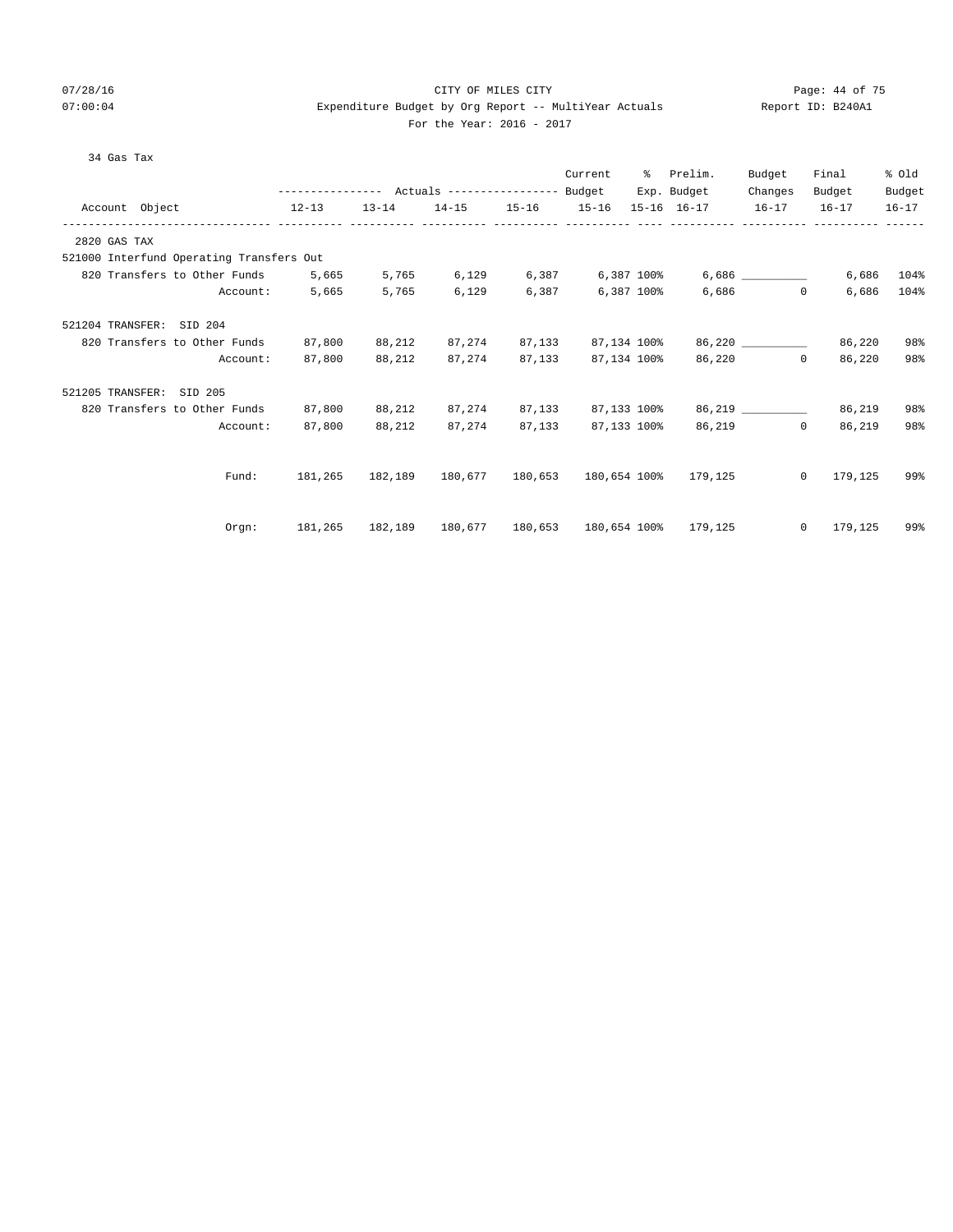# 07/28/16 Page: 44 of 75 07:00:04 Expenditure Budget by Org Report -- MultiYear Actuals Report ID: B240A1 For the Year: 2016 - 2017

| 34 Gas Tax                                                                           |                                                                                 |                             |                                  |        |             |                                                        |           |                    |        |
|--------------------------------------------------------------------------------------|---------------------------------------------------------------------------------|-----------------------------|----------------------------------|--------|-------------|--------------------------------------------------------|-----------|--------------------|--------|
|                                                                                      |                                                                                 |                             |                                  |        | Current     | % Prelim.                                              | Budget    | Final              | % Old  |
|                                                                                      |                                                                                 |                             |                                  |        |             | Exp. Budget                                            | Changes   | Budget             | Budget |
| Account Object                                                                       | 12-13 13-14 14-15 15-16 15-16 15-16 16-17 16-17 16-17 16-17                     |                             |                                  |        |             |                                                        |           |                    |        |
| 2820 GAS TAX                                                                         |                                                                                 |                             |                                  |        |             |                                                        |           |                    |        |
| 521000 Interfund Operating Transfers Out                                             |                                                                                 |                             |                                  |        |             |                                                        |           |                    |        |
| 820 Transfers to Other Funds 5,665                                                   |                                                                                 |                             |                                  |        |             | $5,765$ 6,129 6,387 6,387 100% 6,686 2009              |           | 6,686              | 104%   |
| Account:                                                                             | 5,665                                                                           | 5,765                       | 6,129                            | 6,387  | 6,387 100%  |                                                        | $6,686$ 0 | 6,686              | 104%   |
| 521204 TRANSFER: SID 204                                                             |                                                                                 |                             |                                  |        |             |                                                        |           |                    |        |
| 820 Transfers to Other Funds                                                         | 87,800                                                                          |                             | 88,212 87,274 87,133 87,134 100% |        |             |                                                        | 86,220    | 86,220             | 98%    |
| Account:                                                                             |                                                                                 | 87,800 88,212 87,274 87,133 |                                  |        |             | 87,134 100% 86,220                                     |           | $\Omega$<br>86,220 | 98%    |
| 521205 TRANSFER: SID 205                                                             |                                                                                 |                             |                                  |        |             |                                                        |           |                    |        |
| 820 Transfers to Other Funds 87,800 88,212 87,274 87,133 87,133 100% 86,219 ________ |                                                                                 |                             |                                  |        |             |                                                        |           | 86,219             | 98%    |
| Account:                                                                             | 87,800                                                                          | 88,212                      | 87,274                           | 87,133 | 87,133 100% |                                                        | 86,219 0  | 86,219             | 98%    |
|                                                                                      |                                                                                 |                             |                                  |        |             |                                                        |           |                    |        |
| Fund:                                                                                | 181,265                                                                         |                             |                                  |        |             | 182,189   180,677   180,653   180,654   100%   179,125 |           | $0 \t179.125$      | 99%    |
|                                                                                      |                                                                                 |                             |                                  |        |             |                                                        |           |                    |        |
| Orem:                                                                                | $181,265$ $182,189$ $180,677$ $180,653$ $180,654$ $100\%$ $179,125$ 0 $179,125$ |                             |                                  |        |             |                                                        |           |                    | 99%    |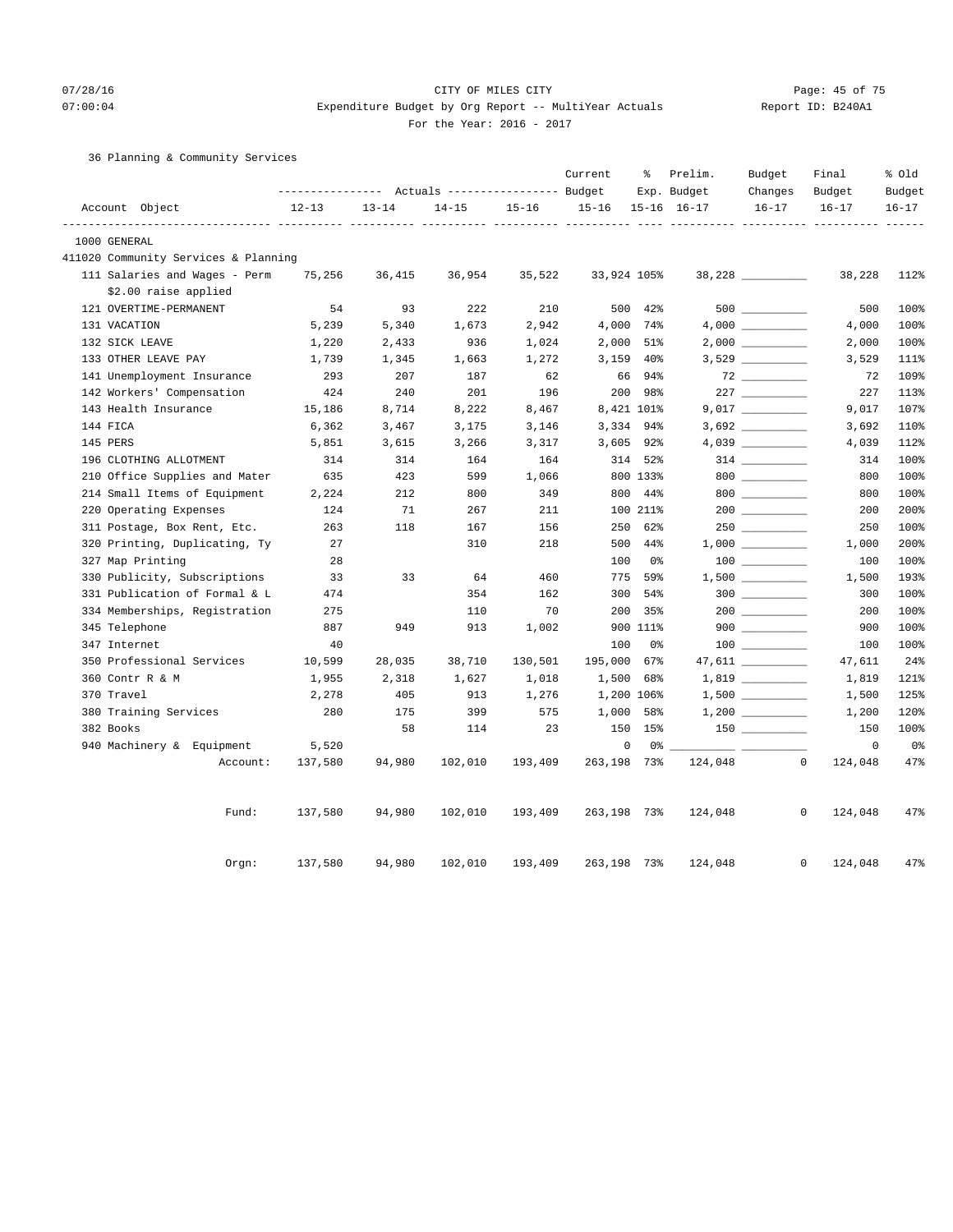# 07/28/16 Page: 45 of 75 07:00:04 Expenditure Budget by Org Report -- MultiYear Actuals Report ID: B240A1 For the Year: 2016 - 2017

# 36 Planning & Community Services

|               |                                      |           |           | Actuals ----------------- Budget |           | Current     | ႜ               | Prelim.<br>Exp. Budget | Budget<br>Changes                                                                           | Final<br>Budget | % Old<br>Budget |
|---------------|--------------------------------------|-----------|-----------|----------------------------------|-----------|-------------|-----------------|------------------------|---------------------------------------------------------------------------------------------|-----------------|-----------------|
|               | Account Object                       | $12 - 13$ | $13 - 14$ | $14 - 15$                        | $15 - 16$ | $15 - 16$   |                 | 15-16 16-17            | $16 - 17$                                                                                   | $16 - 17$       | $16 - 17$       |
|               |                                      |           |           |                                  |           |             |                 |                        |                                                                                             |                 |                 |
| 1000 GENERAL  |                                      |           |           |                                  |           |             |                 |                        |                                                                                             |                 |                 |
|               | 411020 Community Services & Planning |           |           |                                  |           |             |                 |                        |                                                                                             |                 |                 |
|               | 111 Salaries and Wages - Perm        | 75,256    | 36,415    | 36,954                           | 35,522    | 33,924 105% |                 |                        | $38,228$ _________                                                                          | 38,228          | 112%            |
|               | \$2.00 raise applied                 |           |           |                                  |           |             |                 |                        |                                                                                             |                 |                 |
|               | 121 OVERTIME-PERMANENT               | 54        | 93        | 222                              | 210       | 500         | 42%             |                        |                                                                                             | 500             | 100%            |
| 131 VACATION  |                                      | 5,239     | 5,340     | 1,673                            | 2,942     | 4,000 74%   |                 |                        |                                                                                             | 4,000           | 100%            |
|               | 132 SICK LEAVE                       | 1,220     | 2,433     | 936                              | 1,024     | 2,000       | 51%             |                        |                                                                                             | 2,000           | 100%            |
|               | 133 OTHER LEAVE PAY                  | 1,739     | 1,345     | 1,663                            | 1,272     | 3,159       | 40 <sup>8</sup> |                        |                                                                                             | 3,529           | 111%            |
|               | 141 Unemployment Insurance           | 293       | 207       | 187                              | 62        | 66          | 94%             |                        | 72                                                                                          | 72              | 109%            |
|               | 142 Workers' Compensation            | 424       | 240       | 201                              | 196       | 200         | 98%             |                        |                                                                                             | 227             | 113%            |
|               | 143 Health Insurance                 | 15,186    | 8,714     | 8,222                            | 8,467     | 8,421 101%  |                 |                        |                                                                                             | 9,017           | 107%            |
| 144 FICA      |                                      | 6,362     | 3,467     | 3,175                            | 3,146     | 3,334 94%   |                 |                        |                                                                                             | 3,692           | 110%            |
| 145 PERS      |                                      | 5,851     | 3,615     | 3,266                            | 3,317     | $3,605$ 92% |                 |                        |                                                                                             | 4,039           | 112%            |
|               | 196 CLOTHING ALLOTMENT               | 314       | 314       | 164                              | 164       |             | 314 52%         |                        | $314$ _________                                                                             | 314             | 100%            |
|               | 210 Office Supplies and Mater        | 635       | 423       | 599                              | 1,066     |             | 800 133%        |                        | 800                                                                                         | 800             | 100%            |
|               | 214 Small Items of Equipment         | 2,224     | 212       | 800                              | 349       | 800         | 44%             |                        | $800$                                                                                       | 800             | 100%            |
|               | 220 Operating Expenses               | 124       | 71        | 267                              | 211       |             | 100 211%        |                        |                                                                                             | 200             | 200%            |
|               | 311 Postage, Box Rent, Etc.          | 263       | 118       | 167                              | 156       | 250         | 62%             |                        |                                                                                             | 250             | 100%            |
|               | 320 Printing, Duplicating, Ty        | 27        |           | 310                              | 218       | 500         | $44\%$          |                        | $1\, , \, 0\, 0\, 0 \quad \underline{\hspace{1cm}} \rule{2.2cm}{0.2cm} \rule{2.2cm}{0.2cm}$ | 1,000           | 200%            |
|               | 327 Map Printing                     | 28        |           |                                  |           | 100         | 0%              |                        |                                                                                             | 100             | 100%            |
|               | 330 Publicity, Subscriptions         | 33        | 33        | 64                               | 460       | 775         | 59%             |                        |                                                                                             | 1,500           | 193%            |
|               | 331 Publication of Formal & L        | 474       |           | 354                              | 162       | 300         | 54%             |                        |                                                                                             | 300             | 100%            |
|               | 334 Memberships, Registration        | 275       |           | 110                              | 70        | 200         | 35%             |                        | $200$                                                                                       | 200             | 100%            |
| 345 Telephone |                                      | 887       | 949       | 913                              | 1,002     |             | 900 111%        |                        | $900$                                                                                       | 900             | 100%            |
| 347 Internet  |                                      | 40        |           |                                  |           | 100         | 0%              |                        | $\begin{array}{c}\n100 \quad \text{---} \\ \end{array}$                                     | 100             | 100%            |
|               | 350 Professional Services            | 10,599    | 28,035    | 38,710                           | 130,501   | 195,000     | 67%             |                        |                                                                                             | 47,611          | 24%             |
|               | 360 Contr R & M                      | 1,955     | 2,318     | 1,627                            | 1,018     | 1,500       | 68%             |                        | $1,819$ _________                                                                           | 1,819           | 121%            |
| 370 Travel    |                                      | 2,278     | 405       | 913                              | 1,276     | 1,200 106%  |                 |                        | $1,500$ __________                                                                          | 1,500           | 125%            |
|               | 380 Training Services                | 280       | 175       | 399                              | 575       | 1,000       | 58%             |                        |                                                                                             | 1,200           | 120%            |
| 382 Books     |                                      |           | 58        | 114                              | 23        | 150         | 15%             |                        |                                                                                             | 150             | 100%            |
|               | 940 Machinery & Equipment            | 5,520     |           |                                  |           | 0           | 0%              |                        |                                                                                             | $\circ$         | 0 <sub>8</sub>  |
|               | Account:                             | 137,580   | 94,980    | 102,010                          | 193,409   | 263,198 73% |                 | 124,048                | $\mathbf 0$                                                                                 | 124,048         | 47%             |
|               | Fund:                                | 137,580   | 94,980    | 102,010                          | 193,409   | 263,198 73% |                 | 124,048                | 0                                                                                           | 124,048         | 47%             |
|               | Orgn:                                | 137,580   | 94,980    | 102,010                          | 193,409   | 263,198     | 73%             | 124,048                | $\mathbf 0$                                                                                 | 124,048         | 47%             |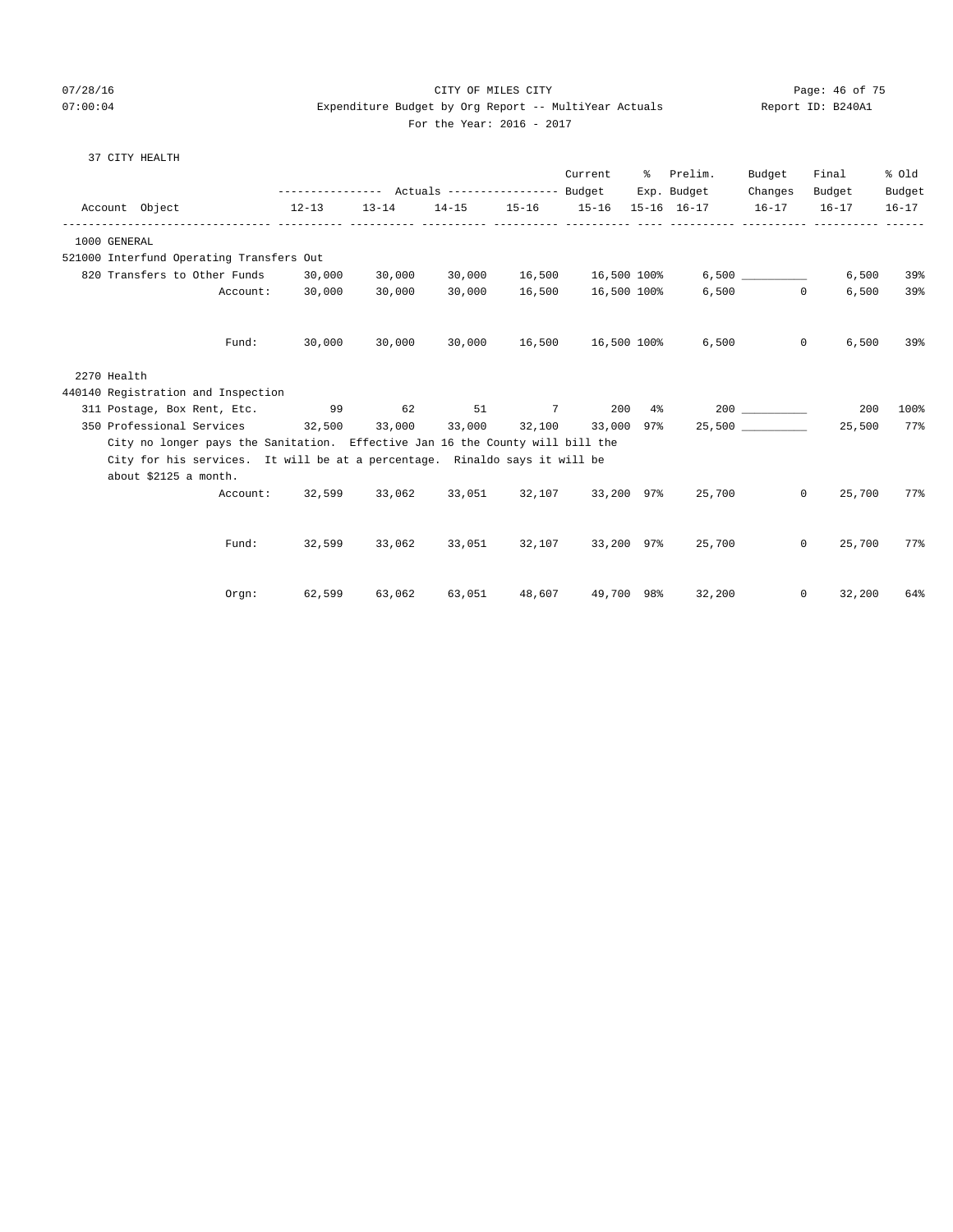## 07/28/16 CITY OF MILES CITY Page: 46 of 75 07:00:04 Expenditure Budget by Org Report -- MultiYear Actuals Report ID: B240A1 For the Year: 2016 - 2017

## 37 CITY HEALTH

| Account Object                                                                                      |          | $12 - 13$ | $13 - 14$ | --------------- Actuals ---------------- Budget |        | Current                   | ိ | Prelim.<br>Exp. Budget<br>14-15 15-16 15-16 15-16 16-17 16-17 16-17 | Budget<br>Changes | Final<br>Budget | % Old<br>Budget<br>$16 - 17$ |
|-----------------------------------------------------------------------------------------------------|----------|-----------|-----------|-------------------------------------------------|--------|---------------------------|---|---------------------------------------------------------------------|-------------------|-----------------|------------------------------|
|                                                                                                     |          |           |           |                                                 |        |                           |   |                                                                     |                   |                 |                              |
| 1000 GENERAL                                                                                        |          |           |           |                                                 |        |                           |   |                                                                     |                   |                 |                              |
| 521000 Interfund Operating Transfers Out                                                            |          |           |           |                                                 |        |                           |   |                                                                     |                   |                 |                              |
| 820 Transfers to Other Funds 30,000                                                                 |          |           | 30,000    | 30,000                                          |        | 16,500 16,500 100%        |   |                                                                     | 6,500             | 6,500           | 39%                          |
|                                                                                                     | Account: | 30,000    | 30,000    | 30,000                                          | 16,500 | 16,500 100%               |   |                                                                     | $6,500$ 0         | 6,500           | 39%                          |
|                                                                                                     | Fund:    | 30,000    | 30,000    |                                                 |        | 30,000 16,500 16,500 100% |   |                                                                     | 6,500<br>$\circ$  | 6,500           | 39%                          |
| 2270 Health                                                                                         |          |           |           |                                                 |        |                           |   |                                                                     |                   |                 |                              |
| 440140 Registration and Inspection                                                                  |          |           |           |                                                 |        |                           |   |                                                                     |                   |                 |                              |
| 311 Postage, Box Rent, Etc. 99 62 51                                                                |          |           |           |                                                 |        |                           |   | $7 \t 200 \t 4\% \t 200 \t 200$                                     |                   | 200             | 100%                         |
| 350 Professional Services 32,500 33,000 33,000 32,100 33,000 97%                                    |          |           |           |                                                 |        |                           |   |                                                                     | 25,500            | 25,500          | 77%                          |
| City no longer pays the Sanitation. Effective Jan 16 the County will bill the                       |          |           |           |                                                 |        |                           |   |                                                                     |                   |                 |                              |
| City for his services. It will be at a percentage. Rinaldo says it will be<br>about \$2125 a month. |          |           |           |                                                 |        |                           |   |                                                                     |                   |                 |                              |
|                                                                                                     |          |           |           |                                                 |        |                           |   | Account: 32,599 33,062 33,051 32,107 33,200 97% 25,700              | $\Omega$          | 25,700          | 77%                          |
|                                                                                                     | Fund:    | 32,599    |           | 33,062 33,051                                   |        | 32,107 33,200 97%         |   |                                                                     | 25,700<br>$\circ$ | 25,700          | 77%                          |
|                                                                                                     | Orem:    | 62,599    | 63,062    | 63,051                                          | 48,607 | 49,700 98%                |   | 32,200                                                              | $\circ$           | 32,200          | 64%                          |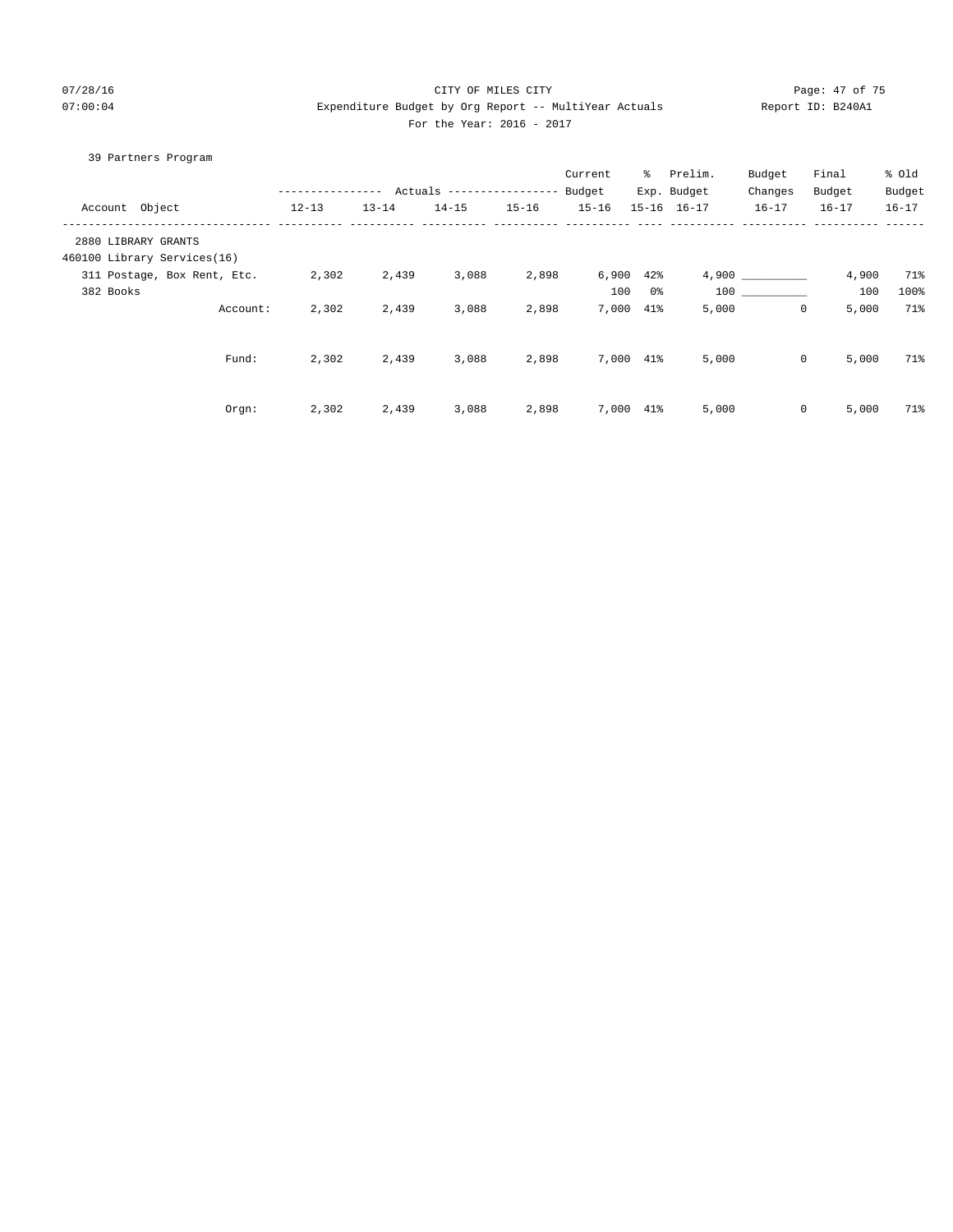## 07/28/16 CITY OF MILES CITY Page: 47 of 75 07:00:04 Expenditure Budget by Org Report -- MultiYear Actuals Report ID: B240A1  $2016 - 2017$

|  | For the Year: 20<br>--- |  |
|--|-------------------------|--|
|  |                         |  |

| 39 Partners Program         |                  |           |                                  |           |                |     |             |              |           |           |
|-----------------------------|------------------|-----------|----------------------------------|-----------|----------------|-----|-------------|--------------|-----------|-----------|
|                             |                  |           |                                  |           | Current        |     | % Prelim.   | Budget       | Final     | % old     |
|                             | ---------------- |           | Actuals ----------------- Budget |           |                |     | Exp. Budget | Changes      | Budget    | Budget    |
| Account Object              | $12 - 13$        | $13 - 14$ | $14 - 15$                        | $15 - 16$ | $15 - 16$      |     | 15-16 16-17 | $16 - 17$    | $16 - 17$ | $16 - 17$ |
| 2880 LIBRARY GRANTS         |                  |           |                                  |           |                |     |             |              |           |           |
| 460100 Library Services(16) |                  |           |                                  |           |                |     |             |              |           |           |
| 311 Postage, Box Rent, Etc. | 2,302            | 2,439     | 3,088                            | 2,898     | $6,900$ $42\%$ |     |             | 4,900        | 4,900     | 71%       |
| 382 Books                   |                  |           |                                  |           | 100            | 0%  | 100         |              | 100       | 100%      |
| Account:                    | 2,302            | 2,439     | 3,088                            | 2,898     | 7,000          | 41% | 5,000       | $\mathbf 0$  | 5,000     | 71%       |
|                             |                  |           |                                  |           |                |     |             |              |           |           |
| Fund:                       | 2,302            | 2,439     | 3,088                            | 2,898     | 7,000 41%      |     | 5,000       | $\mathbf{0}$ | 5,000     | 71%       |
|                             |                  |           |                                  |           |                |     |             |              |           |           |
| Orgn:                       | 2,302            | 2,439     | 3,088                            | 2,898     | 7,000 41%      |     | 5,000       | $\mathbf 0$  | 5,000     | 71%       |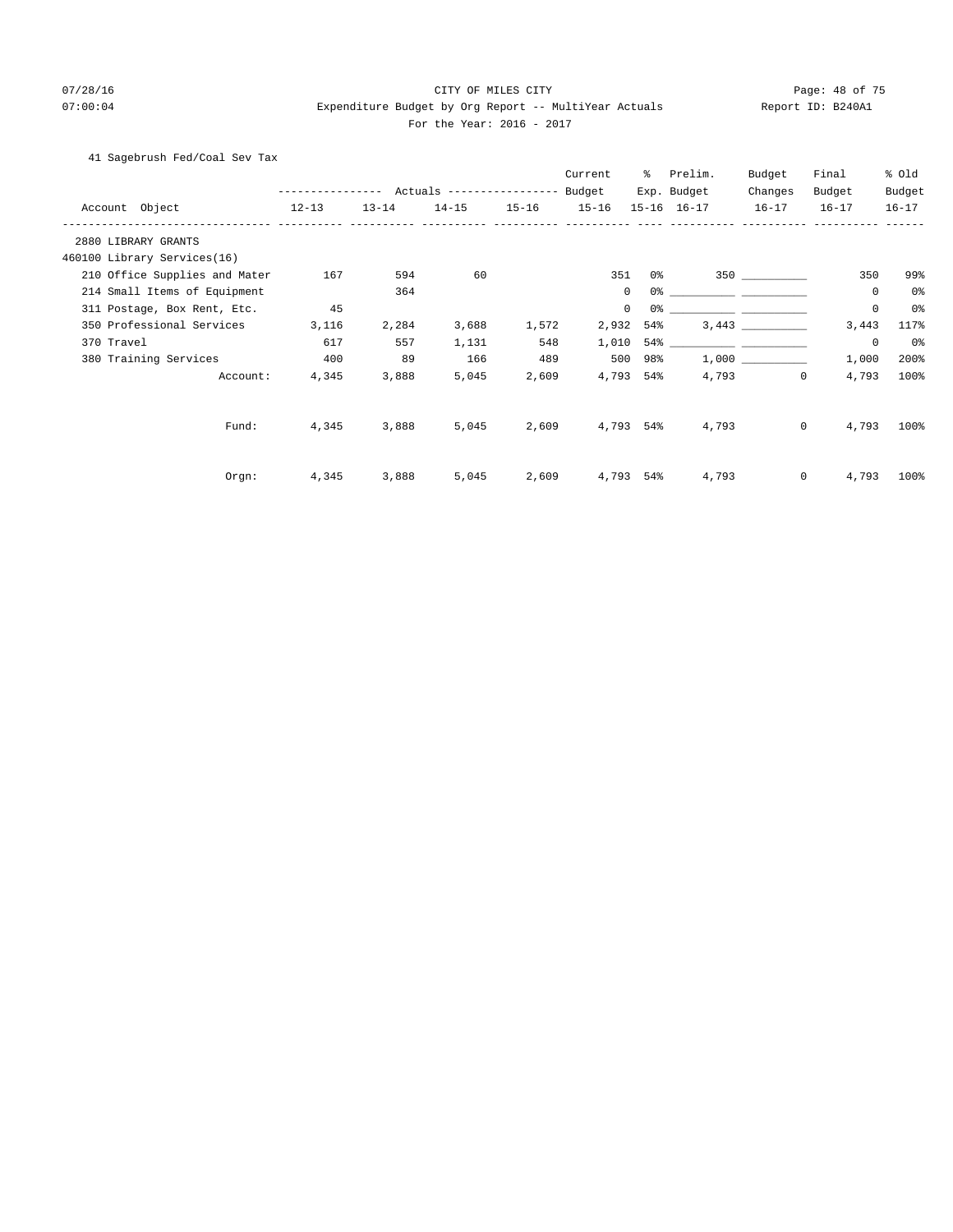# 07/28/16 Page: 48 of 75 07:00:04 Expenditure Budget by Org Report -- MultiYear Actuals Report ID: B240A1 For the Year: 2016 - 2017

41 Sagebrush Fed/Coal Sev Tax

|                |                               |              |           |                           |           | Current     | ွေ             | Prelim.                                                                                                              | Budget    | Final                | % Old          |
|----------------|-------------------------------|--------------|-----------|---------------------------|-----------|-------------|----------------|----------------------------------------------------------------------------------------------------------------------|-----------|----------------------|----------------|
|                |                               | ------------ |           | Actuals ----------------- |           | Budget      |                | Exp. Budget                                                                                                          | Changes   | Budget               | Budget         |
| Account Object |                               | $12 - 13$    | $13 - 14$ | $14 - 15$                 | $15 - 16$ | $15 - 16$   |                | 15-16 16-17                                                                                                          | $16 - 17$ | $16 - 17$            | $16 - 17$      |
|                | 2880 LIBRARY GRANTS           |              |           |                           |           |             |                |                                                                                                                      |           |                      |                |
|                | 460100 Library Services(16)   |              |           |                           |           |             |                |                                                                                                                      |           |                      |                |
|                | 210 Office Supplies and Mater | 167          | 594       | 60                        |           | 351         | 0 <sup>°</sup> |                                                                                                                      | 350       | 350                  | 99%            |
|                | 214 Small Items of Equipment  |              | 364       |                           |           | $\mathbf 0$ | 0 <sup>°</sup> |                                                                                                                      |           | 0                    | 0 <sup>°</sup> |
|                | 311 Postage, Box Rent, Etc.   | 45           |           |                           |           | $\mathbf 0$ | 0 <sup>°</sup> |                                                                                                                      |           | $\mathbf 0$          | 0%             |
|                | 350 Professional Services     | 3,116        | 2,284     | 3,688                     | 1,572     | 2,932       | 54%            |                                                                                                                      | 3,443     | 3,443                | 117%           |
| 370 Travel     |                               | 617          | 557       | 1,131                     | 548       | 1,010       | 54%            | <u> 1999 - Johann John Harry Harry Harry Harry Harry Harry Harry Harry Harry Harry Harry Harry Harry Harry Harry</u> |           | $\circ$              | 0%             |
|                | 380 Training Services         | 400          | 89        | 166                       | 489       | 500         | 98%            |                                                                                                                      |           | 1,000                | 200%           |
|                | Account:                      | 4,345        | 3,888     | 5,045                     | 2,609     | 4,793       | 54%            | 4,793                                                                                                                |           | $\mathbf 0$<br>4,793 | 100%           |
|                | Fund:                         | 4,345        | 3,888     | 5,045                     | 2,609     |             | 4,793 54%      | 4,793                                                                                                                |           | $\mathbf 0$<br>4,793 | 100%           |
|                | Orgn:                         | 4,345        | 3,888     | 5,045                     | 2,609     | 4,793       | 54%            | 4,793                                                                                                                |           | $\mathbf 0$<br>4,793 | 100%           |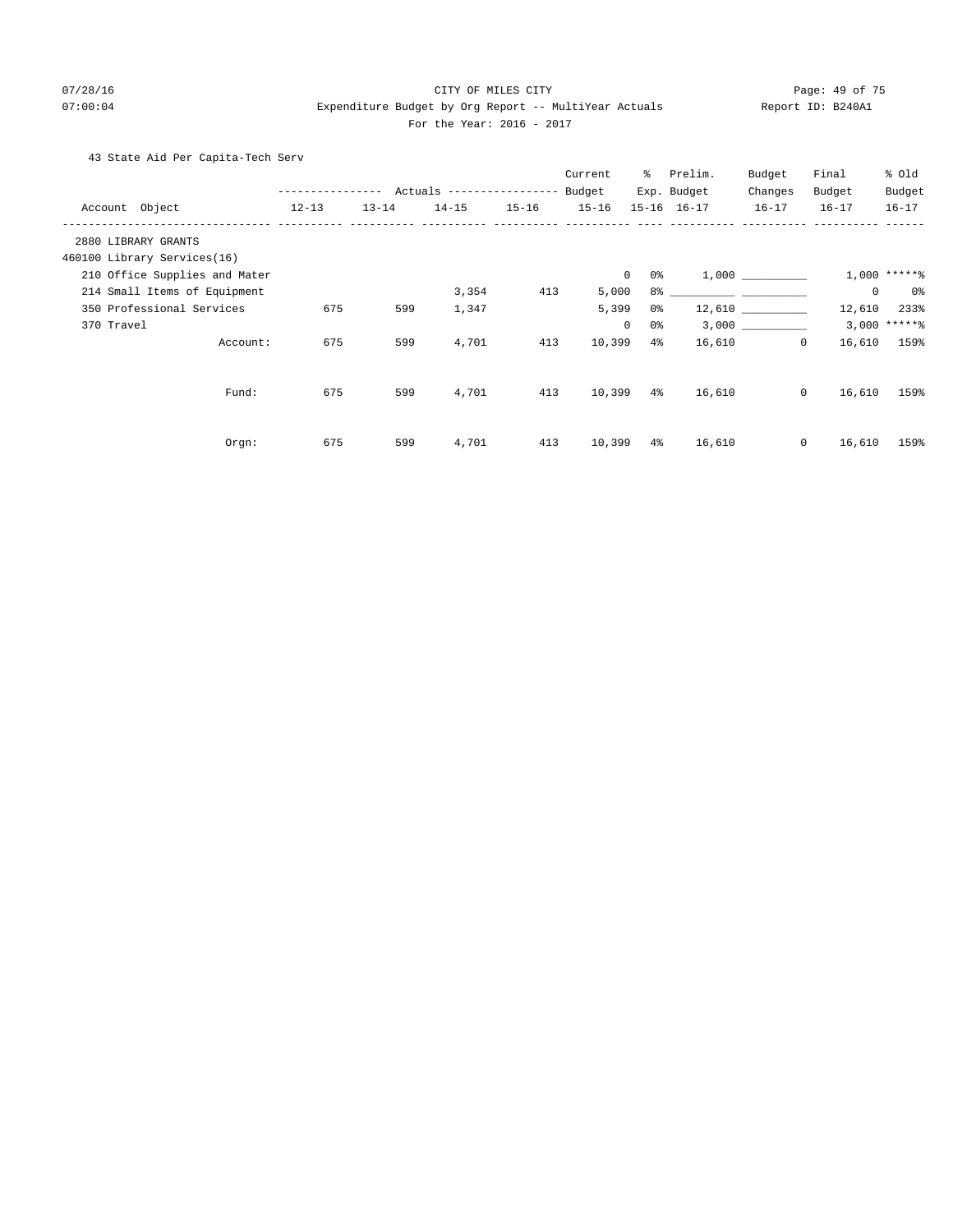## 07/28/16 CITY OF MILES CITY Page: 49 of 75 07:00:04 Expenditure Budget by Org Report -- MultiYear Actuals Report ID: B240A1 For the Year: 2016 - 2017

# 43 State Aid Per Capita-Tech Serv

|                               |                  |           |                                  |           | Current   | ွေ                 | Prelim.     | Budget              | Final     | % old           |
|-------------------------------|------------------|-----------|----------------------------------|-----------|-----------|--------------------|-------------|---------------------|-----------|-----------------|
|                               | ---------------- |           | Actuals ----------------- Budget |           |           |                    | Exp. Budget | Changes             | Budget    | Budget          |
| Account Object                | $12 - 13$        | $13 - 14$ | $14 - 15$                        | $15 - 16$ | $15 - 16$ |                    | 15-16 16-17 | $16 - 17$           | $16 - 17$ | $16 - 17$       |
| 2880 LIBRARY GRANTS           |                  |           |                                  |           |           |                    |             |                     |           |                 |
| 460100 Library Services(16)   |                  |           |                                  |           |           |                    |             |                     |           |                 |
| 210 Office Supplies and Mater |                  |           |                                  |           |           | $\circ$<br>0 %     |             | 1,000               |           | $1,000$ *****%  |
| 214 Small Items of Equipment  |                  |           | 3,354                            | 413       | 5,000     |                    |             |                     | $\circ$   | 0%              |
| 350 Professional Services     | 675              | 599       | 1,347                            |           | 5,399     | 0%                 |             | $12,610$ __________ | 12,610    | 233%            |
| 370 Travel                    |                  |           |                                  |           |           | $\mathbf{0}$<br>0% |             | 3,000               |           | $3,000$ ***** % |
| Account:                      | 675              | 599       | 4,701                            | 413       | 10,399    | $4\%$              | 16,610      | $\mathbf{0}$        | 16,610    | 159%            |
| Fund:                         | 675              | 599       | 4,701                            | 413       | 10,399    | $4\,$              | 16,610      | $\circ$             | 16,610    | 159%            |
|                               |                  |           |                                  |           |           |                    |             |                     |           |                 |
| Orgn:                         | 675              | 599       | 4,701                            | 413       | 10,399    | $4\%$              | 16,610      | $\circ$             | 16,610    | 159%            |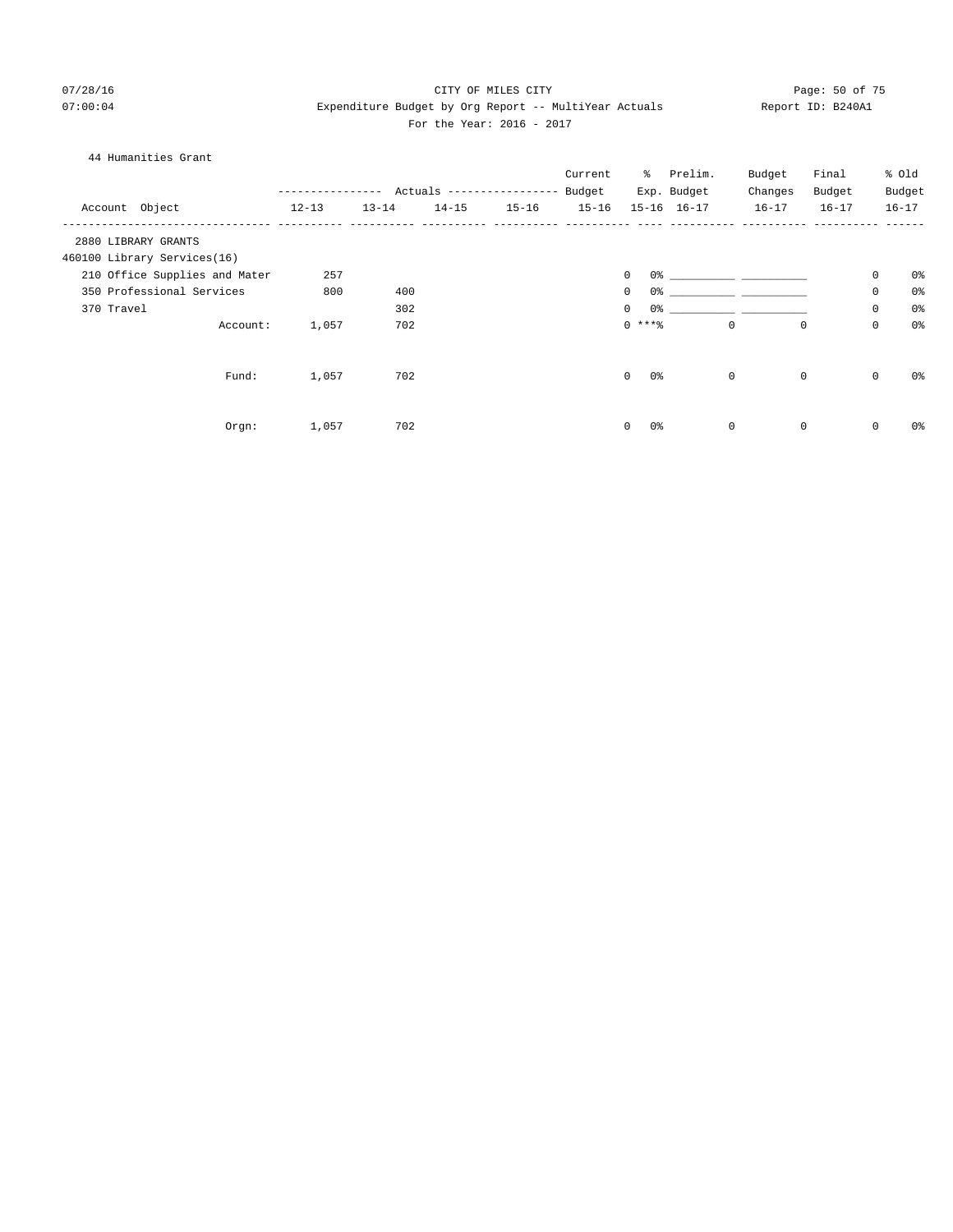# 07/28/16 Page: 50 of 75 07:00:04 Expenditure Budget by Org Report -- MultiYear Actuals Report ID: B240A1 For the Year: 2016 - 2017

| 44 Humanities Grant           |               |           |           |                                  |           |                            |             |             |             |             |                |
|-------------------------------|---------------|-----------|-----------|----------------------------------|-----------|----------------------------|-------------|-------------|-------------|-------------|----------------|
|                               |               |           |           |                                  | Current   |                            | % Prelim.   | Budget      | Final       |             | % Old          |
|                               | ------------- |           |           | Actuals ----------------- Budget |           |                            | Exp. Budget | Changes     | Budget      |             | Budget         |
| Account Object                | $12 - 13$     | $13 - 14$ | $14 - 15$ | $15 - 16$                        | $15 - 16$ |                            | 15-16 16-17 | $16 - 17$   | $16 - 17$   |             | $16 - 17$      |
| 2880 LIBRARY GRANTS           |               |           |           |                                  |           |                            |             |             |             |             |                |
| 460100 Library Services(16)   |               |           |           |                                  |           |                            |             |             |             |             |                |
| 210 Office Supplies and Mater | 257           |           |           |                                  |           | 0<br>0%                    |             |             |             | 0           | 0%             |
| 350 Professional Services     | 800           | 400       |           |                                  |           | 0<br>0 <sup>o</sup>        |             |             |             | $\mathsf 0$ | 0 <sup>°</sup> |
| 370 Travel                    |               | 302       |           |                                  |           | 0 <sup>o</sup><br>$\Omega$ |             |             |             | 0           | 0 <sup>°</sup> |
| Account:                      | 1,057         | 702       |           |                                  |           | $0***$                     |             | $\mathbf 0$ | $\mathbf 0$ | $\mathsf 0$ | 0 <sup>°</sup> |
| Fund:                         | 1,057         | 702       |           |                                  |           | $\Omega$<br>0 <sup>o</sup> |             | $\mathbf 0$ | $\mathbf 0$ | $\mathbf 0$ | 0 <sup>°</sup> |
| Orgn:                         | 1,057         | 702       |           |                                  |           | 0%<br>$\mathbf 0$          |             | $\mathbf 0$ | $\mathbf 0$ | 0           | 0%             |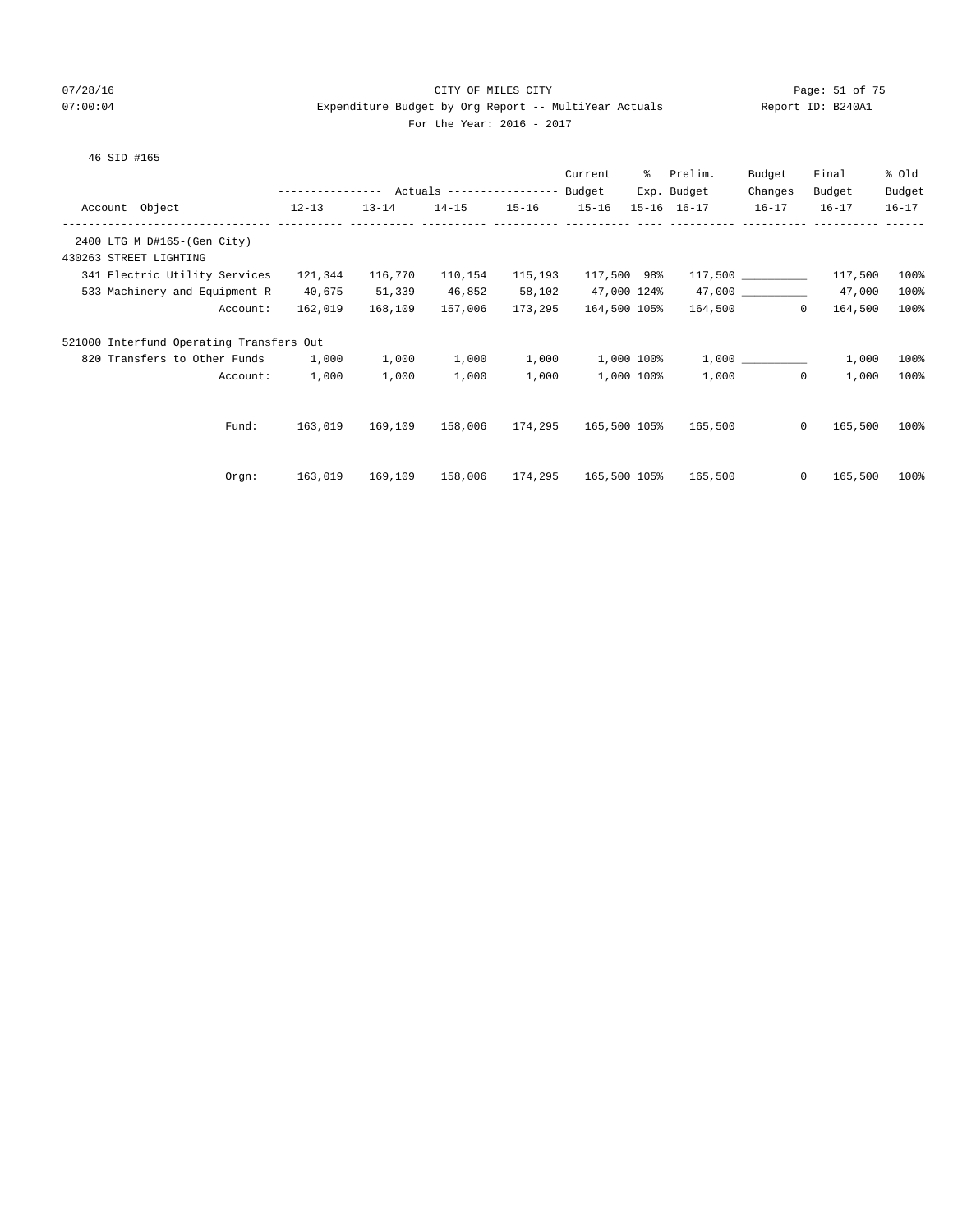# 07/28/16 Page: 51 of 75 07:00:04 Expenditure Budget by Org Report -- MultiYear Actuals Report ID: B240A1 For the Year: 2016 - 2017

| Report ID: B2 |  |
|---------------|--|
|               |  |

|                                          |                                                |           |                              |           | Current      |            | % Prelim.           | Budget              | Final             | % old     |
|------------------------------------------|------------------------------------------------|-----------|------------------------------|-----------|--------------|------------|---------------------|---------------------|-------------------|-----------|
|                                          | --------------- Actuals --------------- Budget |           |                              |           |              |            | Exp. Budget         | Changes             | Budget            | Budget    |
| Account Object<br>$12-13$                |                                                | $13 - 14$ | $14 - 15$                    | $15 - 16$ | $15 - 16$    |            | $15 - 16$ $16 - 17$ | $16 - 17$           | $16 - 17$         | $16 - 17$ |
|                                          |                                                |           |                              |           |              |            |                     |                     |                   |           |
| 2400 LTG M D#165-(Gen City)              |                                                |           |                              |           |              |            |                     |                     |                   |           |
| 430263 STREET LIGHTING                   |                                                |           |                              |           |              |            |                     |                     |                   |           |
| 341 Electric Utility Services            | 121,344                                        | 116,770   | 110,154                      | 115,193   | 117,500 98%  |            |                     |                     | $117,500$ 117,500 | 100%      |
| 533 Machinery and Equipment R            | 40,675                                         | 51,339    | 46,852                       | 58,102    | 47,000 124%  |            |                     | 47,000              | 47,000            | 100%      |
| Account:                                 | 162,019                                        | 168,109   | 157,006                      | 173,295   | 164,500 105% |            |                     | 164,500<br>$\Omega$ | 164,500           | 100%      |
| 521000 Interfund Operating Transfers Out |                                                |           |                              |           |              |            |                     |                     |                   |           |
| 820 Transfers to Other Funds 1,000       |                                                | 1,000     | 1,000                        | 1,000     | 1,000 100%   |            |                     |                     | 1,000             | 100%      |
| Account:                                 | 1,000                                          | 1,000     | 1,000                        | 1,000     |              | 1,000 100% |                     | 1,000<br>$\Omega$   | 1,000             | 100%      |
|                                          |                                                |           |                              |           |              |            |                     |                     |                   |           |
| Fund:                                    | 163,019                                        | 169,109   | 158,006 174,295 165,500 105% |           |              |            | 165,500             | $\Omega$            | 165,500           | $100\%$   |
|                                          |                                                |           |                              |           |              |            |                     |                     |                   |           |
| Orgn:                                    | 163,019                                        | 169,109   | 158,006 174,295 165,500 105% |           |              |            | 165,500             | $\circ$             | 165,500           | $100\%$   |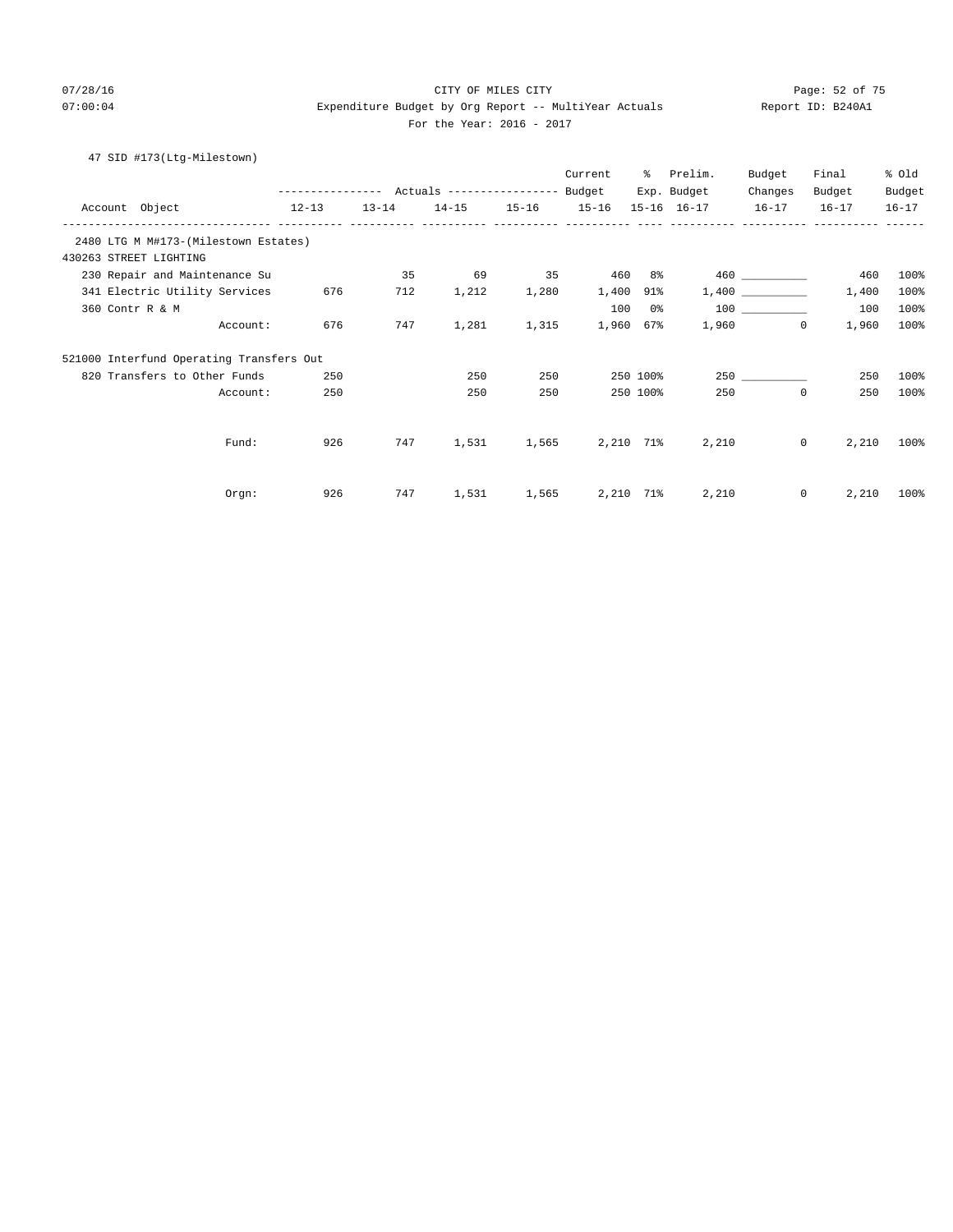# 07/28/16 Page: 52 of 75 07:00:04 Expenditure Budget by Org Report -- MultiYear Actuals Report ID: B240A1 For the Year: 2016 - 2017

# 47 SID #173(Ltg-Milestown)

|                                           |                                                 |           |           |           | Current   | ႜ        | Prelim.             | Budget       | Final     | % Old     |
|-------------------------------------------|-------------------------------------------------|-----------|-----------|-----------|-----------|----------|---------------------|--------------|-----------|-----------|
|                                           | --------------- Actuals ---------------- Budget |           |           |           |           |          | Exp. Budget         | Changes      | Budget    | Budget    |
| Account Object<br>------------ ---------- | $12 - 13$                                       | $13 - 14$ | $14 - 15$ | $15 - 16$ | $15 - 16$ |          | $15 - 16$ $16 - 17$ | $16 - 17$    | $16 - 17$ | $16 - 17$ |
| 2480 LTG M M#173-(Milestown Estates)      |                                                 |           |           |           |           |          |                     |              |           |           |
| 430263 STREET LIGHTING                    |                                                 |           |           |           |           |          |                     |              |           |           |
| 230 Repair and Maintenance Su             |                                                 | 35        | 69        | 35        | 460       | 8%       |                     |              | 460       | 100%      |
| 341 Electric Utility Services             | 676                                             | 712       | 1,212     | 1,280     | 1,400     | 91%      |                     |              | 1,400     | 100%      |
| 360 Contr R & M                           |                                                 |           |           |           | 100       | 0%       |                     | 100 000      | 100       | 100%      |
| Account:                                  | 676                                             | 747       | 1,281     | 1,315     | 1,960     | 67%      | 1,960               | $\circ$      | 1,960     | 100%      |
| 521000 Interfund Operating Transfers Out  |                                                 |           |           |           |           |          |                     |              |           |           |
| 820 Transfers to Other Funds              | 250                                             |           | 250       | 250       |           | 250 100% |                     | 250          | 250       | 100%      |
| Account:                                  | 250                                             |           | 250       | 250       |           | 250 100% | 250                 | $\mathbf 0$  | 250       | 100%      |
|                                           |                                                 |           |           |           |           |          |                     |              |           |           |
| Fund:                                     | 926                                             | 747       | 1,531     | 1,565     | 2,210 71% |          | 2,210               | $\mathbf{0}$ | 2,210     | 100%      |
|                                           |                                                 |           |           |           |           |          |                     |              |           |           |
| Orgn:                                     | 926                                             | 747       | 1,531     | 1,565     | 2,210 71% |          | 2,210               | $\mathbf{0}$ | 2,210     | 100%      |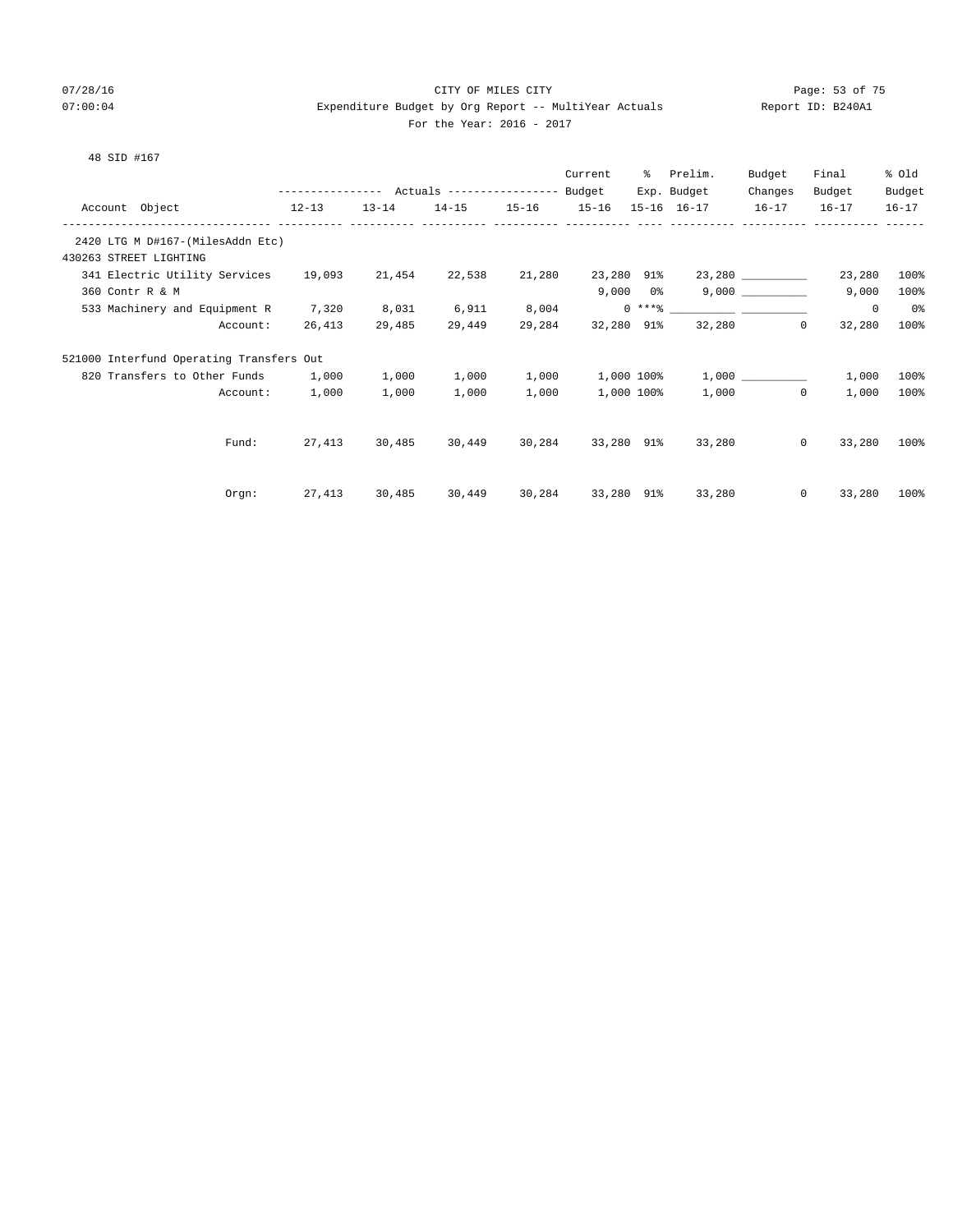48 SID #167

# 07/28/16 Page: 53 of 75 07:00:04 Expenditure Budget by Org Report -- MultiYear Actuals Report ID: B240A1 For the Year: 2016 - 2017

|                                                                  | --------------- Actuals ----------------- |           |        |                   | Current<br>Budget | ႜႜၟ | Prelim.<br>Exp. Budget | Budget<br>Changes | Final<br>Budget   | % Old<br>Budget |
|------------------------------------------------------------------|-------------------------------------------|-----------|--------|-------------------|-------------------|-----|------------------------|-------------------|-------------------|-----------------|
| Account Object<br>$12-13$                                        |                                           | $13 - 14$ |        | 14-15 15-16 15-16 |                   |     | $15 - 16$ $16 - 17$    | $16 - 17$         | $16 - 17$         | $16 - 17$       |
| ----------------------------<br>2420 LTG M D#167-(MilesAddn Etc) |                                           |           |        |                   |                   |     |                        |                   |                   |                 |
| 430263 STREET LIGHTING                                           |                                           |           |        |                   |                   |     |                        |                   |                   |                 |
| 341 Electric Utility Services 19,093                             |                                           | 21,454    | 22,538 | 21,280            | 23,280 91%        |     |                        | 23,280            | 23,280            | 100%            |
| 360 Contr R & M                                                  |                                           |           |        |                   |                   |     | $9,000$ $0$ %          | 9,000             | 9,000             | 100%            |
| 533 Machinery and Equipment R                                    | 7,320                                     | 8,031     | 6,911  | 8,004             |                   |     |                        |                   | 0                 | 0%              |
| Account:                                                         | 26,413                                    | 29,485    | 29,449 | 29,284            | 32,280 91%        |     |                        | 32,280<br>0       | 32,280            | 100%            |
| 521000 Interfund Operating Transfers Out                         |                                           |           |        |                   |                   |     |                        |                   |                   |                 |
| 820 Transfers to Other Funds 1,000                               |                                           | 1,000     | 1,000  | 1,000             | 1,000 100%        |     |                        | 1,000             | 1,000             | 100%            |
| Account:                                                         | 1,000                                     | 1,000     | 1,000  | 1,000             | 1,000 100%        |     | 1,000                  | $\mathbf 0$       | 1,000             | 100%            |
|                                                                  |                                           |           |        |                   |                   |     |                        |                   |                   |                 |
| Fund:                                                            | 27,413                                    | 30,485    | 30,449 | 30,284            | 33,280 91%        |     | 33,280                 |                   | $\circ$<br>33,280 | 100%            |
|                                                                  |                                           |           |        |                   |                   |     |                        |                   |                   |                 |
| Orgn:                                                            | 27,413                                    | 30,485    | 30,449 | 30,284            | 33,280 91%        |     | 33,280                 | $\circ$           | 33,280            | 100%            |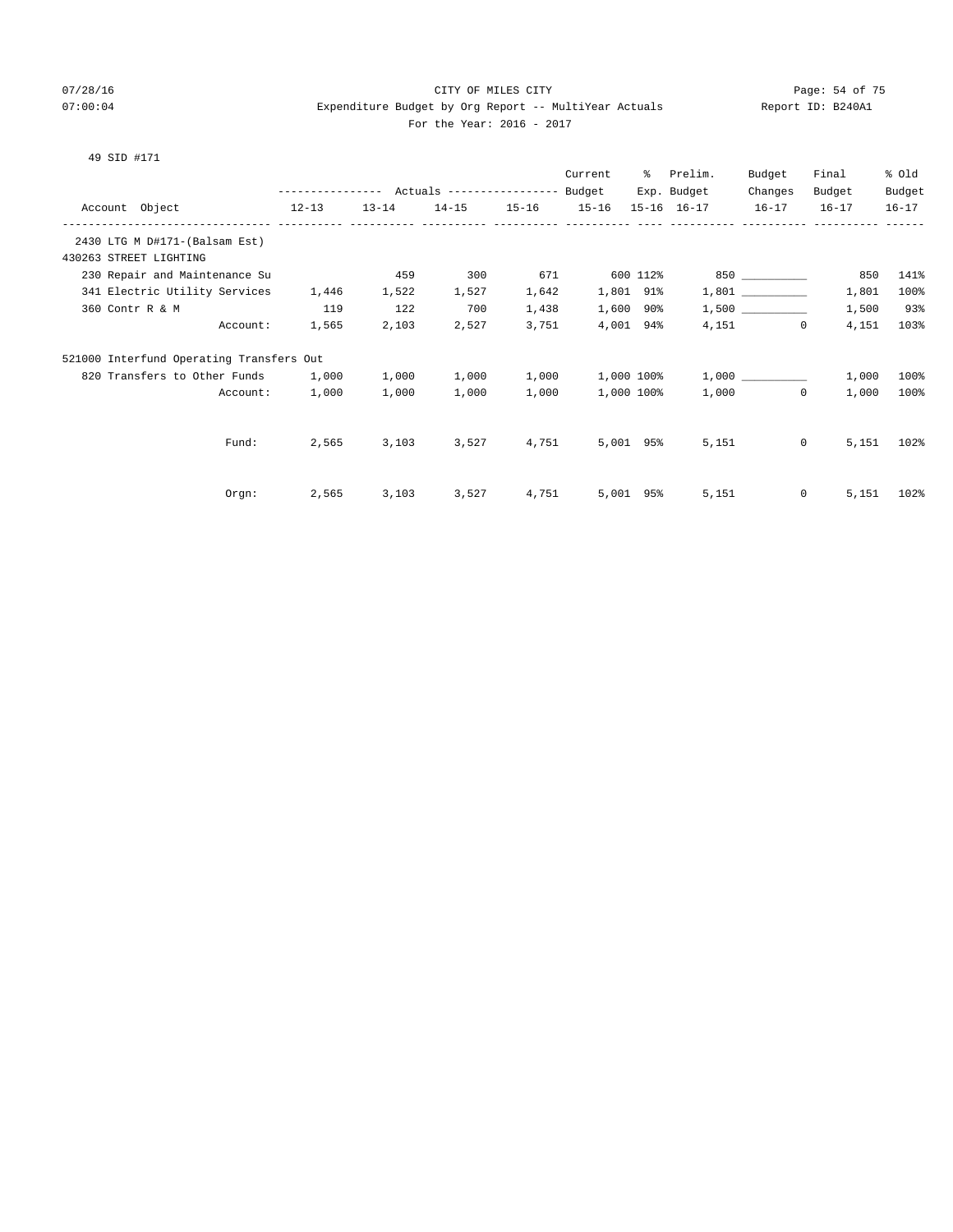# 07/28/16 Page: 54 of 75 07:00:04 Expenditure Budget by Org Report -- MultiYear Actuals Report ID: B240A1 For the Year: 2016 - 2017

|                                          |                                                 |           |       |                   | Current    | ိ         | Prelim.     | Budget                | Final  | % old     |
|------------------------------------------|-------------------------------------------------|-----------|-------|-------------------|------------|-----------|-------------|-----------------------|--------|-----------|
|                                          | --------------- Actuals ---------------- Budget |           |       |                   |            |           | Exp. Budget | Changes               | Budget | Budget    |
| Account Object                           | $12-13$                                         | $13 - 14$ |       | 14-15 15-16 15-16 |            |           | 15-16 16-17 | $16-17$ $16-17$       |        | $16 - 17$ |
| 2430 LTG M D#171-(Balsam Est)            |                                                 |           |       |                   |            |           |             |                       |        |           |
| 430263 STREET LIGHTING                   |                                                 |           |       |                   |            |           |             |                       |        |           |
| 230 Repair and Maintenance Su            |                                                 | 459       | 300   | 671               |            | 600 112%  |             | 850 _____________     | 850    | 141%      |
| 341 Electric Utility Services            | 1,446                                           | 1,522     | 1,527 | 1,642             | 1,801 91%  |           |             |                       | 1,801  | 100%      |
| 360 Contr R & M                          | 119                                             | 122       | 700   | 1,438             | 1,600 90%  |           |             |                       | 1,500  | 93%       |
| Account:                                 | 1,565                                           | 2,103     | 2,527 | 3,751             |            | 4,001 94% |             | 4,151<br>$\mathbf{0}$ | 4,151  | 103%      |
| 521000 Interfund Operating Transfers Out |                                                 |           |       |                   |            |           |             |                       |        |           |
| 820 Transfers to Other Funds             | 1,000                                           | 1,000     | 1,000 | 1,000             | 1,000 100% |           |             |                       | 1,000  | 100%      |
| Account:                                 | 1,000                                           | 1,000     | 1,000 | 1,000             | 1,000 100% |           |             | 1,000<br>$\Omega$     | 1,000  | 100%      |
|                                          |                                                 |           |       |                   |            |           |             |                       |        |           |
| Fund:                                    | 2,565                                           | 3,103     | 3,527 | 4,751             | 5,001 95%  |           | 5,151       | $\circ$               | 5,151  | 102%      |
|                                          |                                                 |           |       |                   |            |           |             |                       |        |           |
| Orgn:                                    | 2,565                                           | 3,103     | 3,527 | 4,751             | 5,001 95%  |           | 5,151       | $\circ$               | 5,151  | 102%      |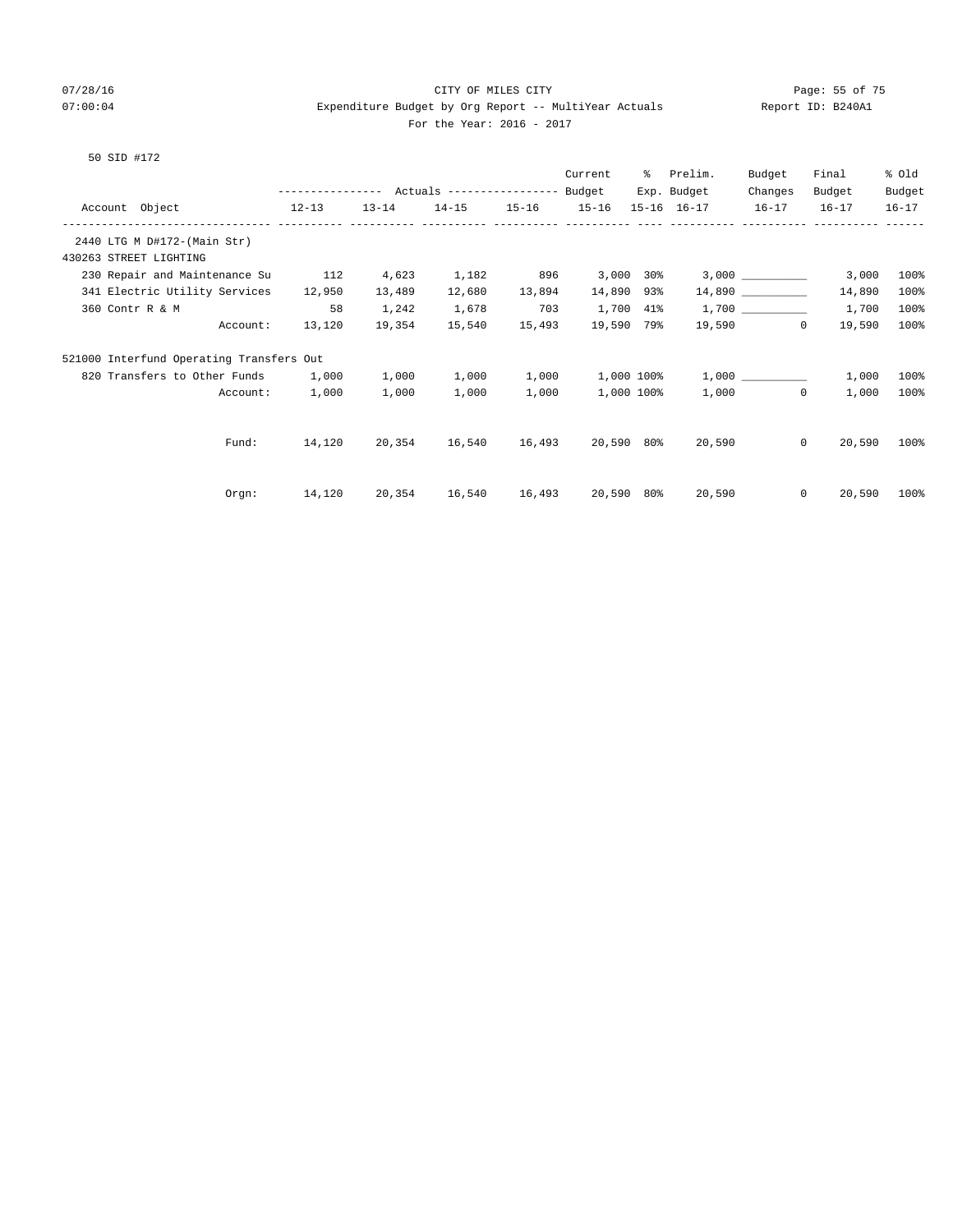# 07/28/16 Page: 55 of 75 07:00:04 Expenditure Budget by Org Report -- MultiYear Actuals Report ID: B240A1 For the Year: 2016 - 2017

|                                          |                                                 |                      |               |                   | Current    | ႜႜၟ            | Prelim.     | Budget            | Final     | % old     |
|------------------------------------------|-------------------------------------------------|----------------------|---------------|-------------------|------------|----------------|-------------|-------------------|-----------|-----------|
|                                          | --------------- Actuals ---------------- Budget |                      |               |                   |            |                | Exp. Budget | Changes           | Budget    | Budget    |
| Account Object<br>$12-13$                |                                                 | $13 - 14$            |               | 14-15 15-16 15-16 |            |                | 15-16 16-17 | $16 - 17$         | $16 - 17$ | $16 - 17$ |
| 2440 LTG M D#172-(Main Str)              |                                                 |                      |               |                   |            |                |             |                   |           |           |
| 430263 STREET LIGHTING                   |                                                 |                      |               |                   |            |                |             |                   |           |           |
| 230 Repair and Maintenance Su            | 112                                             | 4,623                | 1,182         | 896               |            | $3,000$ $30\%$ |             | 3,000             | 3,000     | 100%      |
| 341 Electric Utility Services            | 12,950                                          | 13,489               | 12,680        | 13,894            | 14,890 93% |                |             | 14,890            | 14,890    | 100%      |
| 360 Contr R & M                          | 58                                              | 1,242                | 1,678         | 703               |            | 1,700 41%      |             |                   | 1,700     | 100%      |
| Account:                                 | 13,120                                          | 19,354               | 15,540        | 15,493            | 19,590 79% |                |             | 19,590 0          | 19,590    | 100%      |
| 521000 Interfund Operating Transfers Out |                                                 |                      |               |                   |            |                |             |                   |           |           |
| 820 Transfers to Other Funds             | 1,000                                           | 1,000                | 1,000         | 1,000             |            | 1,000 100%     |             | 1,000             | 1,000     | 100%      |
| Account:                                 | 1,000                                           | 1,000                | 1,000         | 1,000             |            | 1,000 100%     |             | $1,000$ 0         | 1,000     | 100%      |
|                                          |                                                 |                      |               |                   |            |                |             |                   |           |           |
| Fund:                                    | 14,120                                          | 20,354               | 16,540 16,493 |                   | 20,590 80% |                |             | $\circ$<br>20,590 | 20,590    | 100%      |
|                                          |                                                 |                      |               |                   |            |                |             |                   |           |           |
| Orgn:                                    |                                                 | 14,120 20,354 16,540 |               | 16,493            | 20,590 80% |                | 20,590      | $\Omega$          | 20,590    | 100%      |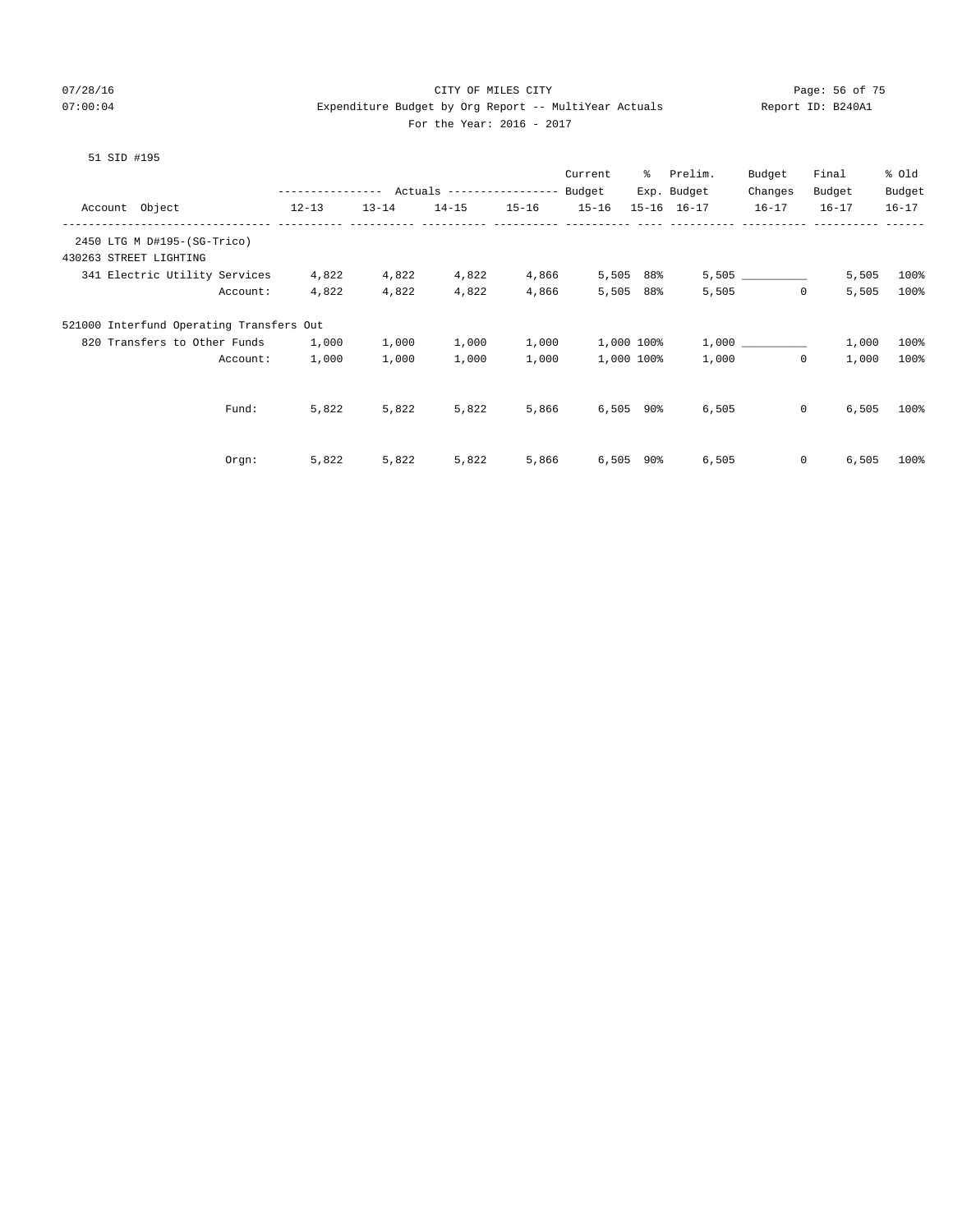# 07/28/16 Page: 56 of 75 07:00:04 Expenditure Budget by Org Report -- MultiYear Actuals Report ID: B240A1 For the Year: 2016 - 2017

|                                          |          |                                           |           |           |           | Current     | ႜႜ  | Prelim.     | Budget       | Final     | % old     |
|------------------------------------------|----------|-------------------------------------------|-----------|-----------|-----------|-------------|-----|-------------|--------------|-----------|-----------|
|                                          |          | --------------- Actuals ----------------- |           |           |           | Budget      |     | Exp. Budget | Changes      | Budget    | Budget    |
| Account Object                           |          | $12 - 13$                                 | $13 - 14$ | $14 - 15$ | $15 - 16$ | $15 - 16$   |     | 15-16 16-17 | $16 - 17$    | $16 - 17$ | $16 - 17$ |
| 2450 LTG M D#195-(SG-Trico)              |          |                                           |           |           |           |             |     |             |              |           |           |
| 430263 STREET LIGHTING                   |          |                                           |           |           |           |             |     |             |              |           |           |
| 341 Electric Utility Services            |          | 4,822                                     | 4,822     | 4,822     | 4,866     | 5,505       | 88% |             |              | 5,505     | 100%      |
|                                          | Account: | 4,822                                     | 4,822     | 4,822     | 4,866     | 5,505       | 88% | 5,505       | $\Omega$     | 5,505     | 100%      |
| 521000 Interfund Operating Transfers Out |          |                                           |           |           |           |             |     |             |              |           |           |
| 820 Transfers to Other Funds             |          | 1,000                                     | 1,000     | 1,000     | 1,000     | 1,000 100%  |     |             | 1,000        | 1,000     | 100%      |
|                                          | Account: | 1,000                                     | 1,000     | 1,000     | 1,000     | 1,000 100%  |     | 1,000       | $\Omega$     | 1,000     | 100%      |
|                                          |          |                                           |           |           |           |             |     |             |              |           |           |
|                                          | Fund:    | 5,822                                     | 5,822     | 5,822     | 5,866     | $6,505$ 90% |     | 6,505       | $\mathbf{0}$ | 6,505     | 100%      |
|                                          |          |                                           |           |           |           |             |     |             |              |           |           |
|                                          | $0$ rgn: | 5,822                                     | 5,822     | 5,822     | 5,866     | 6,505       | 90% | 6,505       | $\mathbf{0}$ | 6,505     | 100%      |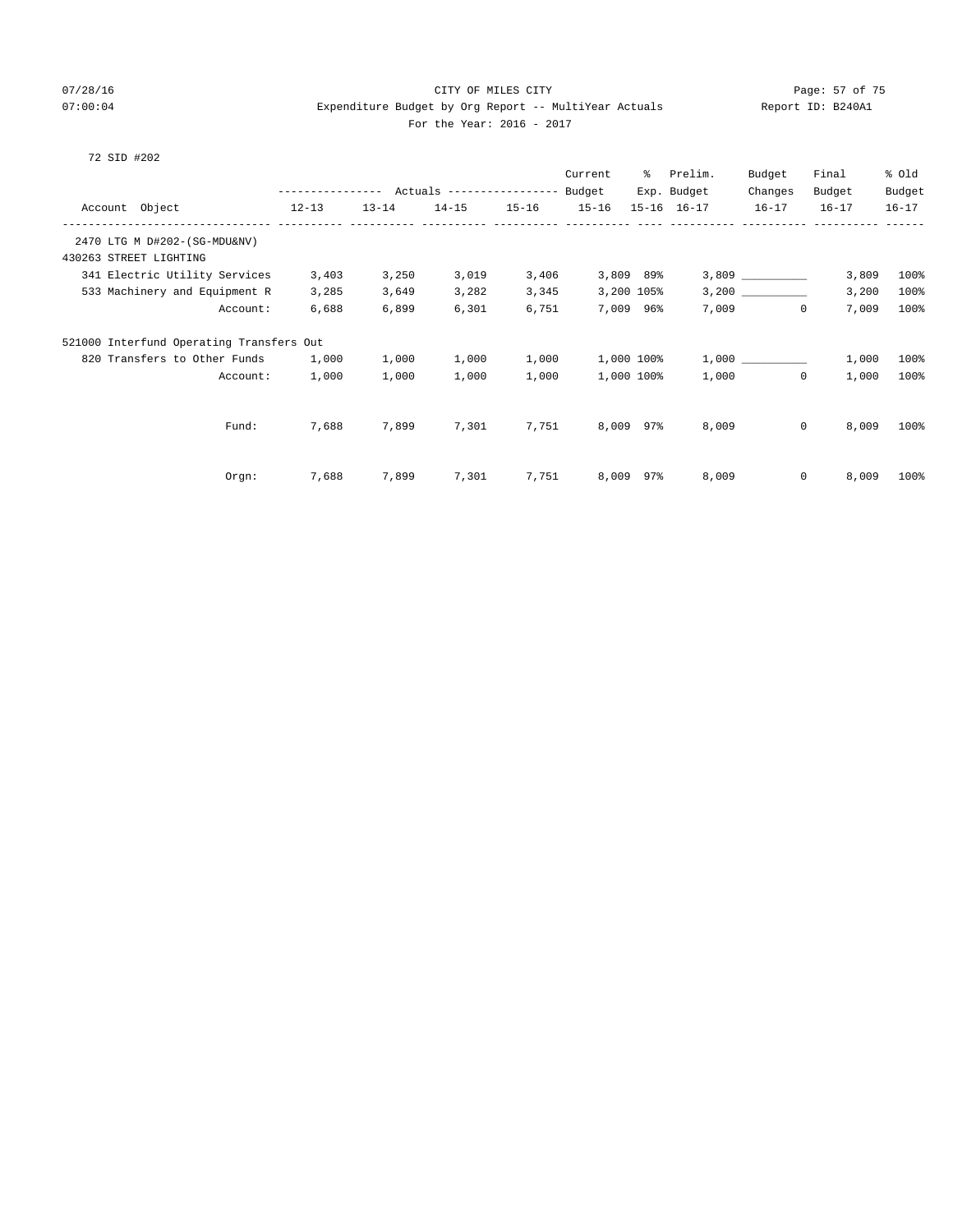# 07/28/16 Page: 57 of 75 07:00:04 Expenditure Budget by Org Report -- MultiYear Actuals Report ID: B240A1 For the Year: 2016 - 2017

|  | 72 SID #202 |  |
|--|-------------|--|
|  |             |  |

|                                          |                  |           |                           |           | Current   | ႜႜ         | Prelim.             | Budget      | Final            | % old     |
|------------------------------------------|------------------|-----------|---------------------------|-----------|-----------|------------|---------------------|-------------|------------------|-----------|
|                                          | ---------------- |           | Actuals ----------------- |           | Budget    |            | Exp. Budget         | Changes     | Budget           | Budget    |
| Account Object                           | $12 - 13$        | $13 - 14$ | $14 - 15$                 | $15 - 16$ | $15 - 16$ |            | $15 - 16$ $16 - 17$ | $16 - 17$   | $16 - 17$        | $16 - 17$ |
| 2470 LTG M D#202-(SG-MDU&NV)             |                  |           |                           |           |           |            |                     |             |                  |           |
| 430263 STREET LIGHTING                   |                  |           |                           |           |           |            |                     |             |                  |           |
| 341 Electric Utility Services            | 3,403            | 3,250     | 3,019                     | 3,406     |           | 3,809 89%  |                     |             | 3,809            | 100%      |
| 533 Machinery and Equipment R            | 3,285            | 3,649     | 3,282                     | 3,345     |           | 3,200 105% |                     |             | 3,200            | 100%      |
| Account:                                 | 6,688            | 6,899     | 6,301                     | 6,751     |           | 7,009 96%  | 7,009               | $\mathbf 0$ | 7,009            | 100%      |
| 521000 Interfund Operating Transfers Out |                  |           |                           |           |           |            |                     |             |                  |           |
| 820 Transfers to Other Funds             | 1,000            | 1,000     | 1,000                     | 1,000     |           | 1,000 100% |                     | 1,000       | 1,000            | 100%      |
| Account:                                 | 1,000            | 1,000     | 1,000                     | 1,000     |           | 1,000 100% | 1,000               | $\mathbf 0$ | 1,000            | 100%      |
|                                          |                  |           |                           |           |           |            |                     |             |                  |           |
| Fund:                                    | 7,688            | 7,899     | 7,301                     | 7,751     |           | 8,009 97%  | 8,009               |             | $\circ$<br>8,009 | 100%      |
|                                          |                  |           |                           |           |           |            |                     |             |                  |           |
| Orgn:                                    | 7,688            | 7,899     | 7,301                     | 7,751     |           | 8,009 97%  | 8,009               |             | $\circ$<br>8,009 | 100%      |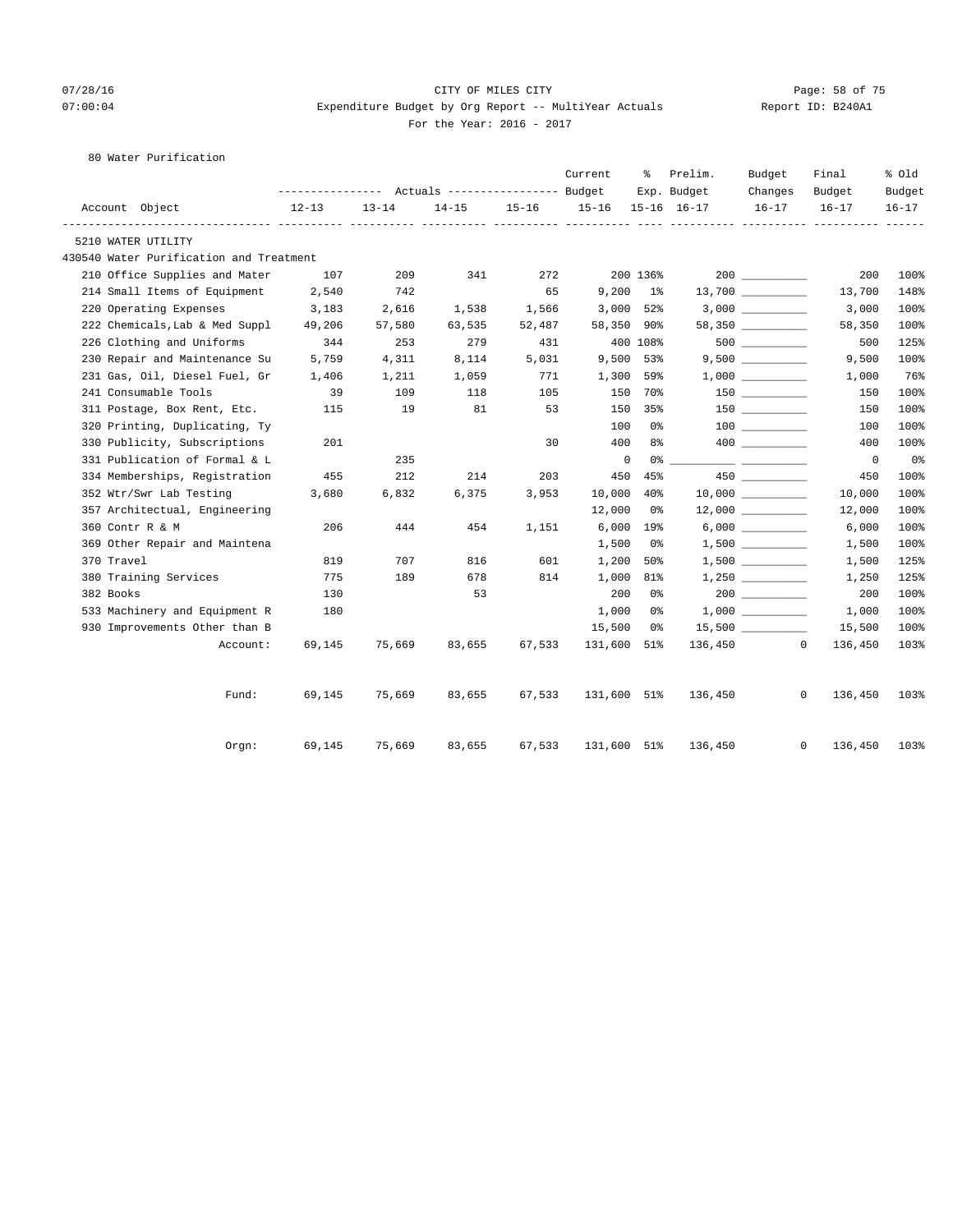# 07/28/16 Page: 58 of 75 07:00:04 Expenditure Budget by Org Report -- MultiYear Actuals Report ID: B240A1 For the Year: 2016 - 2017

80 Water Purification

|                                         |           |           |           |        | Current        | ႜႜၟ      | Prelim.                    | Budget               | Final                     | % old               |
|-----------------------------------------|-----------|-----------|-----------|--------|----------------|----------|----------------------------|----------------------|---------------------------|---------------------|
| Account Object                          | $12 - 13$ | $13 - 14$ | $14 - 15$ |        | 15-16 15-16    |          | Exp. Budget<br>15-16 16-17 | Changes<br>$16 - 17$ | Budget<br>$16 - 17$       | Budget<br>$16 - 17$ |
| 5210 WATER UTILITY                      |           |           |           |        |                |          |                            |                      |                           |                     |
| 430540 Water Purification and Treatment |           |           |           |        |                |          |                            |                      |                           |                     |
| 210 Office Supplies and Mater           | 107       | 209       | 341       | 272    |                | 200 136% |                            |                      | 200                       | 100%                |
| 214 Small Items of Equipment            | 2,540     | 742       |           | 65     | $9,200$ 1%     |          |                            |                      | 13,700                    | 148%                |
| 220 Operating Expenses                  | 3,183     | 2,616     | 1,538     | 1,566  | $3,000$ 52%    |          |                            |                      | 3,000                     | 100%                |
| 222 Chemicals, Lab & Med Suppl          | 49,206    | 57,580    | 63,535    | 52,487 | 58,350 90%     |          |                            | 58,350 _________     | 58,350                    | 100%                |
| 226 Clothing and Uniforms               | 344       | 253       | 279       | 431    |                | 400 108% |                            |                      | 500                       | 125%                |
| 230 Repair and Maintenance Su           | 5,759     | 4,311     | 8,114     | 5,031  | 9,500 53%      |          |                            | 9,500                | 9,500                     | 100%                |
| 231 Gas, Oil, Diesel Fuel, Gr           | 1,406     | 1,211     | 1,059     | 771    | 1,300 59%      |          |                            |                      | 1,000                     | 76%                 |
| 241 Consumable Tools                    | 39        | 109       | 118       | 105    | 150            | 70%      |                            | $150$ _________      | 150                       | 100%                |
| 311 Postage, Box Rent, Etc.             | 115       | 19        | 81        | 53     | 150            | 35%      |                            |                      | 150                       | 100%                |
| 320 Printing, Duplicating, Ty           |           |           |           |        | 100            | 0 %      |                            |                      | 100                       | 100%                |
| 330 Publicity, Subscriptions            | 201       |           |           | 30     | 400            | 8%       |                            |                      | 400                       | 100%                |
| 331 Publication of Formal & L           |           | 235       |           |        | $\overline{0}$ |          |                            |                      | $\overline{0}$            | 0 <sub>8</sub>      |
| 334 Memberships, Registration           | 455       | 212       | 214       | 203    | 450            | 45%      |                            | 450 000              | 450                       | 100%                |
| 352 Wtr/Swr Lab Testing                 | 3,680     | 6,832     | 6,375     | 3,953  | 10,000 40%     |          |                            |                      | 10,000                    | 100%                |
| 357 Architectual, Engineering           |           |           |           |        | 12,000         | 0 %      |                            |                      | 12,000                    | 100%                |
| 360 Contr R & M                         | 206       | 444       | 454       | 1,151  | $6,000$ 19%    |          |                            | $6,000$              | 6,000                     | 100%                |
| 369 Other Repair and Maintena           |           |           |           |        | 1,500          | 0%       |                            | $1,500$ _________    | 1,500                     | 100%                |
| 370 Travel                              | 819       | 707       | 816       | 601    | 1,200          | 50%      |                            | $1,500$ __________   | 1,500                     | 125%                |
| 380 Training Services                   | 775       | 189       | 678       | 814    | 1,000          | 81%      |                            |                      | 1,250                     | 125%                |
| 382 Books                               | 130       |           | 53        |        | 200            | 0%       |                            |                      | 200                       | 100%                |
| 533 Machinery and Equipment R           | 180       |           |           |        | 1,000          | 0 %      |                            |                      | 1,000                     | 100%                |
| 930 Improvements Other than B           |           |           |           |        | 15,500         | 0 %      |                            |                      | 15,500                    | 100%                |
| Account:                                | 69,145    | 75,669    | 83,655    | 67,533 | 131,600 51%    |          |                            | 136,450              | $\overline{0}$<br>136,450 | 103%                |
| Fund:                                   | 69,145    | 75,669    | 83,655    | 67,533 | 131,600 51%    |          | 136,450                    |                      | $\mathbf{0}$<br>136,450   | 103%                |
| Orgn:                                   | 69,145    | 75,669    | 83,655    | 67,533 | 131,600 51%    |          | 136,450                    |                      | $\mathbf{0}$<br>136,450   | 103%                |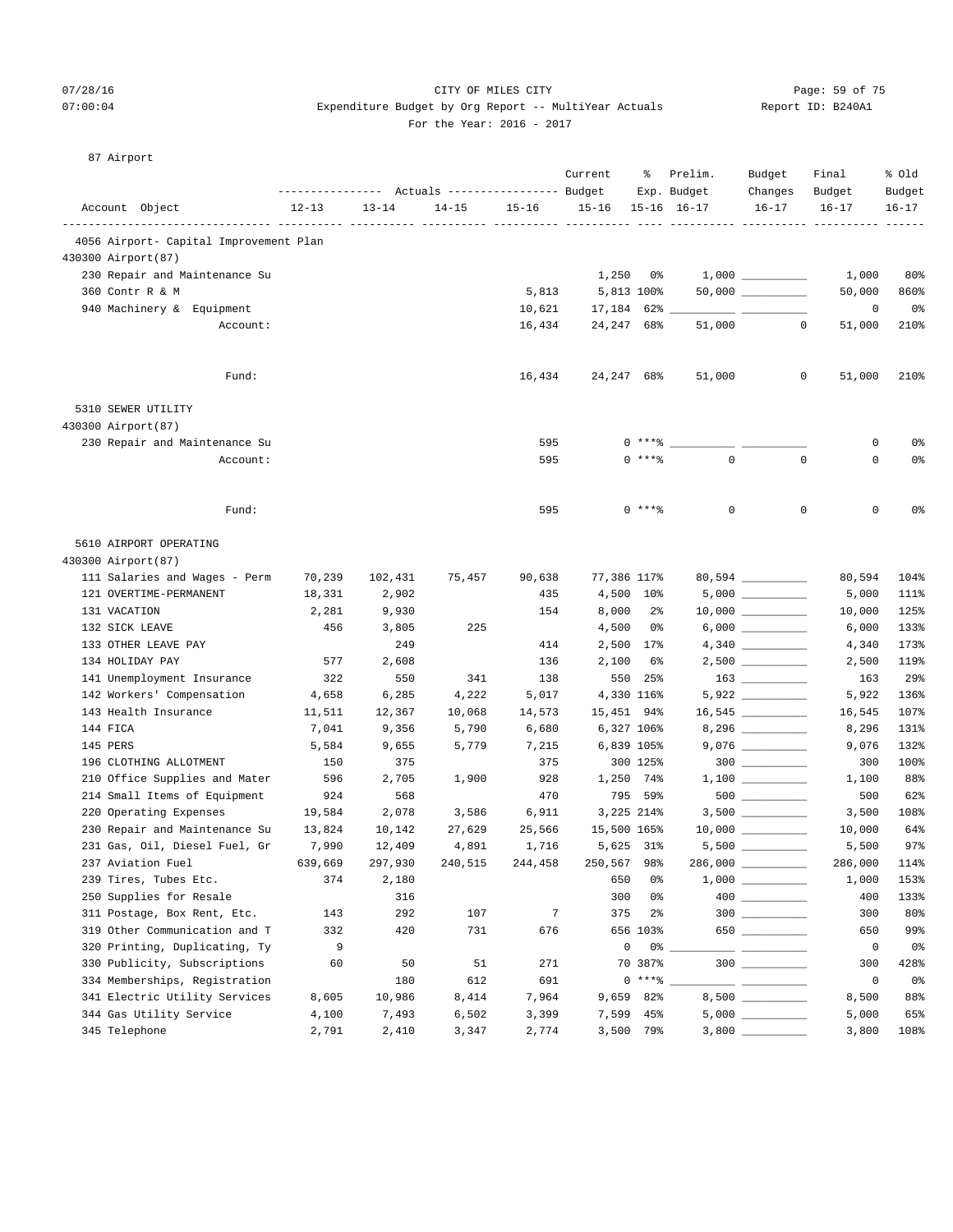# 07/28/16 Page: 59 of 75  $07:00:04$  Expenditure Budget by Org Report -- MultiYear Actuals For the Year: 2016 - 2017

| Report ID: B240A1 |  |
|-------------------|--|
|                   |  |

| 87 Airport |  |
|------------|--|
|------------|--|

|                                        | ------------- |           | Actuals ----------------- Budget |                | Current           | ႜ              | Prelim.<br>Exp. Budget | Budget<br>Changes    | Final<br>Budget | % old<br>Budget |
|----------------------------------------|---------------|-----------|----------------------------------|----------------|-------------------|----------------|------------------------|----------------------|-----------------|-----------------|
| Account Object                         | $12 - 13$     | $13 - 14$ | $14 - 15$                        | $15 - 16$      | $15 - 16$         |                | $15 - 16$ $16 - 17$    | $16 - 17$            | $16 - 17$       | $16 - 17$       |
| 4056 Airport- Capital Improvement Plan |               |           |                                  |                |                   |                |                        |                      |                 |                 |
| 430300 Airport (87)                    |               |           |                                  |                |                   |                |                        |                      |                 |                 |
| 230 Repair and Maintenance Su          |               |           |                                  |                | 1,250             | 0%             |                        |                      | 1,000           | 80%             |
| 360 Contr R & M                        |               |           |                                  | 5,813          |                   | 5,813 100%     |                        | $50,000$ ___________ | 50,000          | 860%            |
| 940 Machinery & Equipment              |               |           |                                  | 10,621         | $17,184$ 62% $\_$ |                |                        |                      | 0               | 0%              |
| Account:                               |               |           |                                  | 16,434         | 24,247 68%        |                | 51,000                 | 0                    | 51,000          | 210%            |
|                                        |               |           |                                  |                |                   |                |                        |                      |                 |                 |
| Fund:                                  |               |           |                                  | 16,434         | 24,247 68%        |                | 51,000                 | 0                    | 51,000          | 210%            |
| 5310 SEWER UTILITY                     |               |           |                                  |                |                   |                |                        |                      |                 |                 |
| 430300 Airport (87)                    |               |           |                                  |                |                   |                |                        |                      |                 |                 |
| 230 Repair and Maintenance Su          |               |           |                                  | 595            |                   | 0 ****         |                        |                      | 0               | 0%              |
| Account:                               |               |           |                                  | 595            |                   | $0$ ****       | $\mathbf 0$            | $\mathbf 0$          | $\mathbf 0$     | 0 <sup>°</sup>  |
| Fund:                                  |               |           |                                  | 595            |                   | $0***$         | 0                      | $\mathbf 0$          | 0               | 0%              |
| 5610 AIRPORT OPERATING                 |               |           |                                  |                |                   |                |                        |                      |                 |                 |
| 430300 Airport (87)                    |               |           |                                  |                |                   |                |                        |                      |                 |                 |
| 111 Salaries and Wages - Perm          | 70,239        | 102,431   | 75,457                           | 90,638         | 77,386 117%       |                |                        | 80,594 __________    | 80,594          | 104%            |
| 121 OVERTIME-PERMANENT                 | 18,331        | 2,902     |                                  | 435            |                   | 4,500 10%      |                        | $5,000$              | 5,000           | 111%            |
| 131 VACATION                           | 2,281         | 9,930     |                                  | 154            | 8,000             | $2\frac{6}{9}$ |                        | $10,000$ _________   | 10,000          | 125%            |
| 132 SICK LEAVE                         | 456           | 3,805     | 225                              |                | 4,500             | 0%             |                        |                      | 6,000           | 133%            |
| 133 OTHER LEAVE PAY                    |               | 249       |                                  | 414            |                   | 2,500 17%      |                        |                      | 4,340           | 173%            |
| 134 HOLIDAY PAY                        | 577           | 2,608     |                                  | 136            | 2,100             | 6%             |                        | $2,500$ __________   | 2,500           | 119%            |
| 141 Unemployment Insurance             | 322           | 550       | 341                              | 138            | 550               | 25%            |                        | $163$                | 163             | 29%             |
| 142 Workers' Compensation              | 4,658         | 6,285     | 4,222                            | 5,017          |                   | 4,330 116%     |                        |                      | 5,922           | 136%            |
| 143 Health Insurance                   | 11,511        | 12,367    | 10,068                           | 14,573         | 15,451 94%        |                |                        |                      | 16,545          | 107%            |
| 144 FICA                               | 7,041         | 9,356     | 5,790                            | 6,680          |                   | 6,327 106%     |                        | 8,296 _________      | 8,296           | 131%            |
| 145 PERS                               | 5,584         | 9,655     | 5,779                            | 7,215          |                   | 6,839 105%     |                        |                      | 9,076           | 132%            |
| 196 CLOTHING ALLOTMENT                 | 150           | 375       |                                  | 375            |                   | 300 125%       |                        | $300$                | 300             | 100%            |
| 210 Office Supplies and Mater          | 596           | 2,705     | 1,900                            | 928            |                   | 1,250 74%      |                        |                      | 1,100           | 88%             |
| 214 Small Items of Equipment           | 924           | 568       |                                  | 470            |                   | 795 59%        |                        |                      | 500             | 62%             |
| 220 Operating Expenses                 | 19,584        | 2,078     | 3,586                            | 6,911          |                   | 3,225 214%     |                        | $3,500$ __________   | 3,500           | 108%            |
| 230 Repair and Maintenance Su          | 13,824        | 10,142    | 27,629                           | 25,566         | 15,500 165%       |                |                        |                      | 10,000          | 64%             |
| 231 Gas, Oil, Diesel Fuel, Gr          | 7,990         | 12,409    | 4,891                            | 1,716          |                   | 5,625 31%      |                        | $5,500$ __________   | 5,500           | 97%             |
| 237 Aviation Fuel                      | 639,669       | 297,930   | 240,515                          | 244,458        | 250,567 98%       |                | 286,000                |                      | 286,000         | 114%            |
| 239 Tires, Tubes Etc.                  | 374           | 2,180     |                                  |                | 650               | 0%             |                        |                      | 1,000           | 153%            |
| 250 Supplies for Resale                |               | 316       |                                  |                | 300               | 0%             |                        |                      | 400             | 133%            |
| 311 Postage, Box Rent, Etc.            | 143           | 292       | 107                              | $\overline{7}$ | 375               | $2\frac{6}{9}$ |                        | $300$                | 300             | 80%             |
| 319 Other Communication and T          | 332           | 420       | 731                              | 676            |                   | 656 103%       |                        | 650                  | 650             | 99%             |
| 320 Printing, Duplicating, Ty          | 9             |           |                                  |                | $\mathbb O$       | 0 %            |                        |                      | $\circ$         | 0 <sup>°</sup>  |
| 330 Publicity, Subscriptions           | 60            | 50        | 51                               | 271            |                   | 70 387%        |                        | $300$                | 300             | 428%            |
| 334 Memberships, Registration          |               | 180       | 612                              | 691            |                   | $0***$ $*$     |                        |                      | 0               | 0%              |
| 341 Electric Utility Services          | 8,605         | 10,986    | 8,414                            | 7,964          |                   | 9,659 82%      |                        |                      | 8,500           | 88%             |
| 344 Gas Utility Service                | 4,100         | 7,493     | 6,502                            | 3,399          |                   | 7,599 45%      |                        | $5,000$              | 5,000           | 65%             |
| 345 Telephone                          | 2,791         | 2,410     | 3,347                            | 2,774          |                   | 3,500 79%      |                        | $3,800$ _________    | 3,800           | 108%            |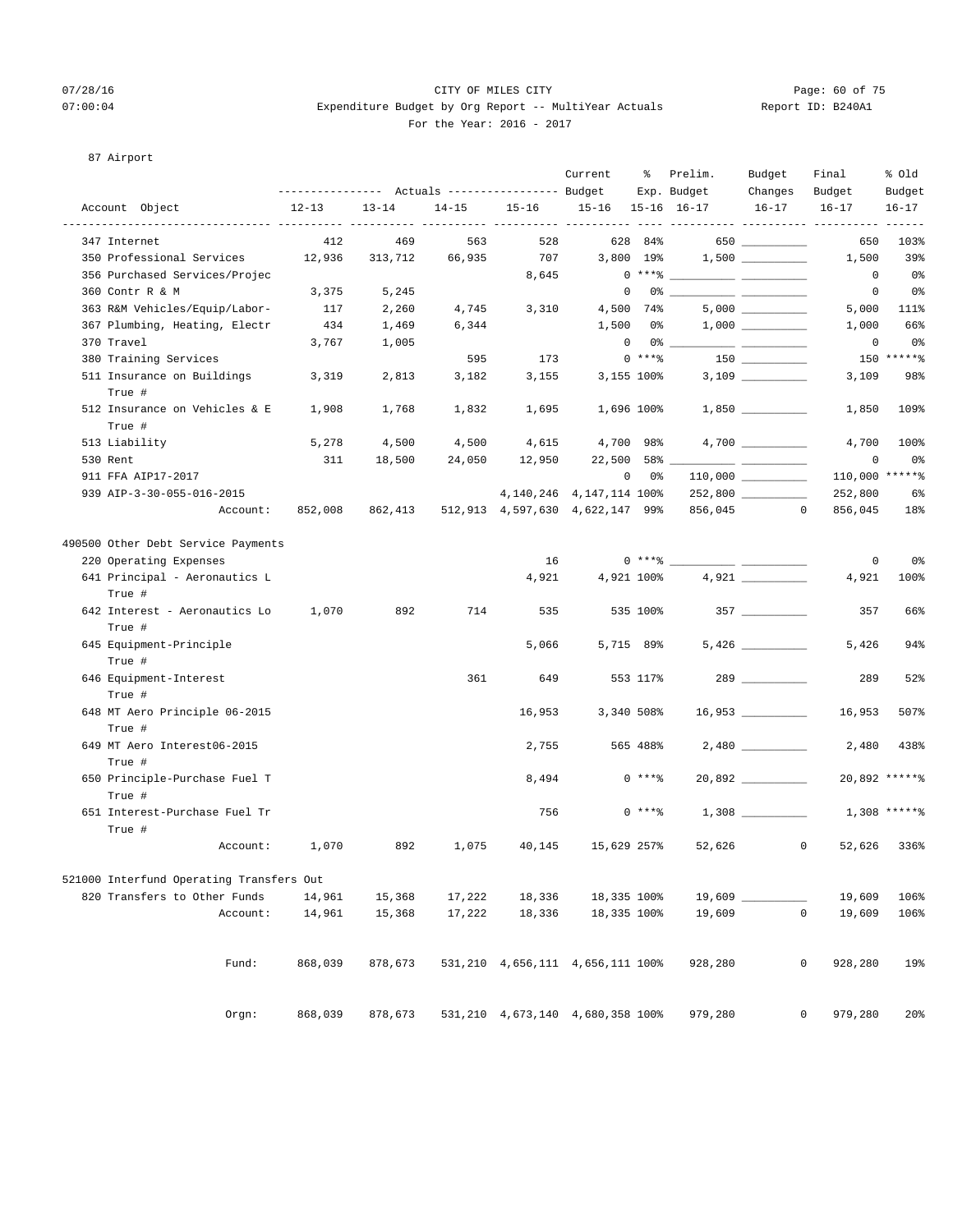# 07/28/16 Page: 60 of 75 07:00:04 Expenditure Budget by Org Report -- MultiYear Actuals Report ID: B240A1 For the Year: 2016 - 2017

# 87 Airport

|                                          | --------------- Actuals ---------------- Budget |           |           |                                  | Current                      | ႜ          | Prelim.<br>Exp. Budget  | Budget<br>Changes    | Final<br>Budget   | % old<br>Budget |
|------------------------------------------|-------------------------------------------------|-----------|-----------|----------------------------------|------------------------------|------------|-------------------------|----------------------|-------------------|-----------------|
| Account Object                           | $12 - 13$                                       | $13 - 14$ | $14 - 15$ | $15 - 16$                        | 15-16 15-16 16-17            |            |                         | $16 - 17$            | $16 - 17$         | $16 - 17$       |
| 347 Internet                             | 412                                             | 469       | 563       | 528                              | -----------                  | 628 84%    |                         | 650                  | 650               | 103%            |
| 350 Professional Services                | 12,936                                          | 313,712   | 66,935    | 707                              |                              | 3,800 19%  |                         |                      | 1,500             | 39%             |
| 356 Purchased Services/Projec            |                                                 |           |           | 8,645                            |                              |            | $0***$ $\frac{20}{100}$ |                      | $\circ$           | - 0%            |
| 360 Contr R & M                          | 3,375                                           | 5,245     |           |                                  | $\mathbf 0$                  |            |                         |                      | 0                 | 0%              |
| 363 R&M Vehicles/Equip/Labor-            | 117                                             | 2,260     | 4,745     | 3,310                            |                              | 4,500 74%  |                         |                      | 5,000             | 111%            |
| 367 Plumbing, Heating, Electr            | 434                                             | 1,469     | 6,344     |                                  | 1,500                        | 0 %        |                         |                      | 1,000             | 66%             |
| 370 Travel                               | 3,767                                           | 1,005     |           |                                  | $\overline{0}$               |            | 0 %                     |                      | 0                 | 0%              |
| 380 Training Services                    |                                                 |           | 595       | 173                              |                              | $0***8$    |                         |                      |                   | 150 ******      |
| 511 Insurance on Buildings               | 3,319                                           | 2,813     | 3,182     | 3,155                            |                              | 3,155 100% |                         |                      | 3,109             | 98%             |
| True #                                   |                                                 |           |           |                                  |                              |            |                         |                      |                   |                 |
| 512 Insurance on Vehicles & E            | 1,908                                           | 1,768     | 1,832     | 1,695                            |                              | 1,696 100% |                         |                      | 1,850             | 109%            |
| True #                                   |                                                 |           |           |                                  |                              |            |                         |                      |                   |                 |
| 513 Liability                            | 5,278                                           | 4,500     | 4,500     | 4,615                            | 4,700 98%                    |            |                         |                      | 4,700             | 100%            |
| 530 Rent                                 | 311                                             | 18,500    | 24,050    | 12,950                           | 22,500                       | 58%        |                         |                      | 0                 | 0%              |
| 911 FFA AIP17-2017                       |                                                 |           |           |                                  | $\circ$                      | 0 %        |                         |                      | 110,000 ******    |                 |
| 939 AIP-3-30-055-016-2015                |                                                 |           |           |                                  | 4, 140, 246 4, 147, 114 100% |            |                         |                      | 252,800           | 6%              |
| Account:                                 | 852,008                                         | 862,413   |           | 512,913 4,597,630 4,622,147 99%  |                              |            | 856,045                 | $^{\circ}$           | 856,045           | 18%             |
| 490500 Other Debt Service Payments       |                                                 |           |           |                                  |                              |            |                         |                      |                   |                 |
| 220 Operating Expenses                   |                                                 |           |           | 16                               |                              | $0***$ $*$ |                         |                      | 0                 | 0%              |
| 641 Principal - Aeronautics L<br>True #  |                                                 |           |           | 4,921                            |                              | 4,921 100% |                         |                      | 4,921             | 100%            |
| 642 Interest - Aeronautics Lo<br>True #  | 1,070                                           | 892       | 714       | 535                              |                              | 535 100%   |                         |                      | 357               | 66%             |
| 645 Equipment-Principle<br>True #        |                                                 |           |           | 5,066                            |                              | 5,715 89%  |                         | 5,426                | 5,426             | 94%             |
| 646 Equipment-Interest                   |                                                 |           | 361       | 649                              |                              | 553 117%   |                         | 289 7                | 289               | 52%             |
| True #<br>648 MT Aero Principle 06-2015  |                                                 |           |           | 16,953                           |                              | 3,340 508% |                         | $16,953$ ___________ | 16,953            | 507%            |
| True #<br>649 MT Aero Interest06-2015    |                                                 |           |           | 2,755                            |                              | 565 488%   |                         |                      | 2,480             | 438%            |
| True #<br>650 Principle-Purchase Fuel T  |                                                 |           |           | 8,494                            |                              | $0$ ****   |                         |                      |                   | 20,892 ******   |
| True #<br>651 Interest-Purchase Fuel Tr  |                                                 |           |           | 756                              |                              | $0***$     |                         |                      |                   | $1,308$ *****%  |
| True #                                   |                                                 |           |           |                                  |                              |            |                         |                      |                   |                 |
| Account:                                 | 1,070                                           | 892       | 1,075     | 40,145                           | 15,629 257%                  |            | 52,626                  |                      | $\circ$<br>52,626 | 336%            |
| 521000 Interfund Operating Transfers Out |                                                 |           |           |                                  |                              |            |                         |                      |                   |                 |
| 820 Transfers to Other Funds             | 14,961                                          | 15,368    | 17,222    | 18,336                           | 18,335 100%                  |            | $19,609$ $\_$           |                      | 19,609            | 106%            |
| Account:                                 | 14,961                                          | 15,368    | 17,222    | 18,336                           | 18,335 100%                  |            | 19,609                  | $\mathsf{O}\xspace$  | 19,609            | 106%            |
| Fund:                                    | 868,039                                         | 878,673   |           | 531,210 4,656,111 4,656,111 100% |                              |            | 928,280                 |                      | 928,280<br>0      | 19%             |
| Orgn:                                    | 868,039                                         | 878,673   |           | 531,210 4,673,140 4,680,358 100% |                              |            | 979,280                 |                      | 0<br>979,280      | 20 <sup>o</sup> |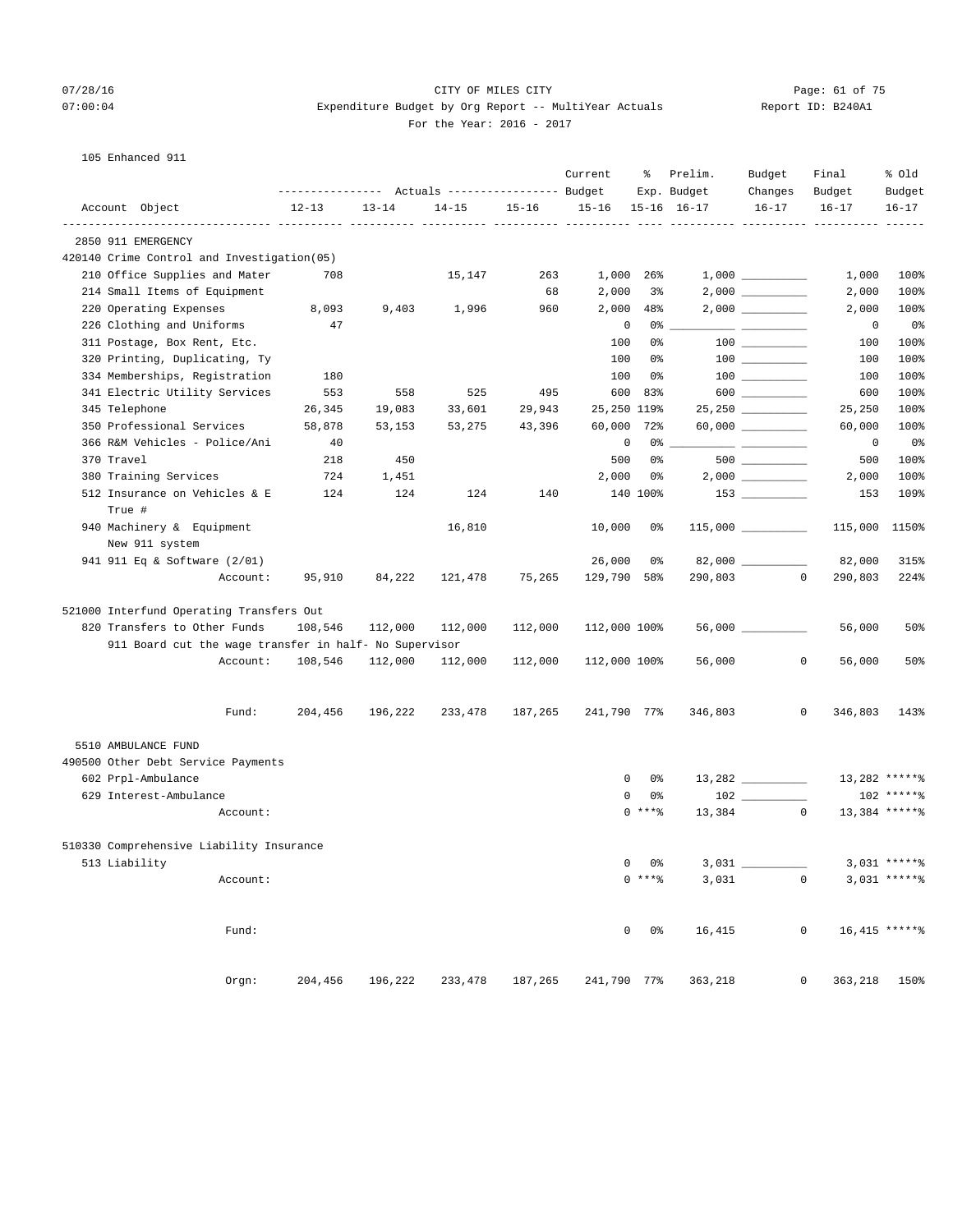# 07/28/16 Page: 61 of 75  $07:00:04$  Expenditure Budget by Org Report -- MultiYear Actuals For the Year: 2016 - 2017

| Report ID: B240A1 |  |  |
|-------------------|--|--|
|-------------------|--|--|

105 Enhanced 911

|                                            |                                                        |           |           |                                                                    |           | Current      | ႜ             | Prelim.                    | Budget                  | Final                     | % old               |
|--------------------------------------------|--------------------------------------------------------|-----------|-----------|--------------------------------------------------------------------|-----------|--------------|---------------|----------------------------|-------------------------|---------------------------|---------------------|
| Account Object                             |                                                        | $12 - 13$ | $13 - 14$ | ---------------    Actuals ----------------    Budget<br>$14 - 15$ | $15 - 16$ | $15 - 16$    |               | Exp. Budget<br>15-16 16-17 | Changes<br>$16 - 17$    | Budget<br>$16 - 17$       | Budget<br>$16 - 17$ |
|                                            |                                                        |           |           |                                                                    |           |              |               | ----------- ----------     |                         |                           |                     |
| 2850 911 EMERGENCY                         |                                                        |           |           |                                                                    |           |              |               |                            |                         |                           |                     |
| 420140 Crime Control and Investigation(05) |                                                        |           |           |                                                                    |           |              |               |                            |                         |                           |                     |
| 210 Office Supplies and Mater              |                                                        | 708       |           | 15,147                                                             | 263       | 1,000 26%    |               |                            |                         | 1,000                     | 100%                |
| 214 Small Items of Equipment               |                                                        |           |           |                                                                    | 68        | 2,000        | 3%            |                            |                         | 2,000                     | 100%                |
| 220 Operating Expenses                     |                                                        | 8,093     | 9,403     | 1,996                                                              | 960       | 2,000        | 48%           |                            |                         | 2,000                     | 100%                |
| 226 Clothing and Uniforms                  |                                                        | 47        |           |                                                                    |           | $\mathbf 0$  | 0%            |                            |                         | 0                         | 0%                  |
| 311 Postage, Box Rent, Etc.                |                                                        |           |           |                                                                    |           | 100          | 0%            |                            |                         | 100                       | 100%                |
| 320 Printing, Duplicating, Ty              |                                                        |           |           |                                                                    |           | 100          | 0%            |                            | 100 000                 | 100                       | 100%                |
| 334 Memberships, Registration              |                                                        | 180       |           |                                                                    |           | 100          | 0%            |                            | $100$                   | 100                       | 100%                |
| 341 Electric Utility Services              |                                                        | 553       | 558       | 525                                                                | 495       | 600          | 83%           |                            | $600$                   | 600                       | 100%                |
| 345 Telephone                              |                                                        | 26,345    | 19,083    | 33,601                                                             | 29,943    | 25,250 119%  |               |                            | 25,250 _________        | 25,250                    | 100%                |
| 350 Professional Services                  |                                                        | 58,878    | 53,153    | 53,275                                                             | 43,396    | 60,000       | 72%           |                            | $60,000$ __________     | 60,000                    | 100%                |
| 366 R&M Vehicles - Police/Ani              |                                                        | 40        |           |                                                                    |           | 0            | 0%            |                            |                         | 0                         | 0%                  |
| 370 Travel                                 |                                                        | 218       | 450       |                                                                    |           | 500          | 0%            |                            | $500$ _________         | 500                       | 100%                |
| 380 Training Services                      |                                                        | 724       | 1,451     |                                                                    |           | 2,000        | 0%            |                            | $2,000$ $\qquad \qquad$ | 2,000                     | 100%                |
| 512 Insurance on Vehicles & E              |                                                        | 124       | 124       | 124                                                                | 140       |              | 140 100%      |                            |                         | 153                       | 109%                |
| True #                                     |                                                        |           |           |                                                                    |           |              |               |                            |                         |                           |                     |
| 940 Machinery & Equipment                  |                                                        |           |           | 16,810                                                             |           | 10,000       | 0%            |                            |                         | 115,000                   | 1150%               |
| New 911 system                             |                                                        |           |           |                                                                    |           |              |               |                            |                         |                           |                     |
| 941 911 Eq & Software (2/01)               |                                                        |           |           |                                                                    |           | 26,000       | 0%            |                            | 82,000 ______           | 82,000                    | 315%                |
|                                            | Account:                                               | 95,910    | 84,222    | 121,478                                                            | 75,265    | 129,790 58%  |               | 290,803                    |                         | $\overline{0}$<br>290,803 | 224%                |
| 521000 Interfund Operating Transfers Out   |                                                        |           |           |                                                                    |           |              |               |                            |                         |                           |                     |
| 820 Transfers to Other Funds               |                                                        | 108,546   | 112,000   | 112,000                                                            | 112,000   | 112,000 100% |               |                            |                         | 56,000                    | 50%                 |
|                                            | 911 Board cut the wage transfer in half- No Supervisor |           |           |                                                                    |           |              |               |                            |                         |                           |                     |
|                                            | Account:                                               | 108,546   | 112,000   | 112,000                                                            | 112,000   | 112,000 100% |               | 56,000                     |                         | $\mathbf{0}$<br>56,000    | 50%                 |
|                                            | Fund:                                                  | 204,456   | 196,222   | 233,478                                                            | 187,265   | 241,790 77%  |               | 346,803                    |                         | 0<br>346,803              | 143%                |
| 5510 AMBULANCE FUND                        |                                                        |           |           |                                                                    |           |              |               |                            |                         |                           |                     |
| 490500 Other Debt Service Payments         |                                                        |           |           |                                                                    |           |              |               |                            |                         |                           |                     |
| 602 Prpl-Ambulance                         |                                                        |           |           |                                                                    |           | 0            | 0%            |                            |                         |                           | 13,282 ******       |
| 629 Interest-Ambulance                     |                                                        |           |           |                                                                    |           | 0            | 0%            |                            |                         |                           | 102 ******          |
|                                            | Account:                                               |           |           |                                                                    |           |              | $0***8$       |                            | 13,384 0                |                           | 13,384 ******       |
| 510330 Comprehensive Liability Insurance   |                                                        |           |           |                                                                    |           |              |               |                            |                         |                           |                     |
| 513 Liability                              |                                                        |           |           |                                                                    |           |              | $0\qquad 0$ % | 3,031                      |                         |                           | $3.031$ ***** %     |
|                                            | Account:                                               |           |           |                                                                    |           |              | $0***8$       | 3,031                      |                         | $\circ$                   | $3,031$ *****%      |
|                                            | Fund:                                                  |           |           |                                                                    |           |              | $0\qquad 0$ % | 16,415                     |                         | $\overline{0}$            | 16,415 ******       |
|                                            |                                                        |           |           |                                                                    |           |              |               |                            |                         |                           |                     |
|                                            | Orgn:                                                  | 204,456   | 196,222   | 233,478                                                            | 187,265   | 241,790 77%  |               | 363,218                    |                         | 0<br>363,218 150%         |                     |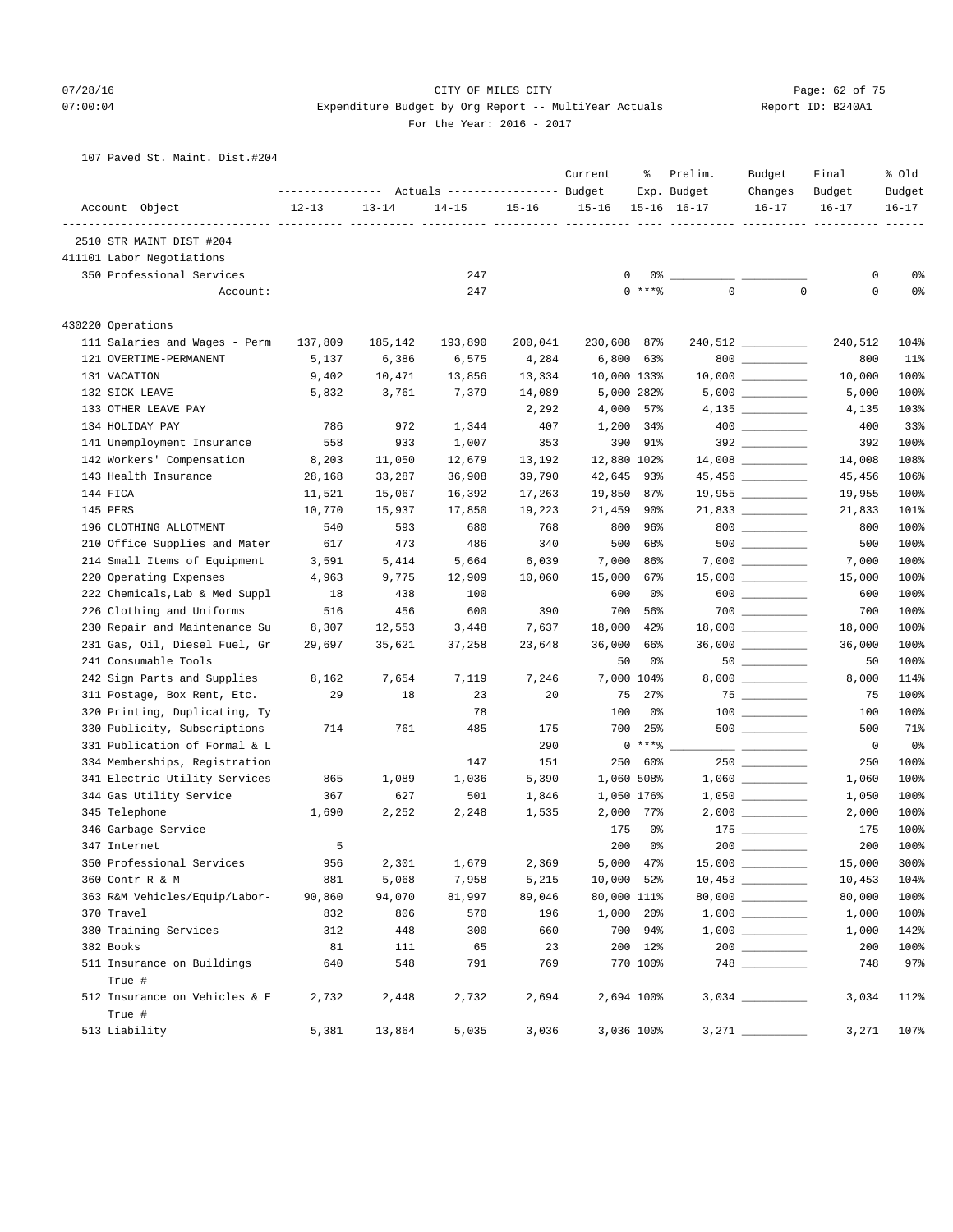# 07/28/16 Page: 62 of 75 07:00:04 Expenditure Budget by Org Report -- MultiYear Actuals Report ID: B240A1 For the Year: 2016 - 2017

## 107 Paved St. Maint. Dist.#204

|                                |           |           | Actuals ----------------- Budget |           | Current     | ႜ              | Prelim.<br>Exp. Budget                        | Budget<br>Changes                      | Final<br>Budget | % old<br>Budget |
|--------------------------------|-----------|-----------|----------------------------------|-----------|-------------|----------------|-----------------------------------------------|----------------------------------------|-----------------|-----------------|
| Account Object                 | $12 - 13$ | $13 - 14$ | $14 - 15$                        | $15 - 16$ | $15 - 16$   |                | $15 - 16$ $16 - 17$<br>----------- ---------- | $16 - 17$                              | $16 - 17$       | $16 - 17$       |
| 2510 STR MAINT DIST #204       |           |           |                                  |           |             |                |                                               |                                        |                 |                 |
| 411101 Labor Negotiations      |           |           |                                  |           |             |                |                                               |                                        |                 |                 |
| 350 Professional Services      |           |           | 247                              |           | 0           | 0%             |                                               |                                        | 0               | 0%              |
| Account:                       |           |           | 247                              |           |             | $0$ ****       | $\mathsf 0$                                   | $\mathbf 0$                            | $\mathbf 0$     | 0%              |
| 430220 Operations              |           |           |                                  |           |             |                |                                               |                                        |                 |                 |
| 111 Salaries and Wages - Perm  | 137,809   | 185,142   | 193,890                          | 200,041   | 230,608     | 87%            |                                               | 240,512 ________                       | 240,512         | 104%            |
| 121 OVERTIME-PERMANENT         | 5,137     | 6,386     | 6,575                            | 4,284     |             | $6,800$ $63\%$ |                                               | 800                                    | 800             | 11%             |
| 131 VACATION                   | 9,402     | 10,471    | 13,856                           | 13,334    | 10,000 133% |                |                                               | $10,000$ __________                    | 10,000          | 100%            |
| 132 SICK LEAVE                 | 5,832     | 3,761     | 7,379                            | 14,089    |             | 5,000 282%     |                                               |                                        | 5,000           | 100%            |
| 133 OTHER LEAVE PAY            |           |           |                                  | 2,292     | 4,000       | 57%            |                                               |                                        | 4,135           | 103%            |
| 134 HOLIDAY PAY                | 786       | 972       | 1,344                            | 407       | 1,200       | 34%            |                                               |                                        | 400             | 33%             |
| 141 Unemployment Insurance     | 558       | 933       | 1,007                            | 353       | 390         | 91%            |                                               |                                        | 392             | 100%            |
| 142 Workers' Compensation      | 8,203     | 11,050    | 12,679                           | 13,192    | 12,880 102% |                |                                               |                                        | 14,008          | 108%            |
| 143 Health Insurance           | 28,168    | 33,287    | 36,908                           | 39,790    | 42,645      | 93%            |                                               |                                        | 45,456          | 106%            |
| 144 FICA                       | 11,521    | 15,067    | 16,392                           | 17,263    | 19,850      | 87%            |                                               | 19,955 _________                       | 19,955          | 100%            |
| 145 PERS                       | 10,770    | 15,937    | 17,850                           | 19,223    | 21,459      | 90%            |                                               |                                        | 21,833          | 101%            |
| 196 CLOTHING ALLOTMENT         | 540       | 593       | 680                              | 768       | 800         | 96%            |                                               |                                        | 800             | 100%            |
| 210 Office Supplies and Mater  | 617       | 473       | 486                              | 340       | 500         | 68%            |                                               | $500$                                  | 500             | 100%            |
| 214 Small Items of Equipment   | 3,591     | 5,414     | 5,664                            | 6,039     | 7,000       | 86%            |                                               |                                        | 7,000           | 100%            |
| 220 Operating Expenses         | 4,963     | 9,775     | 12,909                           | 10,060    | 15,000      | 67%            |                                               | $15,000$ _________                     | 15,000          | 100%            |
| 222 Chemicals, Lab & Med Suppl | 18        | 438       | 100                              |           | 600         | 0%             |                                               | $600$                                  | 600             | 100%            |
| 226 Clothing and Uniforms      | 516       | 456       | 600                              | 390       | 700         | 56%            |                                               |                                        | 700             | 100%            |
| 230 Repair and Maintenance Su  | 8,307     | 12,553    | 3,448                            | 7,637     | 18,000      | 42%            |                                               | $18,000$ __________                    | 18,000          | 100%            |
| 231 Gas, Oil, Diesel Fuel, Gr  | 29,697    | 35,621    | 37,258                           | 23,648    | 36,000      | 66%            |                                               |                                        | 36,000          | 100%            |
| 241 Consumable Tools           |           |           |                                  |           | 50          | 0%             |                                               |                                        | 50              | 100%            |
| 242 Sign Parts and Supplies    | 8,162     | 7,654     | 7,119                            | 7,246     |             | 7,000 104%     |                                               |                                        | 8,000           | 114%            |
| 311 Postage, Box Rent, Etc.    | 29        | 18        | 23                               | 20        |             | 75 27%         |                                               | $75$ ___________                       | 75              | 100%            |
| 320 Printing, Duplicating, Ty  |           |           | 78                               |           | 100         | 0%             |                                               | $\begin{tabular}{c} 100 \end{tabular}$ | 100             | 100%            |
| 330 Publicity, Subscriptions   | 714       | 761       | 485                              | 175       | 700         | 25%            |                                               | $500$ __________                       | 500             | 71%             |
| 331 Publication of Formal & L  |           |           |                                  | 290       |             | $0***8$        |                                               |                                        | 0               | 0%              |
| 334 Memberships, Registration  |           |           | 147                              | 151       | 250         | 60%            |                                               | $250$ _________                        | 250             | 100%            |
| 341 Electric Utility Services  | 865       | 1,089     | 1,036                            | 5,390     |             | 1,060 508%     |                                               |                                        | 1,060           | 100%            |
| 344 Gas Utility Service        | 367       | 627       | 501                              | 1,846     |             | 1,050 176%     |                                               |                                        | 1,050           | 100%            |
| 345 Telephone                  | 1,690     | 2,252     | 2,248                            | 1,535     |             | 2,000 77%      |                                               |                                        | 2,000           | 100%            |
| 346 Garbage Service            |           |           |                                  |           | 175         | 0%             |                                               |                                        | 175             | 100%            |
| 347 Internet                   | 5         |           |                                  |           | 200         | 0%             |                                               |                                        | 200             | 100%            |
| 350 Professional Services      | 956       | 2,301     | 1,679                            | 2,369     |             | 5,000 47%      | 15,000                                        |                                        | 15,000          | 300%            |
| 360 Contr R & M                | 881       | 5,068     | 7,958                            | 5,215     | 10,000 52%  |                |                                               |                                        | 10,453          | 104%            |
| 363 R&M Vehicles/Equip/Labor-  | 90,860    | 94,070    | 81,997                           | 89,046    | 80,000 111% |                |                                               |                                        | 80,000          | 100%            |
| 370 Travel                     | 832       | 806       | 570                              | 196       |             | 1,000 20%      |                                               |                                        | 1,000           | 100%            |
| 380 Training Services          | 312       | 448       | 300                              | 660       |             | 700 94%        |                                               |                                        | 1,000           | 142%            |
| 382 Books                      | 81        | 111       | 65                               | 23        |             | 200 12%        |                                               |                                        | 200             | 100%            |
| 511 Insurance on Buildings     | 640       | 548       | 791                              | 769       |             | 770 100%       |                                               |                                        | 748             | 97%             |
| True #                         |           |           |                                  |           |             |                |                                               |                                        |                 |                 |
| 512 Insurance on Vehicles & E  | 2,732     | 2,448     | 2,732                            | 2,694     |             | 2,694 100%     |                                               |                                        | 3,034           | 112%            |
| True #                         |           |           |                                  |           |             |                |                                               |                                        |                 |                 |
| 513 Liability                  | 5,381     | 13,864    | 5,035                            | 3,036     |             | 3,036 100%     |                                               |                                        | 3,271           | 107%            |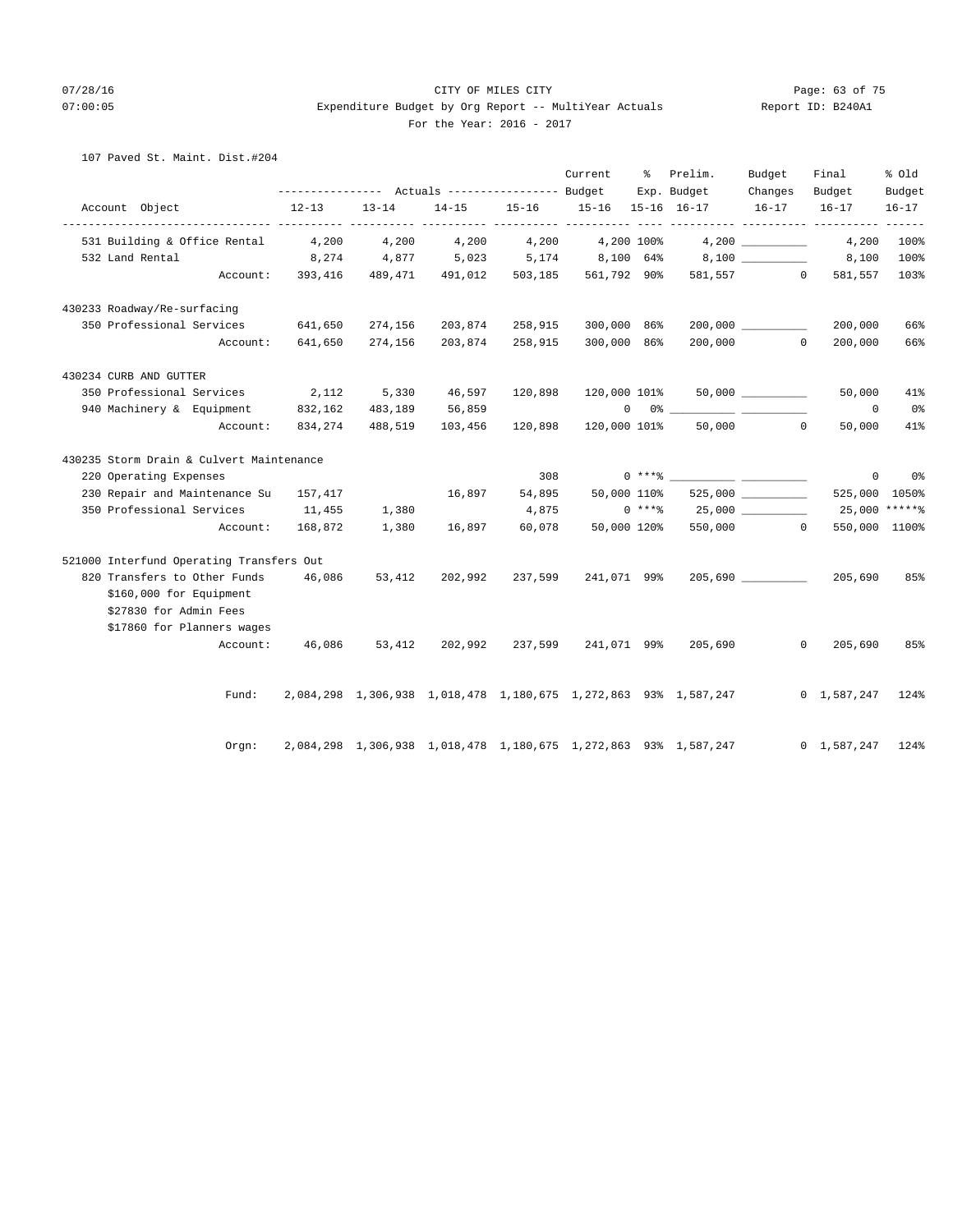# 07/28/16 Page: 63 of 75 07:00:05 Expenditure Budget by Org Report -- MultiYear Actuals Report ID: B240A1 For the Year: 2016 - 2017

# 107 Paved St. Maint. Dist.#204

|                             |                                          |                  |                                                 |         |                               | Current          | ိ | Prelim.                                                                     | Budget                   | Final               | % old                   |
|-----------------------------|------------------------------------------|------------------|-------------------------------------------------|---------|-------------------------------|------------------|---|-----------------------------------------------------------------------------|--------------------------|---------------------|-------------------------|
|                             |                                          |                  | --------------- Actuals ---------------- Budget |         |                               |                  |   | Exp. Budget                                                                 | Changes                  | Budget              | Budget                  |
| Account Object              |                                          | $12 - 13$<br>.   | $13 - 14$                                       |         | 14-15 15-16 15-16 15-16 16-17 |                  |   |                                                                             | $16-17$ $16-17$          |                     | $16 - 17$               |
|                             | 531 Building & Office Rental 4,200       |                  | 4,200                                           | 4,200   |                               | 4,200 4,200 100% |   |                                                                             |                          | 4,200               | 100%                    |
| 532 Land Rental             |                                          | 8,274            |                                                 |         |                               |                  |   | 4,877 5,023 5,174 8,100 64% 8,100 8,100                                     |                          |                     | 100%                    |
|                             |                                          |                  |                                                 |         |                               |                  |   | Account: 393,416 489,471 491,012 503,185 561,792 90% 581,557 0              |                          | 581,557             | 103%                    |
| 430233 Roadway/Re-surfacing |                                          |                  |                                                 |         |                               |                  |   |                                                                             |                          |                     |                         |
|                             | 350 Professional Services 641,650        |                  | 274,156                                         |         | 203,874 258,915               | 300,000 86%      |   |                                                                             |                          | 200,000             | 66%                     |
|                             | Account:                                 | 641,650          | 274,156                                         | 203,874 | 258,915                       | 300,000 86%      |   |                                                                             | $200,000$ 0              | 200,000             | 66%                     |
| 430234 CURB AND GUTTER      |                                          |                  |                                                 |         |                               |                  |   |                                                                             |                          |                     |                         |
|                             | 350 Professional Services 2,112          |                  | 5,330                                           | 46,597  | 120,898                       |                  |   | $120,000$ $101$ % 50,000 _________                                          |                          | 50,000              | 41%                     |
| 940 Machinery & Equipment   |                                          | 832,162          | 483,189                                         | 56,859  |                               |                  |   |                                                                             |                          | $\circ$             | $0\,$ s                 |
|                             | Account:                                 | 834,274          | 488,519                                         | 103,456 | 120,898                       | 120,000 101%     |   |                                                                             | 50,000 0                 | 50,000              | 41%                     |
|                             | 430235 Storm Drain & Culvert Maintenance |                  |                                                 |         |                               |                  |   |                                                                             |                          |                     |                         |
| 220 Operating Expenses      |                                          |                  |                                                 |         | 308                           | $0***8$          |   |                                                                             |                          |                     | $0 \qquad \qquad$<br>0% |
|                             | 230 Repair and Maintenance Su 157,417    |                  |                                                 | 16,897  | 54,895                        | 50,000 110%      |   |                                                                             | $525,000$ ______________ | 525,000 1050%       |                         |
|                             | 350 Professional Services 11,455         |                  | 1,380                                           |         | 4,875                         |                  |   |                                                                             |                          | 25,000 *****%       |                         |
|                             |                                          | Account: 168,872 | 1,380                                           | 16,897  | 60,078                        |                  |   | 50,000 120% 550,000 0                                                       |                          | 550,000 1100%       |                         |
|                             | 521000 Interfund Operating Transfers Out |                  |                                                 |         |                               |                  |   |                                                                             |                          |                     |                         |
|                             | 820 Transfers to Other Funds 46,086      |                  | 53,412                                          | 202,992 | 237,599                       | 241,071 99%      |   |                                                                             | 205,690                  | 205,690             | 85%                     |
| \$160,000 for Equipment     |                                          |                  |                                                 |         |                               |                  |   |                                                                             |                          |                     |                         |
| \$27830 for Admin Fees      |                                          |                  |                                                 |         |                               |                  |   |                                                                             |                          |                     |                         |
|                             | \$17860 for Planners wages               |                  |                                                 |         |                               |                  |   |                                                                             |                          |                     |                         |
|                             | Account:                                 |                  |                                                 |         |                               |                  |   | 46,086 53,412 202,992 237,599 241,071 99% 205,690                           |                          | $0\qquad 205,690$   | 85%                     |
|                             |                                          |                  |                                                 |         |                               |                  |   |                                                                             |                          |                     |                         |
|                             | Fund:                                    |                  |                                                 |         |                               |                  |   | 2,084,298 1,306,938 1,018,478 1,180,675 1,272,863 93% 1,587,247 0 1,587,247 |                          |                     | 124%                    |
|                             | Orgn:                                    |                  |                                                 |         |                               |                  |   | 2,084,298 1,306,938 1,018,478 1,180,675 1,272,863 93% 1,587,247             |                          | $0 \quad 1,587,247$ | 124%                    |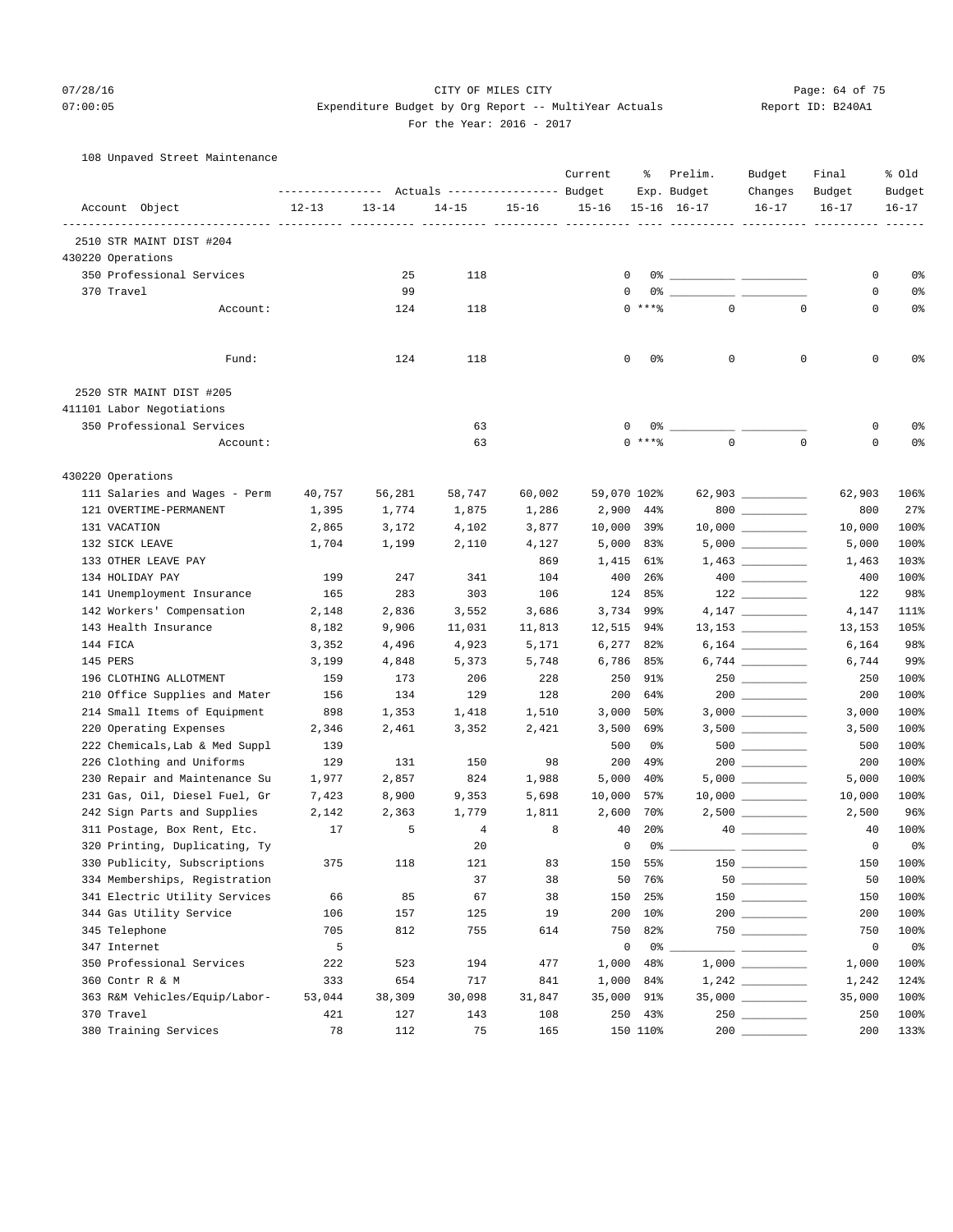# 07/28/16 Page: 64 of 75 07:00:05 expenditure Budget by Org Report -- MultiYear Actuals Report ID: B240A1 For the Year: 2016 - 2017

## 108 Unpaved Street Maintenance

|                                |           |           | Actuals ----------------- Budget |           | Current     | ႜ               | Prelim.<br>Exp. Budget | Budget<br>Changes                          | Final<br>Budget | % old<br>Budget |
|--------------------------------|-----------|-----------|----------------------------------|-----------|-------------|-----------------|------------------------|--------------------------------------------|-----------------|-----------------|
| Account Object                 | $12 - 13$ | $13 - 14$ | $14 - 15$                        | $15 - 16$ | $15 - 16$   |                 | $15 - 16$ $16 - 17$    | $16 - 17$                                  | $16 - 17$       | $16 - 17$       |
| 2510 STR MAINT DIST #204       |           |           |                                  |           |             |                 |                        |                                            |                 |                 |
| 430220 Operations              |           |           |                                  |           |             |                 |                        |                                            |                 |                 |
| 350 Professional Services      |           | 25        | 118                              |           | 0           |                 |                        |                                            | 0               | 0%              |
| 370 Travel                     |           | 99        |                                  |           | 0           |                 |                        |                                            | 0               | 0%              |
| Account:                       |           | 124       | 118                              |           |             | $0***$          | $\mathbf{0}$           | $\mathbf 0$                                | $\mathbf 0$     | 0%              |
| Fund:                          |           | 124       | 118                              |           | 0           | 0%              | $\mathbf 0$            | $\mathbf 0$                                | $\circ$         | 0%              |
|                                |           |           |                                  |           |             |                 |                        |                                            |                 |                 |
| 2520 STR MAINT DIST #205       |           |           |                                  |           |             |                 |                        |                                            |                 |                 |
| 411101 Labor Negotiations      |           |           |                                  |           |             |                 |                        |                                            |                 |                 |
| 350 Professional Services      |           |           | 63                               |           | 0           | 0%              |                        |                                            | 0               | 0%              |
| Account:                       |           |           | 63                               |           |             | $0***$          | $\mathbf 0$            | $\mathbf 0$                                | 0               | 0 <sup>°</sup>  |
| 430220 Operations              |           |           |                                  |           |             |                 |                        |                                            |                 |                 |
| 111 Salaries and Wages - Perm  | 40,757    | 56,281    | 58,747                           | 60,002    | 59,070 102% |                 |                        | 62,903 __________                          | 62,903          | 106%            |
| 121 OVERTIME-PERMANENT         | 1,395     | 1,774     | 1,875                            | 1,286     | 2,900       | 44%             |                        | $800$                                      | 800             | 27%             |
| 131 VACATION                   | 2,865     | 3,172     | 4,102                            | 3,877     | 10,000      | 39%             |                        |                                            | 10,000          | 100%            |
| 132 SICK LEAVE                 | 1,704     | 1,199     | 2,110                            | 4,127     | 5,000       | 83%             |                        | 5,000                                      | 5,000           | 100%            |
| 133 OTHER LEAVE PAY            |           |           |                                  | 869       | 1,415       | 61%             |                        |                                            | 1,463           | 103%            |
| 134 HOLIDAY PAY                | 199       | 247       | 341                              | 104       | 400         | 26%             |                        | $\begin{tabular}{c} 400 \end{tabular}$     | 400             | 100%            |
| 141 Unemployment Insurance     | 165       | 283       | 303                              | 106       | 124         | 85%             |                        |                                            | 122             | 98%             |
| 142 Workers' Compensation      | 2,148     | 2,836     | 3,552                            | 3,686     | 3,734       | 99%             |                        |                                            | 4,147           | 111%            |
| 143 Health Insurance           | 8,182     | 9,906     | 11,031                           | 11,813    | 12,515      | 94%             |                        |                                            | 13,153          | 105%            |
| 144 FICA                       | 3,352     | 4,496     | 4,923                            | 5,171     | 6,277       | 82%             |                        |                                            | 6,164           | 98%             |
| 145 PERS                       | 3,199     | 4,848     | 5,373                            | 5,748     | 6,786       | 85%             |                        | $6,744 \ \ \underline{\hspace{1cm}}$       | 6,744           | 99%             |
| 196 CLOTHING ALLOTMENT         | 159       | 173       | 206                              | 228       | 250         | 91%             |                        |                                            | 250             | 100%            |
| 210 Office Supplies and Mater  | 156       | 134       | 129                              | 128       | 200         | 64%             |                        |                                            | 200             | 100%            |
| 214 Small Items of Equipment   | 898       | 1,353     | 1,418                            | 1,510     | 3,000       | 50%             |                        |                                            | 3,000           | 100%            |
| 220 Operating Expenses         | 2,346     | 2,461     | 3,352                            | 2,421     | 3,500       | 69%             |                        | $3,500$ __________                         | 3,500           | 100%            |
| 222 Chemicals, Lab & Med Suppl | 139       |           |                                  |           | 500         | 0%              |                        | $500$                                      | 500             | 100%            |
| 226 Clothing and Uniforms      | 129       | 131       | 150                              | 98        | 200         | 49%             |                        |                                            | 200             | 100%            |
| 230 Repair and Maintenance Su  | 1,977     | 2,857     | 824                              | 1,988     | 5,000       | $40\%$          |                        |                                            | 5,000           | 100%            |
| 231 Gas, Oil, Diesel Fuel, Gr  | 7,423     | 8,900     | 9,353                            | 5,698     | 10,000      | 57%             |                        |                                            | 10,000          | 100%            |
| 242 Sign Parts and Supplies    | 2,142     | 2,363     | 1,779                            | 1,811     | 2,600       | 70%             |                        |                                            | 2,500           | 96%             |
| 311 Postage, Box Rent, Etc.    | 17        | 5         | 4                                | 8         | 40          | 20 <sub>8</sub> |                        |                                            | 40              | 100%            |
| 320 Printing, Duplicating, Ty  |           |           | 20                               |           | 0           | 0%              |                        | $ -$                                       | 0               | 0 <sup>8</sup>  |
| 330 Publicity, Subscriptions   | 375       | 118       | 121                              | 83        | 150         | 55%             | $150$ $-$              |                                            | 150             | 100%            |
| 334 Memberships, Registration  |           |           | 37                               | 38        | 50          | 76%             |                        |                                            | 50              | 100%            |
| 341 Electric Utility Services  | 66        | 85        | 67                               | 38        | 150         | 25%             |                        |                                            | 150             | 100%            |
| 344 Gas Utility Service        | 106       | 157       | 125                              | 19        | 200         | 10%             |                        | $200$                                      | 200             | 100%            |
| 345 Telephone                  | 705       | 812       | 755                              | 614       | 750         | 82%             |                        |                                            | 750             | 100%            |
| 347 Internet                   | 5         |           |                                  |           | $\mathsf 0$ | $0\degree$ $-$  |                        | <u> 1999 - Johann Barnett, mars et al.</u> | $\circ$         | 0%              |
| 350 Professional Services      | 222       | 523       | 194                              | 477       | 1,000       | 48%             |                        |                                            | 1,000           | 100%            |
| 360 Contr R & M                | 333       | 654       | 717                              | 841       | 1,000       | 84%             |                        | $1\, , 242 \ \ \underline{\hspace{1.5cm}}$ | 1,242           | 124%            |
| 363 R&M Vehicles/Equip/Labor-  | 53,044    | 38,309    | 30,098                           | 31,847    | 35,000      | 91%             |                        |                                            | 35,000          | 100%            |
| 370 Travel                     | 421       | 127       | 143                              | 108       |             | 250 43%         |                        |                                            | 250             | 100%            |
| 380 Training Services          | 78        | 112       | 75                               | 165       |             | 150 110%        | 200                    |                                            | 200             | 133%            |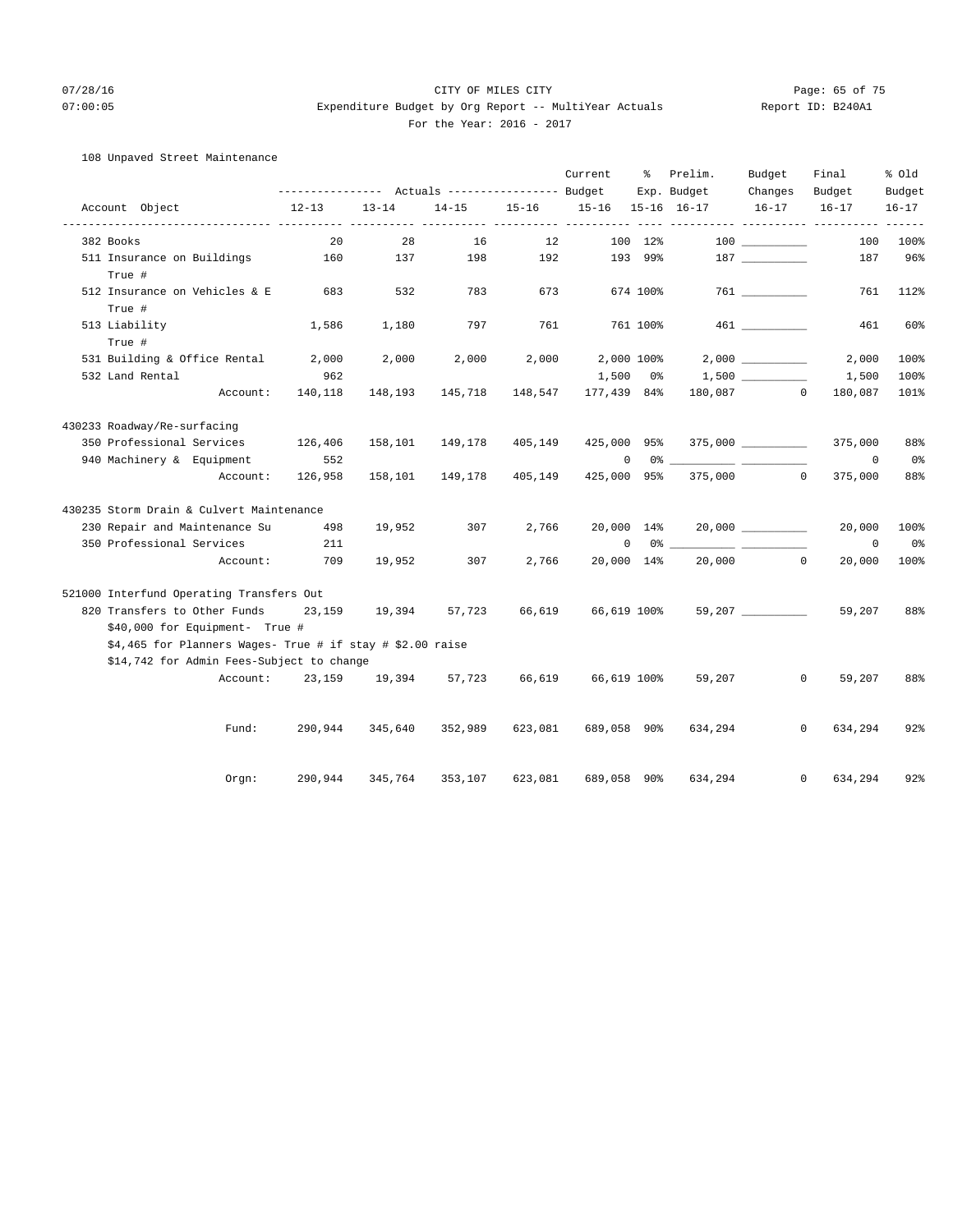# 07/28/16 Page: 65 of 75 07:00:05 expenditure Budget by Org Report -- MultiYear Actuals Report ID: B240A1 For the Year: 2016 - 2017

# 108 Unpaved Street Maintenance

|               |                             |                                                           |           |                 |           |           | Current           | ႜႜ       | Prelim.                                                                                                                                                                                                                                                                                                                                                                                                                                               | Budget             | Final                                              | % Old     |
|---------------|-----------------------------|-----------------------------------------------------------|-----------|-----------------|-----------|-----------|-------------------|----------|-------------------------------------------------------------------------------------------------------------------------------------------------------------------------------------------------------------------------------------------------------------------------------------------------------------------------------------------------------------------------------------------------------------------------------------------------------|--------------------|----------------------------------------------------|-----------|
|               |                             |                                                           |           |                 |           |           |                   |          | Exp. Budget                                                                                                                                                                                                                                                                                                                                                                                                                                           | Changes            | Budget                                             | Budget    |
|               | Account Object              |                                                           | $12 - 13$ | $13 - 14$       | $14 - 15$ | $15 - 16$ | 15-16 15-16 16-17 |          |                                                                                                                                                                                                                                                                                                                                                                                                                                                       | $16 - 17$          | $16 - 17$<br>-------- ---------- ---------- ------ | $16 - 17$ |
| 382 Books     |                             |                                                           | 20        | 28              | 16        | 12        |                   | 100 12%  |                                                                                                                                                                                                                                                                                                                                                                                                                                                       |                    | 100                                                | 100%      |
|               |                             | 511 Insurance on Buildings                                | 160       | 137             | 198       | 192       |                   | 193 99%  |                                                                                                                                                                                                                                                                                                                                                                                                                                                       |                    | 187                                                | 96%       |
| True #        |                             |                                                           |           |                 |           |           |                   |          |                                                                                                                                                                                                                                                                                                                                                                                                                                                       |                    |                                                    |           |
| True #        |                             | 512 Insurance on Vehicles & E                             | 683       | 532             | 783       | 673       |                   | 674 100% |                                                                                                                                                                                                                                                                                                                                                                                                                                                       |                    | 761                                                | 112%      |
| 513 Liability |                             |                                                           | 1,586     | 1,180           | 797       | 761       |                   | 761 100% |                                                                                                                                                                                                                                                                                                                                                                                                                                                       | 461 7              | 461                                                | 60%       |
| True #        |                             |                                                           |           |                 |           |           |                   |          |                                                                                                                                                                                                                                                                                                                                                                                                                                                       |                    |                                                    |           |
|               |                             | 531 Building & Office Rental                              | 2,000     | 2,000           | 2,000     | 2,000     | 2,000 100%        |          |                                                                                                                                                                                                                                                                                                                                                                                                                                                       |                    | 2,000                                              | 100%      |
|               | 532 Land Rental             |                                                           | 962       |                 |           |           | 1,500             | 0 %      |                                                                                                                                                                                                                                                                                                                                                                                                                                                       |                    | 1,500                                              | 100%      |
|               |                             | Account:                                                  | 140,118   | 148,193         | 145,718   | 148,547   | 177,439 84%       |          |                                                                                                                                                                                                                                                                                                                                                                                                                                                       | 180,087 0          | 180,087                                            | 101%      |
|               | 430233 Roadway/Re-surfacing |                                                           |           |                 |           |           |                   |          |                                                                                                                                                                                                                                                                                                                                                                                                                                                       |                    |                                                    |           |
|               |                             | 350 Professional Services                                 | 126,406   | 158,101         | 149,178   | 405,149   | 425,000 95%       |          |                                                                                                                                                                                                                                                                                                                                                                                                                                                       |                    | 375,000                                            | 88%       |
|               |                             | 940 Machinery & Equipment                                 | 552       |                 |           |           | $\mathbf 0$       |          | 0 왕<br>$\frac{1}{2} \left( \frac{1}{2} \right) = \frac{1}{2} \left( \frac{1}{2} \right) = \frac{1}{2} \left( \frac{1}{2} \right) = \frac{1}{2} \left( \frac{1}{2} \right) = \frac{1}{2} \left( \frac{1}{2} \right) = \frac{1}{2} \left( \frac{1}{2} \right) = \frac{1}{2} \left( \frac{1}{2} \right) = \frac{1}{2} \left( \frac{1}{2} \right) = \frac{1}{2} \left( \frac{1}{2} \right) = \frac{1}{2} \left( \frac{1}{2} \right) = \frac{1}{2} \left($ |                    | $\Omega$                                           | 0%        |
|               |                             | Account:                                                  | 126,958   | 158,101         | 149,178   | 405,149   | 425,000 95%       |          |                                                                                                                                                                                                                                                                                                                                                                                                                                                       | 375,000 0          | 375,000                                            | 88%       |
|               |                             | 430235 Storm Drain & Culvert Maintenance                  |           |                 |           |           |                   |          |                                                                                                                                                                                                                                                                                                                                                                                                                                                       |                    |                                                    |           |
|               |                             | 230 Repair and Maintenance Su                             | 498       | 19,952          | 307       | 2,766     | 20,000 14%        |          |                                                                                                                                                                                                                                                                                                                                                                                                                                                       | $20,000$ _________ | 20,000                                             | 100%      |
|               |                             | 350 Professional Services                                 | 211       |                 |           |           | 0                 |          | 0 왕 1                                                                                                                                                                                                                                                                                                                                                                                                                                                 |                    | $\mathbf{0}$                                       | 0%        |
|               |                             | Account:                                                  | 709       | 19,952          | 307       | 2,766     | 20,000 14%        |          |                                                                                                                                                                                                                                                                                                                                                                                                                                                       | $20,000$ 0         | 20,000                                             | 100%      |
|               |                             | 521000 Interfund Operating Transfers Out                  |           |                 |           |           |                   |          |                                                                                                                                                                                                                                                                                                                                                                                                                                                       |                    |                                                    |           |
|               |                             | 820 Transfers to Other Funds                              | 23,159    | 19,394          | 57,723    | 66,619    | 66,619 100%       |          |                                                                                                                                                                                                                                                                                                                                                                                                                                                       | 59,207 __________  | 59,207                                             | 88%       |
|               |                             | \$40,000 for Equipment- True #                            |           |                 |           |           |                   |          |                                                                                                                                                                                                                                                                                                                                                                                                                                                       |                    |                                                    |           |
|               |                             | \$4,465 for Planners Wages- True # if stay # \$2.00 raise |           |                 |           |           |                   |          |                                                                                                                                                                                                                                                                                                                                                                                                                                                       |                    |                                                    |           |
|               |                             | \$14,742 for Admin Fees-Subject to change                 |           |                 |           |           |                   |          |                                                                                                                                                                                                                                                                                                                                                                                                                                                       |                    |                                                    |           |
|               |                             | Account:                                                  |           | 23, 159 19, 394 | 57,723    | 66,619    | 66,619 100%       |          | 59,207                                                                                                                                                                                                                                                                                                                                                                                                                                                |                    | $\circ$<br>59,207                                  | 88%       |
|               |                             |                                                           |           |                 |           |           |                   |          |                                                                                                                                                                                                                                                                                                                                                                                                                                                       |                    |                                                    |           |
|               |                             | Fund:                                                     | 290,944   | 345,640         | 352,989   | 623,081   | 689,058 90%       |          | 634,294                                                                                                                                                                                                                                                                                                                                                                                                                                               |                    | 634,294<br>0                                       | 92%       |
|               |                             |                                                           |           |                 |           |           |                   |          |                                                                                                                                                                                                                                                                                                                                                                                                                                                       |                    |                                                    |           |
|               |                             | Orgn:                                                     | 290,944   | 345,764         | 353,107   | 623,081   | 689,058           | 90%      | 634,294                                                                                                                                                                                                                                                                                                                                                                                                                                               | $\Omega$           | 634,294                                            | 92%       |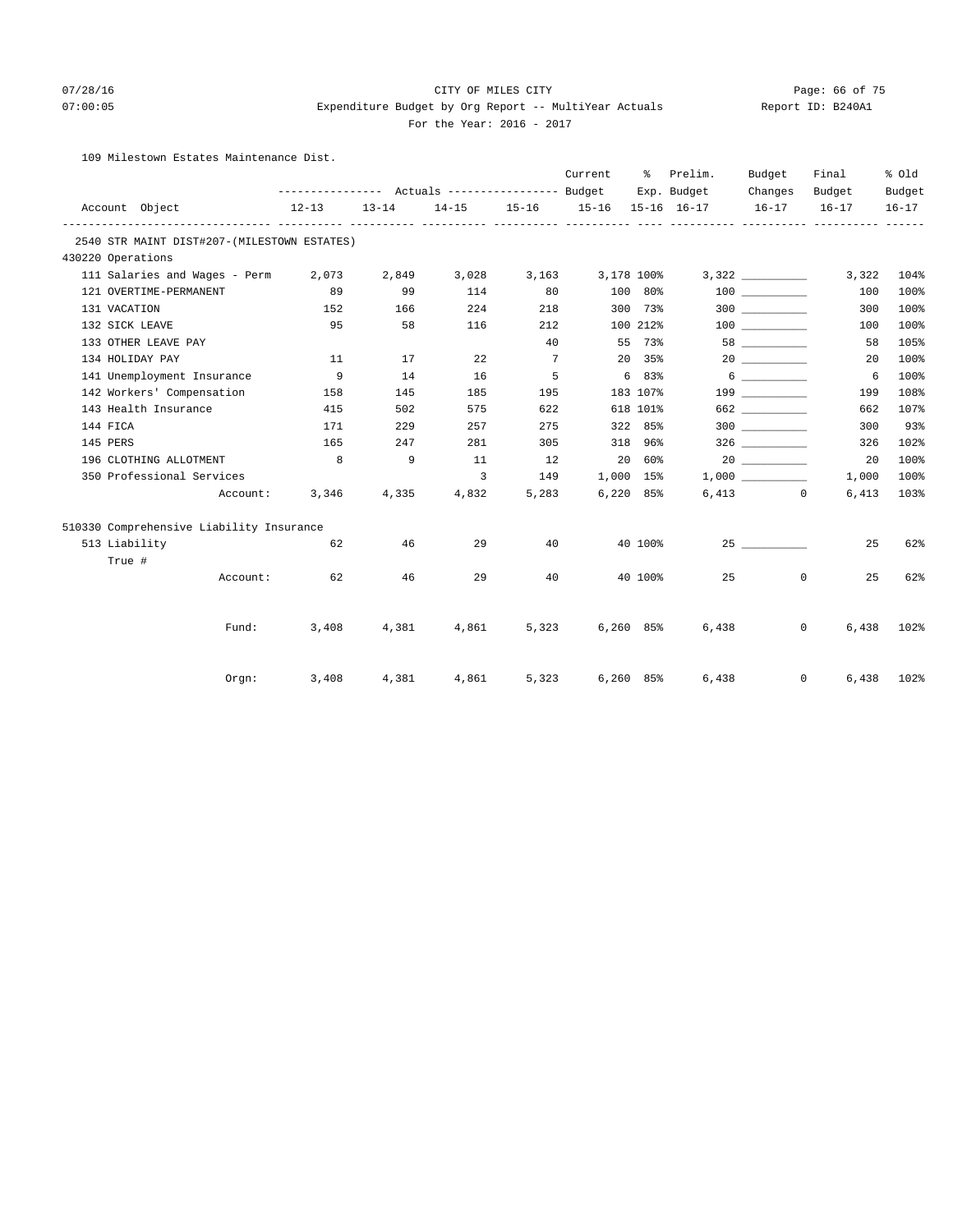# 07/28/16 Page: 66 of 75 07:00:05 expenditure Budget by Org Report -- MultiYear Actuals Report ID: B240A1

## For the Year: 2016 - 2017

109 Milestown Estates Maintenance Dist.

|                        |                                             |           |           |       |                | Current                       | ိ              | Prelim.     | Budget                                                                                                                                                                                                                                                                                                                                                        | Final                 | % Old     |
|------------------------|---------------------------------------------|-----------|-----------|-------|----------------|-------------------------------|----------------|-------------|---------------------------------------------------------------------------------------------------------------------------------------------------------------------------------------------------------------------------------------------------------------------------------------------------------------------------------------------------------------|-----------------------|-----------|
|                        |                                             |           |           |       |                |                               |                | Exp. Budget | Changes                                                                                                                                                                                                                                                                                                                                                       | Budget                | Budget    |
| Account Object         |                                             | $12 - 13$ | $13 - 14$ |       |                | 14-15 15-16 15-16 15-16 16-17 |                |             | $16 - 17$                                                                                                                                                                                                                                                                                                                                                     | $16 - 17$             | $16 - 17$ |
|                        | 2540 STR MAINT DIST#207-(MILESTOWN ESTATES) |           |           |       |                |                               |                |             |                                                                                                                                                                                                                                                                                                                                                               |                       |           |
| 430220 Operations      |                                             |           |           |       |                |                               |                |             |                                                                                                                                                                                                                                                                                                                                                               |                       |           |
|                        | 111 Salaries and Wages - Perm 2,073         |           | 2,849     |       |                | 3,028 3,163 3,178 100%        |                |             |                                                                                                                                                                                                                                                                                                                                                               | 3,322                 | 104%      |
| 121 OVERTIME-PERMANENT |                                             | 89        | 99        | 114   | 80             |                               | 100 80%        |             | 100 000                                                                                                                                                                                                                                                                                                                                                       | 100                   | 100%      |
| 131 VACATION           |                                             | 152       | 166       | 224   | 218            |                               | 300 73%        |             |                                                                                                                                                                                                                                                                                                                                                               | 300                   | 100%      |
| 132 SICK LEAVE         |                                             | 95        | 58        | 116   | 212            |                               | 100 212%       |             | $\begin{array}{c c} 100 & \text{---} \end{array}$                                                                                                                                                                                                                                                                                                             | 100                   | 100%      |
| 133 OTHER LEAVE PAY    |                                             |           |           |       | 40             |                               | 55 73%         |             |                                                                                                                                                                                                                                                                                                                                                               | 58                    | 105%      |
| 134 HOLIDAY PAY        |                                             | 11        | 17        | 22    | $7\phantom{0}$ |                               | 20 35%         |             |                                                                                                                                                                                                                                                                                                                                                               | 20                    | 100%      |
|                        | 141 Unemployment Insurance                  | 9         | 14        | 16    | $-5$           |                               | $683\%$        |             | $6 \quad \overbrace{\qquad \qquad }$                                                                                                                                                                                                                                                                                                                          | -6                    | 100%      |
|                        | 142 Workers' Compensation                   | 158       | 145       | 185   | 195            |                               | 183 107%       |             | 199                                                                                                                                                                                                                                                                                                                                                           | 199                   | 108%      |
| 143 Health Insurance   |                                             | 415       | 502       | 575   | 622            |                               | 618 101%       |             | 662 300                                                                                                                                                                                                                                                                                                                                                       | 662                   | 107%      |
| 144 FICA               |                                             | 171       | 229       | 257   | 275            |                               | 322 85%        |             | $300$                                                                                                                                                                                                                                                                                                                                                         | 300                   | 93%       |
| 145 PERS               |                                             | 165       | 247       | 281   | 305            |                               | 318 96%        |             | 326                                                                                                                                                                                                                                                                                                                                                           | 326                   | 102%      |
| 196 CLOTHING ALLOTMENT |                                             | 8         | 9         | 11    | 12             |                               | 20 60%         |             | $20 \begin{tabular}{l} \hline \rule{0.2cm}{0.1cm} \rule{0.2cm}{0.1cm} \rule{0.2cm}{0.1cm} \rule{0.2cm}{0.1cm} \rule{0.2cm}{0.1cm} \rule{0.2cm}{0.1cm} \rule{0.2cm}{0.1cm} \rule{0.2cm}{0.1cm} \rule{0.2cm}{0.1cm} \rule{0.2cm}{0.1cm} \rule{0.2cm}{0.1cm} \rule{0.2cm}{0.1cm} \rule{0.2cm}{0.1cm} \rule{0.2cm}{0.1cm} \rule{0.2cm}{0.1cm} \rule{0.2cm}{0.1cm$ | 20                    | 100%      |
|                        | 350 Professional Services                   |           |           | 3     | 149            |                               | 1,000 15%      |             |                                                                                                                                                                                                                                                                                                                                                               | 1,000                 | 100%      |
|                        | Account:                                    | 3,346     | 4,335     | 4,832 | 5,283          |                               | $6,220$ $85%$  |             | $6,413$ 0                                                                                                                                                                                                                                                                                                                                                     | 6,413                 | 103%      |
|                        | 510330 Comprehensive Liability Insurance    |           |           |       |                |                               |                |             |                                                                                                                                                                                                                                                                                                                                                               |                       |           |
| 513 Liability          |                                             | 62        | 46        | 29    | 40             |                               | 40 100%        |             | 25                                                                                                                                                                                                                                                                                                                                                            | 25                    | 62%       |
| True #                 |                                             |           |           |       |                |                               |                |             |                                                                                                                                                                                                                                                                                                                                                               |                       |           |
|                        | Account:                                    | 62        | 46        | 29    | 40             |                               | 40 100%        | 25          |                                                                                                                                                                                                                                                                                                                                                               | $\mathbf{0}$<br>25    | 62%       |
|                        |                                             |           |           |       |                |                               |                |             |                                                                                                                                                                                                                                                                                                                                                               |                       |           |
|                        | Fund:                                       | 3,408     | 4,381     | 4,861 | 5,323          |                               | $6,260$ $85\%$ | 6,438       |                                                                                                                                                                                                                                                                                                                                                               | $\mathbf{0}$<br>6,438 | 102%      |
|                        | Orgn:                                       | 3,408     | 4,381     | 4,861 | 5,323          |                               | $6,260$ $85\%$ | 6,438       |                                                                                                                                                                                                                                                                                                                                                               | $\mathsf{O}$<br>6,438 | 102%      |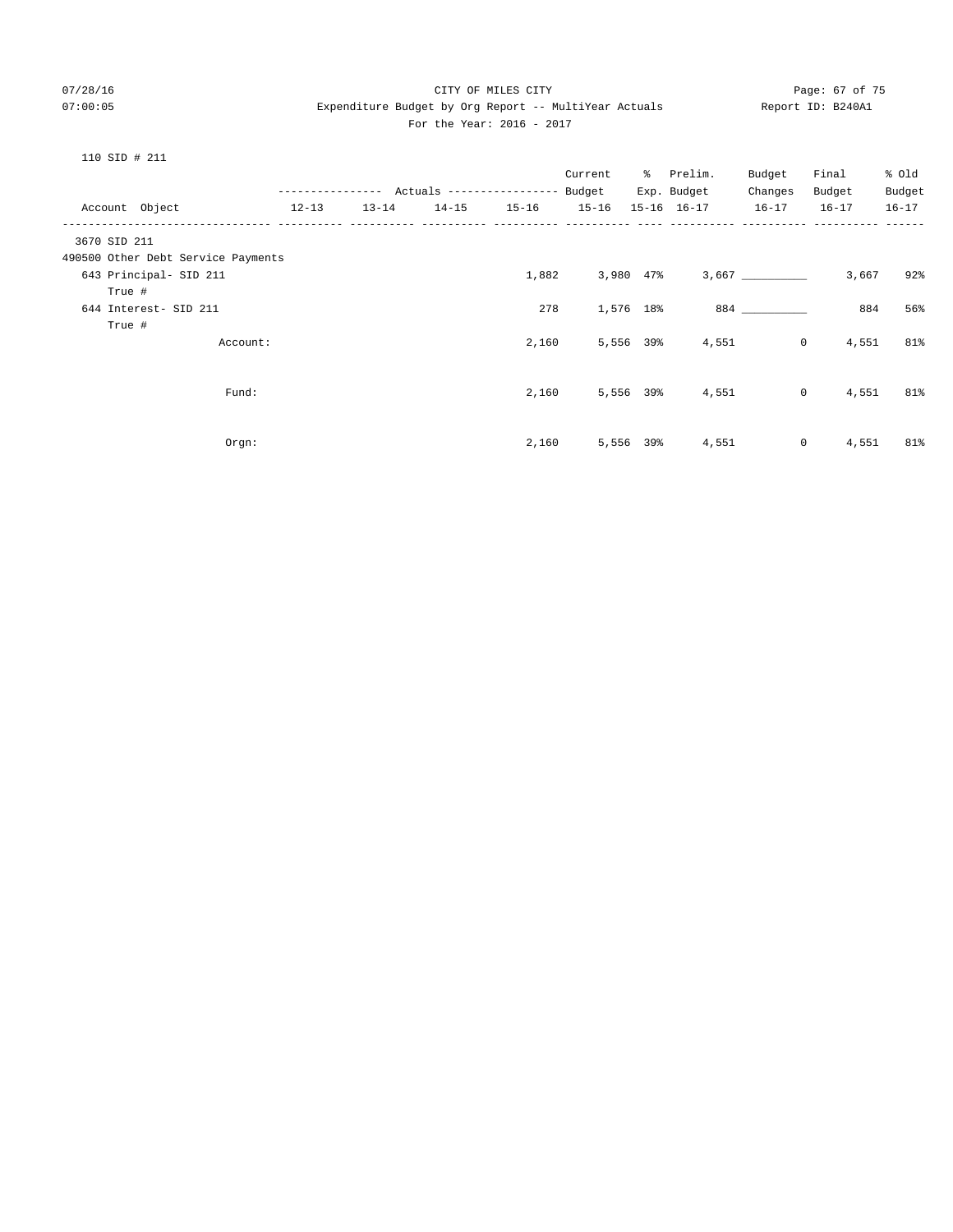## 07/28/16 Page: 67 of 75 07:00:05 Expenditure Budget by Org Report -- MultiYear Actuals Report ID: B240A1 For the Year: 2016 - 2017

| $\Omega$<br>1.<br>. . | STD |  | 21 |  |
|-----------------------|-----|--|----|--|
|-----------------------|-----|--|----|--|

|           |               |           | Current   | ိ                                                                    | Prelim. | Budget                                                                                      | Final          | % old                                    |
|-----------|---------------|-----------|-----------|----------------------------------------------------------------------|---------|---------------------------------------------------------------------------------------------|----------------|------------------------------------------|
|           |               |           |           |                                                                      |         | Changes                                                                                     | Budget         | Budget                                   |
| $13 - 14$ | $14 - 15$     | $15 - 16$ | $15 - 16$ |                                                                      |         | $16 - 17$                                                                                   | $16 - 17$      | $16 - 17$                                |
|           |               |           |           |                                                                      |         |                                                                                             |                |                                          |
|           |               |           |           |                                                                      |         |                                                                                             |                |                                          |
|           |               |           |           |                                                                      |         |                                                                                             | 3,667          | 92%                                      |
|           |               |           |           |                                                                      |         |                                                                                             |                |                                          |
|           |               | 278       |           |                                                                      |         |                                                                                             | 884            | 56%                                      |
|           |               |           |           |                                                                      |         |                                                                                             |                |                                          |
|           |               |           |           |                                                                      |         |                                                                                             | 4,551          | 81%                                      |
|           |               |           |           |                                                                      |         |                                                                                             |                |                                          |
|           |               |           |           |                                                                      |         |                                                                                             |                |                                          |
|           |               |           |           |                                                                      |         |                                                                                             | 4,551          | 81%                                      |
|           |               |           |           |                                                                      |         |                                                                                             |                |                                          |
|           |               |           |           |                                                                      |         |                                                                                             |                |                                          |
|           |               |           |           |                                                                      | 4,551   |                                                                                             | 4,551          | 81%                                      |
|           | ------------- |           |           | Actuals ----------------- Budget<br>1,882<br>2,160<br>2,160<br>2,160 |         | Exp. Budget<br>15-16 16-17<br>3,980 47%<br>1,576 18%<br>5,556 39%<br>5,556 39%<br>5,556 39% | 4,551<br>4,551 | $\circ$<br>$\overline{0}$<br>$\mathbf 0$ |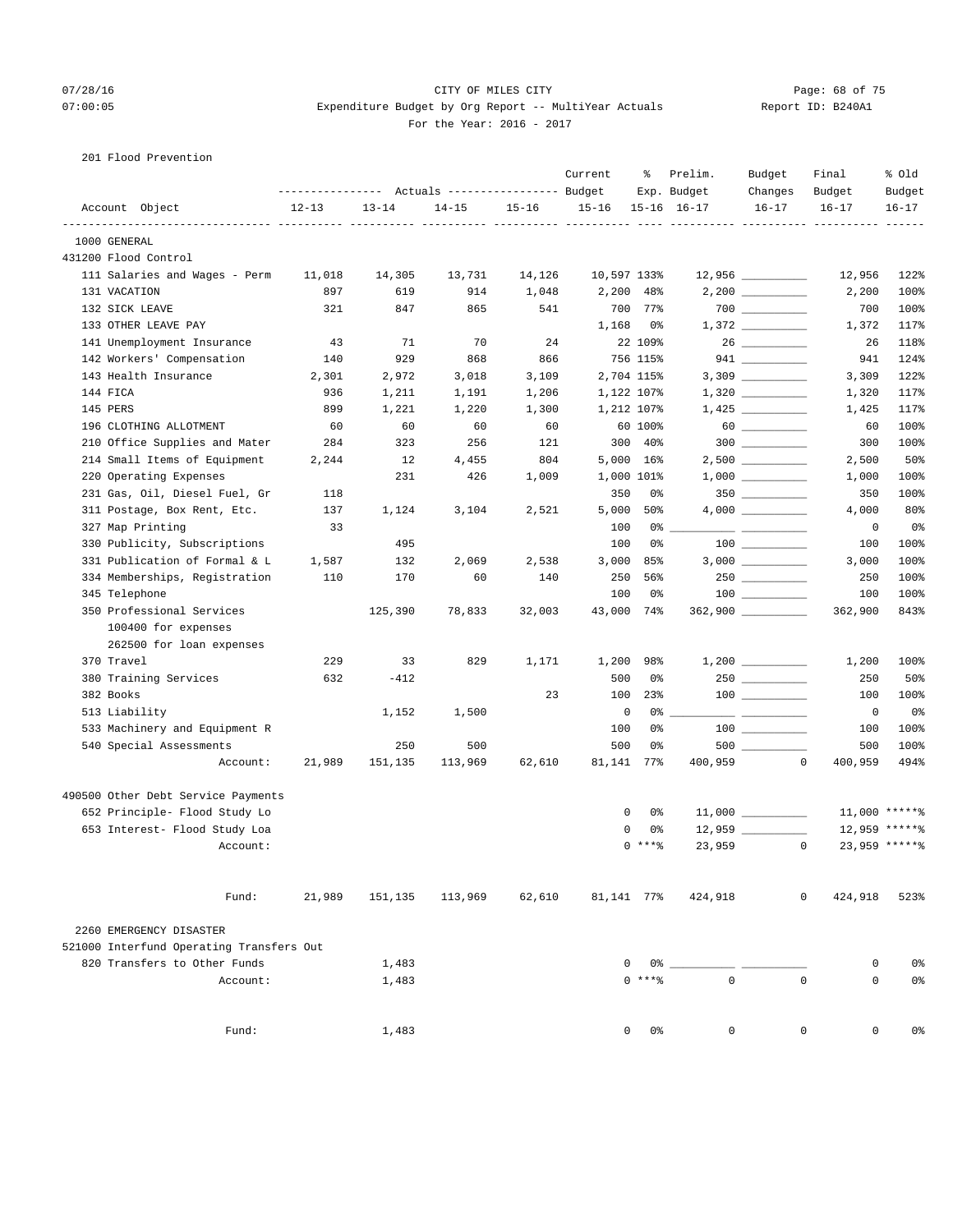## 07/28/16 Page: 68 of 75 07:00:05 Expenditure Budget by Org Report -- MultiYear Actuals Report ID: B240A1 For the Year: 2016 - 2017

201 Flood Prevention

|                                          |           |           | Actuals ----------------- Budget |           | Current     | ႜ                   | Prelim.<br>Exp. Budget | Budget<br>Changes                       | Final<br>Budget         | % Old<br>Budget |
|------------------------------------------|-----------|-----------|----------------------------------|-----------|-------------|---------------------|------------------------|-----------------------------------------|-------------------------|-----------------|
| Account Object                           | $12 - 13$ | $13 - 14$ | $14 - 15$                        | $15 - 16$ | $15 - 16$   |                     | $15 - 16$ $16 - 17$    | $16 - 17$                               | $16 - 17$               | $16 - 17$       |
| 1000 GENERAL                             |           |           |                                  |           |             |                     |                        |                                         |                         |                 |
| 431200 Flood Control                     |           |           |                                  |           |             |                     |                        |                                         |                         |                 |
| 111 Salaries and Wages - Perm            | 11,018    | 14,305    | 13,731                           | 14,126    | 10,597 133% |                     |                        | $12,956$ __________                     | 12,956                  | 122%            |
| 131 VACATION                             | 897       | 619       | 914                              | 1,048     |             | 2,200 48%           |                        |                                         | 2,200                   | 100%            |
| 132 SICK LEAVE                           | 321       | 847       | 865                              | 541       | 700         | 77%                 |                        | $\begin{tabular}{c} 700 \end{tabular}$  | 700                     | 100%            |
| 133 OTHER LEAVE PAY                      |           |           |                                  |           | 1,168       | 0%                  |                        |                                         | 1,372                   | 117%            |
| 141 Unemployment Insurance               | 43        | 71        | 70                               | 24        |             | 22 109%             |                        | 26                                      | 26                      | 118%            |
| 142 Workers' Compensation                | 140       | 929       | 868                              | 866       |             | 756 115%            |                        | $941$ _________                         | 941                     | 124%            |
| 143 Health Insurance                     | 2,301     | 2,972     | 3,018                            | 3,109     |             | 2,704 115%          |                        |                                         | 3,309                   | 122%            |
| 144 FICA                                 | 936       | 1,211     | 1,191                            | 1,206     |             | 1,122 107%          |                        |                                         | 1,320                   | 117%            |
| 145 PERS                                 | 899       | 1,221     | 1,220                            | 1,300     |             | 1,212 107%          |                        |                                         | 1,425                   | 117%            |
| 196 CLOTHING ALLOTMENT                   | 60        | 60        | 60                               | 60        |             | 60 100%             |                        |                                         | 60                      | 100%            |
| 210 Office Supplies and Mater            | 284       | 323       | 256                              | 121       |             | $300$ $40\%$        |                        | $300$                                   | 300                     | 100%            |
| 214 Small Items of Equipment             | 2,244     | 12        | 4,455                            | 804       |             | 5,000 16%           |                        |                                         | 2,500                   | 50%             |
| 220 Operating Expenses                   |           | 231       | 426                              | 1,009     |             | 1,000 101%          |                        |                                         | 1,000                   | 100%            |
| 231 Gas, Oil, Diesel Fuel, Gr            | 118       |           |                                  |           | 350         | 0%                  |                        |                                         | 350                     | 100%            |
| 311 Postage, Box Rent, Etc.              | 137       | 1,124     | 3,104                            | 2,521     | 5,000       | 50%                 |                        |                                         | 4,000                   | 80%             |
| 327 Map Printing                         | 33        |           |                                  |           | 100         | 0%                  |                        |                                         | 0                       | 0%              |
| 330 Publicity, Subscriptions             |           | 495       |                                  |           | 100         | 0%                  |                        |                                         | 100                     | 100%            |
| 331 Publication of Formal & L            | 1,587     | 132       | 2,069                            | 2,538     | 3,000       | 85%                 |                        |                                         | 3,000                   | 100%            |
| 334 Memberships, Registration            | 110       | 170       | 60                               | 140       | 250         | 56%                 |                        |                                         | 250                     | 100%            |
| 345 Telephone                            |           |           |                                  |           | 100         | 0%                  |                        | $\begin{array}{c} 100 \\ - \end{array}$ | 100                     | 100%            |
| 350 Professional Services                |           | 125,390   | 78,833                           | 32,003    | 43,000      | 74%                 |                        | $362,900$ _________                     | 362,900                 | 843%            |
| 100400 for expenses                      |           |           |                                  |           |             |                     |                        |                                         |                         |                 |
| 262500 for loan expenses                 |           |           |                                  |           |             |                     |                        |                                         |                         |                 |
| 370 Travel                               | 229       | 33        | 829                              | 1,171     | 1,200       | 98%                 |                        |                                         | 1,200                   | 100%            |
| 380 Training Services                    | 632       | $-412$    |                                  |           | 500         | 0%                  |                        |                                         | 250                     | 50%             |
| 382 Books                                |           |           |                                  | 23        | 100         | 23%                 |                        |                                         | 100                     | 100%            |
| 513 Liability                            |           | 1,152     | 1,500                            |           | $\mathbf 0$ | 0%                  |                        |                                         | 0                       | 0 <sup>8</sup>  |
| 533 Machinery and Equipment R            |           |           |                                  |           | 100         | 0%                  |                        | $\begin{tabular}{c} 100 \end{tabular}$  | 100                     | 100%            |
| 540 Special Assessments                  |           | 250       | 500                              |           | 500         | 0%                  |                        |                                         | 500                     | 100%            |
|                                          |           |           |                                  |           |             |                     |                        |                                         | $\circ$                 | 494%            |
| Account:                                 | 21,989    | 151,135   | 113,969                          | 62,610    | 81,141      | 77%                 | 400,959                |                                         | 400,959                 |                 |
| 490500 Other Debt Service Payments       |           |           |                                  |           |             |                     |                        |                                         |                         |                 |
| 652 Principle- Flood Study Lo            |           |           |                                  |           |             | 0<br>0%             |                        | $11,000$ _________                      |                         | 11,000 ******   |
| 653 Interest- Flood Study Loa            |           |           |                                  |           |             | 0<br>0%             |                        |                                         |                         | 12,959 ******   |
| Account:                                 |           |           |                                  |           |             | $0$ ****            | 23,959                 |                                         | $\circ$                 | 23,959 ******   |
| Fund:                                    | 21,989    | 151,135   | 113,969                          | 62,610    | 81,141 77%  |                     | 424,918                |                                         | $\mathbf{0}$<br>424,918 | 523%            |
| 2260 EMERGENCY DISASTER                  |           |           |                                  |           |             |                     |                        |                                         |                         |                 |
| 521000 Interfund Operating Transfers Out |           |           |                                  |           |             |                     |                        |                                         |                         |                 |
| 820 Transfers to Other Funds             |           | 1,483     |                                  |           |             | 0<br>0 %            |                        |                                         | 0                       | 0%              |
| Account:                                 |           | 1,483     |                                  |           |             | $0$ *** $%$         | $\Omega$               |                                         | $\Omega$<br>$\Omega$    | 0%              |
|                                          |           |           |                                  |           |             |                     |                        |                                         |                         |                 |
| Fund:                                    |           | 1,483     |                                  |           |             | $\mathbf{0}$<br>0 % | 0                      |                                         | 0<br>0                  | 0%              |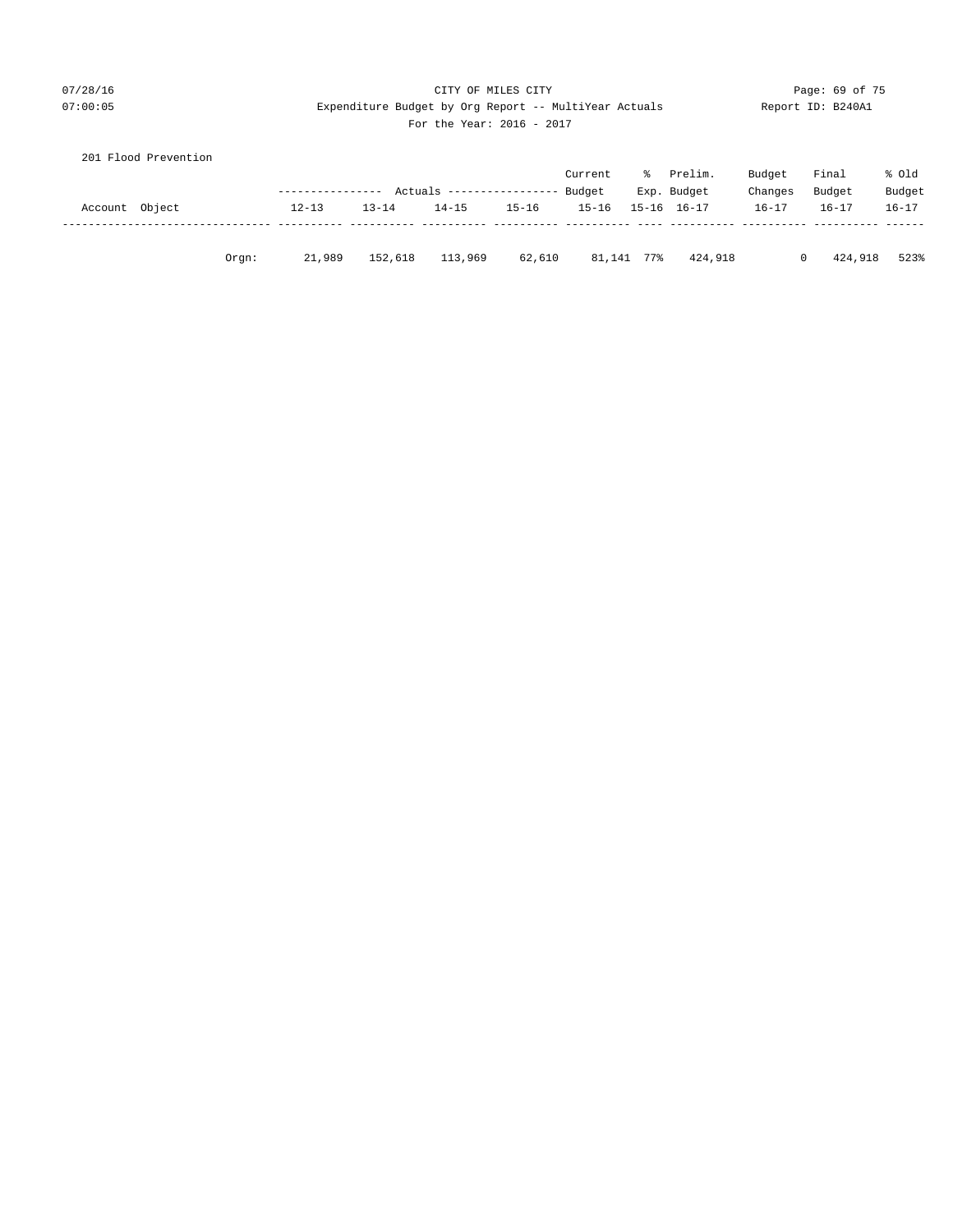## 07/28/16 CITY OF MILES CITY Page: 69 of 75 07:00:05 Expenditure Budget by Org Report -- MultiYear Actuals Report ID: B240A1 For the Year: 2016 - 2017

|  | For the Year: 2016 |  |  |
|--|--------------------|--|--|
|--|--------------------|--|--|

|                | 201 Flood Prevention |       |                  |           |                            |           |           |       |                     |            |           |           |
|----------------|----------------------|-------|------------------|-----------|----------------------------|-----------|-----------|-------|---------------------|------------|-----------|-----------|
|                |                      |       |                  |           |                            |           | Current   | ፟፟፟፟፟ | Prelim.             | Budget     | Final     | % old     |
|                |                      |       | ---------------- |           | Actuals ------------------ |           | Budget    |       | Exp. Budget         | Changes    | Budget    | Budget    |
| Account Object |                      |       | $12 - 13$        | $13 - 14$ | $14 - 15$                  | $15 - 16$ | $15 - 16$ |       | $15 - 16$ $16 - 17$ | $16 - 17$  | $16 - 17$ | $16 - 17$ |
|                |                      |       |                  |           |                            |           |           |       |                     |            |           |           |
|                |                      | Orgn: | 21,989           | 152,618   | 113,969                    | 62,610    | 81,141    | 77%   | 424,918             | $^{\circ}$ | 424,918   | 523%      |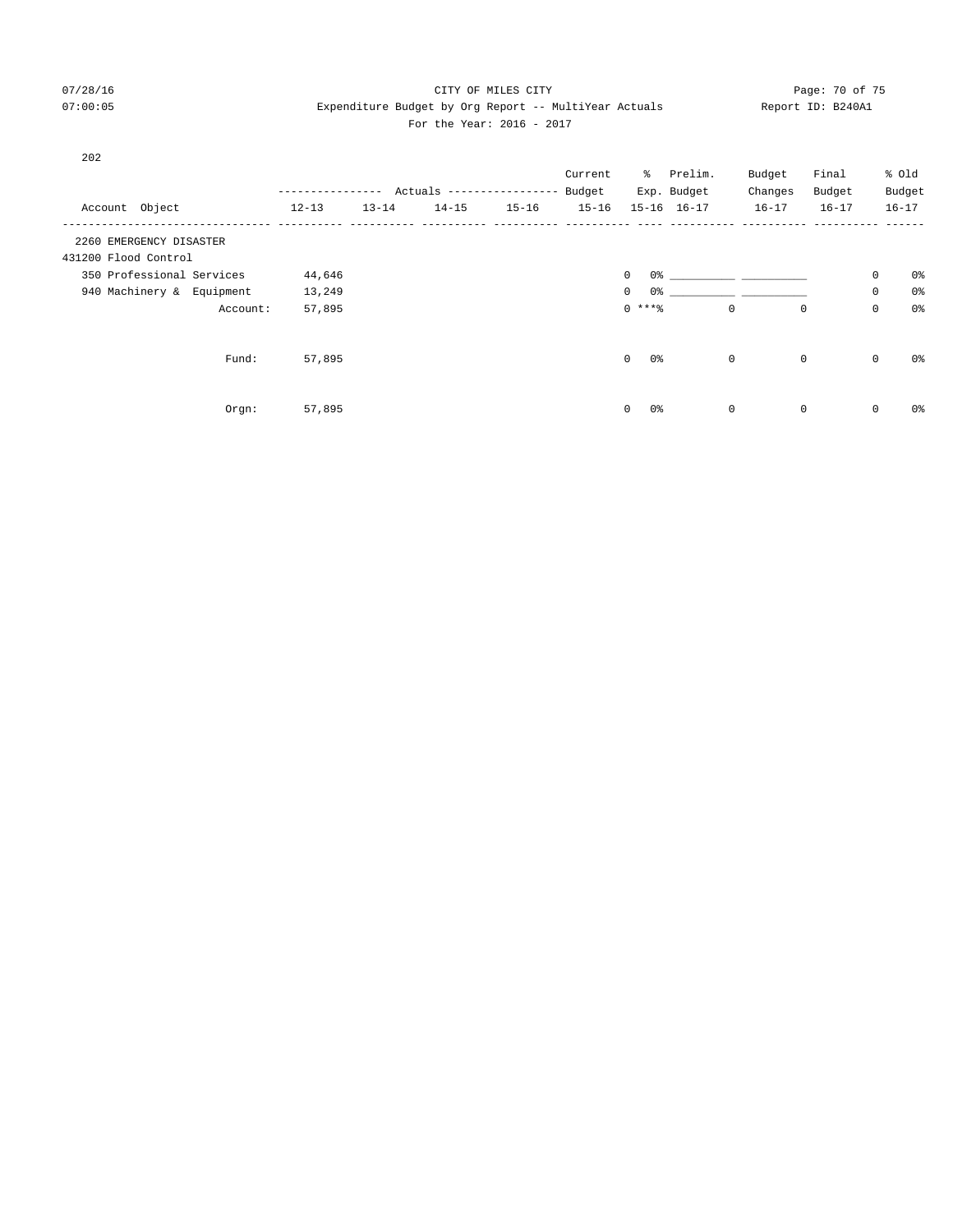## 07/28/16 Page: 70 of 75 07:00:05 Expenditure Budget by Org Report -- MultiYear Actuals Report ID: B240A1 For the Year: 2016 - 2017

| 202                       |          |           |           |                          |           | Current   |                               | % Prelim.                     | Budget      | Final       |             | % old          |
|---------------------------|----------|-----------|-----------|--------------------------|-----------|-----------|-------------------------------|-------------------------------|-------------|-------------|-------------|----------------|
|                           |          |           |           | Actuals ---------------- |           | Budget    |                               | Exp. Budget                   | Changes     | Budget      |             | Budget         |
| Account Object            |          | $12 - 13$ | $13 - 14$ | $14 - 15$                | $15 - 16$ | $15 - 16$ |                               | 15-16 16-17                   | $16 - 17$   | $16 - 17$   |             | $16 - 17$      |
| 2260 EMERGENCY DISASTER   |          |           |           |                          |           |           |                               |                               |             |             |             |                |
| 431200 Flood Control      |          |           |           |                          |           |           |                               |                               |             |             |             |                |
| 350 Professional Services |          | 44,646    |           |                          |           |           | $\mathbf 0$                   | 0.왕 - 이 그는 아이들은 아이들이 아이들이 없다. |             |             | 0           | 0%             |
| 940 Machinery & Equipment |          | 13,249    |           |                          |           |           | $\mathbf 0$<br>0%             |                               |             |             | 0           | 0 <sub>8</sub> |
|                           | Account: | 57,895    |           |                          |           |           | $0***8$                       |                               | $\mathbf 0$ | $\mathbf 0$ | $\mathbf 0$ | 0 <sub>8</sub> |
|                           | Fund:    | 57,895    |           |                          |           |           | $\mathbf 0$<br>0응             |                               | $\mathbf 0$ | $\mathbf 0$ | $\mathbf 0$ | 0 <sub>8</sub> |
|                           | Orgn:    | 57,895    |           |                          |           |           | 0 <sup>°</sup><br>$\mathbf 0$ |                               | $\mathbf 0$ | $\mathbf 0$ | $\mathbf 0$ | 0 <sup>°</sup> |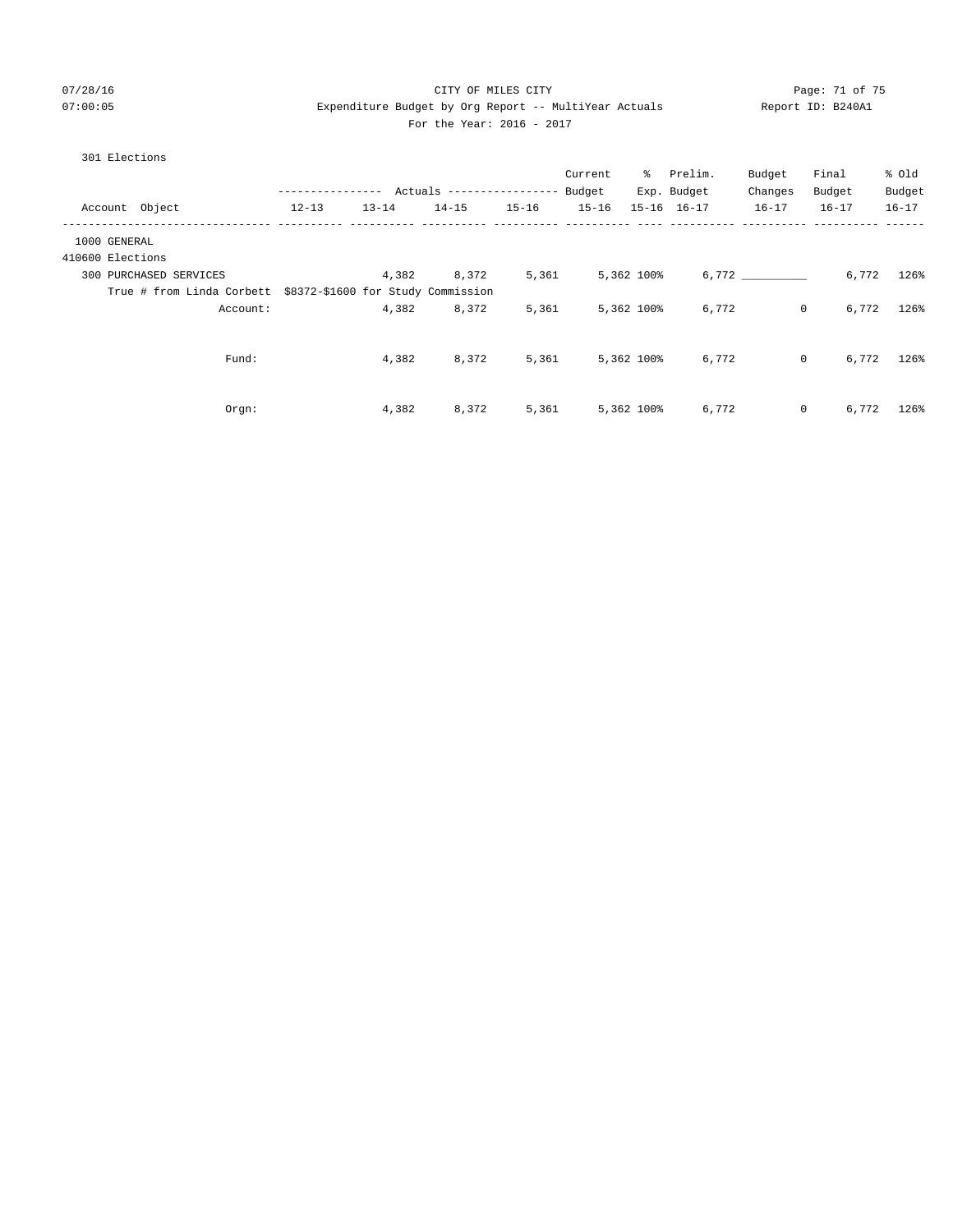# 07/28/16 Page: 71 of 75 07:00:05 Expenditure Budget by Org Report -- MultiYear Actuals Report ID: B240A1 For the Year: 2016 - 2017

301 Elections

|                                                              | ------------- |           | Actuals ------------------ |           | Current<br>Budget |            | % Prelim.<br>Exp. Budget | Budget<br>Changes | Final<br>Budget | % old<br>Budget |
|--------------------------------------------------------------|---------------|-----------|----------------------------|-----------|-------------------|------------|--------------------------|-------------------|-----------------|-----------------|
| Account Object                                               | $12 - 13$     | $13 - 14$ | $14 - 15$                  | $15 - 16$ | $15 - 16$         |            | 15-16 16-17              | $16 - 17$         | $16 - 17$       | $16 - 17$       |
| 1000 GENERAL                                                 |               |           |                            |           |                   |            |                          |                   |                 |                 |
| 410600 Elections                                             |               |           |                            |           |                   |            |                          |                   |                 |                 |
| 300 PURCHASED SERVICES                                       |               | 4,382     | 8,372                      | 5,361     |                   | 5,362 100% |                          | 6,772             | 6,772           | 126%            |
| True # from Linda Corbett \$8372-\$1600 for Study Commission |               |           |                            |           |                   |            |                          |                   |                 |                 |
| Account:                                                     |               | 4,382     | 8,372                      | 5,361     |                   | 5,362 100% | 6,772                    | $\circ$           | 6,772           | 126%            |
|                                                              |               |           |                            |           |                   |            |                          |                   |                 |                 |
| Fund:                                                        |               | 4,382     | 8,372                      | 5,361     |                   | 5,362 100% | 6,772                    | $\circ$           | 6,772           | 126%            |
|                                                              |               |           |                            |           |                   |            |                          |                   |                 |                 |
|                                                              |               |           |                            |           |                   |            |                          |                   |                 |                 |
| Orgn:                                                        |               | 4,382     | 8,372                      | 5,361     |                   | 5,362 100% | 6,772                    | $\circ$           | 6,772           | 126%            |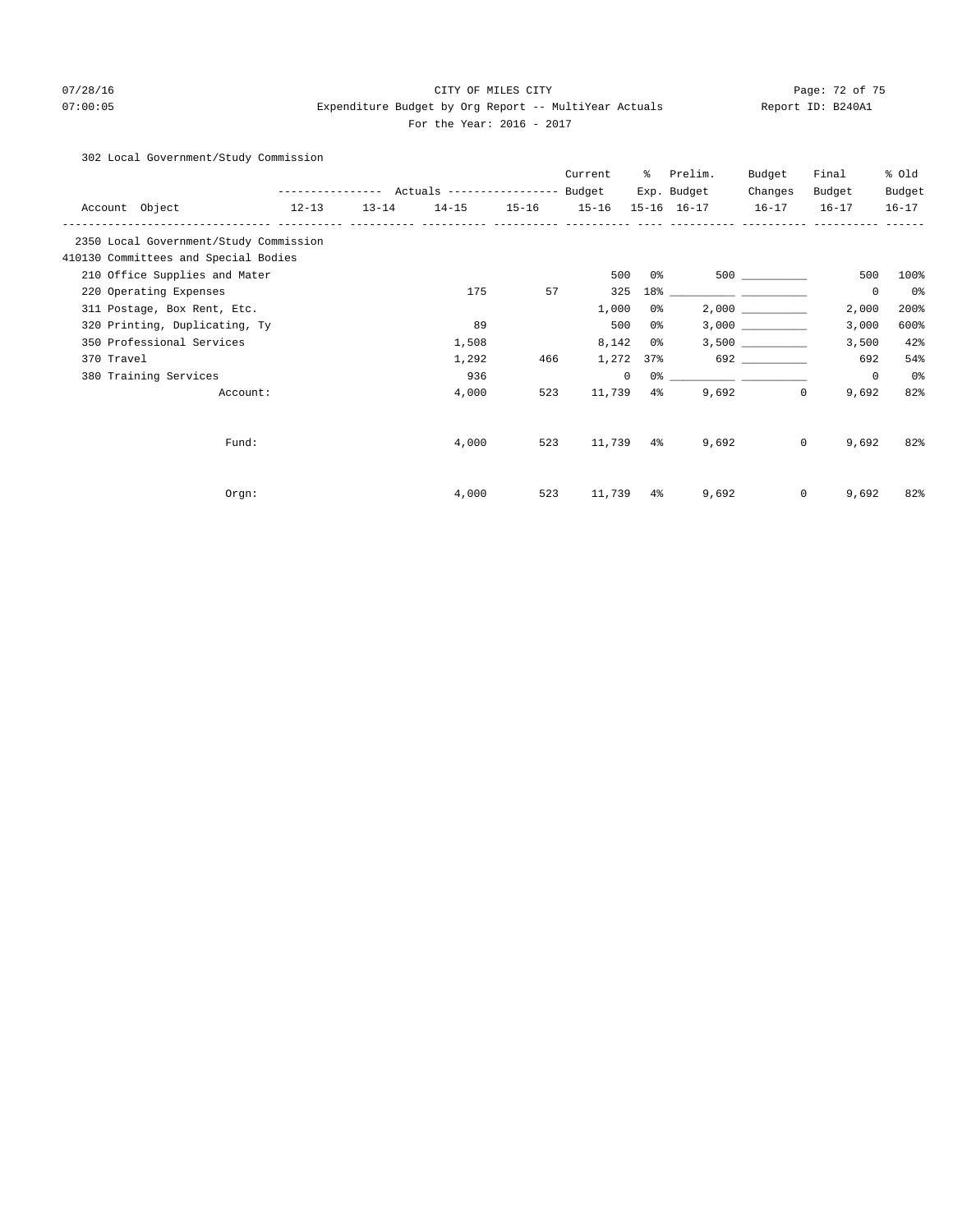# 07/28/16 Page: 72 of 75 07:00:05 expenditure Budget by Org Report -- MultiYear Actuals Report ID: B240A1 For the Year: 2016 - 2017

## 302 Local Government/Study Commission

|                                        |           |           |                                                       |     | Current   | ႜႜ             | Prelim.           | Budget       | Final                 | % Old          |
|----------------------------------------|-----------|-----------|-------------------------------------------------------|-----|-----------|----------------|-------------------|--------------|-----------------------|----------------|
|                                        |           |           | ---------------    Actuals ----------------    Budget |     |           |                | Exp. Budget       | Changes      | Budget                | Budget         |
| Account Object                         | $12 - 13$ | $13 - 14$ | 14-15 15-16 15-16                                     |     |           |                | 15-16 16-17       | $16 - 17$    | $16 - 17$             | $16 - 17$      |
| 2350 Local Government/Study Commission |           |           |                                                       |     |           |                |                   |              |                       |                |
| 410130 Committees and Special Bodies   |           |           |                                                       |     |           |                |                   |              |                       |                |
| 210 Office Supplies and Mater          |           |           |                                                       |     | 500       | 0%             |                   | 500 000      | 500                   | 100%           |
| 220 Operating Expenses                 |           |           | 175                                                   | 57  | 325       |                | $18$ <sup>*</sup> |              | $\mathbf 0$           | 0%             |
| 311 Postage, Box Rent, Etc.            |           |           |                                                       |     | 1,000     | 0 %            |                   |              | 2,000                 | 200%           |
| 320 Printing, Duplicating, Ty          |           |           | 89                                                    |     | 500       | 0 %            |                   |              | 3,000                 | 600%           |
| 350 Professional Services              |           |           | 1,508                                                 |     | 8,142     | 0 %            |                   |              | 3,500                 | 42%            |
| 370 Travel                             |           |           | 1,292                                                 | 466 | 1,272     | 37%            |                   | 692 7        | 692                   | 54%            |
| 380 Training Services                  |           |           | 936                                                   |     | $\circ$   |                |                   |              | $\mathbf 0$           | 0 <sup>o</sup> |
| Account:                               |           |           | 4,000                                                 | 523 | 11,739    | 4 <sup>°</sup> | 9,692             | $\mathbf{0}$ | 9,692                 | 82%            |
|                                        |           |           |                                                       |     |           |                |                   |              |                       |                |
| Fund:                                  |           |           | 4,000                                                 | 523 | 11,739 4% |                | 9,692             |              | $\mathbf{0}$<br>9,692 | 82%            |
|                                        |           |           |                                                       |     |           |                |                   |              |                       |                |
| Orgn:                                  |           |           | 4,000                                                 | 523 | 11,739 4% |                | 9,692             | $\mathbf{0}$ | 9,692                 | 82%            |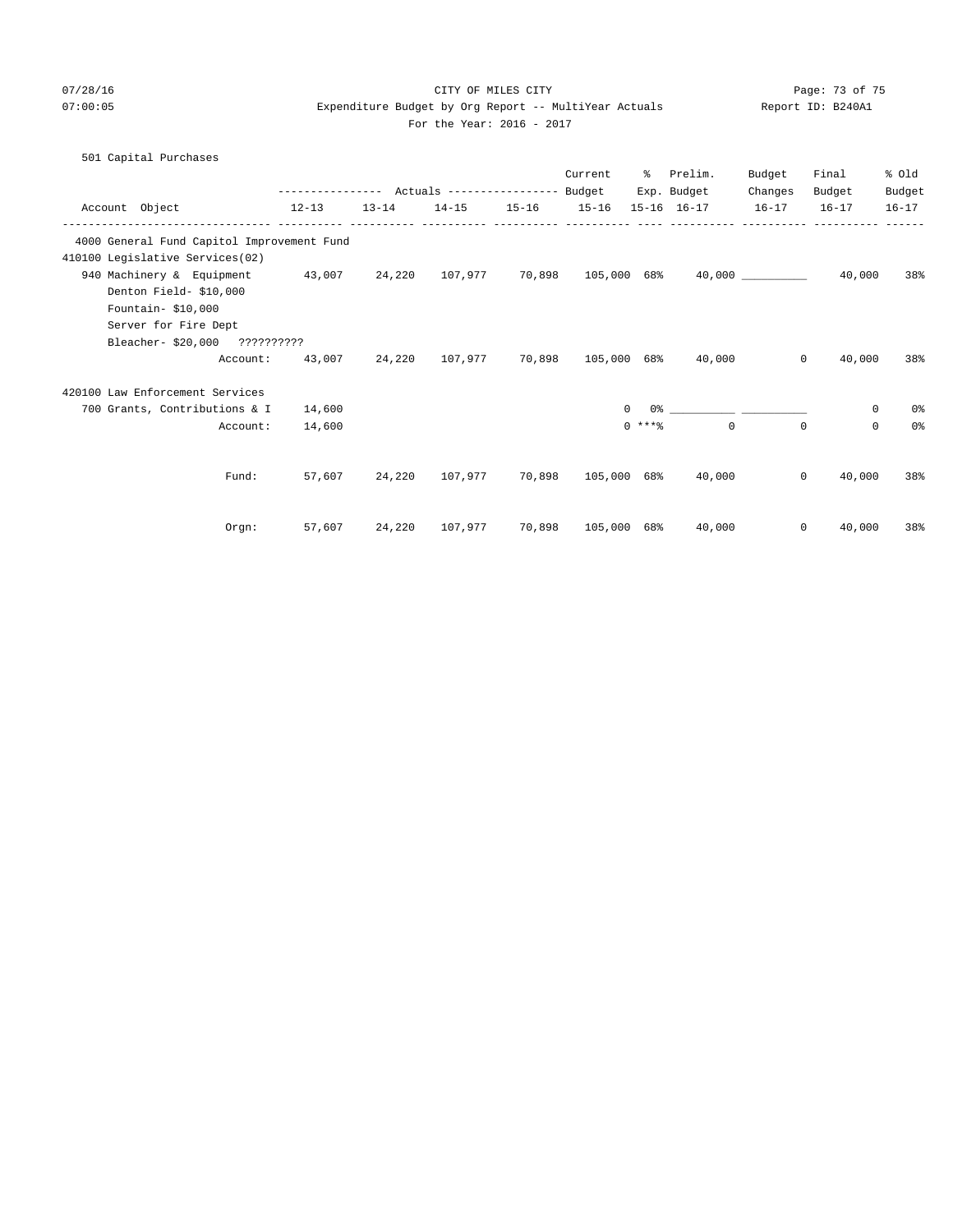07/28/16 Page: 73 of 75 07:00:05 Expenditure Budget by Org Report -- MultiYear Actuals Report ID: B240A1

## For the Year: 2016 - 2017

| 501 Capital Purchases |  |
|-----------------------|--|
|-----------------------|--|

|                                                                                                      |           |                         | Current            |          | % Prelim.<br>Exp. Budget                                       | Budget<br>Changes | Final<br>Budget        | % old<br>Budget |
|------------------------------------------------------------------------------------------------------|-----------|-------------------------|--------------------|----------|----------------------------------------------------------------|-------------------|------------------------|-----------------|
| Account Object                                                                                       | $12 - 13$ | 13-14 14-15 15-16 15-16 | ----------- ----   |          | 15-16 16-17 16-17                                              |                   | $16 - 17$              | $16 - 17$       |
| 4000 General Fund Capitol Improvement Fund                                                           |           |                         |                    |          |                                                                |                   |                        |                 |
| 410100 Legislative Services(02)                                                                      |           |                         |                    |          |                                                                |                   |                        |                 |
| 940 Machinery & Equipment 43,007 24,220 107,977 70,898 105,000 68% 40,000 10000000000000000000000000 |           |                         |                    |          |                                                                |                   | 40,000                 | 38%             |
| Denton Field- \$10,000                                                                               |           |                         |                    |          |                                                                |                   |                        |                 |
| Fountain- \$10,000                                                                                   |           |                         |                    |          |                                                                |                   |                        |                 |
| Server for Fire Dept                                                                                 |           |                         |                    |          |                                                                |                   |                        |                 |
| Bleacher- \$20,000 ??????????                                                                        |           |                         |                    |          |                                                                |                   |                        |                 |
| Account:                                                                                             |           |                         |                    |          | $43,007$ $24,220$ $107,977$ $70,898$ $105,000$ $68\%$ $40,000$ |                   | 40,000<br>$\mathbf{0}$ | 38%             |
| 420100 Law Enforcement Services                                                                      |           |                         |                    |          |                                                                |                   |                        |                 |
| 700 Grants, Contributions & I                                                                        | 14,600    |                         |                    | $\Omega$ |                                                                |                   | $\mathbf{0}$           | 0%              |
| Account:                                                                                             | 14,600    |                         |                    | $0$ **** | $\cap$                                                         | $\Omega$          | $\Omega$               | 0%              |
|                                                                                                      |           |                         |                    |          |                                                                |                   |                        |                 |
| Fund:                                                                                                |           | 57,607 24,220 107,977   |                    |          | 70,898 105,000 68% 40,000                                      |                   | $\circ$<br>40,000      | 38%             |
| Orgn:                                                                                                |           | 57,607 24,220 107,977   | 70,898 105,000 68% |          | 40,000                                                         |                   | $\circ$<br>40,000      | 38%             |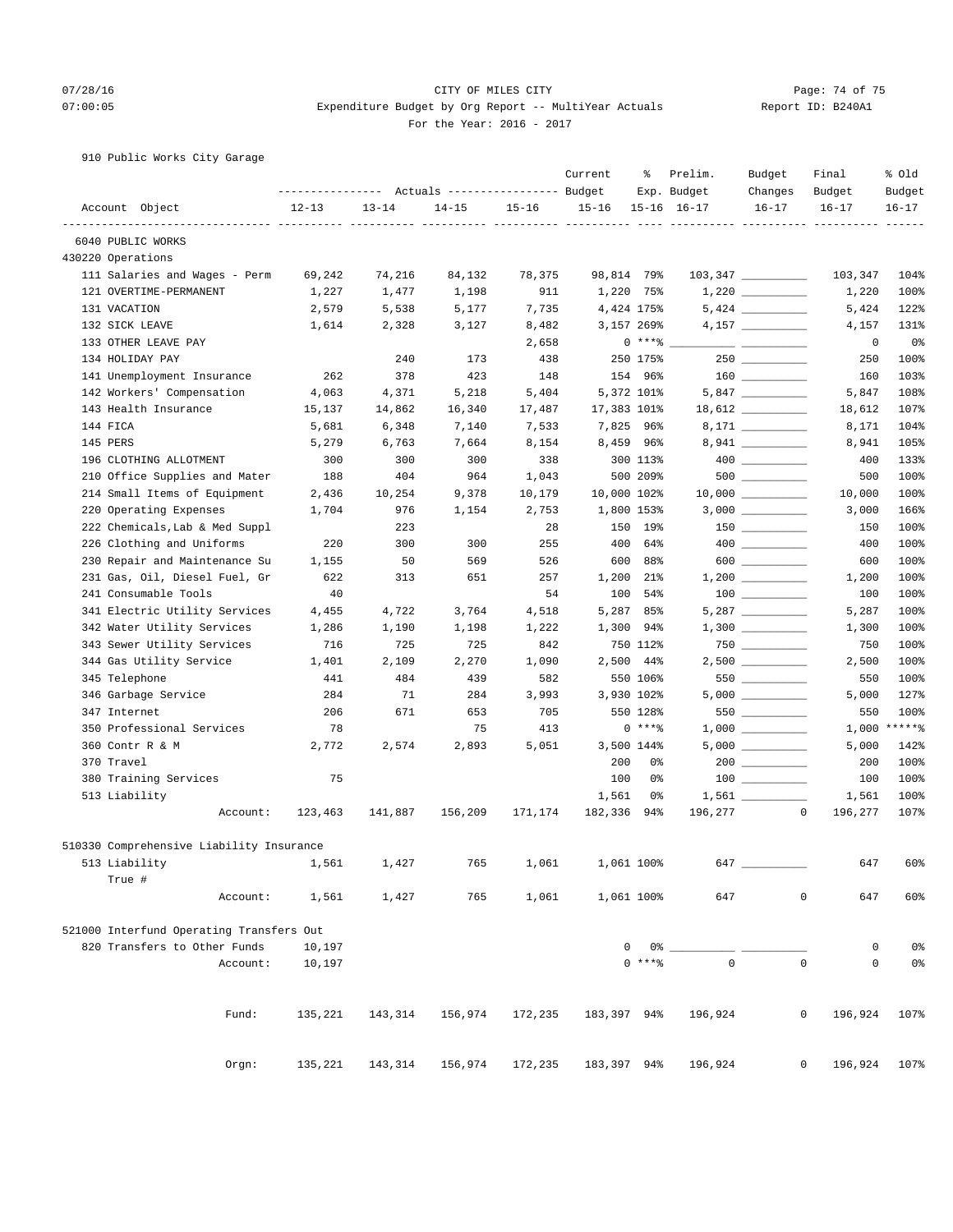## 07/28/16 Page: 74 of 75 07:00:05 Expenditure Budget by Org Report -- MultiYear Actuals Report ID: B240A1 For the Year: 2016 - 2017

910 Public Works City Garage

|                                          | ----------------- |           | Actuals ----------------- Budget |           | Current     | ႜ          | Prelim.<br>Exp. Budget | Budget<br>Changes                                                   | Final<br>Budget                    | % old<br>Budget |
|------------------------------------------|-------------------|-----------|----------------------------------|-----------|-------------|------------|------------------------|---------------------------------------------------------------------|------------------------------------|-----------------|
| Account Object                           | $12 - 13$         | $13 - 14$ | $14 - 15$                        | $15 - 16$ | $15 - 16$   |            | $15 - 16$ $16 - 17$    | $16 - 17$                                                           | $16 - 17$                          | $16 - 17$       |
| 6040 PUBLIC WORKS                        |                   |           | ----- ----                       |           |             |            |                        |                                                                     |                                    |                 |
| 430220 Operations                        |                   |           |                                  |           |             |            |                        |                                                                     |                                    |                 |
| 111 Salaries and Wages - Perm            | 69,242            | 74,216    | 84,132                           | 78,375    | 98,814 79%  |            |                        | $103,347$ ________                                                  | 103,347                            | 104%            |
| 121 OVERTIME-PERMANENT                   | 1,227             | 1,477     | 1,198                            | 911       |             | 1,220 75%  |                        |                                                                     | 1,220                              | 100%            |
| 131 VACATION                             | 2,579             | 5,538     | 5,177                            | 7,735     |             | 4,424 175% |                        |                                                                     | 5,424                              | 122%            |
| 132 SICK LEAVE                           | 1,614             | 2,328     | 3,127                            | 8,482     |             | 3,157 269% |                        | $4,157$ __________                                                  | 4,157                              | 131%            |
| 133 OTHER LEAVE PAY                      |                   |           |                                  | 2,658     |             | $0$ ****   |                        | $\overline{\phantom{a}}$ . The contract of $\overline{\phantom{a}}$ | 0                                  | 0%              |
| 134 HOLIDAY PAY                          |                   | 240       | 173                              | 438       |             | 250 175%   |                        |                                                                     | 250                                | 100%            |
| 141 Unemployment Insurance               | 262               | 378       | 423                              | 148       |             | 154 96%    |                        |                                                                     | 160                                | 103%            |
| 142 Workers' Compensation                | 4,063             | 4,371     | 5,218                            | 5,404     |             | 5,372 101% |                        |                                                                     | 5,847                              | 108%            |
| 143 Health Insurance                     | 15,137            | 14,862    | 16,340                           | 17,487    | 17,383 101% |            |                        |                                                                     | 18,612                             | 107%            |
| 144 FICA                                 | 5,681             | 6,348     | 7,140                            | 7,533     |             | 7,825 96%  |                        |                                                                     | 8,171                              | 104%            |
| 145 PERS                                 | 5,279             | 6,763     | 7,664                            | 8,154     |             | 8,459 96%  |                        | 8,941                                                               | 8,941                              | 105%            |
| 196 CLOTHING ALLOTMENT                   | 300               | 300       | 300                              | 338       |             | 300 113%   |                        |                                                                     | 400                                | 133%            |
| 210 Office Supplies and Mater            | 188               | 404       | 964                              | 1,043     |             | 500 209%   |                        |                                                                     | 500                                | 100%            |
| 214 Small Items of Equipment             | 2,436             | 10,254    | 9,378                            | 10,179    | 10,000 102% |            |                        | $10,000$ __________                                                 | 10,000                             | 100%            |
| 220 Operating Expenses                   | 1,704             | 976       | 1,154                            | 2,753     |             | 1,800 153% |                        |                                                                     | 3,000                              | 166%            |
| 222 Chemicals, Lab & Med Suppl           |                   | 223       |                                  | 28        |             | 150 19%    |                        | $3,000$ __________                                                  | 150                                | 100%            |
| 226 Clothing and Uniforms                | 220               | 300       | 300                              | 255       |             | 400 64%    |                        |                                                                     |                                    |                 |
|                                          |                   |           |                                  |           |             |            |                        | 600                                                                 | 400                                | 100%<br>100%    |
| 230 Repair and Maintenance Su            | 1,155             | 50        | 569                              | 526       |             | 600 88%    |                        |                                                                     | 600                                |                 |
| 231 Gas, Oil, Diesel Fuel, Gr            | 622               | 313       | 651                              | 257       |             | 1,200 21%  |                        |                                                                     | 1,200                              | 100%            |
| 241 Consumable Tools                     | 40                |           |                                  | 54        |             | 100 54%    |                        |                                                                     | 100                                | 100%            |
| 341 Electric Utility Services            | 4,455             | 4,722     | 3,764                            | 4,518     |             | 5,287 85%  |                        |                                                                     | 5,287                              | 100%            |
| 342 Water Utility Services               | 1,286             | 1,190     | 1,198                            | 1,222     |             | 1,300 94%  |                        |                                                                     | 1,300                              | 100%            |
| 343 Sewer Utility Services               | 716               | 725       | 725                              | 842       |             | 750 112%   |                        |                                                                     | 750                                | 100%            |
| 344 Gas Utility Service                  | 1,401             | 2,109     | 2,270                            | 1,090     |             | 2,500 44%  |                        | $2,500$ __________                                                  | 2,500                              | 100%            |
| 345 Telephone                            | 441               | 484       | 439                              | 582       |             | 550 106%   |                        | 550                                                                 | 550                                | 100%            |
| 346 Garbage Service                      | 284               | 71        | 284                              | 3,993     |             | 3,930 102% |                        |                                                                     | 5,000                              | 127%            |
| 347 Internet                             | 206               | 671       | 653                              | 705       |             | 550 128%   |                        | 550                                                                 | 550                                | 100%            |
| 350 Professional Services                | 78                |           | 75                               | 413       |             | $0***8$    |                        |                                                                     | 1,000                              | $*****$         |
| 360 Contr R & M                          | 2,772             | 2,574     | 2,893                            | 5,051     |             | 3,500 144% |                        |                                                                     | 5,000                              | 142%            |
| 370 Travel                               |                   |           |                                  |           | 200         | 0%         |                        | $200$ _________                                                     | 200                                | 100%            |
| 380 Training Services                    | 75                |           |                                  |           | 100         | 0%         |                        |                                                                     | 100                                | 100%            |
| 513 Liability                            |                   |           |                                  |           | 1,561       | 0%         |                        |                                                                     | 1,561                              | 100%            |
| Account:                                 | 123,463           | 141,887   | 156,209                          | 171,174   | 182,336     | 94%        | 196,277                |                                                                     | $\mathbf 0$<br>196,277             | 107%            |
| 510330 Comprehensive Liability Insurance |                   |           |                                  |           |             |            |                        |                                                                     |                                    |                 |
| 513 Liability                            | 1,561             | 1,427     | 765                              | 1,061     | 1,061 100%  |            | 647                    |                                                                     | 647                                | 60%             |
| True #                                   |                   |           |                                  |           |             |            |                        |                                                                     |                                    |                 |
| Account:                                 | 1,561             | 1,427     | 765                              | 1,061     |             | 1,061 100% | 647                    |                                                                     | $\mathbf 0$<br>647                 | 60%             |
|                                          |                   |           |                                  |           |             |            |                        |                                                                     |                                    |                 |
| 521000 Interfund Operating Transfers Out |                   |           |                                  |           |             |            |                        |                                                                     |                                    |                 |
| 820 Transfers to Other Funds             | 10,197            |           |                                  |           | 0           | 0%         |                        |                                                                     | 0                                  | 0%              |
| Account:                                 | 10,197            |           |                                  |           |             | $0***$ $*$ | $\mathbf 0$            |                                                                     | $\mathbb O$<br>$\mathsf{O}\xspace$ | 0 <sub>8</sub>  |
| Fund:                                    | 135,221           | 143,314   | 156,974                          | 172,235   | 183,397 94% |            | 196,924                |                                                                     | 0<br>196,924                       | 107%            |
| Orgn:                                    | 135,221           | 143,314   | 156,974                          | 172,235   | 183,397 94% |            | 196,924                |                                                                     | 0<br>196,924                       | 107%            |